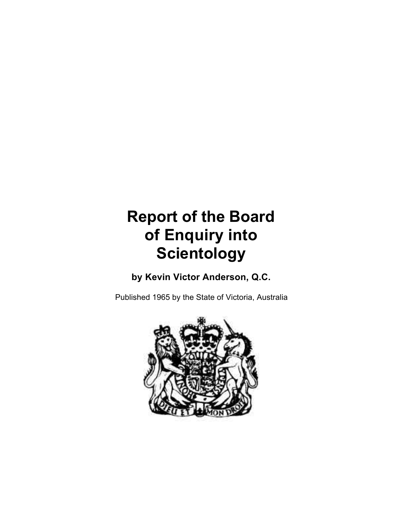# **Report of the Board of Enquiry into Scientology**

### **by Kevin Victor Anderson, Q.C.**

Published 1965 by the State of Victoria, Australia

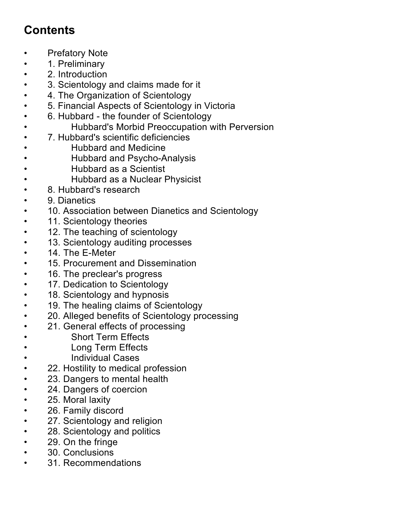# **Contents**

- Prefatory Note
- 1. Preliminary
- 2. Introduction
- 3. Scientology and claims made for it
- 4. The Organization of Scientology
- 5. Financial Aspects of Scientology in Victoria
- 6. Hubbard the founder of Scientology
	- Hubbard's Morbid Preoccupation with Perversion
- 7. Hubbard's scientific deficiencies
- Hubbard and Medicine
- Hubbard and Psycho-Analysis
- Hubbard as a Scientist
- Hubbard as a Nuclear Physicist
- 8. Hubbard's research
- 9. Dianetics
- 10. Association between Dianetics and Scientology
- 11. Scientology theories
- 12. The teaching of scientology
- 13. Scientology auditing processes
- 14. The E-Meter
- 15. Procurement and Dissemination
- 16. The preclear's progress
- 17. Dedication to Scientology
- 18. Scientology and hypnosis
- 19. The healing claims of Scientology
- 20. Alleged benefits of Scientology processing
- 21. General effects of processing
- **Short Term Effects**
- Long Term Effects
- Individual Cases
- 22. Hostility to medical profession
- 23. Dangers to mental health
- 24. Dangers of coercion
- 25. Moral laxity
- 26. Family discord
- 27. Scientology and religion
- 28. Scientology and politics
- 29. On the fringe
- 30. Conclusions
- 31. Recommendations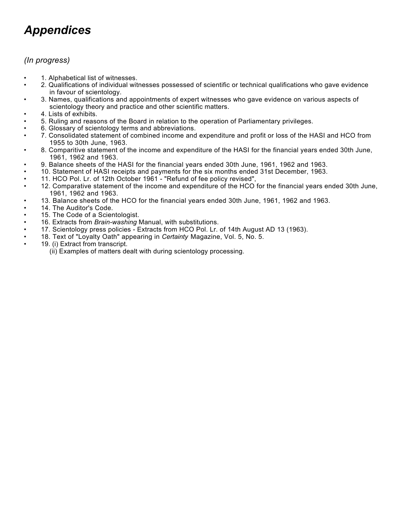# *Appendices*

#### *(In progress)*

- 1. Alphabetical list of witnesses.
- 2. Qualifications of individual witnesses possessed of scientific or technical qualifications who gave evidence in favour of scientology.
- 3. Names, qualifications and appointments of expert witnesses who gave evidence on various aspects of scientology theory and practice and other scientific matters.
- 4. Lists of exhibits.
- 5. Ruling and reasons of the Board in relation to the operation of Parliamentary privileges.
- 6. Glossary of scientology terms and abbreviations.
- 7. Consolidated statement of combined income and expenditure and profit or loss of the HASI and HCO from 1955 to 30th June, 1963.
- 8. Comparitive statement of the income and expenditure of the HASI for the financial years ended 30th June, 1961, 1962 and 1963.
- 9. Balance sheets of the HASI for the financial years ended 30th June, 1961, 1962 and 1963.
- 10. Statement of HASI receipts and payments for the six months ended 31st December, 1963.
- 11. HCO Pol. Lr. of 12th October 1961 "Refund of fee policy revised",
- 12. Comparative statement of the income and expenditure of the HCO for the financial years ended 30th June, 1961, 1962 and 1963.
- 13. Balance sheets of the HCO for the financial years ended 30th June, 1961, 1962 and 1963.
- 14. The Auditor's Code.
- 15. The Code of a Scientologist.
- 16. Extracts from *Brain-washing* Manual, with substitutions.
- 17. Scientology press policies Extracts from HCO Pol. Lr. of 14th August AD 13 (1963).
- 18. Text of "Loyalty Oath" appearing in *Certainty* Magazine, Vol. 5, No. 5.
- 19. (i) Extract from transcript.
	- (ii) Examples of matters dealt with during scientology processing.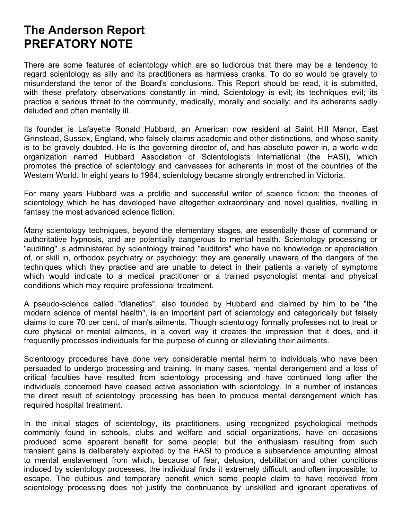### **The Anderson Report PREFATORY NOTE**

There are some features of scientology which are so ludicrous that there may be a tendency to regard scientology as silly and its practitioners as harmless cranks. To do so would be gravely to misunderstand the tenor of the Board's conclusions. This Report should be read, it is submitted, with these prefatory observations constantly in mind. Scientology is evil; its techniques evil; its practice a serious threat to the community, medically, morally and socially; and its adherents sadly deluded and often mentally ill.

Its founder is Lafayette Ronald Hubbard, an American now resident at Saint Hill Manor, East Grinstead, Sussex, England, who falsely claims academic and other distinctions, and whose sanity is to be gravely doubted. He is the governing director of, and has absolute power in, a world-wide organization named Hubbard Association of Scientologists International (the HASI), which promotes the practice of scientology and canvasses for adherents in most of the countries of the Western World. In eight years to 1964, scientology became strongly entrenched in Victoria.

For many years Hubbard was a prolific and successful writer of science fiction; the theories of scientology which he has developed have altogether extraordinary and novel qualities, rivalling in fantasy the most advanced science fiction.

Many scientology techniques, beyond the elementary stages, are essentially those of command or authoritative hypnosis, and are potentially dangerous to mental health. Scientology processing or "auditing" is administered by scientology trained "auditors" who have no knowledge or appreciation of, or skill in, orthodox psychiatry or psychology; they are generally unaware of the dangers of the techniques which they practise and are unable to detect in their patients a variety of symptoms which would indicate to a medical practitioner or a trained psychologist mental and physical conditions which may require professional treatment.

A pseudo-science called "dianetics", also founded by Hubbard and claimed by him to be "the modern science of mental health", is an important part of scientology and categorically but falsely claims to cure 70 per cent. of man's ailments. Though scientology formally professes not to treat or cure physical or mental ailments, in a covert way it creates the impression that it does, and it frequently processes individuals for the purpose of curing or alleviating their ailments.

Scientology procedures have done very considerable mental harm to individuals who have been persuaded to undergo processing and training. In many cases, mental derangement and a loss of critical faculties have resulted from scientology processing and have continued long after the individuals concerned have ceased active association with scientology. In a number of instances the direct result of scientology processing has been to produce mental derangement which has required hospital treatment.

In the initial stages of scientology, its practitioners, using recognized psychological methods commonly found in schools, clubs and welfare and social organizations, have on occasions produced some apparent benefit for some people; but the enthusiasm resulting from such transient gains is deliberately exploited by the HASI to produce a subservience amounting almost to mental enslavement from which, because of fear, delusion, debilitation and other conditions induced by scientology processes, the individual finds it extremely difficult, and often impossible, to escape. The dubious and temporary benefit which some people claim to have received from scientology processing does not justify the continuance by unskilled and ignorant operatives of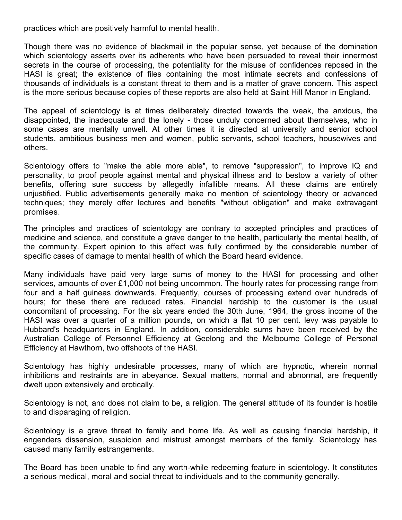practices which are positively harmful to mental health.

Though there was no evidence of blackmail in the popular sense, yet because of the domination which scientology asserts over its adherents who have been persuaded to reveal their innermost secrets in the course of processing, the potentiality for the misuse of confidences reposed in the HASI is great; the existence of files containing the most intimate secrets and confessions of thousands of individuals is a constant threat to them and is a matter of grave concern. This aspect is the more serious because copies of these reports are also held at Saint Hill Manor in England.

The appeal of scientology is at times deliberately directed towards the weak, the anxious, the disappointed, the inadequate and the lonely - those unduly concerned about themselves, who in some cases are mentally unwell. At other times it is directed at university and senior school students, ambitious business men and women, public servants, school teachers, housewives and others.

Scientology offers to "make the able more able", to remove "suppression", to improve IQ and personality, to proof people against mental and physical illness and to bestow a variety of other benefits, offering sure success by allegedly infallible means. All these claims are entirely unjustified. Public advertisements generally make no mention of scientology theory or advanced techniques; they merely offer lectures and benefits "without obligation" and make extravagant promises.

The principles and practices of scientology are contrary to accepted principles and practices of medicine and science, and constitute a grave danger to the health, particularly the mental health, of the community. Expert opinion to this effect was fully confirmed by the considerable number of specific cases of damage to mental health of which the Board heard evidence.

Many individuals have paid very large sums of money to the HASI for processing and other services, amounts of over £1,000 not being uncommon. The hourly rates for processing range from four and a half guineas downwards. Frequently, courses of processing extend over hundreds of hours; for these there are reduced rates. Financial hardship to the customer is the usual concomitant of processing. For the six years ended the 30th June, 1964, the gross income of the HASI was over a quarter of a million pounds, on which a flat 10 per cent. levy was payable to Hubbard's headquarters in England. In addition, considerable sums have been received by the Australian College of Personnel Efficiency at Geelong and the Melbourne College of Personal Efficiency at Hawthorn, two offshoots of the HASI.

Scientology has highly undesirable processes, many of which are hypnotic, wherein normal inhibitions and restraints are in abeyance. Sexual matters, normal and abnormal, are frequently dwelt upon extensively and erotically.

Scientology is not, and does not claim to be, a religion. The general attitude of its founder is hostile to and disparaging of religion.

Scientology is a grave threat to family and home life. As well as causing financial hardship, it engenders dissension, suspicion and mistrust amongst members of the family. Scientology has caused many family estrangements.

The Board has been unable to find any worth-while redeeming feature in scientology. It constitutes a serious medical, moral and social threat to individuals and to the community generally.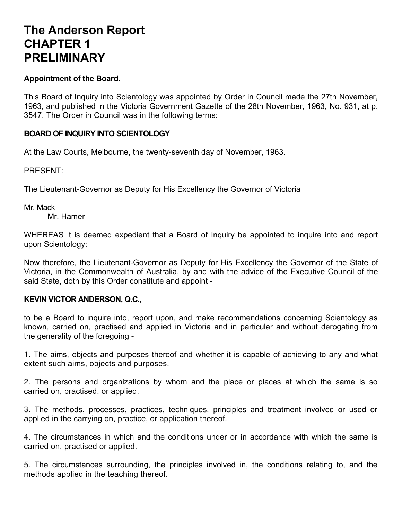### **The Anderson Report CHAPTER 1 PRELIMINARY**

#### **Appointment of the Board.**

This Board of Inquiry into Scientology was appointed by Order in Council made the 27th November, 1963, and published in the Victoria Government Gazette of the 28th November, 1963, No. 931, at p. 3547. The Order in Council was in the following terms:

#### **BOARD OF INQUIRY INTO SCIENTOLOGY**

At the Law Courts, Melbourne, the twenty-seventh day of November, 1963.

PRESENT:

The Lieutenant-Governor as Deputy for His Excellency the Governor of Victoria

Mr. Mack

Mr. Hamer

WHEREAS it is deemed expedient that a Board of Inquiry be appointed to inquire into and report upon Scientology:

Now therefore, the Lieutenant-Governor as Deputy for His Excellency the Governor of the State of Victoria, in the Commonwealth of Australia, by and with the advice of the Executive Council of the said State, doth by this Order constitute and appoint -

#### **KEVIN VICTOR ANDERSON, Q.C.,**

to be a Board to inquire into, report upon, and make recommendations concerning Scientology as known, carried on, practised and applied in Victoria and in particular and without derogating from the generality of the foregoing -

1. The aims, objects and purposes thereof and whether it is capable of achieving to any and what extent such aims, objects and purposes.

2. The persons and organizations by whom and the place or places at which the same is so carried on, practised, or applied.

3. The methods, processes, practices, techniques, principles and treatment involved or used or applied in the carrying on, practice, or application thereof.

4. The circumstances in which and the conditions under or in accordance with which the same is carried on, practised or applied.

5. The circumstances surrounding, the principles involved in, the conditions relating to, and the methods applied in the teaching thereof.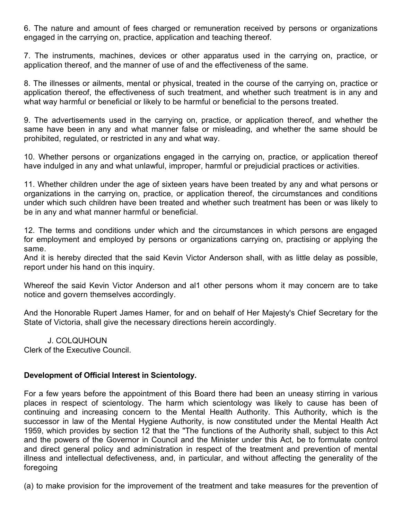6. The nature and amount of fees charged or remuneration received by persons or organizations engaged in the carrying on, practice, application and teaching thereof.

7. The instruments, machines, devices or other apparatus used in the carrying on, practice, or application thereof, and the manner of use of and the effectiveness of the same.

8. The illnesses or ailments, mental or physical, treated in the course of the carrying on, practice or application thereof, the effectiveness of such treatment, and whether such treatment is in any and what way harmful or beneficial or likely to be harmful or beneficial to the persons treated.

9. The advertisements used in the carrying on, practice, or application thereof, and whether the same have been in any and what manner false or misleading, and whether the same should be prohibited, regulated, or restricted in any and what way.

10. Whether persons or organizations engaged in the carrying on, practice, or application thereof have indulged in any and what unlawful, improper, harmful or prejudicial practices or activities.

11. Whether children under the age of sixteen years have been treated by any and what persons or organizations in the carrying on, practice, or application thereof, the circumstances and conditions under which such children have been treated and whether such treatment has been or was likely to be in any and what manner harmful or beneficial.

12. The terms and conditions under which and the circumstances in which persons are engaged for employment and employed by persons or organizations carrying on, practising or applying the same.

And it is hereby directed that the said Kevin Victor Anderson shall, with as little delay as possible, report under his hand on this inquiry.

Whereof the said Kevin Victor Anderson and al1 other persons whom it may concern are to take notice and govern themselves accordingly.

And the Honorable Rupert James Hamer, for and on behalf of Her Majesty's Chief Secretary for the State of Victoria, shall give the necessary directions herein accordingly.

J. COLQUHOUN Clerk of the Executive Council.

#### **Development of Official Interest in Scientology.**

For a few years before the appointment of this Board there had been an uneasy stirring in various places in respect of scientology. The harm which scientology was likely to cause has been of continuing and increasing concern to the Mental Health Authority. This Authority, which is the successor in law of the Mental Hygiene Authority, is now constituted under the Mental Health Act 1959, which provides by section 12 that the "The functions of the Authority shall, subject to this Act and the powers of the Governor in Council and the Minister under this Act, be to formulate control and direct general policy and administration in respect of the treatment and prevention of mental illness and intellectual defectiveness, and, in particular, and without affecting the generality of the foregoing

(a) to make provision for the improvement of the treatment and take measures for the prevention of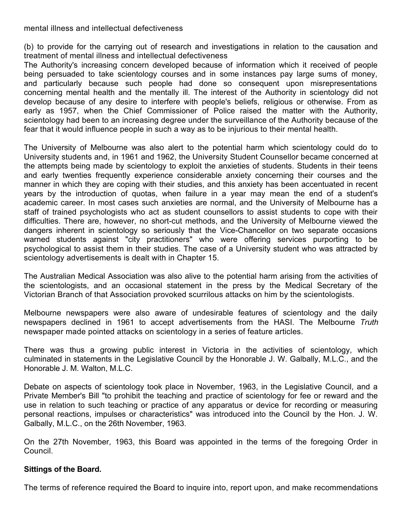mental illness and intellectual defectiveness

(b) to provide for the carrying out of research and investigations in relation to the causation and treatment of mental illness and intellectual defectiveness

The Authority's increasing concern developed because of information which it received of people being persuaded to take scientology courses and in some instances pay large sums of money, and particularly because such people had done so consequent upon misrepresentations concerning mental health and the mentally ill. The interest of the Authority in scientology did not develop because of any desire to interfere with people's beliefs, religious or otherwise. From as early as 1957, when the Chief Commissioner of Police raised the matter with the Authority, scientology had been to an increasing degree under the surveillance of the Authority because of the fear that it would influence people in such a way as to be injurious to their mental health.

The University of Melbourne was also alert to the potential harm which scientology could do to University students and, in 1961 and 1962, the University Student Counsellor became concerned at the attempts being made by scientology to exploit the anxieties of students. Students in their teens and early twenties frequently experience considerable anxiety concerning their courses and the manner in which they are coping with their studies, and this anxiety has been accentuated in recent years by the introduction of quotas, when failure in a year may mean the end of a student's academic career. In most cases such anxieties are normal, and the University of Melbourne has a staff of trained psychologists who act as student counsellors to assist students to cope with their difficulties. There are, however, no short-cut methods, and the University of Melbourne viewed the dangers inherent in scientology so seriously that the Vice-Chancellor on two separate occasions warned students against "city practitioners" who were offering services purporting to be psychological to assist them in their studies. The case of a University student who was attracted by scientology advertisements is dealt with in Chapter 15.

The Australian Medical Association was also alive to the potential harm arising from the activities of the scientologists, and an occasional statement in the press by the Medical Secretary of the Victorian Branch of that Association provoked scurrilous attacks on him by the scientologists.

Melbourne newspapers were also aware of undesirable features of scientology and the daily newspapers declined in 1961 to accept advertisements from the HASI. The Melbourne *Truth* newspaper made pointed attacks on scientology in a series of feature articles.

There was thus a growing public interest in Victoria in the activities of scientology, which culminated in statements in the Legislative Council by the Honorable J. W. Galbally, M.L.C., and the Honorable J. M. Walton, M.L.C.

Debate on aspects of scientology took place in November, 1963, in the Legislative Council, and a Private Member's Bill "to prohibit the teaching and practice of scientology for fee or reward and the use in relation to such teaching or practice of any apparatus or device for recording or measuring personal reactions, impulses or characteristics" was introduced into the Council by the Hon. J. W. Galbally, M.L.C., on the 26th November, 1963.

On the 27th November, 1963, this Board was appointed in the terms of the foregoing Order in Council.

#### **Sittings of the Board.**

The terms of reference required the Board to inquire into, report upon, and make recommendations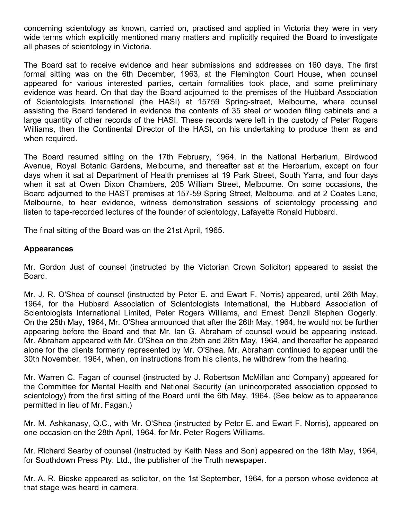concerning scientology as known, carried on, practised and applied in Victoria they were in very wide terms which explicitly mentioned many matters and implicitly required the Board to investigate all phases of scientology in Victoria.

The Board sat to receive evidence and hear submissions and addresses on 160 days. The first formal sitting was on the 6th December, 1963, at the Flemington Court House, when counsel appeared for various interested parties, certain formalities took place, and some preliminary evidence was heard. On that day the Board adjourned to the premises of the Hubbard Association of Scientologists International (the HASI) at 15759 Spring-street, Melbourne, where counsel assisting the Board tendered in evidence the contents of 35 steel or wooden filing cabinets and a large quantity of other records of the HASI. These records were left in the custody of Peter Rogers Williams, then the Continental Director of the HASI, on his undertaking to produce them as and when required.

The Board resumed sitting on the 17th February, 1964, in the National Herbarium, Birdwood Avenue, Royal Botanic Gardens, Melbourne, and thereafter sat at the Herbarium, except on four days when it sat at Department of Health premises at 19 Park Street, South Yarra, and four days when it sat at Owen Dixon Chambers, 205 William Street, Melbourne. On some occasions, the Board adjourned to the HAST premises at 157-59 Spring Street, Melbourne, and at 2 Coates Lane, Melbourne, to hear evidence, witness demonstration sessions of scientology processing and listen to tape-recorded lectures of the founder of scientology, Lafayette Ronald Hubbard.

The final sitting of the Board was on the 21st April, 1965.

#### **Appearances**

Mr. Gordon Just of counsel (instructed by the Victorian Crown Solicitor) appeared to assist the Board.

Mr. J. R. O'Shea of counsel (instructed by Peter E. and Ewart F. Norris) appeared, until 26th May, 1964, for the Hubbard Association of Scientologists International, the Hubbard Association of Scientologists International Limited, Peter Rogers Williams, and Ernest Denzil Stephen Gogerly. On the 25th May, 1964, Mr. O'Shea announced that after the 26th May, 1964, he would not be further appearing before the Board and that Mr. Ian G. Abraham of counsel would be appearing instead. Mr. Abraham appeared with Mr. O'Shea on the 25th and 26th May, 1964, and thereafter he appeared alone for the clients formerly represented by Mr. O'Shea. Mr. Abraham continued to appear until the 30th November, 1964, when, on instructions from his clients, he withdrew from the hearing.

Mr. Warren C. Fagan of counsel (instructed by J. Robertson McMillan and Company) appeared for the Committee for Mental Health and National Security (an unincorporated association opposed to scientology) from the first sitting of the Board until the 6th May, 1964. (See below as to appearance permitted in lieu of Mr. Fagan.)

Mr. M. Ashkanasy, Q.C., with Mr. O'Shea (instructed by Petcr E. and Ewart F. Norris), appeared on one occasion on the 28th April, 1964, for Mr. Peter Rogers Williams.

Mr. Richard Searby of counsel (instructed by Keith Ness and Son) appeared on the 18th May, 1964, for Southdown Press Pty. Ltd., the publisher of the Truth newspaper.

Mr. A. R. Bieske appeared as solicitor, on the 1st September, 1964, for a person whose evidence at that stage was heard in camera.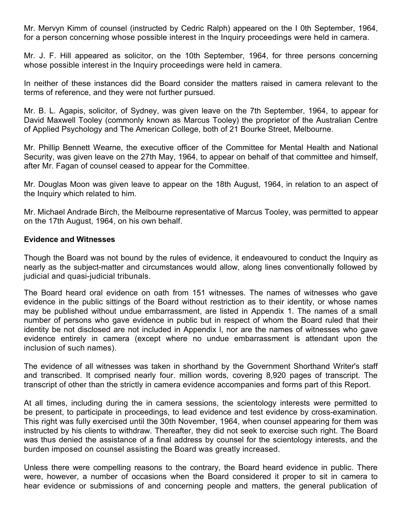Mr. Mervyn Kimm of counsel (instructed by Cedric Ralph) appeared on the I 0th September, 1964, for a person concerning whose possible interest in the Inquiry proceedings were held in camera.

Mr. J. F. Hill appeared as solicitor, on the 10th September, 1964, for three persons concerning whose possible interest in the Inquiry proceedings were held in camera.

In neither of these instances did the Board consider the matters raised in camera relevant to the terms of reference, and they were not further pursued.

Mr. B. L. Agapis, solicitor, of Sydney, was given leave on the 7th September, 1964, to appear for David Maxwell Tooley (commonly known as Marcus Tooley) the proprietor of the Australian Centre of Applied Psychology and The American College, both of 21 Bourke Street, Melbourne.

Mr. Phillip Bennett Wearne, the executive officer of the Committee for Mental Health and National Security, was given leave on the 27th May, 1964, to appear on behalf of that committee and himself, after Mr. Fagan of counsel ceased to appear for the Committee.

Mr. Douglas Moon was given leave to appear on the 18th August, 1964, in relation to an aspect of the Inquiry which related to him.

Mr. Michael Andrade Birch, the Melbourne representative of Marcus Tooley, was permitted to appear on the 17th August, 1964, on his own behalf.

#### **Evidence and Witnesses**

Though the Board was not bound by the rules of evidence, it endeavoured to conduct the Inquiry as nearly as the subject-matter and circumstances would allow, along lines conventionally followed by judicial and quasi-judicial tribunals.

The Board heard oral evidence on oath from 151 witnesses. The names of witnesses who gave evidence in the public sittings of the Board without restriction as to their identity, or whose names may be published without undue embarrassment, are listed in Appendix 1. The names of a small number of persons who gave evidence in public but in respect of whom the Board ruled that their identity be not disclosed are not included in Appendix l, nor are the names of witnesses who gave evidence entirely in camera (except where no undue embarrassment is attendant upon the inclusion of such names).

The evidence of all witnesses was taken in shorthand by the Government Shorthand Writer's staff and transcribed. It comprised nearly four. million words, covering 8,920 pages of transcript. The transcript of other than the strictly in camera evidence accompanies and forms part of this Report.

At all times, including during the in camera sessions, the scientology interests were permitted to be present, to participate in proceedings, to lead evidence and test evidence by cross-examination. This right was fully exercised until the 30th November, 1964, when counsel appearing for them was instructed by his clients to withdraw. Thereafter, they did not seek to exercise such right. The Board was thus denied the assistance of a final address by counsel for the scientology interests, and the burden imposed on counsel assisting the Board was greatly increased.

Unless there were compelling reasons to the contrary, the Board heard evidence in public. There were, however, a number of occasions when the Board considered it proper to sit in camera to hear evidence or submissions of and concerning people and matters, the general publication of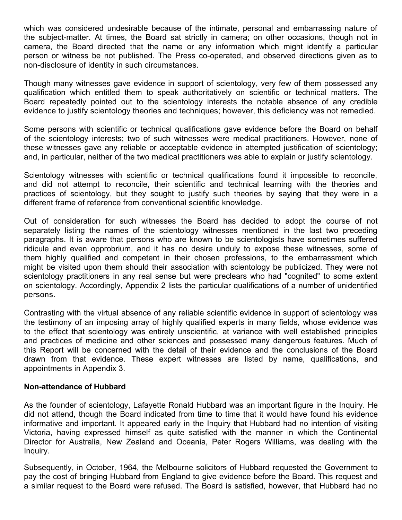which was considered undesirable because of the intimate, personal and embarrassing nature of the subject-matter. At times, the Board sat strictly in camera; on other occasions, though not in camera, the Board directed that the name or any information which might identify a particular person or witness be not published. The Press co-operated, and observed directions given as to non-disclosure of identity in such circumstances.

Though many witnesses gave evidence in support of scientology, very few of them possessed any qualification which entitled them to speak authoritatively on scientific or technical matters. The Board repeatedly pointed out to the scientology interests the notable absence of any credible evidence to justify scientology theories and techniques; however, this deficiency was not remedied.

Some persons with scientific or technical qualifications gave evidence before the Board on behalf of the scientology interests; two of such witnesses were medical practitioners. However, none of these witnesses gave any reliable or acceptable evidence in attempted justification of scientology; and, in particular, neither of the two medical practitioners was able to explain or justify scientology.

Scientology witnesses with scientific or technical qualifications found it impossible to reconcile, and did not attempt to reconcile, their scientific and technical learning with the theories and practices of scientology, but they sought to justify such theories by saying that they were in a different frame of reference from conventional scientific knowledge.

Out of consideration for such witnesses the Board has decided to adopt the course of not separately listing the names of the scientology witnesses mentioned in the last two preceding paragraphs. It is aware that persons who are known to be scientologists have sometimes suffered ridicule and even opprobrium, and it has no desire unduly to expose these witnesses, some of them highly qualified and competent in their chosen professions, to the embarrassment which might be visited upon them should their association with scientology be publicized. They were not scientology practitioners in any real sense but were preclears who had "cognited" to some extent on scientology. Accordingly, Appendix 2 lists the particular qualifications of a number of unidentified persons.

Contrasting with the virtual absence of any reliable scientific evidence in support of scientology was the testimony of an imposing array of highly qualified experts in many fields, whose evidence was to the effect that scientology was entirely unscientific, at variance with well established principles and practices of medicine and other sciences and possessed many dangerous features. Much of this Report will be concerned with the detail of their evidence and the conclusions of the Board drawn from that evidence. These expert witnesses are listed by name, qualifications, and appointments in Appendix 3.

#### **Non-attendance of Hubbard**

As the founder of scientology, Lafayette Ronald Hubbard was an important figure in the Inquiry. He did not attend, though the Board indicated from time to time that it would have found his evidence informative and important. It appeared early in the Inquiry that Hubbard had no intention of visiting Victoria, having expressed himself as quite satisfied with the manner in which the Continental Director for Australia, New Zealand and Oceania, Peter Rogers Williams, was dealing with the Inquiry.

Subsequently, in October, 1964, the Melbourne solicitors of Hubbard requested the Government to pay the cost of bringing Hubbard from England to give evidence before the Board. This request and a similar request to the Board were refused. The Board is satisfied, however, that Hubbard had no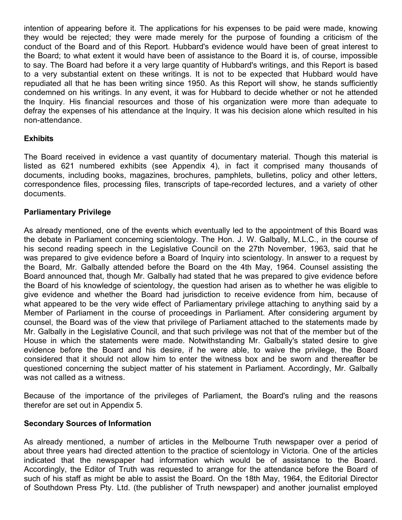intention of appearing before it. The applications for his expenses to be paid were made, knowing they would be rejected; they were made merely for the purpose of founding a criticism of the conduct of the Board and of this Report. Hubbard's evidence would have been of great interest to the Board; to what extent it would have been of assistance to the Board it is, of course, impossible to say. The Board had before it a very large quantity of Hubbard's writings, and this Report is based to a very substantial extent on these writings. It is not to be expected that Hubbard would have repudiated all that he has been writing since 1950. As this Report will show, he stands sufficiently condemned on his writings. In any event, it was for Hubbard to decide whether or not he attended the Inquiry. His financial resources and those of his organization were more than adequate to defray the expenses of his attendance at the Inquiry. It was his decision alone which resulted in his non-attendance.

#### **Exhibits**

The Board received in evidence a vast quantity of documentary material. Though this material is listed as 621 numbered exhibits (see Appendix 4), in fact it comprised many thousands of documents, including books, magazines, brochures, pamphlets, bulletins, policy and other letters, correspondence files, processing files, transcripts of tape-recorded lectures, and a variety of other documents.

#### **Parliamentary Privilege**

As already mentioned, one of the events which eventually led to the appointment of this Board was the debate in Parliament concerning scientology. The Hon. J. W. Galbally, M.L.C., in the course of his second reading speech in the Legislative Council on the 27th November, 1963, said that he was prepared to give evidence before a Board of Inquiry into scientology. In answer to a request by the Board, Mr. Galbally attended before the Board on the 4th May, 1964. Counsel assisting the Board announced that, though Mr. Galbally had stated that he was prepared to give evidence before the Board of his knowledge of scientology, the question had arisen as to whether he was eligible to give evidence and whether the Board had jurisdiction to receive evidence from him, because of what appeared to be the very wide effect of Parliamentary privilege attaching to anything said by a Member of Parliament in the course of proceedings in Parliament. After considering argument by counsel, the Board was of the view that privilege of Parliament attached to the statements made by Mr. Galbally in the Legislative Council, and that such privilege was not that of the member but of the House in which the statements were made. Notwithstanding Mr. Galbally's stated desire to give evidence before the Board and his desire, if he were able, to waive the privilege, the Board considered that it should not allow him to enter the witness box and be sworn and thereafter be questioned concerning the subject matter of his statement in Parliament. Accordingly, Mr. Galbally was not called as a witness.

Because of the importance of the privileges of Parliament, the Board's ruling and the reasons therefor are set out in Appendix 5.

#### **Secondary Sources of Information**

As already mentioned, a number of articles in the Melbourne Truth newspaper over a period of about three years had directed attention to the practice of scientology in Victoria. One of the articles indicated that the newspaper had information which would be of assistance to the Board. Accordingly, the Editor of Truth was requested to arrange for the attendance before the Board of such of his staff as might be able to assist the Board. On the 18th May, 1964, the Editorial Director of Southdown Press Pty. Ltd. (the publisher of Truth newspaper) and another journalist employed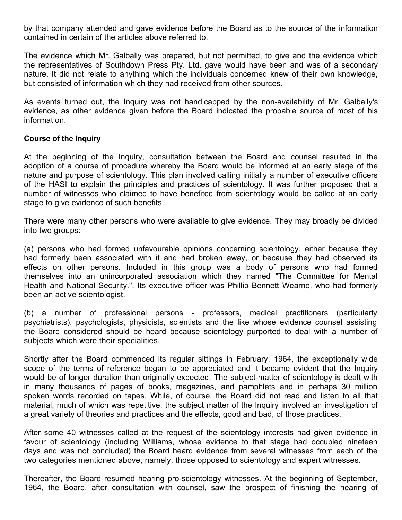by that company attended and gave evidence before the Board as to the source of the information contained in certain of the articles above referred to.

The evidence which Mr. Galbally was prepared, but not permitted, to give and the evidence which the representatives of Southdown Press Pty. Ltd. gave would have been and was of a secondary nature. It did not relate to anything which the individuals concerned knew of their own knowledge, but consisted of information which they had received from other sources.

As events turned out, the Inquiry was not handicapped by the non-availability of Mr. Galbally's evidence, as other evidence given before the Board indicated the probable source of most of his information.

#### **Course of the Inquiry**

At the beginning of the Inquiry, consultation between the Board and counsel resulted in the adoption of a course of procedure whereby the Board would be informed at an early stage of the nature and purpose of scientology. This plan involved calling initially a number of executive officers of the HASI to explain the principles and practices of scientology. It was further proposed that a number of witnesses who claimed to have benefited from scientology would be called at an early stage to give evidence of such benefits.

There were many other persons who were available to give evidence. They may broadly be divided into two groups:

(a) persons who had formed unfavourable opinions concerning scientology, either because they had formerly been associated with it and had broken away, or because they had observed its effects on other persons. Included in this group was a body of persons who had formed themselves into an unincorporated association which they named "The Committee for Mental Health and National Security.". Its executive officer was Phillip Bennett Wearne, who had formerly been an active scientologist.

(b) a number of professional persons - professors, medical practitioners (particularly psychiatrists), psychologists, physicists, scientists and the like whose evidence counsel assisting the Board considered should be heard because scientology purported to deal with a number of subjects which were their specialities.

Shortly after the Board commenced its regular sittings in February, 1964, the exceptionally wide scope of the terms of reference began to be appreciated and it became evident that the Inquiry would be of longer duration than originally expected. The subject-matter of scientology is dealt with in many thousands of pages of books, magazines, and pamphlets and in perhaps 30 million spoken words recorded on tapes. While, of course, the Board did not read and listen to all that material, much of which was repetitive, the subject matter of the Inquiry involved an investigation of a great variety of theories and practices and the effects, good and bad, of those practices.

After some 40 witnesses called at the request of the scientology interests had given evidence in favour of scientology (including Williams, whose evidence to that stage had occupied nineteen days and was not concluded) the Board heard evidence from several witnesses from each of the two categories mentioned above, namely, those opposed to scientology and expert witnesses.

Thereafter, the Board resumed hearing pro-scientology witnesses. At the beginning of September, 1964, the Board, after consultation with counsel, saw the prospect of finishing the hearing of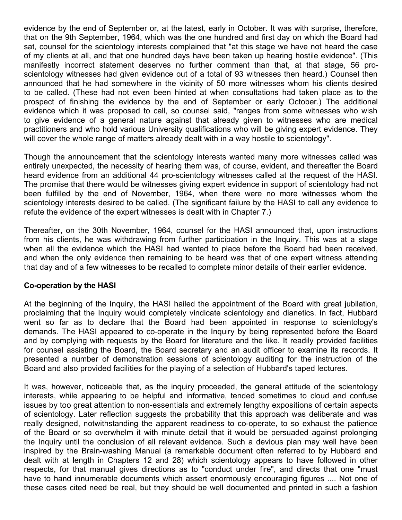evidence by the end of September or, at the latest, early in October. It was with surprise, therefore, that on the 9th September, 1964, which was the one hundred and first day on which the Board had sat, counsel for the scientology interests complained that "at this stage we have not heard the case of my clients at all, and that one hundred days have been taken up hearing hostile evidence". (This manifestly incorrect statement deserves no further comment than that, at that stage, 56 proscientology witnesses had given evidence out of a total of 93 witnesses then heard.) Counsel then announced that he had somewhere in the vicinity of 50 more witnesses whom his clients desired to be called. (These had not even been hinted at when consultations had taken place as to the prospect of finishing the evidence by the end of September or early October.) The additional evidence which it was proposed to call, so counsel said, "ranges from some witnesses who wish to give evidence of a general nature against that already given to witnesses who are medical practitioners and who hold various University qualifications who will be giving expert evidence. They will cover the whole range of matters already dealt with in a way hostile to scientology".

Though the announcement that the scientology interests wanted many more witnesses called was entirely unexpected, the necessity of hearing them was, of course, evident, and thereafter the Board heard evidence from an additional 44 pro-scientology witnesses called at the request of the HASI. The promise that there would be witnesses giving expert evidence in support of scientology had not been fulfilled by the end of November, 1964, when there were no more witnesses whom the scientology interests desired to be called. (The significant failure by the HASI to call any evidence to refute the evidence of the expert witnesses is dealt with in Chapter 7.)

Thereafter, on the 30th November, 1964, counsel for the HASI announced that, upon instructions from his clients, he was withdrawing from further participation in the Inquiry. This was at a stage when all the evidence which the HASI had wanted to place before the Board had been received, and when the only evidence then remaining to be heard was that of one expert witness attending that day and of a few witnesses to be recalled to complete minor details of their earlier evidence.

#### **Co-operation by the HASI**

At the beginning of the Inquiry, the HASI hailed the appointment of the Board with great jubilation, proclaiming that the Inquiry would completely vindicate scientology and dianetics. In fact, Hubbard went so far as to declare that the Board had been appointed in response to scientology's demands. The HASI appeared to co-operate in the Inquiry by being represented before the Board and by complying with requests by the Board for literature and the like. It readily provided facilities for counsel assisting the Board, the Board secretary and an audit officer to examine its records. It presented a number of demonstration sessions of scientology auditing for the instruction of the Board and also provided facilities for the playing of a selection of Hubbard's taped lectures.

It was, however, noticeable that, as the inquiry proceeded, the general attitude of the scientology interests, while appearing to be helpful and informative, tended sometimes to cloud and confuse issues by too great attention to non-essentials and extremely lengthy expositions of certain aspects of scientology. Later reflection suggests the probability that this approach was deliberate and was really designed, notwithstanding the apparent readiness to co-operate, to so exhaust the patience of the Board or so overwhelm it with minute detail that it would be persuaded against prolonging the Inquiry until the conclusion of all relevant evidence. Such a devious plan may well have been inspired by the Brain-washing Manual (a remarkable document often referred to by Hubbard and dealt with at length in Chapters 12 and 28) which scientology appears to have followed in other respects, for that manual gives directions as to "conduct under fire", and directs that one "must have to hand innumerable documents which assert enormously encouraging figures .... Not one of these cases cited need be real, but they should be well documented and printed in such a fashion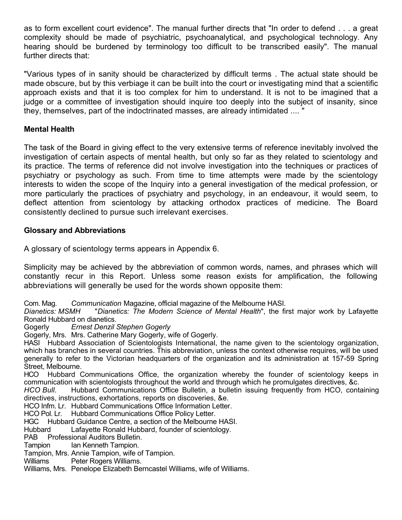as to form excellent court evidence". The manual further directs that "In order to defend . . . a great complexity should be made of psychiatric, psychoanalytical, and psychological technology. Any hearing should be burdened by terminology too difficult to be transcribed easily". The manual further directs that:

"Various types of in sanity should be characterized by difficult terms . The actual state should be made obscure, but by this verbiage it can be built into the court or investigating mind that a scientific approach exists and that it is too complex for him to understand. It is not to be imagined that a judge or a committee of investigation should inquire too deeply into the subject of insanity, since they, themselves, part of the indoctrinated masses, are already intimidated .... "

#### **Mental Health**

The task of the Board in giving effect to the very extensive terms of reference inevitably involved the investigation of certain aspects of mental health, but only so far as they related to scientology and its practice. The terms of reference did not involve investigation into the techniques or practices of psychiatry or psychology as such. From time to time attempts were made by the scientology interests to widen the scope of the Inquiry into a general investigation of the medical profession, or more particularly the practices of psychiatry and psychology, in an endeavour, it would seem, to deflect attention from scientology by attacking orthodox practices of medicine. The Board consistently declined to pursue such irrelevant exercises.

#### **Glossary and Abbreviations**

A glossary of scientology terms appears in Appendix 6.

Simplicity may be achieved by the abbreviation of common words, names, and phrases which will constantly recur in this Report. Unless some reason exists for amplification, the following abbreviations will generally be used for the words shown opposite them:

Com. Mag. *Communication* Magazine, official magazine of the Melbourne HASI.

*Dianetics: MSMH* "*Dianetics: The Modern Science of Mental Health*", the first major work by Lafayette Ronald Hubbard on dianetics.

Gogerly *Ernest Denzil Stephen Gogerly*

Gogerly, Mrs. Mrs. Catherine Mary Gogerly, wife of Gogerly.

HASI Hubbard Association of Scientologists International, the name given to the scientology organization, which has branches in several countries. This abbreviation, unless the context otherwise requires, will be used generally to refer to the Victorian headquarters of the organization and its administration at 157-59 Spring Street, Melbourne.

HCO Hubbard Communications Office, the organization whereby the founder of scientology keeps in communication with scientologists throughout the world and through which he promulgates directives, &c.

*HCO Bull.* Hubbard Communications Office Bulletin, a bulletin issuing frequently from HCO, containing directives, instructions, exhortations, reports on discoveries, &e.

HCO Infm. Lr. Hubbard Communications Office Information Letter.

HCO Pol. Lr. Hubbard Communications Office Policy Letter.

HGC Hubbard Guidance Centre, a section of the Melbourne HASI.<br>Hubbard Lafavette Ronald Hubbard, founder of scientology.

Hubbard Lafayette Ronald Hubbard, founder of scientology.<br>PAB Professional Auditors Bulletin.

Professional Auditors Bulletin.

Tampion Ian Kenneth Tampion.

Tampion, Mrs. Annie Tampion, wife of Tampion.

Williams Peter Rogers Williams.

Williams, Mrs. Penelope Elizabeth Berncastel Williams, wife of Williams.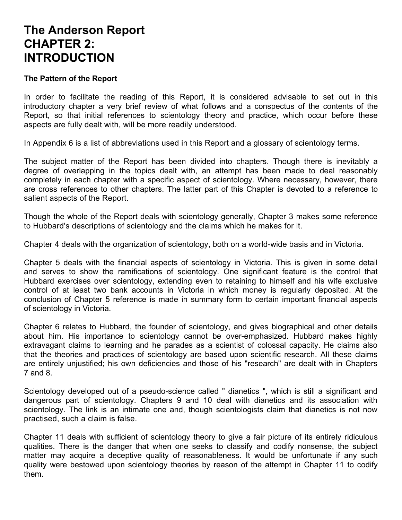### **The Anderson Report CHAPTER 2: INTRODUCTION**

#### **The Pattern of the Report**

In order to facilitate the reading of this Report, it is considered advisable to set out in this introductory chapter a very brief review of what follows and a conspectus of the contents of the Report, so that initial references to scientology theory and practice, which occur before these aspects are fully dealt with, will be more readily understood.

In Appendix 6 is a list of abbreviations used in this Report and a glossary of scientology terms.

The subject matter of the Report has been divided into chapters. Though there is inevitably a degree of overlapping in the topics dealt with, an attempt has been made to deal reasonably completely in each chapter with a specific aspect of scientology. Where necessary, however, there are cross references to other chapters. The latter part of this Chapter is devoted to a reference to salient aspects of the Report.

Though the whole of the Report deals with scientology generally, Chapter 3 makes some reference to Hubbard's descriptions of scientology and the claims which he makes for it.

Chapter 4 deals with the organization of scientology, both on a world-wide basis and in Victoria.

Chapter 5 deals with the financial aspects of scientology in Victoria. This is given in some detail and serves to show the ramifications of scientology. One significant feature is the control that Hubbard exercises over scientology, extending even to retaining to himself and his wife exclusive control of at least two bank accounts in Victoria in which money is regularly deposited. At the conclusion of Chapter 5 reference is made in summary form to certain important financial aspects of scientology in Victoria.

Chapter 6 relates to Hubbard, the founder of scientology, and gives biographical and other details about him. His importance to scientology cannot be over-emphasized. Hubbard makes highly extravagant claims to learning and he parades as a scientist of colossal capacity. He claims also that the theories and practices of scientology are based upon scientific research. All these claims are entirely unjustified; his own deficiencies and those of his "research" are dealt with in Chapters 7 and 8.

Scientology developed out of a pseudo-science called " dianetics ", which is still a significant and dangerous part of scientology. Chapters 9 and 10 deal with dianetics and its association with scientology. The link is an intimate one and, though scientologists claim that dianetics is not now practised, such a claim is false.

Chapter 11 deals with sufficient of scientology theory to give a fair picture of its entirely ridiculous qualities. There is the danger that when one seeks to classify and codify nonsense, the subject matter may acquire a deceptive quality of reasonableness. It would be unfortunate if any such quality were bestowed upon scientology theories by reason of the attempt in Chapter 11 to codify them.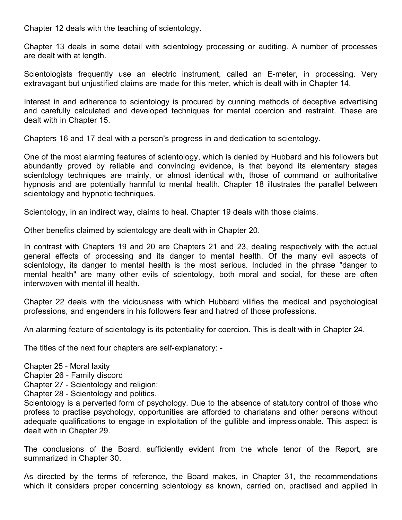Chapter 12 deals with the teaching of scientology.

Chapter 13 deals in some detail with scientology processing or auditing. A number of processes are dealt with at length.

Scientologists frequently use an electric instrument, called an E-meter, in processing. Very extravagant but unjustified claims are made for this meter, which is dealt with in Chapter 14.

Interest in and adherence to scientology is procured by cunning methods of deceptive advertising and carefully calculated and developed techniques for mental coercion and restraint. These are dealt with in Chapter 15.

Chapters 16 and 17 deal with a person's progress in and dedication to scientology.

One of the most alarming features of scientology, which is denied by Hubbard and his followers but abundantly proved by reliable and convincing evidence, is that beyond its elementary stages scientology techniques are mainly, or almost identical with, those of command or authoritative hypnosis and are potentially harmful to mental health. Chapter 18 illustrates the parallel between scientology and hypnotic techniques.

Scientology, in an indirect way, claims to heal. Chapter 19 deals with those claims.

Other benefits claimed by scientology are dealt with in Chapter 20.

In contrast with Chapters 19 and 20 are Chapters 21 and 23, dealing respectively with the actual general effects of processing and its danger to mental health. Of the many evil aspects of scientology, its danger to mental health is the most serious. Included in the phrase "danger to mental health" are many other evils of scientology, both moral and social, for these are often interwoven with mental ill health.

Chapter 22 deals with the viciousness with which Hubbard vilifies the medical and psychological professions, and engenders in his followers fear and hatred of those professions.

An alarming feature of scientology is its potentiality for coercion. This is dealt with in Chapter 24.

The titles of the next four chapters are self-explanatory: -

- Chapter 25 Moral laxity
- Chapter 26 Family discord
- Chapter 27 Scientology and religion;
- Chapter 28 Scientology and politics.

Scientology is a perverted form of psychology. Due to the absence of statutory control of those who profess to practise psychology, opportunities are afforded to charlatans and other persons without adequate qualifications to engage in exploitation of the gullible and impressionable. This aspect is dealt with in Chapter 29.

The conclusions of the Board, sufficiently evident from the whole tenor of the Report, are summarized in Chapter 30.

As directed by the terms of reference, the Board makes, in Chapter 31, the recommendations which it considers proper concerning scientology as known, carried on, practised and applied in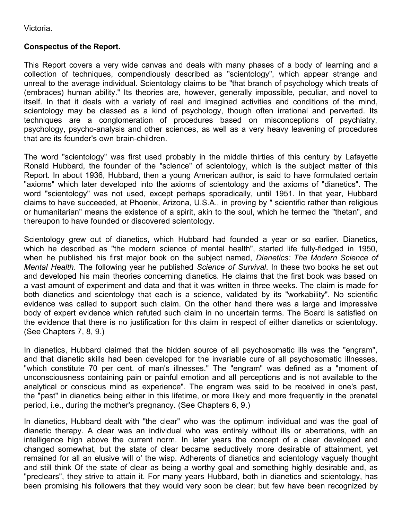Victoria.

#### **Conspectus of the Report.**

This Report covers a very wide canvas and deals with many phases of a body of learning and a collection of techniques, compendiously described as "scientology", which appear strange and unreal to the average individual. Scientology claims to be "that branch of psychology which treats of (embraces) human ability." Its theories are, however, generally impossible, peculiar, and novel to itself. In that it deals with a variety of real and imagined activities and conditions of the mind, scientology may be classed as a kind of psychology, though often irrational and perverted. Its techniques are a conglomeration of procedures based on misconceptions of psychiatry, psychology, psycho-analysis and other sciences, as well as a very heavy leavening of procedures that are its founder's own brain-children.

The word "scientology" was first used probably in the middle thirties of this century by Lafayette Ronald Hubbard, the founder of the "science" of scientology, which is the subject matter of this Report. In about 1936, Hubbard, then a young American author, is said to have formulated certain "axioms" which later developed into the axioms of scientology and the axioms of "dianetics". The word "scientology" was not used, except perhaps sporadically, until 1951. In that year, Hubbard claims to have succeeded, at Phoenix, Arizona, U.S.A., in proving by " scientific rather than religious or humanitarian" means the existence of a spirit, akin to the soul, which he termed the "thetan", and thereupon to have founded or discovered scientology.

Scientology grew out of dianetics, which Hubbard had founded a year or so earlier. Dianetics, which he described as "the modern science of mental health", started life fully-fledged in 1950, when he published his first major book on the subject named, *Dianetics: The Modern Science of Mental Health*. The following year he published *Science of Survival*. In these two books he set out and developed his main theories concerning dianetics. He claims that the first book was based on a vast amount of experiment and data and that it was written in three weeks. The claim is made for both dianetics and scientology that each is a science, validated by its "workability". No scientific evidence was called to support such claim. On the other hand there was a large and impressive body of expert evidence which refuted such claim in no uncertain terms. The Board is satisfied on the evidence that there is no justification for this claim in respect of either dianetics or scientology. (See Chapters 7, 8, 9.)

In dianetics, Hubbard claimed that the hidden source of all psychosomatic ills was the "engram", and that dianetic skills had been developed for the invariable cure of all psychosomatic illnesses, "which constitute 70 per cent. of man's illnesses." The "engram" was defined as a "moment of unconsciousness containing pain or painful emotion and all perceptions and is not available to the analytical or conscious mind as experience". The engram was said to be received in one's past, the "past" in dianetics being either in this lifetime, or more likely and more frequently in the prenatal period, i.e., during the mother's pregnancy. (See Chapters 6, 9.)

In dianetics, Hubbard dealt with "the clear" who was the optimum individual and was the goal of dianetic therapy. A clear was an individual who was entirely without ills or aberrations, with an intelligence high above the current norm. In later years the concept of a clear developed and changed somewhat, but the state of clear became seductively more desirable of attainment, yet remained for all an elusive will o' the wisp. Adherents of dianetics and scientology vaguely thought and still think Of the state of clear as being a worthy goal and something highly desirable and, as "preclears", they strive to attain it. For many years Hubbard, both in dianetics and scientology, has been promising his followers that they would very soon be clear; but few have been recognized by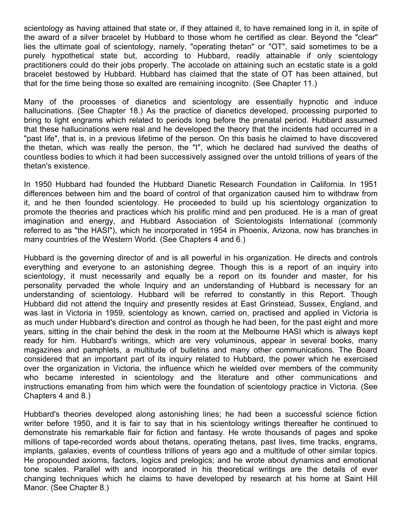scientology as having attained that state or, if they attained it, to have remained long in it, in spite of the award of a silver bracelet by Hubbard to those whom he certified as clear. Beyond the "clear" lies the ultimate goal of scientology, namely, "operating thetan" or "OT", said sometimes to be a purely hypothetical state but, according to Hubbard, readily attainable if only scientology practitioners could do their jobs properly. The accolade on attaining such an ecstatic state is a gold bracelet bestowed by Hubbard. Hubbard has claimed that the state of OT has been attained, but that for the time being those so exalted are remaining incognito. (See Chapter 11.)

Many of the processes of dianetics and scientology are essentially hypnotic and induce hallucinations. (See Chapter 18.) As the practice of dianetics developed, processing purported to bring to light engrams which related to periods long before the prenatal period. Hubbard assumed that these hallucinations were real and he developed the theory that the incidents had occurred in a "past life", that is, in a previous lifetime of the person. On this basis he claimed to have discovered the thetan, which was really the person, the "I", which he declared had survived the deaths of countless bodies to which it had been successively assigned over the untold trillions of years of the thetan's existence.

In 1950 Hubbard had founded the Hubbard Dianetic Research Foundation in California. In 1951 differences between him and the board of control of that organization caused him to withdraw from it, and he then founded scientology. He proceeded to build up his scientology organization to promote the theories and practices which his prolific mind and pen produced. He is a man of great imagination and energy, and Hubbard Association of Scientologists International (commonly referred to as "the HASI"), which he incorporated in 1954 in Phoenix, Arizona, now has branches in many countries of the Western World. (See Chapters 4 and 6.)

Hubbard is the governing director of and is all powerful in his organization. He directs and controls everything and everyone to an astonishing degree. Though this is a report of an inquiry into scientology, it must necessarily and equally be a report on its founder and master, for his personality pervaded the whole Inquiry and an understanding of Hubbard is necessary for an understanding of scientology. Hubbard will be referred to constantly in this Report. Though Hubbard did not attend the Inquiry and presently resides at East Grinstead, Sussex, England, and was last in Victoria in 1959, scientology as known, carried on, practised and applied in Victoria is as much under Hubbard's direction and control as though he had been, for the past eight and more years, sitting in the chair behind the desk in the room at the Melbourne HASI which is always kept ready for him. Hubbard's writings, which are very voluminous, appear in several books, many magazines and pamphlets, a multitude of bulletins and many other communications. The Board considered that an important part of its inquiry related to Hubbard, the power which he exercised over the organization in Victoria, the influence which he wielded over members of the community who became interested in scientology and the literature and other communications and instructions emanating from him which were the foundation of scientology practice in Victoria. (See Chapters 4 and 8.)

Hubbard's theories developed along astonishing lines; he had been a successful science fiction writer before 1950, and it is fair to say that in his scientology writings thereafter he continued to demonstrate his remarkable flair for fiction and fantasy. He wrote thousands of pages and spoke millions of tape-recorded words about thetans, operating thetans, past lives, time tracks, engrams, implants, galaxies, events of countless trillions of years ago and a multitude of other similar topics. He propounded axioms, factors, logics and prelogics; and he wrote about dynamics and emotional tone scales. Parallel with and incorporated in his theoretical writings are the details of ever changing techniques which he claims to have developed by research at his home at Saint Hill Manor. (See Chapter 8.)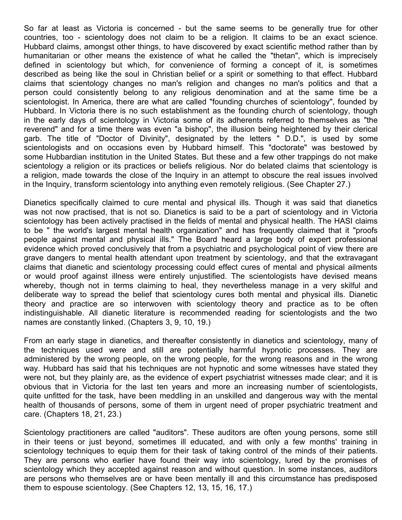So far at least as Victoria is concerned - but the same seems to be generally true for other countries, too - scientology does not claim to be a religion. It claims to be an exact science. Hubbard claims, amongst other things, to have discovered by exact scientific method rather than by humanitarian or other means the existence of what he called the "thetan", which is imprecisely defined in scientology but which, for convenience of forming a concept of it, is sometimes described as being like the soul in Christian belief or a spirit or something to that effect. Hubbard claims that scientology changes no man's religion and changes no man's politics and that a person could consistently belong to any religious denomination and at the same time be a scientologist. In America, there are what are called "founding churches of scientology", founded by Hubbard. In Victoria there is no such establishment as the founding church of scientology, though in the early days of scientology in Victoria some of its adherents referred to themselves as "the reverend" and for a time there was even "a bishop", the illusion being heightened by their clerical garb. The title of "Doctor of Divinity", designated by the letters " D.D.", is used by some scientologists and on occasions even by Hubbard himself. This "doctorate" was bestowed by some Hubbardian institution in the United States. But these and a few other trappings do not make scientology a religion or its practices or beliefs religious. Nor do belated claims that scientology is a religion, made towards the close of the Inquiry in an attempt to obscure the real issues involved in the Inquiry, transform scientology into anything even remotely religious. (See Chapter 27.)

Dianetics specifically claimed to cure mental and physical ills. Though it was said that dianetics was not now practised, that is not so. Dianetics is said to be a part of scientology and in Victoria scientology has been actively practised in the fields of mental and physical health. The HASI claims to be " the world's largest mental health organization" and has frequently claimed that it "proofs people against mental and physical ills." The Board heard a large body of expert professional evidence which proved conclusively that from a psychiatric and psychological point of view there are grave dangers to mental health attendant upon treatment by scientology, and that the extravagant claims that dianetic and scientology processing could effect cures of mental and physical ailments or would proof against illness were entirely unjustified. The scientologists have devised means whereby, though not in terms claiming to heal, they nevertheless manage in a very skilful and deliberate way to spread the belief that scientology cures both mental and physical ills. Dianetic theory and practice are so interwoven with scientology theory and practice as to be often indistinguishable. All dianetic literature is recommended reading for scientologists and the two names are constantly linked. (Chapters 3, 9, 10, 19.)

From an early stage in dianetics, and thereafter consistently in dianetics and scientology, many of the techniques used were and still are potentially harmful hypnotic processes. They are administered by the wrong people, on the wrong people, for the wrong reasons and in the wrong way. Hubbard has said that his techniques are not hypnotic and some witnesses have stated they were not, but they plainly are, as the evidence of expert psychiatrist witnesses made clear; and it is obvious that in Victoria for the last ten years and more an increasing number of scientologists, quite unfitted for the task, have been meddling in an unskilled and dangerous way with the mental health of thousands of persons, some of them in urgent need of proper psychiatric treatment and care. (Chapters 18, 21, 23.)

Scientology practitioners are called "auditors". These auditors are often young persons, some still in their teens or just beyond, sometimes ill educated, and with only a few months' training in scientology techniques to equip them for their task of taking control of the minds of their patients. They are persons who earlier have found their way into scientology, lured by the promises of scientology which they accepted against reason and without question. In some instances, auditors are persons who themselves are or have been mentally ill and this circumstance has predisposed them to espouse scientology. (See Chapters 12, 13, 15, 16, 17.)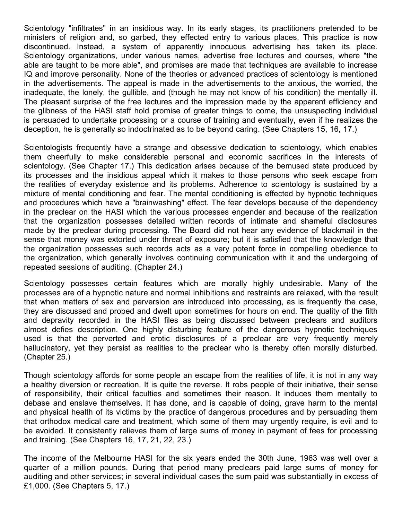Scientology "infiltrates" in an insidious way. In its early stages, its practitioners pretended to be ministers of religion and, so garbed, they effected entry to various places. This practice is now discontinued. Instead, a system of apparently innocuous advertising has taken its place. Scientology organizations, under various names, advertise free lectures and courses, where "the able are taught to be more able", and promises are made that techniques are available to increase IQ and improve personality. None of the theories or advanced practices of scientology is mentioned in the advertisements. The appeal is made in the advertisements to the anxious, the worried, the inadequate, the lonely, the gullible, and (though he may not know of his condition) the mentally ill. The pleasant surprise of the free lectures and the impression made by the apparent efficiency and the glibness of the HASI staff hold promise of greater things to come, the unsuspecting individual is persuaded to undertake processing or a course of training and eventually, even if he realizes the deception, he is generally so indoctrinated as to be beyond caring. (See Chapters 15, 16, 17.)

Scientologists frequently have a strange and obsessive dedication to scientology, which enables them cheerfully to make considerable personal and economic sacrifices in the interests of scientology. (See Chapter 17.) This dedication arises because of the bemused state produced by its processes and the insidious appeal which it makes to those persons who seek escape from the realities of everyday existence and its problems. Adherence to scientology is sustained by a mixture of mental conditioning and fear. The mental conditioning is effected by hypnotic techniques and procedures which have a "brainwashing" effect. The fear develops because of the dependency in the preclear on the HASI which the various processes engender and because of the realization that the organization possesses detailed written records of intimate and shameful disclosures made by the preclear during processing. The Board did not hear any evidence of blackmail in the sense that money was extorted under threat of exposure; but it is satisfied that the knowledge that the organization possesses such records acts as a very potent force in compelling obedience to the organization, which generally involves continuing communication with it and the undergoing of repeated sessions of auditing. (Chapter 24.)

Scientology possesses certain features which are morally highly undesirable. Many of the processes are of a hypnotic nature and normal inhibitions and restraints are relaxed, with the result that when matters of sex and perversion are introduced into processing, as is frequently the case, they are discussed and probed and dwelt upon sometimes for hours on end. The quality of the filth and depravity recorded in the HASI files as being discussed between preclears and auditors almost defies description. One highly disturbing feature of the dangerous hypnotic techniques used is that the perverted and erotic disclosures of a preclear are very frequently merely hallucinatory, yet they persist as realities to the preclear who is thereby often morally disturbed. (Chapter 25.)

Though scientology affords for some people an escape from the realities of life, it is not in any way a healthy diversion or recreation. It is quite the reverse. It robs people of their initiative, their sense of responsibility, their critical faculties and sometimes their reason. It induces them mentally to debase and enslave themselves. It has done, and is capable of doing, grave harm to the mental and physical health of its victims by the practice of dangerous procedures and by persuading them that orthodox medical care and treatment, which some of them may urgently require, is evil and to be avoided. It consistently relieves them of large sums of money in payment of fees for processing and training. (See Chapters 16, 17, 21, 22, 23.)

The income of the Melbourne HASI for the six years ended the 30th June, 1963 was well over a quarter of a million pounds. During that period many preclears paid large sums of money for auditing and other services; in several individual cases the sum paid was substantially in excess of £1,000. (See Chapters 5, 17.)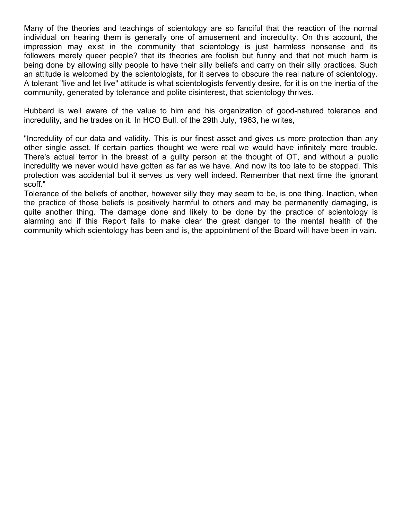Many of the theories and teachings of scientology are so fanciful that the reaction of the normal individual on hearing them is generally one of amusement and incredulity. On this account, the impression may exist in the community that scientology is just harmless nonsense and its followers merely queer people? that its theories are foolish but funny and that not much harm is being done by allowing silly people to have their silly beliefs and carry on their silly practices. Such an attitude is welcomed by the scientologists, for it serves to obscure the real nature of scientology. A tolerant "live and let live" attitude is what scientologists fervently desire, for it is on the inertia of the community, generated by tolerance and polite disinterest, that scientology thrives.

Hubbard is well aware of the value to him and his organization of good-natured tolerance and incredulity, and he trades on it. In HCO Bull. of the 29th July, 1963, he writes,

"Incredulity of our data and validity. This is our finest asset and gives us more protection than any other single asset. If certain parties thought we were real we would have infinitely more trouble. There's actual terror in the breast of a guilty person at the thought of OT, and without a public incredulity we never would have gotten as far as we have. And now its too late to be stopped. This protection was accidental but it serves us very well indeed. Remember that next time the ignorant scoff."

Tolerance of the beliefs of another, however silly they may seem to be, is one thing. Inaction, when the practice of those beliefs is positively harmful to others and may be permanently damaging, is quite another thing. The damage done and likely to be done by the practice of scientology is alarming and if this Report fails to make clear the great danger to the mental health of the community which scientology has been and is, the appointment of the Board will have been in vain.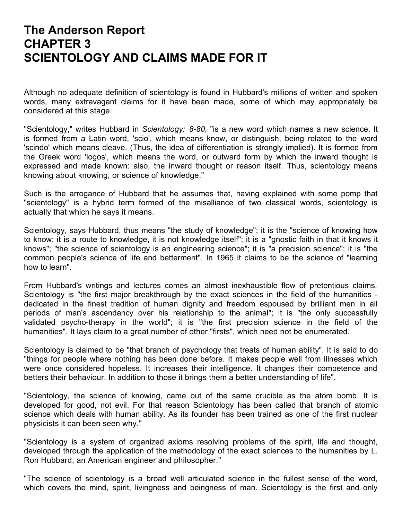### **The Anderson Report CHAPTER 3 SCIENTOLOGY AND CLAIMS MADE FOR IT**

Although no adequate definition of scientology is found in Hubbard's millions of written and spoken words, many extravagant claims for it have been made, some of which may appropriately be considered at this stage.

"Scientology," writes Hubbard in *Scientology: 8-80*, "is a new word which names a new science. It is formed from a Latin word, 'scio', which means know, or distinguish, being related to the word 'scindo' which means cleave. (Thus, the idea of differentiation is strongly implied). It is formed from the Greek word 'logos', which means the word, or outward form by which the inward thought is expressed and made known: also, the inward thought or reason itself. Thus, scientology means knowing about knowing, or science of knowledge."

Such is the arrogance of Hubbard that he assumes that, having explained with some pomp that "scientology" is a hybrid term formed of the misalliance of two classical words, scientology is actually that which he says it means.

Scientology, says Hubbard, thus means "the study of knowledge"; it is the "science of knowing how to know; it is a route to knowledge, it is not knowledge itself"; it is a "gnostic faith in that it knows it knows"; "the science of scientology is an engineering science"; it is "a precision science"; it is "the common people's science of life and betterment". In 1965 it claims to be the science of "learning how to learn".

From Hubbard's writings and lectures comes an almost inexhaustible flow of pretentious claims. Scientology is "the first major breakthrough by the exact sciences in the field of the humanities dedicated in the finest tradition of human dignity and freedom espoused by brilliant men in all periods of man's ascendancy over his relationship to the animal"; it is "the only successfully validated psycho-therapy in the world"; it is "the first precision science in the field of the humanities". It lays claim to a great number of other "firsts", which need not be enumerated.

Scientology is claimed to be "that branch of psychology that treats of human ability". It is said to do "things for people where nothing has been done before. It makes people well from illnesses which were once considered hopeless. It increases their intelligence. It changes their competence and betters their behaviour. In addition to those it brings them a better understanding of life".

"Scientology, the science of knowing, came out of the same crucible as the atom bomb. It is developed for good, not evil. For that reason Scientology has been called that branch of atomic science which deals with human ability. As its founder has been trained as one of the first nuclear physicists it can been seen why."

"Scientology is a system of organized axioms resolving problems of the spirit, life and thought, developed through the application of the methodology of the exact sciences to the humanities by L. Ron Hubbard, an American engineer and philosopher."

"The science of scientology is a broad well articulated science in the fullest sense of the word, which covers the mind, spirit, livingness and beingness of man. Scientology is the first and only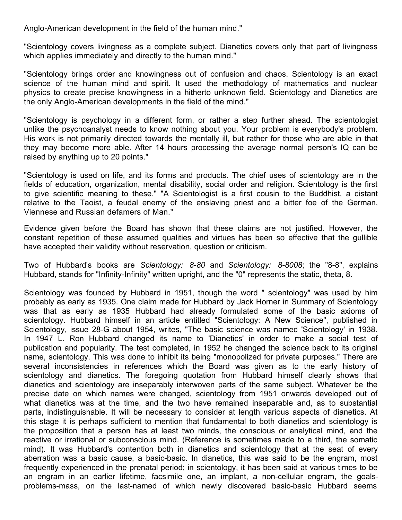Anglo-American development in the field of the human mind."

"Scientology covers livingness as a complete subject. Dianetics covers only that part of livingness which applies immediately and directly to the human mind."

"Scientology brings order and knowingness out of confusion and chaos. Scientology is an exact science of the human mind and spirit. It used the methodology of mathematics and nuclear physics to create precise knowingness in a hitherto unknown field. Scientology and Dianetics are the only Anglo-American developments in the field of the mind."

"Scientology is psychology in a different form, or rather a step further ahead. The scientologist unlike the psychoanalyst needs to know nothing about you. Your problem is everybody's problem. His work is not primarily directed towards the mentally ill, but rather for those who are able in that they may become more able. After 14 hours processing the average normal person's IQ can be raised by anything up to 20 points."

"Scientology is used on life, and its forms and products. The chief uses of scientology are in the fields of education, organization, mental disability, social order and religion. Scientology is the first to give scientific meaning to these." "A Scientologist is a first cousin to the Buddhist, a distant relative to the Taoist, a feudal enemy of the enslaving priest and a bitter foe of the German, Viennese and Russian defamers of Man."

Evidence given before the Board has shown that these claims are not justified. However, the constant repetition of these assumed qualities and virtues has been so effective that the gullible have accepted their validity without reservation, question or criticism.

Two of Hubbard's books are *Scientology: 8-80* and *Scientology: 8-8008*; the "8-8", explains Hubbard, stands for "Infinity-Infinity" written upright, and the "0" represents the static, theta, 8.

Scientology was founded by Hubbard in 1951, though the word " scientology" was used by him probably as early as 1935. One claim made for Hubbard by Jack Horner in Summary of Scientology was that as early as 1935 Hubbard had already formulated some of the basic axioms of scientology. Hubbard himself in an article entitled "Scientology: A New Science", published in Scientology, issue 28-G about 1954, writes, "The basic science was named 'Scientology' in 1938. In 1947 L. Ron Hubbard changed its name to 'Dianetics' in order to make a social test of publication and popularity. The test completed, in 1952 he changed the science back to its original name, scientology. This was done to inhibit its being "monopolized for private purposes." There are several inconsistencies in references which the Board was given as to the early history of scientology and dianetics. The foregoing quotation from Hubbard himself clearly shows that dianetics and scientology are inseparably interwoven parts of the same subject. Whatever be the precise date on which names were changed, scientology from 1951 onwards developed out of what dianetics was at the time, and the two have remained inseparable and, as to substantial parts, indistinguishable. It will be necessary to consider at length various aspects of dianetics. At this stage it is perhaps sufficient to mention that fundamental to both dianetics and scientology is the proposition that a person has at least two minds, the conscious or analytical mind, and the reactive or irrational or subconscious mind. (Reference is sometimes made to a third, the somatic mind). It was Hubbard's contention both in dianetics and scientology that at the seat of every aberration was a basic cause, a basic-basic. In dianetics, this was said to be the engram, most frequently experienced in the prenatal period; in scientology, it has been said at various times to be an engram in an earlier lifetime, facsimile one, an implant, a non-cellular engram, the goalsproblems-mass, on the last-named of which newly discovered basic-basic Hubbard seems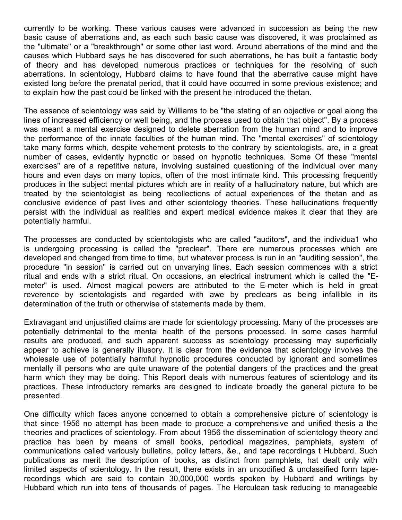currently to be working. These various causes were advanced in succession as being the new basic cause of aberrations and, as each such basic cause was discovered, it was proclaimed as the "ultimate" or a "breakthrough" or some other last word. Around aberrations of the mind and the causes which Hubbard says he has discovered for such aberrations, he has built a fantastic body of theory and has developed numerous practices or techniques for the resolving of such aberrations. In scientology, Hubbard claims to have found that the aberrative cause might have existed long before the prenatal period, that it could have occurred in some previous existence; and to explain how the past could be linked with the present he introduced the thetan.

The essence of scientology was said by Williams to be "the stating of an objective or goal along the lines of increased efficiency or well being, and the process used to obtain that object". By a process was meant a mental exercise designed to delete aberration from the human mind and to improve the performance of the innate faculties of the human mind. The "mental exercises" of scientology take many forms which, despite vehement protests to the contrary by scientologists, are, in a great number of cases, evidently hypnotic or based on hypnotic techniques. Some Of these "mental exercises" are of a repetitive nature, involving sustained questioning of the individual over many hours and even days on many topics, often of the most intimate kind. This processing frequently produces in the subject mental pictures which are in reality of a hallucinatory nature, but which are treated by the scientologist as being recollections of actual experiences of the thetan and as conclusive evidence of past lives and other scientology theories. These hallucinations frequently persist with the individual as realities and expert medical evidence makes it clear that they are potentially harmful.

The processes are conducted by scientologists who are called "auditors", and the individua1 who is undergoing processing is called the "preclear". There are numerous processes which are developed and changed from time to time, but whatever process is run in an "auditing session", the procedure "in session" is carried out on unvarying lines. Each session commences with a strict ritual and ends with a strict ritual. On occasions, an electrical instrument which is called the "Emeter" is used. Almost magical powers are attributed to the E-meter which is held in great reverence by scientologists and regarded with awe by preclears as being infallible in its determination of the truth or otherwise of statements made by them.

Extravagant and unjustified claims are made for scientology processing. Many of the processes are potentially detrimental to the mental health of the persons processed. In some cases harmful results are produced, and such apparent success as scientology processing may superficially appear to achieve is generally illusory. It is clear from the evidence that scientology involves the wholesale use of potentially harmful hypnotic procedures conducted by ignorant and sometimes mentally ill persons who are quite unaware of the potential dangers of the practices and the great harm which they may be doing. This Report deals with numerous features of scientology and its practices. These introductory remarks are designed to indicate broadly the general picture to be presented.

One difficulty which faces anyone concerned to obtain a comprehensive picture of scientology is that since 1956 no attempt has been made to produce a comprehensive and unified thesis a the theories and practices of scientology. From about 1956 the dissemination of scientology theory and practice has been by means of small books, periodical magazines, pamphlets, system of communications called variously bulletins, policy letters, &e., and tape recordings t Hubbard. Such publications as merit the description of books, as distinct from pamphlets, hat dealt only with limited aspects of scientology. In the result, there exists in an uncodified & unclassified form taperecordings which are said to contain 30,000,000 words spoken by Hubbard and writings by Hubbard which run into tens of thousands of pages. The Herculean task reducing to manageable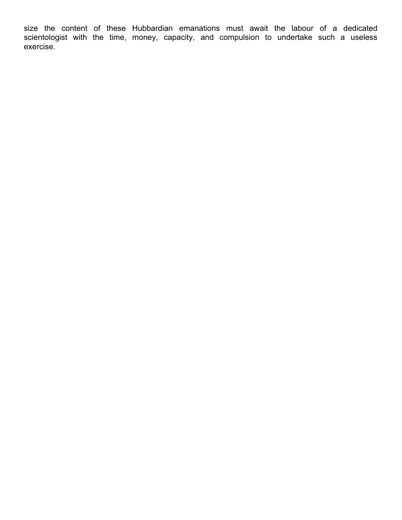size the content of these Hubbardian emanations must await the labour of a dedicated scientologist with the time, money, capacity, and compulsion to undertake such a useless exercise.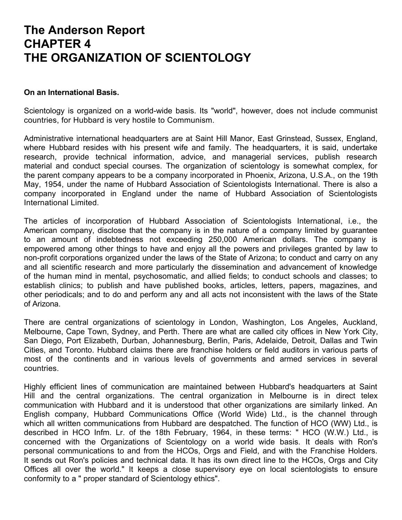### **The Anderson Report CHAPTER 4 THE ORGANIZATION OF SCIENTOLOGY**

#### **On an International Basis.**

Scientology is organized on a world-wide basis. Its "world", however, does not include communist countries, for Hubbard is very hostile to Communism.

Administrative international headquarters are at Saint Hill Manor, East Grinstead, Sussex, England, where Hubbard resides with his present wife and family. The headquarters, it is said, undertake research, provide technical information, advice, and managerial services, publish research material and conduct special courses. The organization of scientology is somewhat complex, for the parent company appears to be a company incorporated in Phoenix, Arizona, U.S.A., on the 19th May, 1954, under the name of Hubbard Association of Scientologists International. There is also a company incorporated in England under the name of Hubbard Association of Scientologists International Limited.

The articles of incorporation of Hubbard Association of Scientologists International, i.e., the American company, disclose that the company is in the nature of a company limited by guarantee to an amount of indebtedness not exceeding 250,000 American dollars. The company is empowered among other things to have and enjoy all the powers and privileges granted by law to non-profit corporations organized under the laws of the State of Arizona; to conduct and carry on any and all scientific research and more particularly the dissemination and advancement of knowledge of the human mind in mental, psychosomatic, and allied fields; to conduct schools and classes; to establish clinics; to publish and have published books, articles, letters, papers, magazines, and other periodicals; and to do and perform any and all acts not inconsistent with the laws of the State of Arizona.

There are central organizations of scientology in London, Washington, Los Angeles, Auckland, Melbourne, Cape Town, Sydney, and Perth. There are what are called city offices in New York City, San Diego, Port Elizabeth, Durban, Johannesburg, Berlin, Paris, Adelaide, Detroit, Dallas and Twin Cities, and Toronto. Hubbard claims there are franchise holders or field auditors in various parts of most of the continents and in various levels of governments and armed services in several countries.

Highly efficient lines of communication are maintained between Hubbard's headquarters at Saint Hill and the central organizations. The central organization in Melbourne is in direct telex communication with Hubbard and it is understood that other organizations are similarly linked. An English company, Hubbard Communications Office (World Wide) Ltd., is the channel through which all written communications from Hubbard are despatched. The function of HCO (WW) Ltd., is described in HCO Infm. Lr. of the 18th February, 1964, in these terms: " HCO (W.W.) Ltd., is concerned with the Organizations of Scientology on a world wide basis. It deals with Ron's personal communications to and from the HCOs, Orgs and Field, and with the Franchise Holders. It sends out Ron's policies and technical data. It has its own direct line to the HCOs, Orgs and City Offices all over the world." It keeps a close supervisory eye on local scientologists to ensure conformity to a " proper standard of Scientology ethics".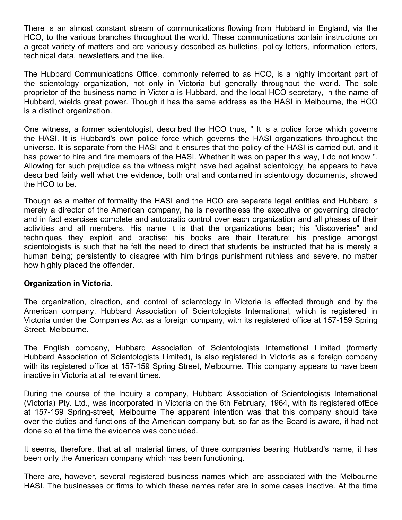There is an almost constant stream of communications flowing from Hubbard in England, via the HCO, to the various branches throughout the world. These communications contain instructions on a great variety of matters and are variously described as bulletins, policy letters, information letters, technical data, newsletters and the like.

The Hubbard Communications Office, commonly referred to as HCO, is a highly important part of the scientology organization, not only in Victoria but generally throughout the world. The sole proprietor of the business name in Victoria is Hubbard, and the local HCO secretary, in the name of Hubbard, wields great power. Though it has the same address as the HASI in Melbourne, the HCO is a distinct organization.

One witness, a former scientologist, described the HCO thus, " It is a police force which governs the HASI. It is Hubbard's own police force which governs the HASI organizations throughout the universe. It is separate from the HASI and it ensures that the policy of the HASI is carried out, and it has power to hire and fire members of the HASI. Whether it was on paper this way, I do not know ". Allowing for such prejudice as the witness might have had against scientology, he appears to have described fairly well what the evidence, both oral and contained in scientology documents, showed the HCO to be.

Though as a matter of formality the HASI and the HCO are separate legal entities and Hubbard is merely a director of the American company, he is nevertheless the executive or governing director and in fact exercises complete and autocratic control over each organization and all phases of their activities and all members, His name it is that the organizations bear; his "discoveries" and techniques they exploit and practise; his books are their literature; his prestige amongst scientologists is such that he felt the need to direct that students be instructed that he is merely a human being; persistently to disagree with him brings punishment ruthless and severe, no matter how highly placed the offender.

#### **Organization in Victoria.**

The organization, direction, and control of scientology in Victoria is effected through and by the American company, Hubbard Association of Scientologists International, which is registered in Victoria under the Companies Act as a foreign company, with its registered office at 157-159 Spring Street, Melbourne.

The English company, Hubbard Association of Scientologists International Limited (formerly Hubbard Association of Scientologists Limited), is also registered in Victoria as a foreign company with its registered office at 157-159 Spring Street, Melbourne. This company appears to have been inactive in Victoria at all relevant times.

During the course of the Inquiry a company, Hubbard Association of Scientologists International (Victoria) Pty. Ltd., was incorporated in Victoria on the 6th February, 1964, with its registered ofEce at 157-159 Spring-street, Melbourne The apparent intention was that this company should take over the duties and functions of the American company but, so far as the Board is aware, it had not done so at the time the evidence was concluded.

It seems, therefore, that at all material times, of three companies bearing Hubbard's name, it has been only the American company which has been functioning.

There are, however, several registered business names which are associated with the Melbourne HASI. The businesses or firms to which these names refer are in some cases inactive. At the time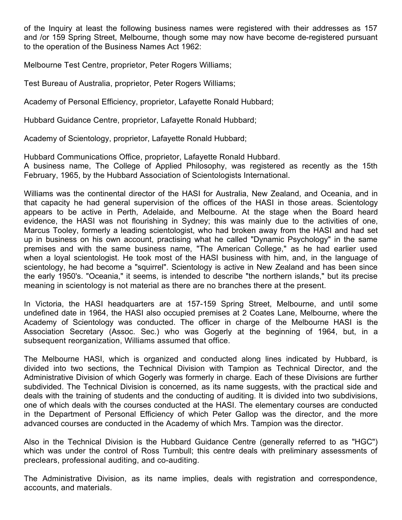of the Inquiry at least the following business names were registered with their addresses as 157 and /or 159 Spring Street, Melbourne, though some may now have become de-registered pursuant to the operation of the Business Names Act 1962:

Melbourne Test Centre, proprietor, Peter Rogers Williams;

Test Bureau of Australia, proprietor, Peter Rogers Williams;

Academy of Personal Efficiency, proprietor, Lafayette Ronald Hubbard;

Hubbard Guidance Centre, proprietor, Lafayette Ronald Hubbard;

Academy of Scientology, proprietor, Lafayette Ronald Hubbard;

Hubbard Communications Office, proprietor, Lafayette Ronald Hubbard.

A business name, The College of Applied Philosophy, was registered as recently as the 15th February, 1965, by the Hubbard Association of Scientologists International.

Williams was the continental director of the HASI for Australia, New Zealand, and Oceania, and in that capacity he had general supervision of the offices of the HASI in those areas. Scientology appears to be active in Perth, Adelaide, and Melbourne. At the stage when the Board heard evidence, the HASI was not flourishing in Sydney; this was mainly due to the activities of one, Marcus Tooley, formerly a leading scientologist, who had broken away from the HASI and had set up in business on his own account, practising what he called "Dynamic Psychology" in the same premises and with the same business name, "The American College," as he had earlier used when a loyal scientologist. He took most of the HASI business with him, and, in the language of scientology, he had become a "squirrel". Scientology is active in New Zealand and has been since the early 1950's. "Oceania," it seems, is intended to describe "the northern islands," but its precise meaning in scientology is not material as there are no branches there at the present.

In Victoria, the HASI headquarters are at 157-159 Spring Street, Melbourne, and until some undefined date in 1964, the HASI also occupied premises at 2 Coates Lane, Melbourne, where the Academy of Scientology was conducted. The officer in charge of the Melbourne HASI is the Association Secretary (Assoc. Sec.) who was Gogerly at the beginning of 1964, but, in a subsequent reorganization, Williams assumed that office.

The Melbourne HASI, which is organized and conducted along lines indicated by Hubbard, is divided into two sections, the Technical Division with Tampion as Technical Director, and the Administrative Division of which Gogerly was formerly in charge. Each of these Divisions are further subdivided. The Technical Division is concerned, as its name suggests, with the practical side and deals with the training of students and the conducting of auditing. It is divided into two subdivisions, one of which deals with the courses conducted at the HASI. The elementary courses are conducted in the Department of Personal Efficiency of which Peter Gallop was the director, and the more advanced courses are conducted in the Academy of which Mrs. Tampion was the director.

Also in the Technical Division is the Hubbard Guidance Centre (generally referred to as "HGC") which was under the control of Ross Turnbull; this centre deals with preliminary assessments of preclears, professional auditing, and co-auditing.

The Administrative Division, as its name implies, deals with registration and correspondence, accounts, and materials.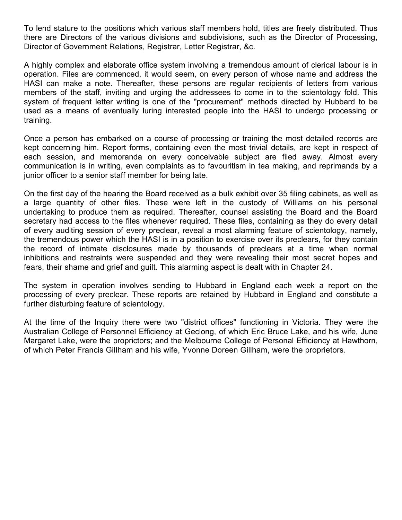To lend stature to the positions which various staff members hold, titles are freely distributed. Thus there are Directors of the various divisions and subdivisions, such as the Director of Processing, Director of Government Relations, Registrar, Letter Registrar, &c.

A highly complex and elaborate office system involving a tremendous amount of clerical labour is in operation. Files are commenced, it would seem, on every person of whose name and address the HASI can make a note. Thereafter, these persons are regular recipients of letters from various members of the staff, inviting and urging the addressees to come in to the scientology fold. This system of frequent letter writing is one of the "procurement" methods directed by Hubbard to be used as a means of eventually luring interested people into the HASI to undergo processing or training.

Once a person has embarked on a course of processing or training the most detailed records are kept concerning him. Report forms, containing even the most trivial details, are kept in respect of each session, and memoranda on every conceivable subject are filed away. Almost every communication is in writing, even complaints as to favouritism in tea making, and reprimands by a junior officer to a senior staff member for being late.

On the first day of the hearing the Board received as a bulk exhibit over 35 filing cabinets, as well as a large quantity of other files. These were left in the custody of Williams on his personal undertaking to produce them as required. Thereafter, counsel assisting the Board and the Board secretary had access to the files whenever required. These files, containing as they do every detail of every auditing session of every preclear, reveal a most alarming feature of scientology, namely, the tremendous power which the HASI is in a position to exercise over its preclears, for they contain the record of intimate disclosures made by thousands of preclears at a time when normal inhibitions and restraints were suspended and they were revealing their most secret hopes and fears, their shame and grief and guilt. This alarming aspect is dealt with in Chapter 24.

The system in operation involves sending to Hubbard in England each week a report on the processing of every preclear. These reports are retained by Hubbard in England and constitute a further disturbing feature of scientology.

At the time of the Inquiry there were two "district offices" functioning in Victoria. They were the Australian College of Personnel Efficiency at Geclong, of which Eric Bruce Lake, and his wife, June Margaret Lake, were the proprictors; and the Melbourne College of Personal Efficiency at Hawthorn, of which Peter Francis Gillham and his wife, Yvonne Doreen Gillham, were the proprietors.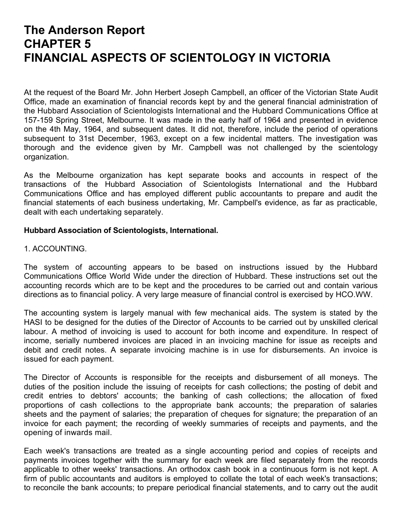### **The Anderson Report CHAPTER 5 FINANCIAL ASPECTS OF SCIENTOLOGY IN VICTORIA**

At the request of the Board Mr. John Herbert Joseph Campbell, an officer of the Victorian State Audit Office, made an examination of financial records kept by and the general financial administration of the Hubbard Association of Scientologists International and the Hubbard Communications Office at 157-159 Spring Street, Melbourne. It was made in the early half of 1964 and presented in evidence on the 4th May, 1964, and subsequent dates. It did not, therefore, include the period of operations subsequent to 31st December, 1963, except on a few incidental matters. The investigation was thorough and the evidence given by Mr. Campbell was not challenged by the scientology organization.

As the Melbourne organization has kept separate books and accounts in respect of the transactions of the Hubbard Association of Scientologists International and the Hubbard Communications Office and has employed different public accountants to prepare and audit the financial statements of each business undertaking, Mr. Campbell's evidence, as far as practicable, dealt with each undertaking separately.

#### **Hubbard Association of Scientologists, International.**

#### 1. ACCOUNTING.

The system of accounting appears to be based on instructions issued by the Hubbard Communications Office World Wide under the direction of Hubbard. These instructions set out the accounting records which are to be kept and the procedures to be carried out and contain various directions as to financial policy. A very large measure of financial control is exercised by HCO.WW.

The accounting system is largely manual with few mechanical aids. The system is stated by the HASI to be designed for the duties of the Director of Accounts to be carried out by unskilled clerical labour. A method of invoicing is used to account for both income and expenditure. In respect of income, serially numbered invoices are placed in an invoicing machine for issue as receipts and debit and credit notes. A separate invoicing machine is in use for disbursements. An invoice is issued for each payment.

The Director of Accounts is responsible for the receipts and disbursement of all moneys. The duties of the position include the issuing of receipts for cash collections; the posting of debit and credit entries to debtors' accounts; the banking of cash collections; the allocation of fixed proportions of cash collections to the appropriate bank accounts; the preparation of salaries sheets and the payment of salaries; the preparation of cheques for signature; the preparation of an invoice for each payment; the recording of weekly summaries of receipts and payments, and the opening of inwards mail.

Each week's transactions are treated as a single accounting period and copies of receipts and payments invoices together with the summary for each week are filed separately from the records applicable to other weeks' transactions. An orthodox cash book in a continuous form is not kept. A firm of public accountants and auditors is employed to collate the total of each week's transactions; to reconcile the bank accounts; to prepare periodical financial statements, and to carry out the audit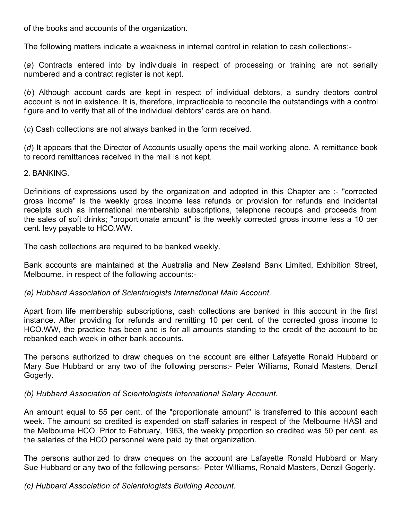of the books and accounts of the organization.

The following matters indicate a weakness in internal control in relation to cash collections:-

(*a*) Contracts entered into by individuals in respect of processing or training are not serially numbered and a contract register is not kept.

(*b*) Although account cards are kept in respect of individual debtors, a sundry debtors control account is not in existence. It is, therefore, impracticable to reconcile the outstandings with a control figure and to verify that all of the individual debtors' cards are on hand.

(*c*) Cash collections are not always banked in the form received.

(*d*) It appears that the Director of Accounts usually opens the mail working alone. A remittance book to record remittances received in the mail is not kept.

#### 2. BANKING.

Definitions of expressions used by the organization and adopted in this Chapter are :- "corrected gross income" is the weekly gross income less refunds or provision for refunds and incidental receipts such as international membership subscriptions, telephone recoups and proceeds from the sales of soft drinks; "proportionate amount" is the weekly corrected gross income less a 10 per cent. levy payable to HCO.WW.

The cash collections are required to be banked weekly.

Bank accounts are maintained at the Australia and New Zealand Bank Limited, Exhibition Street, Melbourne, in respect of the following accounts:-

#### *(a) Hubbard Association of Scientologists International Main Account.*

Apart from life membership subscriptions, cash collections are banked in this account in the first instance. After providing for refunds and remitting 10 per cent. of the corrected gross income to HCO.WW, the practice has been and is for all amounts standing to the credit of the account to be rebanked each week in other bank accounts.

The persons authorized to draw cheques on the account are either Lafayette Ronald Hubbard or Mary Sue Hubbard or any two of the following persons:- Peter Williams, Ronald Masters, Denzil Gogerly.

*(b) Hubbard Association of Scientologists International Salary Account.*

An amount equal to 55 per cent. of the "proportionate amount" is transferred to this account each week. The amount so credited is expended on staff salaries in respect of the Melbourne HASI and the Melbourne HCO. Prior to February, 1963, the weekly proportion so credited was 50 per cent. as the salaries of the HCO personnel were paid by that organization.

The persons authorized to draw cheques on the account are Lafayette Ronald Hubbard or Mary Sue Hubbard or any two of the following persons:- Peter Williams, Ronald Masters, Denzil Gogerly.

*(c) Hubbard Association of Scientologists Building Account.*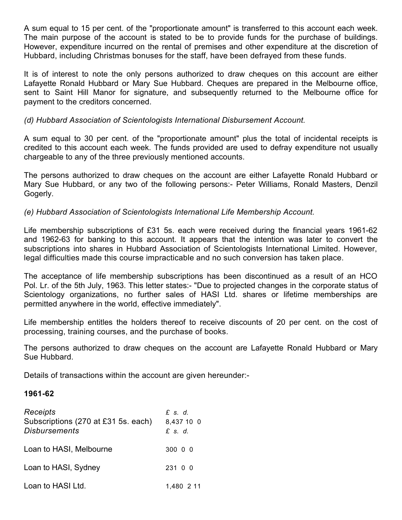A sum equal to 15 per cent. of the "proportionate amount" is transferred to this account each week. The main purpose of the account is stated to be to provide funds for the purchase of buildings. However, expenditure incurred on the rental of premises and other expenditure at the discretion of Hubbard, including Christmas bonuses for the staff, have been defrayed from these funds.

It is of interest to note the only persons authorized to draw cheques on this account are either Lafayette Ronald Hubbard or Mary Sue Hubbard. Cheques are prepared in the Melbourne office, sent to Saint Hill Manor for signature, and subsequently returned to the Melbourne office for payment to the creditors concerned.

#### *(d) Hubbard Association of Scientologists International Disbursement Account.*

A sum equal to 30 per cent. of the "proportionate amount" plus the total of incidental receipts is credited to this account each week. The funds provided are used to defray expenditure not usually chargeable to any of the three previously mentioned accounts.

The persons authorized to draw cheques on the account are either Lafayette Ronald Hubbard or Mary Sue Hubbard, or any two of the following persons:- Peter Williams, Ronald Masters, Denzil Gogerly.

#### *(e) Hubbard Association of Scientologists International Life Membership Account.*

Life membership subscriptions of £31 5s. each were received during the financial years 1961-62 and 1962-63 for banking to this account. It appears that the intention was later to convert the subscriptions into shares in Hubbard Association of Scientologists International Limited. However, legal difficulties made this course impracticable and no such conversion has taken place.

The acceptance of life membership subscriptions has been discontinued as a result of an HCO Pol. Lr. of the 5th July, 1963. This letter states:- "Due to projected changes in the corporate status of Scientology organizations, no further sales of HASI Ltd. shares or lifetime memberships are permitted anywhere in the world, effective immediately".

Life membership entitles the holders thereof to receive discounts of 20 per cent. on the cost of processing, training courses, and the purchase of books.

The persons authorized to draw cheques on the account are Lafayette Ronald Hubbard or Mary Sue Hubbard.

Details of transactions within the account are given hereunder:-

#### **1961-62**

| Receipts<br>Subscriptions (270 at £31 5s. each)<br><b>Disbursements</b> | £ s. d.<br>8,437 10 0<br>$E$ s. d. |
|-------------------------------------------------------------------------|------------------------------------|
| Loan to HASI, Melbourne                                                 | 300 0 0                            |
| Loan to HASI, Sydney                                                    | 23100                              |
| Loan to HASI Ltd.                                                       | 1,480 2 11                         |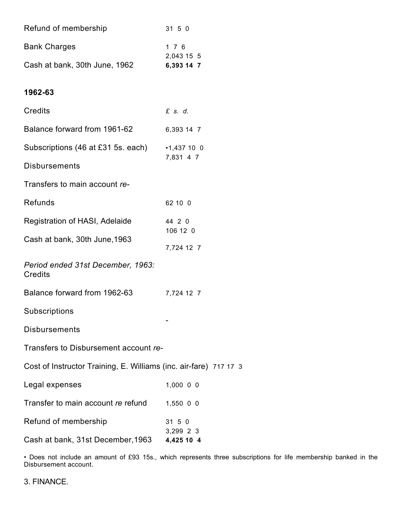| Refund of membership                                              | 31 5 0                   |  |
|-------------------------------------------------------------------|--------------------------|--|
| <b>Bank Charges</b>                                               | 176                      |  |
| Cash at bank, 30th June, 1962                                     | 2,043 15 5<br>6,393 14 7 |  |
| 1962-63                                                           |                          |  |
| Credits                                                           | £ s. d.                  |  |
| Balance forward from 1961-62                                      | 6,393 14 7               |  |
| Subscriptions (46 at £31 5s. each)1,437 10 0                      |                          |  |
| <b>Disbursements</b>                                              | 7,831 4 7                |  |
| Transfers to main account re-                                     |                          |  |
| <b>Refunds</b>                                                    | 62 10 0                  |  |
| Registration of HASI, Adelaide                                    | 44 2 0                   |  |
| Cash at bank, 30th June, 1963                                     | 106 12 0<br>7,724 12 7   |  |
| Period ended 31st December, 1963:<br><b>Credits</b>               |                          |  |
| Balance forward from 1962-63                                      | 7,724 12 7               |  |
| Subscriptions                                                     |                          |  |
| <b>Disbursements</b>                                              |                          |  |
| Transfers to Disbursement account re-                             |                          |  |
| Cost of Instructor Training, E. Williams (inc. air-fare) 717 17 3 |                          |  |
| Legal expenses                                                    | $1,000$ 0 0              |  |
| Transfer to main account re refund                                | 1,550 0 0                |  |
| Refund of membership                                              | 31 5 0                   |  |
| Cash at bank, 31st December, 1963                                 | 3,299 2 3<br>4,425 10 4  |  |

• Does not include an amount of £93 15s., which represents three subscriptions for life membership banked in the Disbursement account.

#### 3. FINANCE.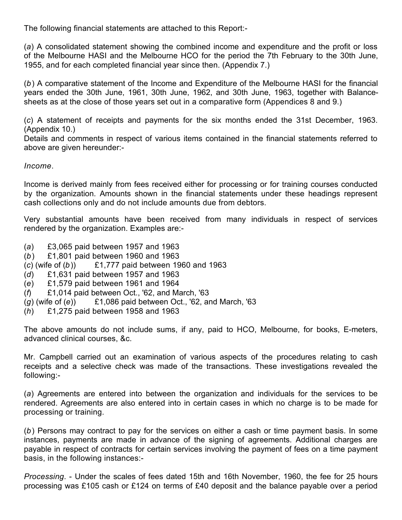The following financial statements are attached to this Report:-

(*a*) A consolidated statement showing the combined income and expenditure and the profit or loss of the Melbourne HASI and the Melbourne HCO for the period the 7th February to the 30th June, 1955, and for each completed financial year since then. (Appendix 7.)

(*b*) A comparative statement of the Income and Expenditure of the Melbourne HASI for the financial years ended the 30th June, 1961, 30th June, 1962, and 30th June, 1963, together with Balancesheets as at the close of those years set out in a comparative form (Appendices 8 and 9.)

(*c*) A statement of receipts and payments for the six months ended the 31st December, 1963. (Appendix 10.)

Details and comments in respect of various items contained in the financial statements referred to above are given hereunder:-

#### *Income*.

Income is derived mainly from fees received either for processing or for training courses conducted by the organization. Amounts shown in the financial statements under these headings represent cash collections only and do not include amounts due from debtors.

Very substantial amounts have been received from many individuals in respect of services rendered by the organization. Examples are:-

- (*a*) £3,065 paid between 1957 and 1963
- (*b*) £1,801 paid between 1960 and 1963
- (*c*) (wife of (*b*)) £1,777 paid between 1960 and 1963
- (*d*) £1,631 paid between 1957 and 1963
- (*e*) £1,579 paid between 1961 and 1964
- (*f*) £1,014 paid between Oct., '62, and March, '63
- (*g*) (wife of (*e*)) £1,086 paid between Oct., '62, and March, '63
- (*h*) £1,275 paid between 1958 and 1963

The above amounts do not include sums, if any, paid to HCO, Melbourne, for books, E-meters, advanced clinical courses, &c.

Mr. Campbell carried out an examination of various aspects of the procedures relating to cash receipts and a selective check was made of the transactions. These investigations revealed the following:-

(*a*) Agreements are entered into between the organization and individuals for the services to be rendered. Agreements are also entered into in certain cases in which no charge is to be made for processing or training.

(*b*) Persons may contract to pay for the services on either a cash or time payment basis. In some instances, payments are made in advance of the signing of agreements. Additional charges are payable in respect of contracts for certain services involving the payment of fees on a time payment basis, in the following instances:-

*Processing*. - Under the scales of fees dated 15th and 16th November, 1960, the fee for 25 hours processing was £105 cash or £124 on terms of £40 deposit and the balance payable over a period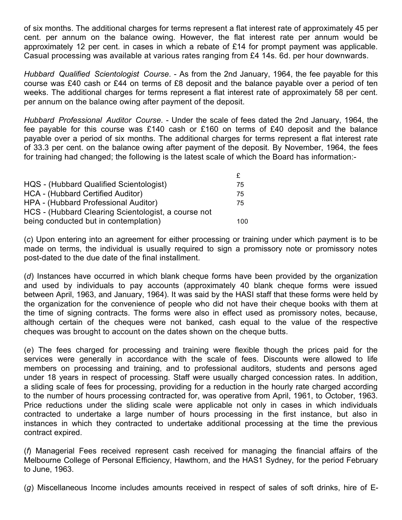of six months. The additional charges for terms represent a flat interest rate of approximately 45 per cent. per annum on the balance owing. However, the flat interest rate per annum would be approximately 12 per cent. in cases in which a rebate of £14 for prompt payment was applicable. Casual processing was available at various rates ranging from £4 14s. 6d. per hour downwards.

*Hubbard Qualified Scientologist Course*. - As from the 2nd January, 1964, the fee payable for this course was £40 cash or £44 on terms of £8 deposit and the balance payable over a period of ten weeks. The additional charges for terms represent a flat interest rate of approximately 58 per cent. per annum on the balance owing after payment of the deposit.

*Hubbard Professional Auditor Course*. - Under the scale of fees dated the 2nd January, 1964, the fee payable for this course was £140 cash or £160 on terms of £40 deposit and the balance payable over a period of six months. The additional charges for terms represent a flat interest rate of 33.3 per cent. on the balance owing after payment of the deposit. By November, 1964, the fees for training had changed; the following is the latest scale of which the Board has information:-

| HQS - (Hubbard Qualified Scientologist)             | 75  |
|-----------------------------------------------------|-----|
| HCA - (Hubbard Certified Auditor)                   | 75  |
| HPA - (Hubbard Professional Auditor)                | 75  |
| HCS - (Hubbard Clearing Scientologist, a course not |     |
| being conducted but in contemplation)               | 100 |

(*c*) Upon entering into an agreement for either processing or training under which payment is to be made on terms, the individual is usually required to sign a promissory note or promissory notes post-dated to the due date of the final installment.

(*d*) Instances have occurred in which blank cheque forms have been provided by the organization and used by individuals to pay accounts (approximately 40 blank cheque forms were issued between April, 1963, and January, 1964). It was said by the HASI staff that these forms were held by the organization for the convenience of people who did not have their cheque books with them at the time of signing contracts. The forms were also in effect used as promissory notes, because, although certain of the cheques were not banked, cash equal to the value of the respective cheques was brought to account on the dates shown on the cheque butts.

(*e*) The fees charged for processing and training were flexible though the prices paid for the services were generally in accordance with the scale of fees. Discounts were allowed to life members on processing and training, and to professional auditors, students and persons aged under 18 years in respect of processing. Staff were usually charged concession rates. In addition, a sliding scale of fees for processing, providing for a reduction in the hourly rate charged according to the number of hours processing contracted for, was operative from April, 1961, to October, 1963. Price reductions under the sliding scale were applicable not only in cases in which individuals contracted to undertake a large number of hours processing in the first instance, but also in instances in which they contracted to undertake additional processing at the time the previous contract expired.

(*f*) Managerial Fees received represent cash received for managing the financial affairs of the Melbourne College of Personal Efficiency, Hawthorn, and the HAS1 Sydney, for the period February to June, 1963.

(*g*) Miscellaneous Income includes amounts received in respect of sales of soft drinks, hire of E-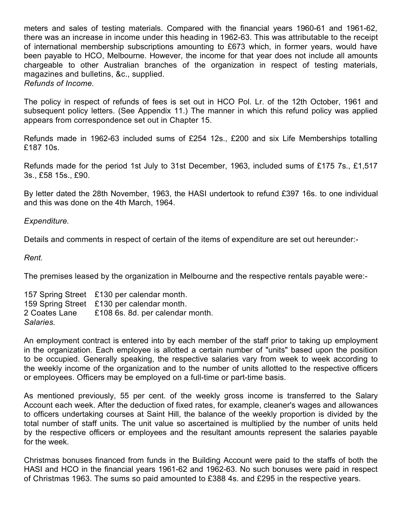meters and sales of testing materials. Compared with the financial years 1960-61 and 1961-62, there was an increase in income under this heading in 1962-63. This was attributable to the receipt of international membership subscriptions amounting to £673 which, in former years, would have been payable to HCO, Melbourne. However, the income for that year does not include all amounts chargeable to other Australian branches of the organization in respect of testing materials, magazines and bulletins, &c., supplied. *Refunds of Income.*

The policy in respect of refunds of fees is set out in HCO Pol. Lr. of the 12th October, 1961 and subsequent policy letters. (See Appendix 11.) The manner in which this refund policy was applied appears from correspondence set out in Chapter 15.

Refunds made in 1962-63 included sums of £254 12s., £200 and six Life Memberships totalling £187 10s.

Refunds made for the period 1st July to 31st December, 1963, included sums of £175 7s., £1,517 3s., £58 15s., £90.

By letter dated the 28th November, 1963, the HASI undertook to refund £397 16s. to one individual and this was done on the 4th March, 1964.

### *Expenditure.*

Details and comments in respect of certain of the items of expenditure are set out hereunder:-

*Rent.*

The premises leased by the organization in Melbourne and the respective rentals payable were:-

157 Spring Street £130 per calendar month. 159 Spring Street £130 per calendar month. 2 Coates Lane £108 6s. 8d. per calendar month. *Salaries.*

An employment contract is entered into by each member of the staff prior to taking up employment in the organization. Each employee is allotted a certain number of "units" based upon the position to be occupied. Generally speaking, the respective salaries vary from week to week according to the weekly income of the organization and to the number of units allotted to the respective officers or employees. Officers may be employed on a full-time or part-time basis.

As mentioned previously, 55 per cent. of the weekly gross income is transferred to the Salary Account each week. After the deduction of fixed rates, for example, cleaner's wages and allowances to officers undertaking courses at Saint Hill, the balance of the weekly proportion is divided by the total number of staff units. The unit value so ascertained is multiplied by the number of units held by the respective officers or employees and the resultant amounts represent the salaries payable for the week.

Christmas bonuses financed from funds in the Building Account were paid to the staffs of both the HASI and HCO in the financial years 1961-62 and 1962-63. No such bonuses were paid in respect of Christmas 1963. The sums so paid amounted to £388 4s. and £295 in the respective years.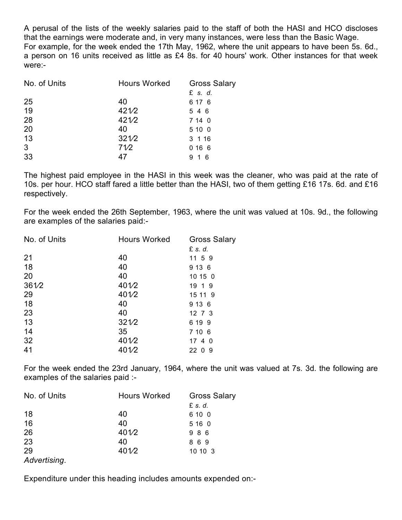A perusal of the lists of the weekly salaries paid to the staff of both the HASI and HCO discloses that the earnings were moderate and, in very many instances, were less than the Basic Wage. For example, for the week ended the 17th May, 1962, where the unit appears to have been 5s. 6d., a person on 16 units received as little as £4 8s. for 40 hours' work. Other instances for that week were:-

| No. of Units | <b>Hours Worked</b> | <b>Gross Salary</b> |
|--------------|---------------------|---------------------|
|              |                     | £ s. d.             |
| 25           | 40                  | 6 17 6              |
| 19           | 421/2               | 5 4 6               |
| 28           | 421/2               | 7 14 0              |
| 20           | 40                  | 5 10 0              |
| 13           | 321/2               | 3 1 1 6             |
| 3            | 71/2                | 0166                |
| 33           |                     | -6<br>91            |

The highest paid employee in the HASI in this week was the cleaner, who was paid at the rate of 10s. per hour. HCO staff fared a little better than the HASI, two of them getting £16 17s. 6d. and £16 respectively.

For the week ended the 26th September, 1963, where the unit was valued at 10s. 9d., the following are examples of the salaries paid:-

| No. of Units | Hours Worked | <b>Gross Salary</b> |
|--------------|--------------|---------------------|
|              |              | £ s. d.             |
| 21           | 40           | 11 5 9              |
| 18           | 40           | 9 13 6              |
| 20           | 40           | 10 15 0             |
| 361/2        | 401/2        | 19 1 9              |
| 29           | 401/2        | 15 11 9             |
| 18           | 40           | 9 13 6              |
| 23           | 40           | $12 \t7 \t3$        |
| 13           | 321/2        | 6 19 9              |
| 14           | 35           | 7 10 6              |
| 32           | 401/2        | 17, 4, 0            |
| 41           | 401/2        | 22 0 9              |
|              |              |                     |

For the week ended the 23rd January, 1964, where the unit was valued at 7s. 3d. the following are examples of the salaries paid :-

| No. of Units | Hours Worked | <b>Gross Salary</b> |
|--------------|--------------|---------------------|
|              |              | £ s. d.             |
| 18           | 40           | 6 10 0              |
| 16           | 40           | 5 16 0              |
| 26           | 401/2        | 986                 |
| 23           | 40           | 869                 |
| 29           | 401/2        | 10 10 3             |
| Advertising. |              |                     |

Expenditure under this heading includes amounts expended on:-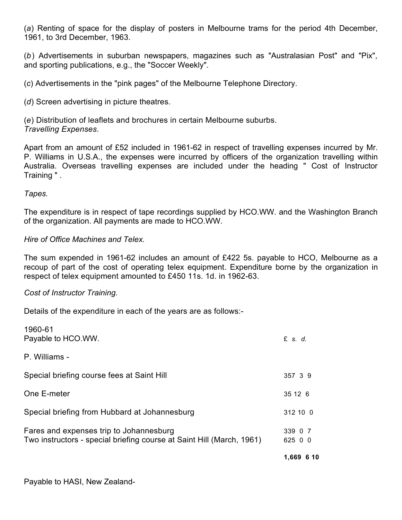(*a*) Renting of space for the display of posters in Melbourne trams for the period 4th December, 1961, to 3rd December, 1963.

(*b*) Advertisements in suburban newspapers, magazines such as "Australasian Post" and "Pix", and sporting publications, e.g., the "Soccer Weekly".

(*c*) Advertisements in the "pink pages" of the Melbourne Telephone Directory.

(*d*) Screen advertising in picture theatres.

(*e*) Distribution of leaflets and brochures in certain Melbourne suburbs. *Travelling Expenses*.

Apart from an amount of £52 included in 1961-62 in respect of travelling expenses incurred by Mr. P. Williams in U.S.A., the expenses were incurred by officers of the organization travelling within Australia. Overseas travelling expenses are included under the heading " Cost of Instructor Training " .

### *Tapes.*

The expenditure is in respect of tape recordings supplied by HCO.WW. and the Washington Branch of the organization. All payments are made to HCO.WW.

### *Hire of Office Machines and Telex.*

The sum expended in 1961-62 includes an amount of £422 5s. payable to HCO, Melbourne as a recoup of part of the cost of operating telex equipment. Expenditure borne by the organization in respect of telex equipment amounted to £450 11s. 1d. in 1962-63.

### *Cost of Instructor Training.*

Details of the expenditure in each of the years are as follows:-

|                                                                                                                  | 1.669 6 10         |
|------------------------------------------------------------------------------------------------------------------|--------------------|
| Fares and expenses trip to Johannesburg<br>Two instructors - special briefing course at Saint Hill (March, 1961) | 339 0 7<br>625 0 0 |
| Special briefing from Hubbard at Johannesburg                                                                    | 312 10 0           |
| One E-meter                                                                                                      | 35 12 6            |
| Special briefing course fees at Saint Hill                                                                       | 357 3 9            |
| P. Williams -                                                                                                    |                    |
| 1960-61<br>Payable to HCO.WW.                                                                                    | £ s. d.            |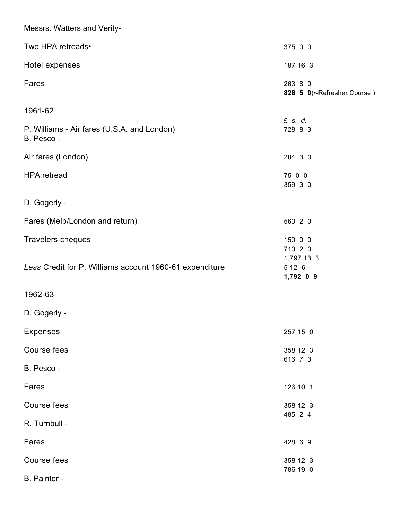| Messrs. Watters and Verity-                               |                                         |
|-----------------------------------------------------------|-----------------------------------------|
| Two HPA retreads•                                         | 375 0 0                                 |
| Hotel expenses                                            | 187 16 3                                |
| Fares                                                     | 263 8 9<br>826 5 0(·-Refresher Course.) |
| 1961-62                                                   |                                         |
| P. Williams - Air fares (U.S.A. and London)<br>B. Pesco - | £ s. d.<br>728 8 3                      |
| Air fares (London)                                        | 284 3 0                                 |
| <b>HPA</b> retread                                        | 75 0 0<br>359 3 0                       |
| D. Gogerly -                                              |                                         |
| Fares (Melb/London and return)                            | 560 2 0                                 |
| Travelers cheques                                         | 150 0 0<br>710 2 0                      |
| Less Credit for P. Williams account 1960-61 expenditure   | 1,797 13 3<br>5 12 6<br>1,792 0 9       |
| 1962-63                                                   |                                         |
| D. Gogerly -                                              |                                         |
| Expenses                                                  | 257 15 0                                |
| Course fees                                               | 358 12 3                                |
| B. Pesco -                                                | 616 7 3                                 |
| Fares                                                     | 126 10 1                                |
| Course fees                                               | 358 12 3                                |
| R. Turnbull -                                             | 485 2 4                                 |
| Fares                                                     | 428 6 9                                 |
| Course fees                                               | 358 12 3                                |
| B. Painter -                                              | 786 19 0                                |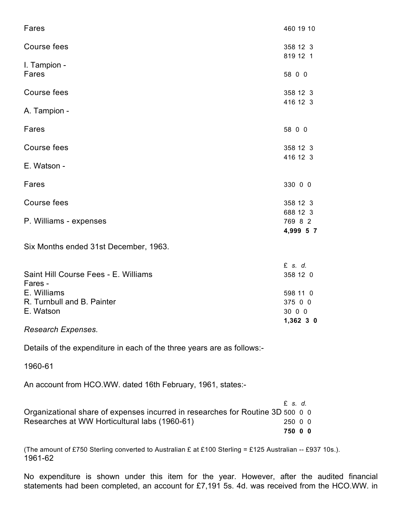| Fares                  | 460 19 10           |
|------------------------|---------------------|
| Course fees            | 358 12 3            |
| I. Tampion -<br>Fares  | 819 12 1<br>58 0 0  |
| Course fees            | 358 12 3            |
| A. Tampion -           | 416 12 3            |
| Fares                  | 58 0 0              |
| Course fees            | 358 12 3            |
| E. Watson -            | 416 12 3            |
| Fares                  | 330 0 0             |
| Course fees            | 358 12 3            |
| P. Williams - expenses | 688 12 3<br>769 8 2 |
|                        | 4,999 5 7           |
|                        |                     |

Six Months ended 31st December, 1963.

|                                      | $E$ s. d.   |
|--------------------------------------|-------------|
| Saint Hill Course Fees - E. Williams | 358 12 0    |
| Fares -                              |             |
| E. Williams                          | 598 11 0    |
| R. Turnbull and B. Painter           | 375 0 0     |
| E. Watson                            | 30 0 0      |
|                                      | $1,362$ 3 0 |

*Research Expenses.*

Details of the expenditure in each of the three years are as follows:-

1960-61

An account from HCO.WW. dated 16th February, 1961, states:-

|                                                                                | fs d    |  |
|--------------------------------------------------------------------------------|---------|--|
| Organizational share of expenses incurred in researches for Routine 3D 500 0 0 |         |  |
| Researches at WW Horticultural labs (1960-61)                                  | 250 0 0 |  |
|                                                                                | 750 0 0 |  |

(The amount of £750 Sterling converted to Australian £ at £100 Sterling = £125 Australian -- £937 10s.). 1961-62

No expenditure is shown under this item for the year. However, after the audited financial statements had been completed, an account for £7,191 5s. 4d. was received from the HCO.WW. in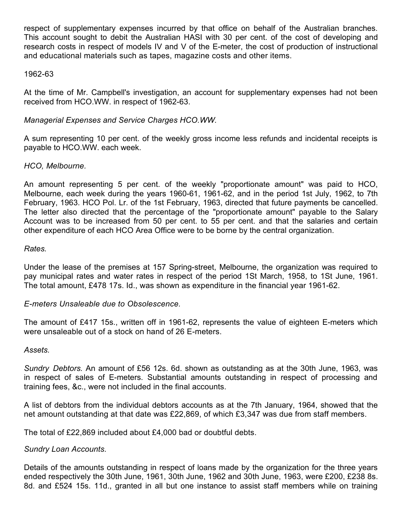respect of supplementary expenses incurred by that office on behalf of the Australian branches. This account sought to debit the Australian HASI with 30 per cent. of the cost of developing and research costs in respect of models IV and V of the E-meter, the cost of production of instructional and educational materials such as tapes, magazine costs and other items.

### 1962-63

At the time of Mr. Campbell's investigation, an account for supplementary expenses had not been received from HCO.WW. in respect of 1962-63.

### *Managerial Expenses and Service Charges HCO.WW.*

A sum representing 10 per cent. of the weekly gross income less refunds and incidental receipts is payable to HCO.WW. each week.

### *HCO, Melbourne.*

An amount representing 5 per cent. of the weekly "proportionate amount" was paid to HCO, Melbourne, each week during the years 1960-61, 1961-62, and in the period 1st July, 1962, to 7th February, 1963. HCO Pol. Lr. of the 1st February, 1963, directed that future payments be cancelled. The letter also directed that the percentage of the "proportionate amount" payable to the Salary Account was to be increased from 50 per cent. to 55 per cent. and that the salaries and certain other expenditure of each HCO Area Office were to be borne by the central organization.

### *Rates.*

Under the lease of the premises at 157 Spring-street, Melbourne, the organization was required to pay municipal rates and water rates in respect of the period 1St March, 1958, to 1St June, 1961. The total amount, £478 17s. Id., was shown as expenditure in the financial year 1961-62.

### *E-meters Unsaleable due to Obsolescence.*

The amount of £417 15s., written off in 1961-62, represents the value of eighteen E-meters which were unsaleable out of a stock on hand of 26 E-meters.

### *Assets.*

*Sundry Debtors.* An amount of £56 12s. 6d. shown as outstanding as at the 30th June, 1963, was in respect of sales of E-meters. Substantial amounts outstanding in respect of processing and training fees, &c., were not included in the final accounts.

A list of debtors from the individual debtors accounts as at the 7th January, 1964, showed that the net amount outstanding at that date was £22,869, of which £3,347 was due from staff members.

The total of £22,869 included about £4,000 bad or doubtful debts.

### *Sundry Loan Accounts.*

Details of the amounts outstanding in respect of loans made by the organization for the three years ended respectively the 30th June, 1961, 30th June, 1962 and 30th June, 1963, were £200, £238 8s. 8d. and £524 15s. 11d., granted in all but one instance to assist staff members while on training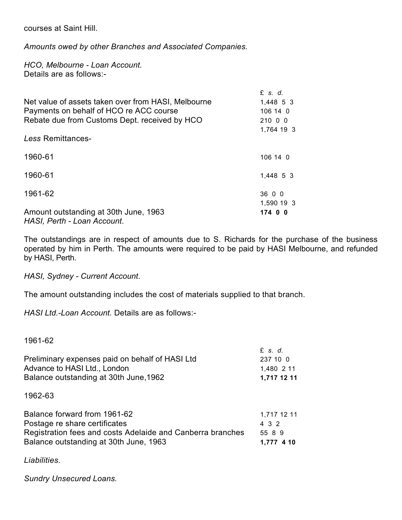courses at Saint Hill.

*Amounts owed by other Branches and Associated Companies.*

*HCO, Melbourne - Loan Account.* Details are as follows:-

|                                                                  | $E$ s. d.  |
|------------------------------------------------------------------|------------|
| Net value of assets taken over from HASI, Melbourne              | 1,448 5 3  |
| Payments on behalf of HCO re ACC course                          | 106 14 0   |
| Rebate due from Customs Dept. received by HCO                    | 210 0 0    |
|                                                                  | 1,764 19 3 |
| Less Remittances-                                                |            |
| 1960-61                                                          | 106 14 0   |
| 1960-61                                                          |            |
|                                                                  | 1,448 5 3  |
| 1961-62                                                          | 36 0 0     |
|                                                                  | 1,590 19 3 |
| Amount outstanding at 30th June, 1963<br>HARL Dorth Loop Account | 174 0 0    |

*HASI, Perth - Loan Account*.

The outstandings are in respect of amounts due to S. Richards for the purchase of the business operated by him in Perth. The amounts were required to be paid by HASI Melbourne, and refunded by HASI, Perth.

*HASI, Sydney - Current Account*.

The amount outstanding includes the cost of materials supplied to that branch.

*HASI Ltd.-Loan Account.* Details are as follows:-

| 1961-62                                                                                              |                       |
|------------------------------------------------------------------------------------------------------|-----------------------|
| Preliminary expenses paid on behalf of HASI Ltd                                                      | $E$ s. d.<br>237 10 0 |
| Advance to HASI Ltd., London                                                                         | 1,480 2 11            |
| Balance outstanding at 30th June, 1962                                                               | 1,717 12 11           |
| 1962-63                                                                                              |                       |
| Balance forward from 1961-62                                                                         | 1,717 12 11           |
| Postage re share certificates                                                                        | 4 3 2                 |
| Registration fees and costs Adelaide and Canberra branches<br>Balance outstanding at 30th June, 1963 | 55 8 9<br>1.777 4 10  |

*Liabilities.*

*Sundry Unsecured Loans.*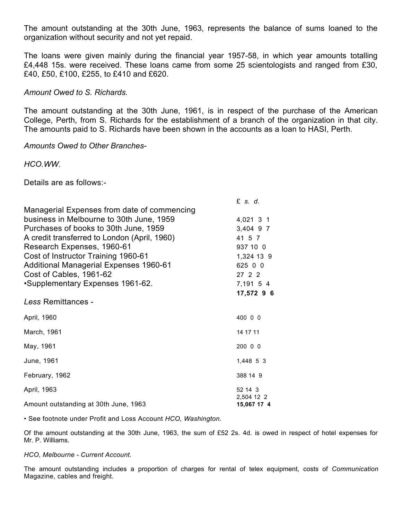The amount outstanding at the 30th June, 1963, represents the balance of sums loaned to the organization without security and not yet repaid.

The loans were given mainly during the financial year 1957-58, in which year amounts totalling £4,448 15s. were received. These loans came from some 25 scientologists and ranged from £30, £40, £50, £100, £255, to £410 and £620.

*Amount Owed to S. Richards.*

The amount outstanding at the 30th June, 1961, is in respect of the purchase of the American College, Perth, from S. Richards for the establishment of a branch of the organization in that city. The amounts paid to S. Richards have been shown in the accounts as a loan to HASI, Perth.

*Amounts Owed to Other Branches-*

*HCO.WW.*

Details are as follows:-

|                                               | £ s. d.                   |
|-----------------------------------------------|---------------------------|
| Managerial Expenses from date of commencing   |                           |
| business in Melbourne to 30th June, 1959      | 4,021 3 1                 |
| Purchases of books to 30th June, 1959         | 3,404 9 7                 |
| A credit transferred to London (April, 1960)  | 41 5 7                    |
| Research Expenses, 1960-61                    | 937 10 0                  |
| Cost of Instructor Training 1960-61           | 1,324 13 9                |
| <b>Additional Managerial Expenses 1960-61</b> | 625 0 0                   |
| Cost of Cables, 1961-62                       | 27 2 2                    |
| •Supplementary Expenses 1961-62.              | 7,191 5 4                 |
|                                               | 17,572 9 6                |
| Less Remittances -                            |                           |
| April, 1960                                   | 400 0 0                   |
| March, 1961                                   | 14 17 11                  |
| May, 1961                                     | 200 0 0                   |
| June, 1961                                    | 1,448 5 3                 |
| February, 1962                                | 388 14 9                  |
| April, 1963                                   | 52 14 3                   |
| Amount outstanding at 30th June, 1963         | 2,504 12 2<br>15,067 17 4 |

• See footnote under Profit and Loss Account *HCO, Washington.*

Of the amount outstanding at the 30th June, 1963, the sum of £52 2s. 4d. is owed in respect of hotel expenses for Mr. P. Williams.

### *HCO, Melbourne - Current Account.*

The amount outstanding includes a proportion of charges for rental of telex equipment, costs of *Communication* Magazine, cables and freight.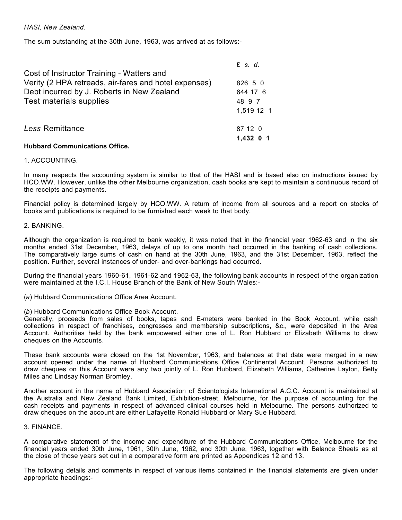*HASI, New Zealand.*

The sum outstanding at the 30th June, 1963, was arrived at as follows:-

|                                                       | $E$ s. d.  |
|-------------------------------------------------------|------------|
| Cost of Instructor Training - Watters and             |            |
| Verity (2 HPA retreads, air-fares and hotel expenses) | 826 5 0    |
| Debt incurred by J. Roberts in New Zealand            | 644 17 6   |
| Test materials supplies                               | 48 9 7     |
|                                                       | 1,519 12 1 |
| <b>Less Remittance</b>                                | 87 12 0    |
|                                                       | 1,432 0 1  |
| <b>Hubbard Communications Office.</b>                 |            |

#### 1. ACCOUNTING.

In many respects the accounting system is similar to that of the HASI and is based also on instructions issued by HCO.WW. However, unlike the other Melbourne organization, cash books are kept to maintain a continuous record of the receipts and payments.

Financial policy is determined largely by HCO.WW. A return of income from all sources and a report on stocks of books and publications is required to be furnished each week to that body.

#### 2. BANKING.

Although the organization is required to bank weekly, it was noted that in the financial year 1962-63 and in the six months ended 31st December, 1963, delays of up to one month had occurred in the banking of cash collections. The comparatively large sums of cash on hand at the 30th June, 1963, and the 31st December, 1963, reflect the position. Further, several instances of under- and over-bankings had occurred.

During the financial years 1960-61, 1961-62 and 1962-63, the following bank accounts in respect of the organization were maintained at the I.C.I. House Branch of the Bank of New South Wales:-

(*a*) Hubbard Communications Office Area Account.

#### (*b*) Hubbard Communications Office Book Account.

Generally, proceeds from sales of books, tapes and E-meters were banked in the Book Account, while cash collections in respect of franchises, congresses and membership subscriptions, &c., were deposited in the Area Account. Authorities held by the bank empowered either one of L. Ron Hubbard or Elizabeth Williams to draw cheques on the Accounts.

These bank accounts were closed on the 1st November, 1963, and balances at that date were merged in a new account opened under the name of Hubbard Communications Office Continental Account. Persons authorized to draw cheques on this Account were any two jointly of L. Ron Hubbard, Elizabeth Williams, Catherine Layton, Betty Miles and Lindsay Norman Bromley.

Another account in the name of Hubbard Association of Scientologists International A.C.C. Account is maintained at the Australia and New Zealand Bank Limited, Exhibition-street, Melbourne, for the purpose of accounting for the cash receipts and payments in respect of advanced clinical courses held in Melbourne. The persons authorized to draw cheques on the account are either Lafayette Ronald Hubbard or Mary Sue Hubbard.

#### 3. FINANCE.

A comparative statement of the income and expenditure of the Hubbard Communications Office, Melbourne for the financial years ended 30th June, 1961, 30th June, 1962, and 30th June, 1963, together with Balance Sheets as at the close of those years set out in a comparative form are printed as Appendices 12 and 13.

The following details and comments in respect of various items contained in the financial statements are given under appropriate headings:-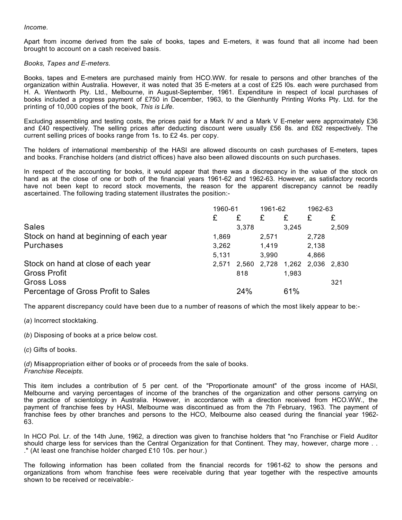*Income.*

Apart from income derived from the sale of books, tapes and E-meters, it was found that all income had been brought to account on a cash received basis.

*Books, Tapes and E-meters.*

Books, tapes and E-meters are purchased mainly from HCO.WW. for resale to persons and other branches of the organization within Australia. However, it was noted that 35 E-meters at a cost of £25 l0s. each were purchased from H. A. Wentworth Pty. Ltd., Melbourne, in August-September, 1961. Expenditure in respect of local purchases of books included a progress payment of £750 in December, 1963, to the Glenhuntly Printing Works Pty. Ltd. for the printing of 10,000 copies of the book, *This is Life*.

Excluding assembling and testing costs, the prices paid for a Mark IV and a Mark V E-meter were approximately £36 and £40 respectively. The selling prices after deducting discount were usually £56 8s. and £62 respectively. The current selling prices of books range from 1s. to £2 4s. per copy.

The holders of international membership of the HASI are allowed discounts on cash purchases of E-meters, tapes and books. Franchise holders (and district offices) have also been allowed discounts on such purchases.

In respect of the accounting for books, it would appear that there was a discrepancy in the value of the stock on hand as at the close of one or both of the financial years 1961-62 and 1962-63. However, as satisfactory records have not been kept to record stock movements, the reason for the apparent discrepancy cannot be readily ascertained. The following trading statement illustrates the position:-

|                                         | 1960-61 |       | 1961-62 |                   | 1962-63 |       |
|-----------------------------------------|---------|-------|---------|-------------------|---------|-------|
|                                         | £       | £     | £       | £                 | £       | £     |
| <b>Sales</b>                            |         | 3,378 |         | 3.245             |         | 2,509 |
| Stock on hand at beginning of each year | 1,869   |       | 2,571   |                   | 2,728   |       |
| <b>Purchases</b>                        | 3,262   |       | 1.419   |                   | 2,138   |       |
|                                         | 5,131   |       | 3,990   |                   | 4,866   |       |
| Stock on hand at close of each year     | 2.571   | 2.560 | 2,728   | 1,262 2,036 2,830 |         |       |
| <b>Gross Profit</b>                     |         | 818   |         | 1.983             |         |       |
| <b>Gross Loss</b>                       |         |       |         |                   |         | 321   |
| Percentage of Gross Profit to Sales     |         | 24%   |         | 61%               |         |       |

The apparent discrepancy could have been due to a number of reasons of which the most likely appear to be:-

- (*a*) Incorrect stocktaking.
- (*b*) Disposing of books at a price below cost.
- (*c*) Gifts of books.

(*d*) Misappropriation either of books or of proceeds from the sale of books. *Franchise Receipts.*

This item includes a contribution of 5 per cent. of the "Proportionate amount" of the gross income of HASI, Melbourne and varying percentages of income of the branches of the organization and other persons carrying on the practice of scientology in Australia. However, in accordance with a direction received from HCO.WW., the payment of franchise fees by HASI, Melbourne was discontinued as from the 7th February, 1963. The payment of franchise fees by other branches and persons to the HCO, Melbourne also ceased during the financial year 1962- 63.

In HCO Pol. Lr. of the 14th June, 1962, a direction was given to franchise holders that "no Franchise or Field Auditor should charge less for services than the Central Organization for that Continent. They may, however, charge more . . ." (At least one franchise holder charged £10 10s. per hour.)

The following information has been collated from the financial records for 1961-62 to show the persons and organizations from whom franchise fees were receivable during that year together with the respective amounts shown to be received or receivable:-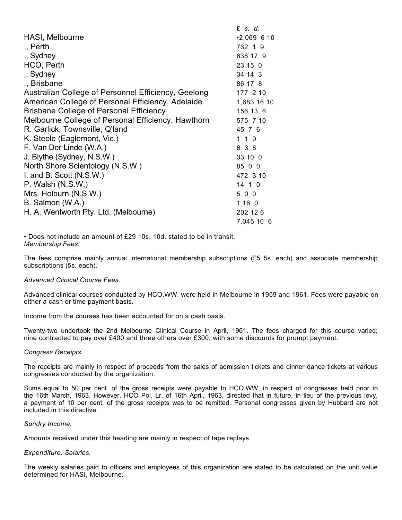|                                                     | $E$ s. d.     |
|-----------------------------------------------------|---------------|
| HASI, Melbourne                                     | $•2,069$ 6 10 |
| ., Perth                                            | 732 1 9       |
| " Sydney                                            | 638 17 9      |
| HCO, Perth                                          | 23 15 0       |
| "Sydney                                             | 34 14 3       |
| "Brisbane                                           | 86 17 8       |
| Australian College of Personnel Efficiency, Geelong | 177 2 10      |
| American College of Personal Efficiency, Adelaide   | 1,683 16 10   |
| <b>Brisbane College of Personal Efficiency</b>      | 156 13 6      |
| Melbourne College of Personal Efficiency, Hawthorn  | 575 7 10      |
| R. Garlick, Townsville, Q'land                      | 45 7 6        |
| K. Steele (Eaglemont, Vic.)                         | 1 1 9         |
| F. Van Der Linde (W.A.)                             | 6 3 8         |
| J. Blythe (Sydney, N.S.W.)                          | 33 10 0       |
| North Shore Scientology (N.S.W.)                    | 85 0 0        |
| I. and B. Scott $(N.S.W.)$                          | 472 3 10      |
| P. Walsh (N.S.W.)                                   | 14 1 0        |
| Mrs. Holburn (N.S.W.)                               | 500           |
| B. Salmon (W.A.)                                    | 1160          |
| H. A. Wentworth Pty. Ltd. (Melbourne)               | 202 12 6      |
|                                                     | 7,045 10 6    |

• Does not include an amount of £29 10s. 10d. stated to be in transit. *Membership Fees.*

The fees comprise mainly annual international membership subscriptions (£5 5s. each) and associate membership subscriptions (5s. each).

#### *Advanced Clinical Course Fees.*

Advanced clinical courses conducted by HCO.WW. were held in Melbourne in 1959 and 1961. Fees were payable on either a cash or time payment basis.

Income from the courses has been accounted for on a cash basis.

Twenty-two undertook the 2nd Melbourne Clinical Course in April, 1961. The fees charged for this course varied; nine contracted to pay over £400 and three others over £300, with some discounts for prompt payment.

#### *Congress Receipts.*

The receipts are mainly in respect of proceeds from the sales of admission tickets and dinner dance tickets at various congresses conducted by the organization.

Sums equal to 50 per cent. of the gross receipts were payable to HCO.WW. in respect of congresses held prior to the 16th March, 1963. However, HCO Pol. Lr. of 16th April, 1963, directed that in future, in lieu of the previous levy, a payment of 10 per cent. of the gross receipts was to be remitted. Personal congresses given by Hubbard are not included in this directive.

#### *Sundry Income.*

Amounts received under this heading are mainly in respect of tape replays.

#### *Expenditure. Salaries.*

The weekly salaries paid to officers and employees of this organization are stated to be calculated on the unit value determined for HASI, Melbourne.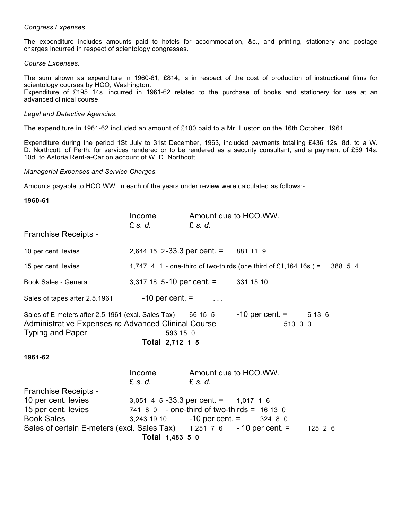#### *Congress Expenses.*

The expenditure includes amounts paid to hotels for accommodation, &c., and printing, stationery and postage charges incurred in respect of scientology congresses.

#### *Course Expenses.*

The sum shown as expenditure in 1960-61, £814, is in respect of the cost of production of instructional films for scientology courses by HCO, Washington. Expenditure of £195 14s. incurred in 1961-62 related to the purchase of books and stationery for use at an advanced clinical course.

#### *Legal and Detective Agencies.*

The expenditure in 1961-62 included an amount of £100 paid to a Mr. Huston on the 16th October, 1961.

Expenditure during the period 1St July to 31st December, 1963, included payments totalling £436 12s. 8d. to a W. D. Northcott, of Perth, for services rendered or to be rendered as a security consultant, and a payment of £59 14s. 10d. to Astoria Rent-a-Car on account of W. D. Northcott.

#### *Managerial Expenses and Service Charges.*

Amounts payable to HCO.WW. in each of the years under review were calculated as follows:-

#### **1960-61**

|                                                                                                                                              | Income<br>£ s. d.                           | £ s.d.  | Amount due to HCO.WW.                                            |           |
|----------------------------------------------------------------------------------------------------------------------------------------------|---------------------------------------------|---------|------------------------------------------------------------------|-----------|
| <b>Franchise Receipts -</b>                                                                                                                  |                                             |         |                                                                  |           |
| 10 per cent. levies                                                                                                                          | 2,644 15 2-33.3 per cent. = $881119$        |         |                                                                  |           |
| 15 per cent. levies                                                                                                                          |                                             |         | 1,747 4 1 - one-third of two-thirds (one third of £1,164 16s.) = | 388 5 4   |
| Book Sales - General                                                                                                                         | $3,317$ 18 5-10 per cent. = 331 15 10       |         |                                                                  |           |
| Sales of tapes after 2.5.1961                                                                                                                | $-10$ per cent. $=$                         |         |                                                                  |           |
| Sales of E-meters after 2.5.1961 (excl. Sales Tax) 66 15 5<br>Administrative Expenses re Advanced Clinical Course<br><b>Typing and Paper</b> | 593 15 0<br>Total 2,712 1 5                 |         | $-10$ per cent. = 6 13 6<br>510 0 0                              |           |
| 1961-62                                                                                                                                      |                                             |         |                                                                  |           |
|                                                                                                                                              | Income<br>£ s. d.                           | £ s. d. | Amount due to HCO. WW.                                           |           |
| <b>Franchise Receipts -</b>                                                                                                                  |                                             |         |                                                                  |           |
| 10 per cent. levies                                                                                                                          | 3,051 4 5 -33.3 per cent. = $1,017$ 1 6     |         |                                                                  |           |
| 15 per cent. levies                                                                                                                          | 741 8 0 - one-third of two-thirds = 16 13 0 |         |                                                                  |           |
| <b>Book Sales</b>                                                                                                                            |                                             |         | $3,243$ 19 10 $-10$ per cent. = 324 8 0                          |           |
| Sales of certain E-meters (excl. Sales Tax) $1,251$ 7 6 $-10$ per cent. =                                                                    |                                             |         |                                                                  | $125$ 2 6 |
|                                                                                                                                              | Total 1,483 5 0                             |         |                                                                  |           |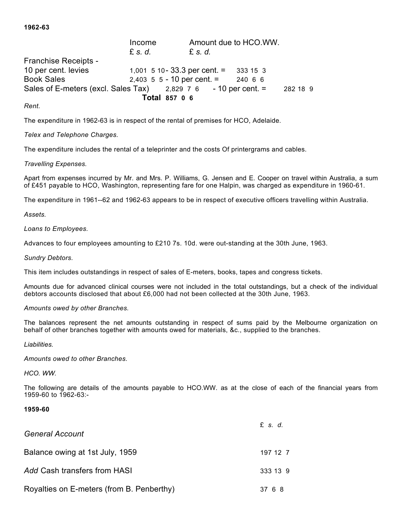Income Amount due to HCO.WW. £ *s. d.* £ *s. d.* Franchise Receipts - 10 per cent. levies 1,001 5 10- 33.3 per cent. = 333 15 3 Book Sales 2,403 5 5 - 10 per cent. = 240 6 6 Sales of E-meters (excl. Sales Tax) 2,829 7 6 - 10 per cent. = 282 18 9 **Total 857 0 6**

*Rent.*

The expenditure in 1962-63 is in respect of the rental of premises for HCO, Adelaide.

*Telex and Telephone Charges.*

The expenditure includes the rental of a teleprinter and the costs Of printergrams and cables.

*Travelling Expenses.*

Apart from expenses incurred by Mr. and Mrs. P. Williams, G. Jensen and E. Cooper on travel within Australia, a sum of £451 payable to HCO, Washington, representing fare for one Halpin, was charged as expenditure in 1960-61.

The expenditure in 1961--62 and 1962-63 appears to be in respect of executive officers travelling within Australia.

*Assets.*

*Loans to Employees.*

Advances to four employees amounting to £210 7s. 10d. were out-standing at the 30th June, 1963.

*Sundry Debtors.*

This item includes outstandings in respect of sales of E-meters, books, tapes and congress tickets.

Amounts due for advanced clinical courses were not included in the total outstandings, but a check of the individual debtors accounts disclosed that about £6,000 had not been collected at the 30th June, 1963.

#### *Amounts owed by other Branches.*

The balances represent the net amounts outstanding in respect of sums paid by the Melbourne organization on behalf of other branches together with amounts owed for materials, &c., supplied to the branches.

#### *Liabilities.*

*Amounts owed to other Branches.* 

*HCO. WW.*

The following are details of the amounts payable to HCO.WW. as at the close of each of the financial years from 1959-60 to 1962-63:-

#### **1959-60**

| <b>General Account</b>                    | £ s. d.  |
|-------------------------------------------|----------|
| Balance owing at 1st July, 1959           | 197 12 7 |
| <b>Add Cash transfers from HASI</b>       | 333 13 9 |
| Royalties on E-meters (from B. Penberthy) | 37 6 8   |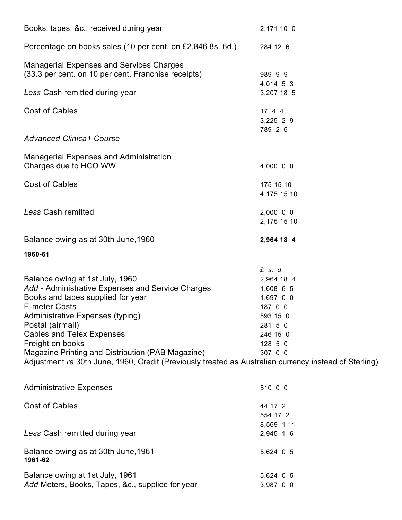| Books, tapes, &c., received during year                                                                                                                    | 2,171 10 0                                      |
|------------------------------------------------------------------------------------------------------------------------------------------------------------|-------------------------------------------------|
| Percentage on books sales (10 per cent. on £2,846 8s. 6d.)                                                                                                 | 284 12 6                                        |
| <b>Managerial Expenses and Services Charges</b><br>(33.3 per cent. on 10 per cent. Franchise receipts)                                                     | 989 9 9<br>4,014 5 3                            |
| Less Cash remitted during year                                                                                                                             | 3,207 18 5                                      |
| <b>Cost of Cables</b>                                                                                                                                      | 17 4 4<br>3,225 2 9<br>789 2 6                  |
| <b>Advanced Clinica1 Course</b>                                                                                                                            |                                                 |
| <b>Managerial Expenses and Administration</b><br>Charges due to HCO WW                                                                                     | 4,000 0 0                                       |
| <b>Cost of Cables</b>                                                                                                                                      | 175 15 10<br>4,175 15 10                        |
| Less Cash remitted                                                                                                                                         | $2,000$ 0 0<br>2,175 15 10                      |
| Balance owing as at 30th June, 1960                                                                                                                        | 2,964 18 4                                      |
| 1960-61                                                                                                                                                    |                                                 |
|                                                                                                                                                            | £ s. d.                                         |
| Balance owing at 1st July, 1960<br>Add - Administrative Expenses and Service Charges<br>Books and tapes supplied for year<br><b>E-meter Costs</b>          | 2,964 18 4<br>1,608 6 5<br>1,697 0 0<br>187 0 0 |
| Administrative Expenses (typing)<br>Postal (airmail)                                                                                                       | 593 15 0<br>281 5 0                             |
| <b>Cables and Telex Expenses</b><br>Freight on books                                                                                                       | 246 15 0<br>128 5 0                             |
| Magazine Printing and Distribution (PAB Magazine)<br>Adjustment re 30th June, 1960, Credit (Previously treated as Australian currency instead of Sterling) | 307 0 0                                         |
| <b>Administrative Expenses</b>                                                                                                                             | 510 0 0                                         |
| <b>Cost of Cables</b>                                                                                                                                      | 44 17 2<br>554 17 2<br>8,569 1 11               |
| Less Cash remitted during year                                                                                                                             | 2,945 1 6                                       |
| Balance owing as at 30th June, 1961<br>1961-62                                                                                                             | 5,624 0 5                                       |
| Balance owing at 1st July, 1961<br>Add Meters, Books, Tapes, &c., supplied for year                                                                        | 5,624 0 5<br>3,987 0 0                          |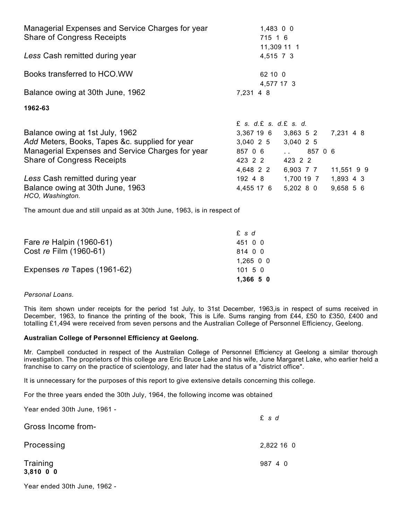| Managerial Expenses and Service Charges for year                        |                       | $1,483$ 0 0                    |             |
|-------------------------------------------------------------------------|-----------------------|--------------------------------|-------------|
| <b>Share of Congress Receipts</b>                                       | 715 1 6               |                                |             |
|                                                                         |                       | 11,309 11 1                    |             |
| Less Cash remitted during year                                          |                       | 4,515 7 3                      |             |
|                                                                         |                       |                                |             |
| Books transferred to HCO. WW                                            | 62 10 0               |                                |             |
|                                                                         |                       | 4,577 17 3                     |             |
| Balance owing at 30th June, 1962                                        | 7,231 4 8             |                                |             |
| 1962-63                                                                 |                       |                                |             |
|                                                                         | £ s. d.£ s. d.£ s. d. |                                |             |
| Balance owing at 1st July, 1962                                         |                       | 3,367 19 6 3,863 5 2 7,231 4 8 |             |
| Add Meters, Books, Tapes &c. supplied for year                          |                       | 3,040 2 5 3,040 2 5            |             |
| Managerial Expenses and Service Charges for year                        | 857 0 6               | 857 0 6                        |             |
| <b>Share of Congress Receipts</b>                                       | 423 2 2 423 2 2       |                                |             |
|                                                                         |                       | 4,648 2 2 6,903 7 7 11,551 9 9 |             |
| Less Cash remitted during year                                          |                       | 192 4 8 1,700 19 7 1,893 4 3   |             |
| Balance owing at 30th June, 1963<br>HCO, Washington.                    |                       | 4,455 17 6 5,202 8 0           | $9,658$ 5 6 |
| The amount due and still unpaid as at 30th June, 1963, is in respect of |                       |                                |             |
|                                                                         |                       |                                |             |

|                             | $1,366$ 5 0 |
|-----------------------------|-------------|
| Expenses re Tapes (1961-62) | 10150       |
|                             | $1,265$ 0 0 |
| Cost re Film (1960-61)      | 814 0 0     |
| Fare re Halpin (1960-61)    | 451 0 0     |
|                             | £sd         |

#### *Personal Loans.*

This item shown under receipts for the period 1st July, to 31st December, 1963,is in respect of sums received in December, 1963, to finance the printing of the book, This is Life. Sums ranging from £44, £50 to £350, £400 and totalling £1,494 were received from seven persons and the Australian College of Personnel Efficiency, Geelong.

#### **Australian College of Personnel Efficiency at Geelong.**

Mr. Campbell conducted in respect of the Australian College of Personnel Efficiency at Geelong a similar thorough investigation. The proprietors of this college are Eric Bruce Lake and his wife, June Margaret Lake, who earlier held a franchise to carry on the practice of scientology, and later had the status of a "district office".

It is unnecessary for the purposes of this report to give extensive details concerning this college.

For the three years ended the 30th July, 1964, the following income was obtained

Year ended 30th June, 1961 -

| Gross Income from-      | £sd        |
|-------------------------|------------|
| Processing              | 2,822 16 0 |
| Training<br>$3,810$ 0 0 | 987 4 0    |

Year ended 30th June, 1962 -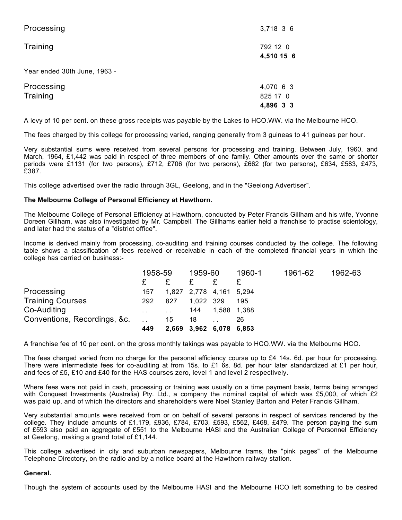| Processing                   | 3,718 3 6                          |
|------------------------------|------------------------------------|
| Training                     | 792 12 0<br>4,510 15 6             |
| Year ended 30th June, 1963 - |                                    |
| Processing<br>Training       | 4,070 6 3<br>825 17 0<br>4,896 3 3 |

A levy of 10 per cent. on these gross receipts was payable by the Lakes to HCO.WW. via the Melbourne HCO.

The fees charged by this college for processing varied, ranging generally from 3 guineas to 41 guineas per hour.

Very substantial sums were received from several persons for processing and training. Between July, 1960, and March, 1964, £1,442 was paid in respect of three members of one family. Other amounts over the same or shorter periods were £1131 (for two persons), £712, £706 (for two persons), £662 (for two persons), £634, £583, £473, £387.

This college advertised over the radio through 3GL, Geelong, and in the "Geelong Advertiser".

#### **The Melbourne College of Personal Efficiency at Hawthorn.**

The Melbourne College of Personal Efficiency at Hawthorn, conducted by Peter Francis Gillham and his wife, Yvonne Doreen Gillham, was also investigated by Mr. Campbell. The Gillhams earlier held a franchise to practise scientology, and later had the status of a "district office".

Income is derived mainly from processing, co-auditing and training courses conducted by the college. The following table shows a classification of fees received or receivable in each of the completed financial years in which the college has carried on business:-

|                              | 1958-59         |                      | 1959-60                 |       | 1960-1 | 1961-62 | 1962-63 |
|------------------------------|-----------------|----------------------|-------------------------|-------|--------|---------|---------|
|                              | £               |                      |                         |       |        |         |         |
| Processing                   | 157             |                      | 1,827 2,778 4,161 5,294 |       |        |         |         |
| <b>Training Courses</b>      | 292             | 827                  | 1,022 329               |       | 195    |         |         |
| Co-Auditing                  | $\cdot$ $\cdot$ | $\ddot{\phantom{0}}$ | 144                     | 1,588 | 1.388  |         |         |
| Conventions, Recordings, &c. | $\sim 10$       | 15                   | 18                      |       | 26     |         |         |
|                              | 449             |                      | 2,669 3,962 6,078 6,853 |       |        |         |         |

A franchise fee of 10 per cent. on the gross monthly takings was payable to HCO.WW. via the Melbourne HCO.

The fees charged varied from no charge for the personal efficiency course up to £4 14s. 6d. per hour for processing. There were intermediate fees for co-auditing at from 15s. to £1 6s. 8d. per hour later standardized at £1 per hour, and fees of £5, £10 and £40 for the HAS courses zero, level 1 and level 2 respectively.

Where fees were not paid in cash, processing or training was usually on a time payment basis, terms being arranged with Conquest Investments (Australia) Pty. Ltd., a company the nominal capital of which was £5,000, of which £2 was paid up, and of which the directors and shareholders were Noel Stanley Barton and Peter Francis Gillham.

Very substantial amounts were received from or on behalf of several persons in respect of services rendered by the college. They include amounts of £1,179, £936, £784, £703, £593, £562, £468, £479. The person paying the sum of £593 also paid an aggregate of £551 to the Melbourne HASI and the Australian College of Personnel Efficiency at Geelong, making a grand total of £1,144.

This college advertised in city and suburban newspapers, Melbourne trams, the "pink pages" of the Melbourne Telephone Directory, on the radio and by a notice board at the Hawthorn railway station.

#### **General.**

Though the system of accounts used by the Melbourne HASI and the Melbourne HCO left something to be desired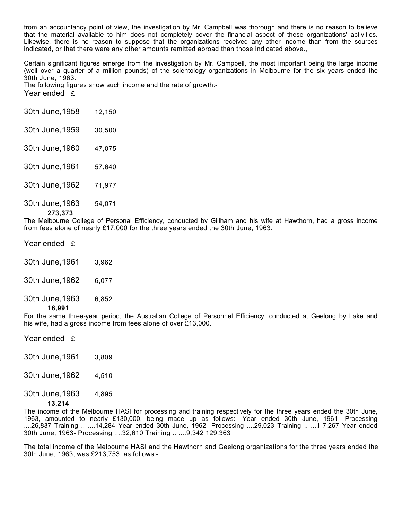from an accountancy point of view, the investigation by Mr. Campbell was thorough and there is no reason to believe that the material available to him does not completely cover the financial aspect of these organizations' activities. Likewise, there is no reason to suppose that the organizations received any other income than from the sources indicated, or that there were any other amounts remitted abroad than those indicated above.,

Certain significant figures emerge from the investigation by Mr. Campbell, the most important being the large income (well over a quarter of a million pounds) of the scientology organizations in Melbourne for the six years ended the 30th June, 1963.

The following figures show such income and the rate of growth:- Year ended £

| 30th June, 1958 | 12,150 |
|-----------------|--------|
| 30th June, 1959 | 30,500 |
| 30th June, 1960 | 47,075 |
| 30th June, 1961 | 57.640 |
|                 |        |

- 30th June,1962 71,977
- 30th June,1963 54,071

### **273,373**

The Melbourne College of Personal Efficiency, conducted by Gillham and his wife at Hawthorn, had a gross income from fees alone of nearly £17,000 for the three years ended the 30th June, 1963.

Year ended £

- 30th June,1961 3,962
- 30th June,1962 6,077

## 30th June,1963 6,852

#### **16,991**

For the same three-year period, the Australian College of Personnel Efficiency, conducted at Geelong by Lake and his wife, had a gross income from fees alone of over £13,000.

Year ended £

- 30th June,1961 3,809
- 30th June,1962 4,510
- 30th June,1963 4,895

The income of the Melbourne HASI for processing and training respectively for the three years ended the 30th June, 1963, amounted to nearly £130,000, being made up as follows:- Year ended 30th June, 1961- Processing ....26,837 Training .. ....14,284 Year ended 30th June, 1962- Processing ....29,023 Training .. ....l 7,267 Year ended 30th June, 1963- Processing ....32,610 Training .. ....9,342 129,363

The total income of the Melbourne HASI and the Hawthorn and Geelong organizations for the three years ended the 30lh June, 1963, was £213,753, as follows:-

**<sup>13,214</sup>**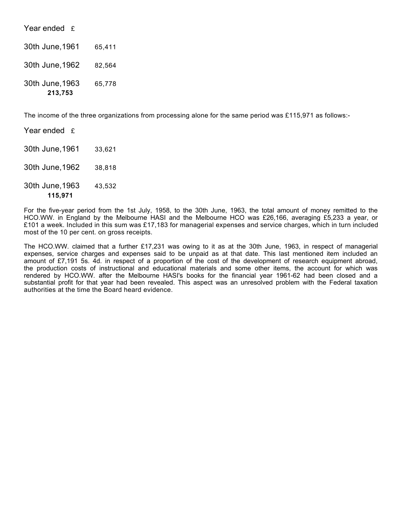Year ended £ 30th June,1961 65,411 30th June,1962 82,564 30th June,1963 65,778 **213,753**

The income of the three organizations from processing alone for the same period was £115,971 as follows:-

Year ended £

- 30th June,1961 33,621
- 30th June,1962 38,818
- 30th June,1963 43,532 **115,971**

For the five-year period from the 1st July, 1958, to the 30th June, 1963, the total amount of money remitted to the HCO.WW. in England by the Melbourne HASI and the Melbourne HCO was £26,166, averaging £5,233 a year, or £101 a week. Included in this sum was £17,183 for managerial expenses and service charges, which in turn included most of the 10 per cent. on gross receipts.

The HCO.WW. claimed that a further £17,231 was owing to it as at the 30th June, 1963, in respect of managerial expenses, service charges and expenses said to be unpaid as at that date. This last mentioned item included an amount of £7,191 5s. 4d. in respect of a proportion of the cost of the development of research equipment abroad, the production costs of instructional and educational materials and some other items, the account for which was rendered by HCO.WW. after the Melbourne HASI's books for the financial year 1961-62 had been closed and a substantial profit for that year had been revealed. This aspect was an unresolved problem with the Federal taxation authorities at the time the Board heard evidence.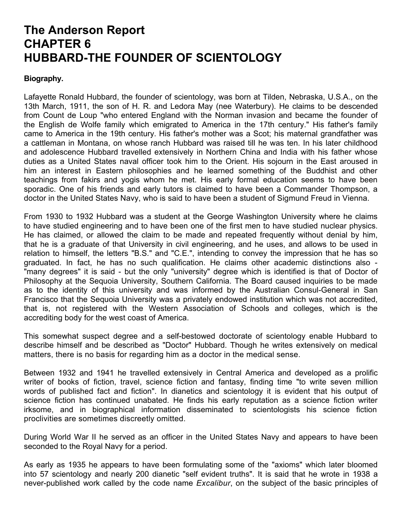# **The Anderson Report CHAPTER 6 HUBBARD-THE FOUNDER OF SCIENTOLOGY**

### **Biography.**

Lafayette Ronald Hubbard, the founder of scientology, was born at Tilden, Nebraska, U.S.A., on the 13th March, 1911, the son of H. R. and Ledora May (nee Waterbury). He claims to be descended from Count de Loup "who entered England with the Norman invasion and became the founder of the English de Wolfe family which emigrated to America in the 17th century." His father's family came to America in the 19th century. His father's mother was a Scot; his maternal grandfather was a cattleman in Montana, on whose ranch Hubbard was raised till he was ten. In his later childhood and adolescence Hubbard travelled extensively in Northern China and India with his father whose duties as a United States naval officer took him to the Orient. His sojourn in the East aroused in him an interest in Eastern philosophies and he learned something of the Buddhist and other teachings from fakirs and yogis whom he met. His early formal education seems to have been sporadic. One of his friends and early tutors is claimed to have been a Commander Thompson, a doctor in the United States Navy, who is said to have been a student of Sigmund Freud in Vienna.

From 1930 to 1932 Hubbard was a student at the George Washington University where he claims to have studied engineering and to have been one of the first men to have studied nuclear physics. He has claimed, or allowed the claim to be made and repeated frequently without denial by him, that he is a graduate of that University in civil engineering, and he uses, and allows to be used in relation to himself, the letters "B.S." and "C.E.", intending to convey the impression that he has so graduated. In fact, he has no such qualification. He claims other academic distinctions also - "many degrees" it is said - but the only "university" degree which is identified is that of Doctor of Philosophy at the Sequoia University, Southern California. The Board caused inquiries to be made as to the identity of this university and was informed by the Australian Consul-General in San Francisco that the Sequoia University was a privately endowed institution which was not accredited, that is, not registered with the Western Association of Schools and colleges, which is the accrediting body for the west coast of America.

This somewhat suspect degree and a self-bestowed doctorate of scientology enable Hubbard to describe himself and be described as "Doctor" Hubbard. Though he writes extensively on medical matters, there is no basis for regarding him as a doctor in the medical sense.

Between 1932 and 1941 he travelled extensively in Central America and developed as a prolific writer of books of fiction, travel, science fiction and fantasy, finding time "to write seven million words of published fact and fiction". In dianetics and scientology it is evident that his output of science fiction has continued unabated. He finds his early reputation as a science fiction writer irksome, and in biographical information disseminated to scientologists his science fiction proclivities are sometimes discreetly omitted.

During World War II he served as an officer in the United States Navy and appears to have been seconded to the Royal Navy for a period.

As early as 1935 he appears to have been formulating some of the "axioms" which later bloomed into 57 scientology and nearly 200 dianetic "self evident truths". It is said that he wrote in 1938 a never-published work called by the code name *Excalibur*, on the subject of the basic principles of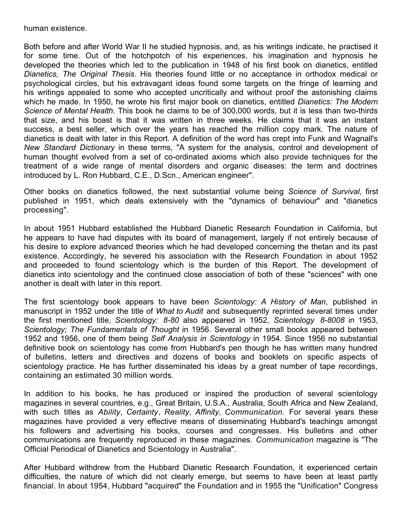human existence.

Both before and after World War II he studied hypnosis, and, as his writings indicate, he practised it for some time. Out of the hotchpotch of his experiences, his imagination and hypnosis he developed the theories which led to the publication in 1948 of his first book on dianetics, entitled *Dianetics, The Original Thesis*. His theories found little or no acceptance in orthodox medical or psychological circles, but his extravagant ideas found some targets on the fringe of learning and his writings appealed to some who accepted uncritically and without proof the astonishing claims which he made. In 1950, he wrote his first major book on dianetics, entitled *Dianetics: The Modern Science of Mental Health*. This book he claims to be of 300,000 words, but it is less than two-thirds that size, and his boast is that it was written in three weeks. He claims that it was an instant success, a best seller, which over the years has reached the million copy mark. The nature of dianetics is dealt with later in this Report. A definition of the word has crept into Funk and Wagnall's *New Standard Dictionary* in these terms, "A system for the analysis, control and development of human thought evolved from a set of co-ordinated axioms which also provide techniques for the treatment of a wide range of mental disorders and organic diseases: the term and doctrines introduced by L. Ron Hubbard, C.E., D.Scn., American engineer".

Other books on dianetics followed, the next substantial volume being *Science of Survival*, first published in 1951, which deals extensively with the "dynamics of behaviour" and "dianetics processing".

In about 1951 Hubbard established the Hubbard Dianetic Research Foundation in California, but he appears to have had disputes with its board of management, largely if not entirely because of his desire to explore advanced theories which he had developed concerning the thetan and its past existence. Accordingly, he severed his association with the Research Foundation in about 1952 and proceeded to found scientology which is the burden of this Report. The development of dianetics into scientology and the continued close association of both of these "sciences" with one another is dealt with later in this report.

The first scientology book appears to have been *Scientology: A History of Man*, published in manuscript in 1952 under the title of *What to Audit* and subsequently reprinted several times under the first mentioned title, *Scientology: 8-80* also appeared in 1952, *Scientology 8-8008* in 1953, *Scientology; The Fundamentals of Thought* in 1956. Several other small books appeared between 1952 and 1956, one of them being *Self Analysis in Scientology* in 1954. Since 1956 no substantial definitive book on scientology has come from Hubbard's pen though he has written many hundred of bulletins, letters and directives and dozens of books and booklets on specific aspects of scientology practice. He has further disseminated his ideas by a great number of tape recordings, containing an estimated 30 million words.

In addition to his books, he has produced or inspired the production of several scientology magazines in several countries, e.g., Great Britain, U.S.A., Australia, South Africa and New Zealand, with such titles as *Ability*, *Certainty*, *Reality*, *Affinity*, *Communication*. For several years these magazines have provided a very effective means of disseminating Hubbard's teachings amongst his followers and advertising his books, courses and congresses. His bulletins and other communications are frequently reproduced in these magazines. *Communication* magazine is "The Official Periodical of Dianetics and Scientology in Australia".

After Hubbard withdrew from the Hubbard Dianetic Research Foundation, it experienced certain difficulties, the nature of which did not clearly emerge, but seems to have been at least partly financial. In about 1954, Hubbard "acquired" the Foundation and in 1955 the "Unification" Congress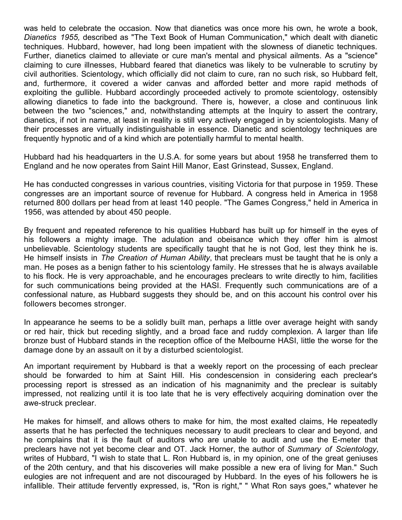was held to celebrate the occasion. Now that dianetics was once more his own, he wrote a book, *Dianetics 1955,* described as "The Text Book of Human Communication," which dealt with dianetic techniques. Hubbard, however, had long been impatient with the slowness of dianetic techniques. Further, dianetics claimed to alleviate or cure man's mental and physical ailments. As a "science" claiming to cure illnesses, Hubbard feared that dianetics was likely to be vulnerable to scrutiny by civil authorities. Scientology, which officially did not claim to cure, ran no such risk, so Hubbard felt, and, furthermore, it covered a wider canvas and afforded better and more rapid methods of exploiting the gullible. Hubbard accordingly proceeded actively to promote scientology, ostensibly allowing dianetics to fade into the background. There is, however, a close and continuous link between the two "sciences," and, notwithstanding attempts at the Inquiry to assert the contrary, dianetics, if not in name, at least in reality is still very actively engaged in by scientologists. Many of their processes are virtually indistinguishable in essence. Dianetic and scientology techniques are frequently hypnotic and of a kind which are potentially harmful to mental health.

Hubbard had his headquarters in the U.S.A. for some years but about 1958 he transferred them to England and he now operates from Saint Hill Manor, East Grinstead, Sussex, England.

He has conducted congresses in various countries, visiting Victoria for that purpose in 1959. These congresses are an important source of revenue for Hubbard. A congress held in America in 1958 returned 800 dollars per head from at least 140 people. "The Games Congress," held in America in 1956, was attended by about 450 people.

By frequent and repeated reference to his qualities Hubbard has built up for himself in the eyes of his followers a mighty image. The adulation and obeisance which they offer him is almost unbelievable. Scientology students are specifically taught that he is not God, lest they think he is. He himself insists in *The Creation of Human Ability*, that preclears must be taught that he is only a man. He poses as a benign father to his scientology family. He stresses that he is always available to his flock. He is very approachable, and he encourages preclears to write directly to him, facilities for such communications being provided at the HASI. Frequently such communications are of a confessional nature, as Hubbard suggests they should be, and on this account his control over his followers becomes stronger.

In appearance he seems to be a solidly built man, perhaps a little over average height with sandy or red hair, thick but receding slightly, and a broad face and ruddy complexion. A larger than life bronze bust of Hubbard stands in the reception office of the Melbourne HASI, little the worse for the damage done by an assault on it by a disturbed scientologist.

An important requirement by Hubbard is that a weekly report on the processing of each preclear should be forwarded to him at Saint Hill. His condescension in considering each preclear's processing report is stressed as an indication of his magnanimity and the preclear is suitably impressed, not realizing until it is too late that he is very effectively acquiring domination over the awe-struck preclear.

He makes for himself, and allows others to make for him, the most exalted claims, He repeatedly asserts that he has perfected the techniques necessary to audit preclears to clear and beyond, and he complains that it is the fault of auditors who are unable to audit and use the E-meter that preclears have not yet become clear and OT. Jack Horner, the author of *Summary of Scientology*, writes of Hubbard, "I wish to state that L. Ron Hubbard is, in my opinion, one of the great geniuses of the 20th century, and that his discoveries will make possible a new era of living for Man." Such eulogies are not infrequent and are not discouraged by Hubbard. In the eyes of his followers he is infallible. Their attitude fervently expressed, is, "Ron is right," " What Ron says goes," whatever he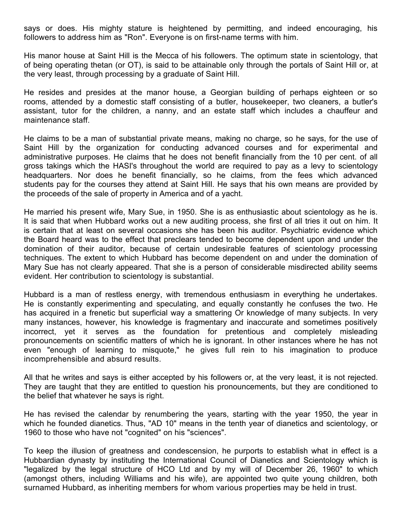says or does. His mighty stature is heightened by permitting, and indeed encouraging, his followers to address him as "Ron". Everyone is on first-name terms with him.

His manor house at Saint Hill is the Mecca of his followers. The optimum state in scientology, that of being operating thetan (or OT), is said to be attainable only through the portals of Saint Hill or, at the very least, through processing by a graduate of Saint Hill.

He resides and presides at the manor house, a Georgian building of perhaps eighteen or so rooms, attended by a domestic staff consisting of a butler, housekeeper, two cleaners, a butler's assistant, tutor for the children, a nanny, and an estate staff which includes a chauffeur and maintenance staff.

He claims to be a man of substantial private means, making no charge, so he says, for the use of Saint Hill by the organization for conducting advanced courses and for experimental and administrative purposes. He claims that he does not benefit financially from the 10 per cent. of all gross takings which the HASI's throughout the world are required to pay as a levy to scientology headquarters. Nor does he benefit financially, so he claims, from the fees which advanced students pay for the courses they attend at Saint Hill. He says that his own means are provided by the proceeds of the sale of property in America and of a yacht.

He married his present wife, Mary Sue, in 1950. She is as enthusiastic about scientology as he is. It is said that when Hubbard works out a new auditing process, she first of all tries it out on him. It is certain that at least on several occasions she has been his auditor. Psychiatric evidence which the Board heard was to the effect that preclears tended to become dependent upon and under the domination of their auditor, because of certain undesirable features of scientology processing techniques. The extent to which Hubbard has become dependent on and under the domination of Mary Sue has not clearly appeared. That she is a person of considerable misdirected ability seems evident. Her contribution to scientology is substantial.

Hubbard is a man of restless energy, with tremendous enthusiasm in everything he undertakes. He is constantly experimenting and speculating, and equally constantly he confuses the two. He has acquired in a frenetic but superficial way a smattering Or knowledge of many subjects. In very many instances, however, his knowledge is fragmentary and inaccurate and sometimes positively incorrect, yet it serves as the foundation for pretentious and completely misleading pronouncements on scientific matters of which he is ignorant. In other instances where he has not even "enough of learning to misquote," he gives full rein to his imagination to produce incomprehensible and absurd results.

All that he writes and says is either accepted by his followers or, at the very least, it is not rejected. They are taught that they are entitled to question his pronouncements, but they are conditioned to the belief that whatever he says is right.

He has revised the calendar by renumbering the years, starting with the year 1950, the year in which he founded dianetics. Thus, "AD 10" means in the tenth year of dianetics and scientology, or 1960 to those who have not "cognited" on his "sciences".

To keep the illusion of greatness and condescension, he purports to establish what in effect is a Hubbardian dynasty by instituting the International Council of Dianetics and Scientology which is "legalized by the legal structure of HCO Ltd and by my will of December 26, 1960" to which (amongst others, including Williams and his wife), are appointed two quite young children, both surnamed Hubbard, as inheriting members for whom various properties may be held in trust.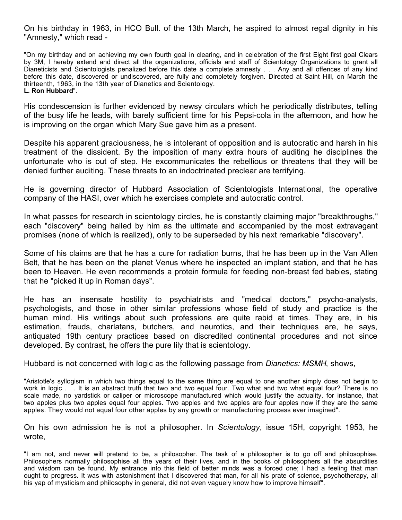On his birthday in 1963, in HCO Bull. of the 13th March, he aspired to almost regal dignity in his "Amnesty," which read -

"On my birthday and on achieving my own fourth goal in clearing, and in celebration of the first Eight first goal Clears by 3M, I hereby extend and direct all the organizations, officials and staff of Scientology Organizations to grant all Dianeticists and Scientologists penalized before this date a complete amnesty . . . Any and all offences of any kind before this date, discovered or undiscovered, are fully and completely forgiven. Directed at Saint Hill, on March the thirteenth, 1963, in the 13th year of Dianetics and Scientology. **L. Ron Hubbard**".

His condescension is further evidenced by newsy circulars which he periodically distributes, telling of the busy life he leads, with barely sufficient time for his Pepsi-cola in the afternoon, and how he is improving on the organ which Mary Sue gave him as a present.

Despite his apparent graciousness, he is intolerant of opposition and is autocratic and harsh in his treatment of the dissident. By the imposition of many extra hours of auditing he disciplines the unfortunate who is out of step. He excommunicates the rebellious or threatens that they will be denied further auditing. These threats to an indoctrinated preclear are terrifying.

He is governing director of Hubbard Association of Scientologists International, the operative company of the HASI, over which he exercises complete and autocratic control.

In what passes for research in scientology circles, he is constantly claiming major "breakthroughs," each "discovery" being hailed by him as the ultimate and accompanied by the most extravagant promises (none of which is realized), only to be superseded by his next remarkable "discovery".

Some of his claims are that he has a cure for radiation burns, that he has been up in the Van Allen Belt, that he has been on the planet Venus where he inspected an implant station, and that he has been to Heaven. He even recommends a protein formula for feeding non-breast fed babies, stating that he "picked it up in Roman days".

He has an insensate hostility to psychiatrists and "medical doctors," psycho-analysts, psychologists, and those in other similar professions whose field of study and practice is the human mind. His writings about such professions are quite rabid at times. They are, in his estimation, frauds, charlatans, butchers, and neurotics, and their techniques are, he says, antiquated 19th century practices based on discredited continental procedures and not since developed. By contrast, he offers the pure lily that is scientology.

Hubbard is not concerned with logic as the following passage from *Dianetics: MSMH*, shows,

"Aristotle's syllogism in which two things equal to the same thing are equal to one another simply does not begin to work in logic . . . It is an abstract truth that two and two equal four. Two what and two what equal four? There is no scale made, no yardstick or caliper or microscope manufactured which would justify the actuality, for instance, that two apples plus two apples equal four apples. Two apples and two apples are four apples now if they are the same apples. They would not equal four other apples by any growth or manufacturing process ever imagined".

On his own admission he is not a philosopher. In *Scientology*, issue 15H, copyright 1953, he wrote,

"I am not, and never will pretend to be, a philosopher. The task of a philosopher is to go off and philosophise. Philosophers normally philosophise all the years of their lives, and in the books of philosophers all the absurdities and wisdom can be found. My entrance into this field of better minds was a forced one; I had a feeling that man ought to progress. It was with astonishment that I discovered that man, for all his prate of science, psychotherapy, all his yap of mysticism and philosophy in general, did not even vaguely know how to improve himself".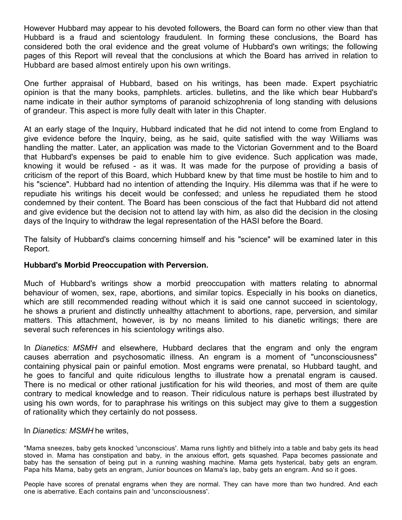However Hubbard may appear to his devoted followers, the Board can form no other view than that Hubbard is a fraud and scientology fraudulent. In forming these conclusions, the Board has considered both the oral evidence and the great volume of Hubbard's own writings; the following pages of this Report will reveal that the conclusions at which the Board has arrived in relation to Hubbard are based almost entirely upon his own writings.

One further appraisal of Hubbard, based on his writings, has been made. Expert psychiatric opinion is that the many books, pamphlets. articles. bulletins, and the like which bear Hubbard's name indicate in their author symptoms of paranoid schizophrenia of long standing with delusions of grandeur. This aspect is more fully dealt with later in this Chapter.

At an early stage of the Inquiry, Hubbard indicated that he did not intend to come from England to give evidence before the Inquiry, being, as he said, quite satisfied with the way Williams was handling the matter. Later, an application was made to the Victorian Government and to the Board that Hubbard's expenses be paid to enable him to give evidence. Such application was made, knowing it would be refused - as it was. It was made for the purpose of providing a basis of criticism of the report of this Board, which Hubbard knew by that time must be hostile to him and to his "science". Hubbard had no intention of attending the Inquiry. His dilemma was that if he were to repudiate his writings his deceit would be confessed; and unless he repudiated them he stood condemned by their content. The Board has been conscious of the fact that Hubbard did not attend and give evidence but the decision not to attend lay with him, as also did the decision in the closing days of the Inquiry to withdraw the legal representation of the HASI before the Board.

The falsity of Hubbard's claims concerning himself and his "science" will be examined later in this Report.

### **Hubbard's Morbid Preoccupation with Perversion.**

Much of Hubbard's writings show a morbid preoccupation with matters relating to abnormal behaviour of women, sex, rape, abortions, and similar topics. Especially in his books on dianetics, which are still recommended reading without which it is said one cannot succeed in scientology, he shows a prurient and distinctly unhealthy attachment to abortions, rape, perversion, and similar matters. This attachment, however, is by no means limited to his dianetic writings; there are several such references in his scientology writings also.

In *Dianetics: MSMH* and elsewhere, Hubbard declares that the engram and only the engram causes aberration and psychosomatic illness. An engram is a moment of "unconsciousness" containing physical pain or painful emotion. Most engrams were prenatal, so Hubbard taught, and he goes to fanciful and quite ridiculous lengths to illustrate how a prenatal engram is caused. There is no medical or other rational justification for his wild theories, and most of them are quite contrary to medical knowledge and to reason. Their ridiculous nature is perhaps best illustrated by using his own words, for to paraphrase his writings on this subject may give to them a suggestion of rationality which they certainly do not possess.

### In *Dianetics: MSMH* he writes,

"Mama sneezes, baby gets knocked 'unconscious'. Mama runs lightly and blithely into a table and baby gets its head stoved in. Mama has constipation and baby, in the anxious effort, gets squashed. Papa becomes passionate and baby has the sensation of being put in a running washing machine. Mama gets hysterical, baby gets an engram. Papa hits Mama, baby gets an engram, Junior bounces on Mama's lap, baby gets an engram. And so it goes.

People have scores of prenatal engrams when they are normal. They can have more than two hundred. And each one is aberrative. Each contains pain and 'unconsciousness'.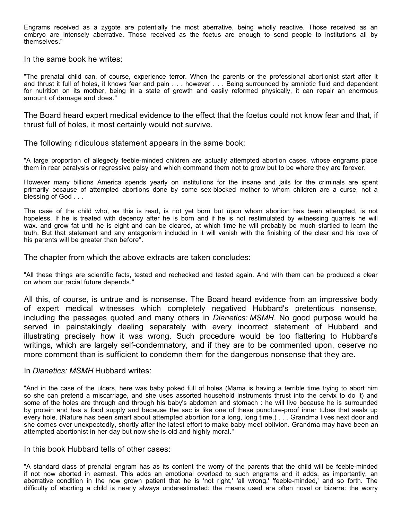Engrams received as a zygote are potentially the most aberrative, being wholly reactive. Those received as an embryo are intensely aberrative. Those received as the foetus are enough to send people to institutions all by themselves."

In the same book he writes:

"The prenatal child can, of course, experience terror. When the parents or the professional abortionist start after it and thrust it full of holes, it knows fear and pain . . . however . . . Being surrounded by amniotic fluid and dependent for nutrition on its mother, being in a state of growth and easily reformed physically, it can repair an enormous amount of damage and does."

The Board heard expert medical evidence to the effect that the foetus could not know fear and that, if thrust full of holes, it most certainly would not survive.

The following ridiculous statement appears in the same book:

"A large proportion of allegedly feeble-minded children are actually attempted abortion cases, whose engrams place them in rear paralysis or regressive palsy and which command them not to grow but to be where they are forever.

However many billions America spends yearly on institutions for the insane and jails for the criminals are spent primarily because of attempted abortions done by some sex-blocked mother to whom children are a curse, not a blessing of God . . .

The case of the child who, as this is read, is not yet born but upon whom abortion has been attempted, is not hopeless. If he is treated with decency after he is born and if he is not restimulated by witnessing quarrels he will wax. and grow fat until he is eight and can be cleared, at which time he will probably be much startled to learn the truth. But that statement and any antagonism included in it will vanish with the finishing of the clear and his love of his parents will be greater than before".

The chapter from which the above extracts are taken concludes:

"All these things are scientific facts, tested and rechecked and tested again. And with them can be produced a clear on whom our racial future depends."

All this, of course, is untrue and is nonsense. The Board heard evidence from an impressive body of expert medical witnesses which completely negatived Hubbard's pretentious nonsense, including the passages quoted and many others in *Dianetics: MSMH*. No good purpose would he served in painstakingly dealing separately with every incorrect statement of Hubbard and illustrating precisely how it was wrong. Such procedure would be too flattering to Hubbard's writings, which are largely self-condemnatory, and if they are to be commented upon, deserve no more comment than is sufficient to condemn them for the dangerous nonsense that they are.

#### In *Dianetics: MSMH* Hubbard writes:

"And in the case of the ulcers, here was baby poked full of holes (Mama is having a terrible time trying to abort him so she can pretend a miscarriage, and she uses assorted household instruments thrust into the cervix to do it) and some of the holes are through and through his baby's abdomen and stomach : he will live because he is surrounded by protein and has a food supply and because the sac is like one of these puncture-proof inner tubes that seals up every hole. (Nature has been smart about attempted abortion for a long, long time.) . . . Grandma lives next door and she comes over unexpectedly, shortly after the latest effort to make baby meet oblivion. Grandma may have been an attempted abortionist in her day but now she is old and highly moral."

#### In this book Hubbard tells of other cases:

"A standard class of prenatal engram has as its content the worry of the parents that the child will be feeble-minded if not now aborted in earnest. This adds an emotional overload to such engrams and it adds, as importantly, an aberrative condition in the now grown patient that he is 'not right,' 'all wrong,' 'feeble-minded,' and so forth. The difficulty of aborting a child is nearly always underestimated: the means used are often novel or bizarre: the worry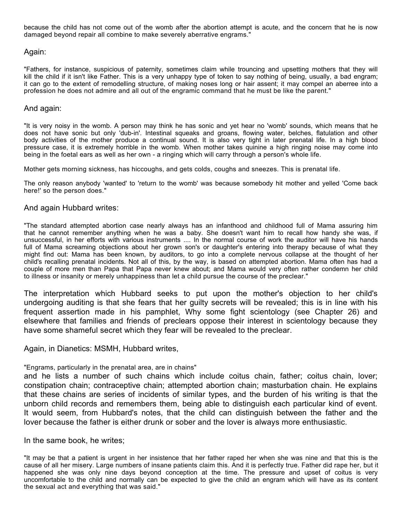because the child has not come out of the womb after the abortion attempt is acute, and the concern that he is now damaged beyond repair all combine to make severely aberrative engrams."

### Again:

"Fathers, for instance, suspicious of paternity, sometimes claim while trouncing and upsetting mothers that they will kill the child if it isn't like Father. This is a very unhappy type of token to say nothing of being, usually, a bad engram; it can go to the extent of remodelling structure, of making noses long or hair assent; it may compel an aberree into a profession he does not admire and all out of the engramic command that he must be like the parent."

#### And again:

"It is very noisy in the womb. A person may think he has sonic and yet hear no 'womb' sounds, which means that he does not have sonic but only 'dub-in'. Intestinal squeaks and groans, flowing water, belches, flatulation and other body activities of the mother produce a continual sound. It is also very tight in later prenatal life. In a high blood pressure case, it is extremely horrible in the womb. When mother takes quinine a high ringing noise may come into being in the foetal ears as well as her own - a ringing which will carry through a person's whole life.

Mother gets morning sickness, has hiccoughs, and gets colds, coughs and sneezes. This is prenatal life.

The only reason anybody 'wanted' to 'return to the womb' was because somebody hit mother and yelled 'Come back here!' so the person does."

#### And again Hubbard writes:

"The standard attempted abortion case nearly always has an infanthood and childhood full of Mama assuring him that he cannot remember anything when he was a baby. She doesn't want him to recall how handy she was, if unsuccessful, in her efforts with various instruments .... In the normal course of work the auditor will have his hands full of Mama screaming objections about her grown son's or daughter's entering into therapy because of what they might find out: Mama has been known, by auditors, to go into a complete nervous collapse at the thought of her child's recalling prenatal incidents. Not all of this, by the way, is based on attempted abortion. Mama often has had a couple of more men than Papa that Papa never knew about; and Mama would very often rather condemn her child to illness or insanity or merely unhappiness than let a child pursue the course of the preclear."

The interpretation which Hubbard seeks to put upon the mother's objection to her child's undergoing auditing is that she fears that her guilty secrets will be revealed; this is in line with his frequent assertion made in his pamphlet, Why some fight scientology (see Chapter 26) and elsewhere that families and friends of preclears oppose their interest in scientology because they have some shameful secret which they fear will be revealed to the preclear.

Again, in Dianetics: MSMH, Hubbard writes,

"Engrams, particularly in the prenatal area, are in chains"

and he lists a number of such chains which include coitus chain, father; coitus chain, lover; constipation chain; contraceptive chain; attempted abortion chain; masturbation chain. He explains that these chains are series of incidents of similar types, and the burden of his writing is that the unborn child records and remembers them, being able to distinguish each particular kind of event. It would seem, from Hubbard's notes, that the child can distinguish between the father and the lover because the father is either drunk or sober and the lover is always more enthusiastic.

In the same book, he writes;

"It may be that a patient is urgent in her insistence that her father raped her when she was nine and that this is the cause of all her misery. Large numbers of insane patients claim this. And it is perfectly true. Father did rape her, but it happened she was only nine days beyond conception at the time. The pressure and upset of coitus is very uncomfortable to the child and normally can be expected to give the child an engram which will have as its content the sexual act and everything that was said."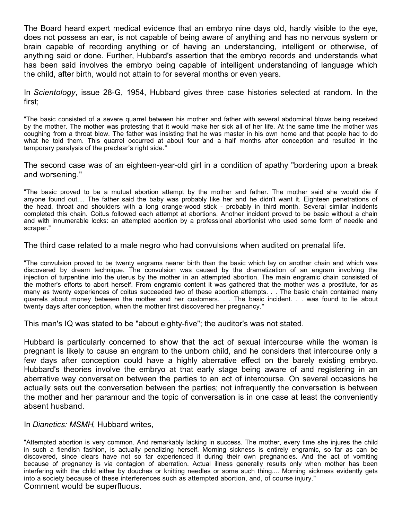The Board heard expert medical evidence that an embryo nine days old, hardly visible to the eye, does not possess an ear, is not capable of being aware of anything and has no nervous system or brain capable of recording anything or of having an understanding, intelligent or otherwise, of anything said or done. Further, Hubbard's assertion that the embryo records and understands what has been said involves the embryo being capable of intelligent understanding of language which the child, after birth, would not attain to for several months or even years.

In *Scientology*, issue 28-G, 1954, Hubbard gives three case histories selected at random. In the first;

"The basic consisted of a severe quarrel between his mother and father with several abdominal blows being received by the mother. The mother was protesting that it would make her sick all of her life. At the same time the mother was coughing from a throat blow. The father was insisting that he was master in his own home and that people had to do what he told them. This quarrel occurred at about four and a half months after conception and resulted in the temporary paralysis of the preclear's right side."

The second case was of an eighteen-year-old girl in a condition of apathy "bordering upon a break and worsening."

"The basic proved to be a mutual abortion attempt by the mother and father. The mother said she would die if anyone found out.... The father said the baby was probably like her and he didn't want it. Eighteen penetrations of the head, throat and shoulders with a long orange-wood stick - probably in third month. Several similar incidents completed this chain. Coitus followed each attempt at abortions. Another incident proved to be basic without a chain and with innumerable locks: an attempted abortion by a professional abortionist who used some form of needle and scraper."

The third case related to a male negro who had convulsions when audited on prenatal life.

"The convulsion proved to be twenty engrams nearer birth than the basic which lay on another chain and which was discovered by dream technique. The convulsion was caused by the dramatization of an engram involving the injection of turpentine into the uterus by the mother in an attempted abortion. The main engramic chain consisted of the mother's efforts to abort herself. From engramic content it was gathered that the mother was a prostitute, for as many as twenty experiences of coitus succeeded two of these abortion attempts. . . The basic chain contained many quarrels about money between the mother and her customers. . . The basic incident. . . was found to lie about twenty days after conception, when the mother first discovered her pregnancy."

This man's IQ was stated to be "about eighty-five"; the auditor's was not stated.

Hubbard is particularly concerned to show that the act of sexual intercourse while the woman is pregnant is likely to cause an engram to the unborn child, and he considers that intercourse only a few days after conception could have a highly aberrative effect on the barely existing embryo. Hubbard's theories involve the embryo at that early stage being aware of and registering in an aberrative way conversation between the parties to an act of intercourse. On several occasions he actually sets out the conversation between the parties; not infrequently the conversation is between the mother and her paramour and the topic of conversation is in one case at least the conveniently absent husband.

In *Dianetics: MSMH*, Hubbard writes,

"Attempted abortion is very common. And remarkably lacking in success. The mother, every time she injures the child in such a fiendish fashion, is actually penalizing herself. Morning sickness is entirely engramic, so far as can be discovered, since clears have not so far experienced it during their own pregnancies. And the act of vomiting because of pregnancy is via contagion of aberration. Actual illness generally results only when mother has been interfering with the child either by douches or knitting needles or some such thing.... Morning sickness evidently gets into a society because of these interferences such as attempted abortion, and, of course injury." Comment would be superfluous.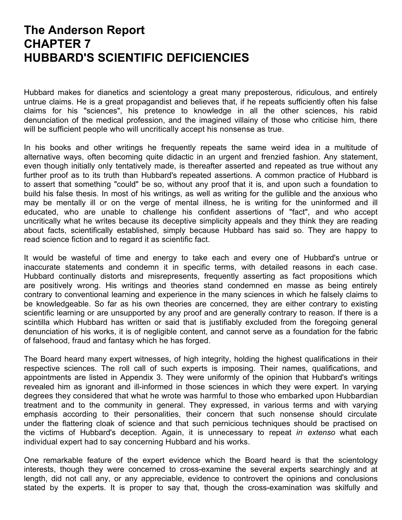# **The Anderson Report CHAPTER 7 HUBBARD'S SCIENTIFIC DEFICIENCIES**

Hubbard makes for dianetics and scientology a great many preposterous, ridiculous, and entirely untrue claims. He is a great propagandist and believes that, if he repeats sufficiently often his false claims for his "sciences", his pretence to knowledge in all the other sciences, his rabid denunciation of the medical profession, and the imagined villainy of those who criticise him, there will be sufficient people who will uncritically accept his nonsense as true.

In his books and other writings he frequently repeats the same weird idea in a multitude of alternative ways, often becoming quite didactic in an urgent and frenzied fashion. Any statement, even though initially only tentatively made, is thereafter asserted and repeated as true without any further proof as to its truth than Hubbard's repeated assertions. A common practice of Hubbard is to assert that something "could" be so, without any proof that it is, and upon such a foundation to build his false thesis. In most of his writings, as well as writing for the gullible and the anxious who may be mentally ill or on the verge of mental illness, he is writing for the uninformed and ill educated, who are unable to challenge his confident assertions of "fact", and who accept uncritically what he writes because its deceptive simplicity appeals and they think they are reading about facts, scientifically established, simply because Hubbard has said so. They are happy to read science fiction and to regard it as scientific fact.

It would be wasteful of time and energy to take each and every one of Hubbard's untrue or inaccurate statements and condemn it in specific terms, with detailed reasons in each case. Hubbard continually distorts and misrepresents, frequently asserting as fact propositions which are positively wrong. His writings and theories stand condemned en masse as being entirely contrary to conventional learning and experience in the many sciences in which he falsely claims to be knowledgeable. So far as his own theories are concerned, they are either contrary to existing scientific learning or are unsupported by any proof and are generally contrary to reason. If there is a scintilla which Hubbard has written or said that is justifiably excluded from the foregoing general denunciation of his works, it is of negligible content, and cannot serve as a foundation for the fabric of falsehood, fraud and fantasy which he has forged.

The Board heard many expert witnesses, of high integrity, holding the highest qualifications in their respective sciences. The roll call of such experts is imposing. Their names, qualifications, and appointments are listed in Appendix 3. They were uniformly of the opinion that Hubbard's writings revealed him as ignorant and ill-informed in those sciences in which they were expert. In varying degrees they considered that what he wrote was harmful to those who embarked upon Hubbardian treatment and to the community in general. They expressed, in various terms and with varying emphasis according to their personalities, their concern that such nonsense should circulate under the flattering cloak of science and that such pernicious techniques should be practised on the victims of Hubbard's deception. Again, it is unnecessary to repeat *in extenso* what each individual expert had to say concerning Hubbard and his works.

One remarkable feature of the expert evidence which the Board heard is that the scientology interests, though they were concerned to cross-examine the several experts searchingly and at length, did not call any, or any appreciable, evidence to controvert the opinions and conclusions stated by the experts. It is proper to say that, though the cross-examination was skilfully and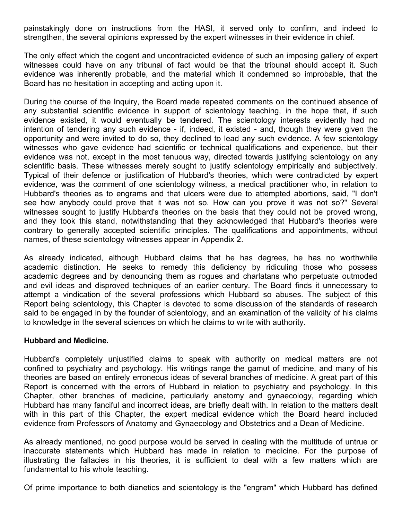painstakingly done on instructions from the HASI, it served only to confirm, and indeed to strengthen, the several opinions expressed by the expert witnesses in their evidence in chief.

The only effect which the cogent and uncontradicted evidence of such an imposing gallery of expert witnesses could have on any tribunal of fact would be that the tribunal should accept it. Such evidence was inherently probable, and the material which it condemned so improbable, that the Board has no hesitation in accepting and acting upon it.

During the course of the Inquiry, the Board made repeated comments on the continued absence of any substantial scientific evidence in support of scientology teaching, in the hope that, if such evidence existed, it would eventually be tendered. The scientology interests evidently had no intention of tendering any such evidence - if, indeed, it existed - and, though they were given the opportunity and were invited to do so, they declined to lead any such evidence. A few scientology witnesses who gave evidence had scientific or technical qualifications and experience, but their evidence was not, except in the most tenuous way, directed towards justifying scientology on any scientific basis. These witnesses merely sought to justify scientology empirically and subjectively. Typical of their defence or justification of Hubbard's theories, which were contradicted by expert evidence, was the comment of one scientology witness, a medical practitioner who, in relation to Hubbard's theories as to engrams and that ulcers were due to attempted abortions, said, "I don't see how anybody could prove that it was not so. How can you prove it was not so?" Several witnesses sought to justify Hubbard's theories on the basis that they could not be proved wrong, and they took this stand, notwithstanding that they acknowledged that Hubbard's theories were contrary to generally accepted scientific principles. The qualifications and appointments, without names, of these scientology witnesses appear in Appendix 2.

As already indicated, although Hubbard claims that he has degrees, he has no worthwhile academic distinction. He seeks to remedy this deficiency by ridiculing those who possess academic degrees and by denouncing them as rogues and charlatans who perpetuate outmoded and evil ideas and disproved techniques of an earlier century. The Board finds it unnecessary to attempt a vindication of the several professions which Hubbard so abuses. The subject of this Report being scientology, this Chapter is devoted to some discussion of the standards of research said to be engaged in by the founder of scientology, and an examination of the validity of his claims to knowledge in the several sciences on which he claims to write with authority.

### **Hubbard and Medicine.**

Hubbard's completely unjustified claims to speak with authority on medical matters are not confined to psychiatry and psychology. His writings range the gamut of medicine, and many of his theories are based on entirely erroneous ideas of several branches of medicine. A great part of this Report is concerned with the errors of Hubbard in relation to psychiatry and psychology. In this Chapter, other branches of medicine, particularly anatomy and gynaecology, regarding which Hubbard has many fanciful and incorrect ideas, are briefly dealt with. In relation to the matters dealt with in this part of this Chapter, the expert medical evidence which the Board heard included evidence from Professors of Anatomy and Gynaecology and Obstetrics and a Dean of Medicine.

As already mentioned, no good purpose would be served in dealing with the multitude of untrue or inaccurate statements which Hubbard has made in relation to medicine. For the purpose of illustrating the fallacies in his theories, it is sufficient to deal with a few matters which are fundamental to his whole teaching.

Of prime importance to both dianetics and scientology is the "engram" which Hubbard has defined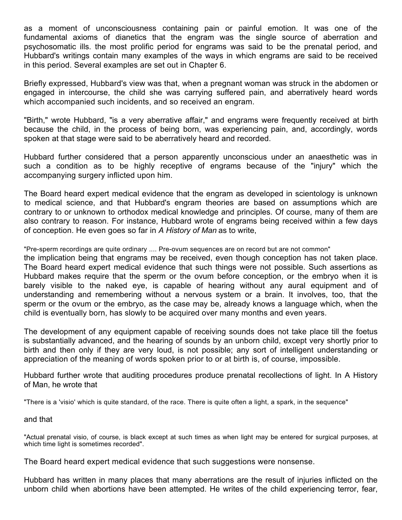as a moment of unconsciousness containing pain or painful emotion. It was one of the fundamental axioms of dianetics that the engram was the single source of aberration and psychosomatic ills. the most prolific period for engrams was said to be the prenatal period, and Hubbard's writings contain many examples of the ways in which engrams are said to be received in this period. Several examples are set out in Chapter 6.

Briefly expressed, Hubbard's view was that, when a pregnant woman was struck in the abdomen or engaged in intercourse, the child she was carrying suffered pain, and aberratively heard words which accompanied such incidents, and so received an engram.

"Birth," wrote Hubbard, "is a very aberrative affair," and engrams were frequently received at birth because the child, in the process of being born, was experiencing pain, and, accordingly, words spoken at that stage were said to be aberratively heard and recorded.

Hubbard further considered that a person apparently unconscious under an anaesthetic was in such a condition as to be highly receptive of engrams because of the "injury" which the accompanying surgery inflicted upon him.

The Board heard expert medical evidence that the engram as developed in scientology is unknown to medical science, and that Hubbard's engram theories are based on assumptions which are contrary to or unknown to orthodox medical knowledge and principles. Of course, many of them are also contrary to reason. For instance, Hubbard wrote of engrams being received within a few days of conception. He even goes so far in *A History of Man* as to write,

"Pre-sperm recordings are quite ordinary .... Pre-ovum sequences are on record but are not common"

the implication being that engrams may be received, even though conception has not taken place. The Board heard expert medical evidence that such things were not possible. Such assertions as Hubbard makes require that the sperm or the ovum before conception, or the embryo when it is barely visible to the naked eye, is capable of hearing without any aural equipment and of understanding and remembering without a nervous system or a brain. It involves, too, that the sperm or the ovum or the embryo, as the case may be, already knows a language which, when the child is eventually born, has slowly to be acquired over many months and even years.

The development of any equipment capable of receiving sounds does not take place till the foetus is substantially advanced, and the hearing of sounds by an unborn child, except very shortly prior to birth and then only if they are very loud, is not possible; any sort of intelligent understanding or appreciation of the meaning of words spoken prior to or at birth is, of course, impossible.

Hubbard further wrote that auditing procedures produce prenatal recollections of light. In A History of Man, he wrote that

"There is a 'visio' which is quite standard, of the race. There is quite often a light, a spark, in the sequence"

and that

"Actual prenatal visio, of course, is black except at such times as when light may be entered for surgical purposes, at which time light is sometimes recorded".

The Board heard expert medical evidence that such suggestions were nonsense.

Hubbard has written in many places that many aberrations are the result of injuries inflicted on the unborn child when abortions have been attempted. He writes of the child experiencing terror, fear,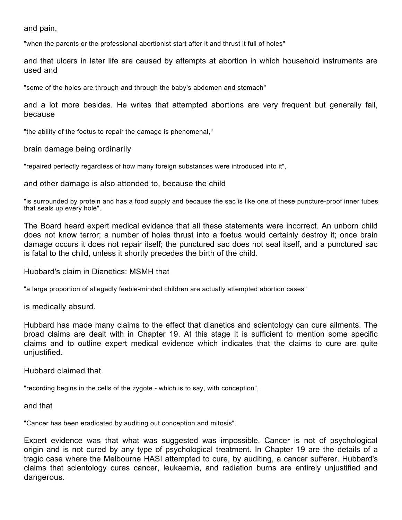and pain,

"when the parents or the professional abortionist start after it and thrust it full of holes"

and that ulcers in later life are caused by attempts at abortion in which household instruments are used and

"some of the holes are through and through the baby's abdomen and stomach"

and a lot more besides. He writes that attempted abortions are very frequent but generally fail, because

"the ability of the foetus to repair the damage is phenomenal,"

brain damage being ordinarily

"repaired perfectly regardless of how many foreign substances were introduced into it",

and other damage is also attended to, because the child

"is surrounded by protein and has a food supply and because the sac is like one of these puncture-proof inner tubes that seals up every hole".

The Board heard expert medical evidence that all these statements were incorrect. An unborn child does not know terror; a number of holes thrust into a foetus would certainly destroy it; once brain damage occurs it does not repair itself; the punctured sac does not seal itself, and a punctured sac is fatal to the child, unless it shortly precedes the birth of the child.

Hubbard's claim in Dianetics: MSMH that

"a large proportion of allegedly feeble-minded children are actually attempted abortion cases"

is medically absurd.

Hubbard has made many claims to the effect that dianetics and scientology can cure ailments. The broad claims are dealt with in Chapter 19. At this stage it is sufficient to mention some specific claims and to outline expert medical evidence which indicates that the claims to cure are quite unjustified.

#### Hubbard claimed that

"recording begins in the cells of the zygote - which is to say, with conception",

and that

"Cancer has been eradicated by auditing out conception and mitosis".

Expert evidence was that what was suggested was impossible. Cancer is not of psychological origin and is not cured by any type of psychological treatment. In Chapter 19 are the details of a tragic case where the Melbourne HASI attempted to cure, by auditing, a cancer sufferer. Hubbard's claims that scientology cures cancer, leukaemia, and radiation burns are entirely unjustified and dangerous.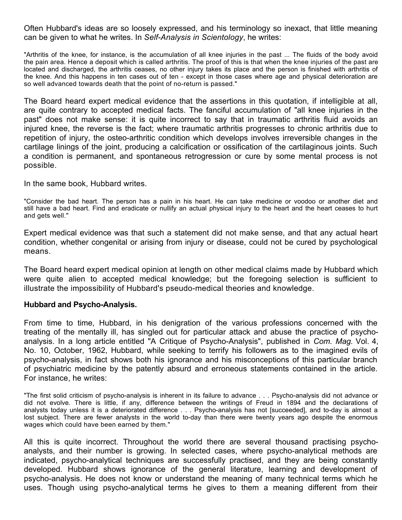Often Hubbard's ideas are so loosely expressed, and his terminology so inexact, that little meaning can be given to what he writes. In *Self-Analysis in Scientology*, he writes:

"Arthritis of the knee, for instance, is the accumulation of all knee injuries in the past ... The fluids of the body avoid the pain area. Hence a deposit which is called arthritis. The proof of this is that when the knee injuries of the past are located and discharged, the arthritis ceases, no other injury takes its place and the person is finished with arthritis of the knee. And this happens in ten cases out of ten - except in those cases where age and physical deterioration are so well advanced towards death that the point of no-return is passed."

The Board heard expert medical evidence that the assertions in this quotation, if intelligible at all, are quite contrary to accepted medical facts. The fanciful accumulation of "all knee injuries in the past" does not make sense: it is quite incorrect to say that in traumatic arthritis fluid avoids an injured knee, the reverse is the fact; where traumatic arthritis progresses to chronic arthritis due to repetition of injury, the osteo-arthritic condition which develops involves irreversible changes in the cartilage linings of the joint, producing a calcification or ossification of the cartilaginous joints. Such a condition is permanent, and spontaneous retrogression or cure by some mental process is not possible.

In the same book, Hubbard writes.

"Consider the bad heart. The person has a pain in his heart. He can take medicine or voodoo or another diet and still have a bad heart. Find and eradicate or nullify an actual physical injury to the heart and the heart ceases to hurt and gets well."

Expert medical evidence was that such a statement did not make sense, and that any actual heart condition, whether congenital or arising from injury or disease, could not be cured by psychological means.

The Board heard expert medical opinion at length on other medical claims made by Hubbard which were quite alien to accepted medical knowledge; but the foregoing selection is sufficient to illustrate the impossibility of Hubbard's pseudo-medical theories and knowledge.

### **Hubbard and Psycho-Analysis.**

From time to time, Hubbard, in his denigration of the various professions concerned with the treating of the mentally ill, has singled out for particular attack and abuse the practice of psychoanalysis. In a long article entitled "A Critique of Psycho-Analysis", published in *Com. Mag.* Vol. 4, No. 10, October, 1962, Hubbard, while seeking to terrify his followers as to the imagined evils of psycho-analysis, in fact shows both his ignorance and his misconceptions of this particular branch of psychiatric medicine by the patently absurd and erroneous statements contained in the article. For instance, he writes:

"The first solid criticism of psycho-analysis is inherent in its failure to advance . . . Psycho-analysis did not advance or did not evolve. There is little, if any, difference between the writings of Freud in 1894 and the declarations of analysts today unless it is a deteriorated difference . . . Psycho-analysis has not [succeeded], and to-day is almost a lost subject. There are fewer analysts in the world to-day than there were twenty years ago despite the enormous wages which could have been earned by them."

All this is quite incorrect. Throughout the world there are several thousand practising psychoanalysts, and their number is growing. In selected cases, where psycho-analytical methods are indicated, psycho-analytical techniques are successfully practised, and they are being constantly developed. Hubbard shows ignorance of the general literature, learning and development of psycho-analysis. He does not know or understand the meaning of many technical terms which he uses. Though using psycho-analytical terms he gives to them a meaning different from their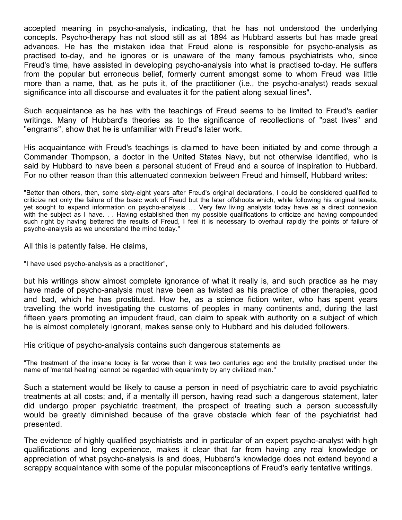accepted meaning in psycho-analysis, indicating, that he has not understood the underlying concepts. Psycho-therapy has not stood still as at 1894 as Hubbard asserts but has made great advances. He has the mistaken idea that Freud alone is responsible for psycho-analysis as practised to-day, and he ignores or is unaware of the many famous psychiatrists who, since Freud's time, have assisted in developing psycho-analysis into what is practised to-day. He suffers from the popular but erroneous belief, formerly current amongst some to whom Freud was little more than a name, that, as he puts it, of the practitioner (i.e., the psycho-analyst) reads sexual significance into all discourse and evaluates it for the patient along sexual lines".

Such acquaintance as he has with the teachings of Freud seems to be limited to Freud's earlier writings. Many of Hubbard's theories as to the significance of recollections of "past lives" and "engrams", show that he is unfamiliar with Freud's later work.

His acquaintance with Freud's teachings is claimed to have been initiated by and come through a Commander Thompson, a doctor in the United States Navy, but not otherwise identified, who is said by Hubbard to have been a personal student of Freud and a source of inspiration to Hubbard. For no other reason than this attenuated connexion between Freud and himself, Hubbard writes:

"Better than others, then, some sixty-eight years after Freud's original declarations, I could be considered qualified to criticize not only the failure of the basic work of Freud but the later offshoots which, while following his original tenets, yet sought to expand information on psycho-analysis .... Very few living analysts today have as a direct connexion with the subject as I have. . . Having established then my possible qualifications to criticize and having compounded such right by having bettered the results of Freud, I feel it is necessary to overhaul rapidly the points of failure of psycho-analysis as we understand the mind today."

All this is patently false. He claims,

"I have used psycho-analysis as a practitioner",

but his writings show almost complete ignorance of what it really is, and such practice as he may have made of psycho-analysis must have been as twisted as his practice of other therapies, good and bad, which he has prostituted. How he, as a science fiction writer, who has spent years travelling the world investigating the customs of peoples in many continents and, during the last fifteen years promoting an impudent fraud, can claim to speak with authority on a subject of which he is almost completely ignorant, makes sense only to Hubbard and his deluded followers.

His critique of psycho-analysis contains such dangerous statements as

"The treatment of the insane today is far worse than it was two centuries ago and the brutality practised under the name of 'mental healing' cannot be regarded with equanimity by any civilized man."

Such a statement would be likely to cause a person in need of psychiatric care to avoid psychiatric treatments at all costs; and, if a mentally ill person, having read such a dangerous statement, later did undergo proper psychiatric treatment, the prospect of treating such a person successfully would be greatly diminished because of the grave obstacle which fear of the psychiatrist had presented.

The evidence of highly qualified psychiatrists and in particular of an expert psycho-analyst with high qualifications and long experience, makes it clear that far from having any real knowledge or appreciation of what psycho-analysis is and does, Hubbard's knowledge does not extend beyond a scrappy acquaintance with some of the popular misconceptions of Freud's early tentative writings.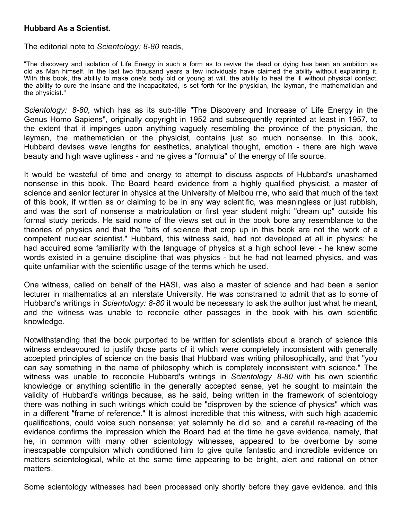### **Hubbard As a Scientist.**

The editorial note to *Scientology: 8-80* reads,

"The discovery and isolation of Life Energy in such a form as to revive the dead or dying has been an ambition as old as Man himself. In the last two thousand years a few individuals have claimed the ability without explaining it. With this book, the ability to make one's body old or young at will, the ability to heal the ill without physical contact, the ability to cure the insane and the incapacitated, is set forth for the physician, the layman, the mathematician and the physicist."

*Scientology: 8-80*, which has as its sub-title "The Discovery and Increase of Life Energy in the Genus Homo Sapiens", originally copyright in 1952 and subsequently reprinted at least in 1957, to the extent that it impinges upon anything vaguely resembling the province of the physician, the layman, the mathematician or the physicist, contains just so much nonsense. In this book, Hubbard devises wave lengths for aesthetics, analytical thought, emotion - there are high wave beauty and high wave ugliness - and he gives a "formula" of the energy of life source.

It would be wasteful of time and energy to attempt to discuss aspects of Hubbard's unashamed nonsense in this book. The Board heard evidence from a highly qualified physicist, a master of science and senior lecturer in physics at the University of Melbou rne, who said that much of the text of this book, if written as or claiming to be in any way scientific, was meaningless or just rubbish, and was the sort of nonsense a matriculation or first year student might "dream up" outside his formal study periods. He said none of the views set out in the book bore any resemblance to the theories of physics and that the "bits of science that crop up in this book are not the work of a competent nuclear scientist." Hubbard, this witness said, had not developed at all in physics; he had acquired some familiarity with the language of physics at a high school level - he knew some words existed in a genuine discipline that was physics - but he had not learned physics, and was quite unfamiliar with the scientific usage of the terms which he used.

One witness, called on behalf of the HASI, was also a master of science and had been a senior lecturer in mathematics at an interstate University. He was constrained to admit that as to some of Hubbard's writings in *Scientology: 8-80* it would be necessary to ask the author just what he meant, and the witness was unable to reconcile other passages in the book with his own scientific knowledge.

Notwithstanding that the book purported to be written for scientists about a branch of science this witness endeavoured to justify those parts of it which were completely inconsistent with generally accepted principles of science on the basis that Hubbard was writing philosophically, and that "you can say something in the name of philosophy which is completely inconsistent with science." The witness was unable to reconcile Hubbard's writings in *Scientology 8-80* with his own scientific knowledge or anything scientific in the generally accepted sense, yet he sought to maintain the validity of Hubbard's writings because, as he said, being written in the framework of scientology there was nothing in such writings which could be "disproven by the science of physics" which was in a different "frame of reference." It is almost incredible that this witness, with such high academic qualifications, could voice such nonsense; yet solemnly he did so, and a careful re-reading of the evidence confirms the impression which the Board had at the time he gave evidence, namely, that he, in common with many other scientology witnesses, appeared to be overborne by some inescapable compulsion which conditioned him to give quite fantastic and incredible evidence on matters scientological, while at the same time appearing to be bright, alert and rational on other matters.

Some scientology witnesses had been processed only shortly before they gave evidence. and this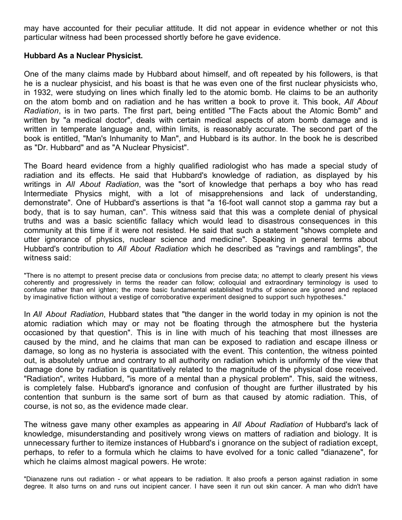may have accounted for their peculiar attitude. It did not appear in evidence whether or not this particular witness had been processed shortly before he gave evidence.

### **Hubbard As a Nuclear Physicist.**

One of the many claims made by Hubbard about himself, and oft repeated by his followers, is that he is a nuclear physicist, and his boast is that he was even one of the first nuclear physicists who, in 1932, were studying on lines which finally led to the atomic bomb. He claims to be an authority on the atom bomb and on radiation and he has written a book to prove it. This book, *All About Radiation*, is in two parts. The first part, being entitled "The Facts about the Atomic Bomb" and written by "a medical doctor", deals with certain medical aspects of atom bomb damage and is written in temperate language and, within limits, is reasonably accurate. The second part of the book is entitled, "Man's Inhumanity to Man", and Hubbard is its author. In the book he is described as "Dr. Hubbard" and as "A Nuclear Physicist".

The Board heard evidence from a highly qualified radiologist who has made a special study of radiation and its effects. He said that Hubbard's knowledge of radiation, as displayed by his writings in *All About Radiation*, was the "sort of knowledge that perhaps a boy who has read Intermediate Physics might, with a lot of misapprehensions and lack of understanding, demonstrate". One of Hubbard's assertions is that "a 16-foot wall cannot stop a gamma ray but a body, that is to say human, can". This witness said that this was a complete denial of physical truths and was a basic scientific fallacy which would lead to disastrous consequences in this community at this time if it were not resisted. He said that such a statement "shows complete and utter ignorance of physics, nuclear science and medicine". Speaking in general terms about Hubbard's contribution to *All About Radiation* which he described as "ravings and ramblings", the witness said:

"There is no attempt to present precise data or conclusions from precise data; no attempt to clearly present his views coherently and progressively in terms the reader can follow; colloquial and extraordinary terminology is used to confuse rather than enl ighten; the more basic fundamental established truths of science are ignored and replaced by imaginative fiction without a vestige of corroborative experiment designed to support such hypotheses."

In *All About Radiation*, Hubbard states that "the danger in the world today in my opinion is not the atomic radiation which may or may not be floating through the atmosphere but the hysteria occasioned by that question". This is in line with much of his teaching that most illnesses are caused by the mind, and he claims that man can be exposed to radiation and escape illness or damage, so long as no hysteria is associated with the event. This contention, the witness pointed out, is absolutely untrue and contrary to all authority on radiation which is uniformly of the view that damage done by radiation is quantitatively related to the magnitude of the physical dose received. "Radiation", writes Hubbard, "is more of a mental than a physical problem". This, said the witness, is completely false. Hubbard's ignorance and confusion of thought are further illustrated by his contention that sunburn is the same sort of burn as that caused by atomic radiation. This, of course, is not so, as the evidence made clear.

The witness gave many other examples as appearing in *All About Radiation* of Hubbard's lack of knowledge, misunderstanding and positively wrong views on matters of radiation and biology. It is unnecessary further to itemize instances of Hubbard's i gnorance on the subject of radiation except, perhaps, to refer to a formula which he claims to have evolved for a tonic called "dianazene", for which he claims almost magical powers. He wrote:

"Dianazene runs out radiation - or what appears to be radiation. It also proofs a person against radiation in some degree. It also turns on and runs out incipient cancer. I have seen it run out skin cancer. A man who didn't have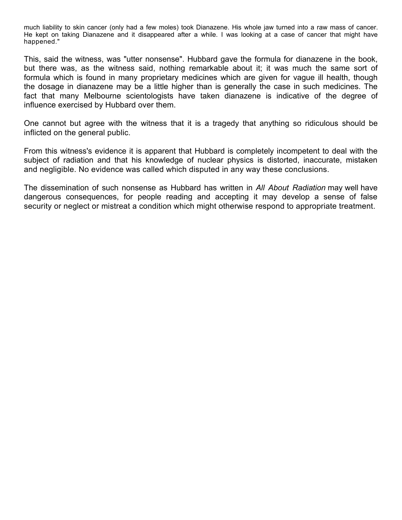much liability to skin cancer (only had a few moles) took Dianazene. His whole jaw turned into a raw mass of cancer. He kept on taking Dianazene and it disappeared after a while. I was looking at a case of cancer that might have happened."

This, said the witness, was "utter nonsense". Hubbard gave the formula for dianazene in the book, but there was, as the witness said, nothing remarkable about it; it was much the same sort of formula which is found in many proprietary medicines which are given for vague ill health, though the dosage in dianazene may be a little higher than is generally the case in such medicines. The fact that many Melbourne scientologists have taken dianazene is indicative of the degree of influence exercised by Hubbard over them.

One cannot but agree with the witness that it is a tragedy that anything so ridiculous should be inflicted on the general public.

From this witness's evidence it is apparent that Hubbard is completely incompetent to deal with the subject of radiation and that his knowledge of nuclear physics is distorted, inaccurate, mistaken and negligible. No evidence was called which disputed in any way these conclusions.

The dissemination of such nonsense as Hubbard has written in *All About Radiation* may well have dangerous consequences, for people reading and accepting it may develop a sense of false security or neglect or mistreat a condition which might otherwise respond to appropriate treatment.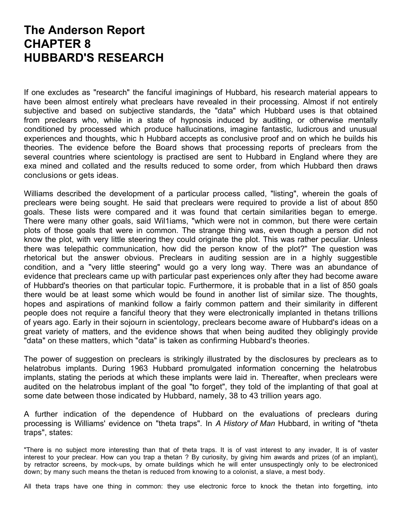### **The Anderson Report CHAPTER 8 HUBBARD'S RESEARCH**

If one excludes as "research" the fanciful imaginings of Hubbard, his research material appears to have been almost entirely what preclears have revealed in their processing. Almost if not entirely subjective and based on subjective standards, the "data" which Hubbard uses is that obtained from preclears who, while in a state of hypnosis induced by auditing, or otherwise mentally conditioned by processed which produce hallucinations, imagine fantastic, ludicrous and unusual experiences and thoughts, whic h Hubbard accepts as conclusive proof and on which he builds his theories. The evidence before the Board shows that processing reports of preclears from the several countries where scientology is practised are sent to Hubbard in England where they are exa mined and collated and the results reduced to some order, from which Hubbard then draws conclusions or gets ideas.

Williams described the development of a particular process called, "listing", wherein the goals of preclears were being sought. He said that preclears were required to provide a list of about 850 goals. These lists were compared and it was found that certain similarities began to emerge. There were many other goals, said Wil1iams, "which were not in common, but there were certain plots of those goals that were in common. The strange thing was, even though a person did not know the plot, with very little steering they could originate the plot. This was rather peculiar. Unless there was telepathic communication, how did the person know of the plot?" The question was rhetorical but the answer obvious. Preclears in auditing session are in a highly suggestible condition, and a "very little steering" would go a very long way. There was an abundance of evidence that preclears came up with particular past experiences only after they had become aware of Hubbard's theories on that particular topic. Furthermore, it is probable that in a list of 850 goals there would be at least some which would be found in another list of similar size. The thoughts, hopes and aspirations of mankind follow a fairly common pattern and their similarity in different people does not require a fanciful theory that they were electronically implanted in thetans trillions of years ago. Early in their sojourn in scientology, preclears become aware of Hubbard's ideas on a great variety of matters, and the evidence shows that when being audited they obligingly provide "data" on these matters, which "data" is taken as confirming Hubbard's theories.

The power of suggestion on preclears is strikingly illustrated by the disclosures by preclears as to helatrobus implants. During 1963 Hubbard promulgated information concerning the helatrobus implants, stating the periods at which these implants were laid in. Thereafter, when preclears were audited on the helatrobus implant of the goal "to forget", they told of the implanting of that goal at some date between those indicated by Hubbard, namely, 38 to 43 trillion years ago.

A further indication of the dependence of Hubbard on the evaluations of preclears during processing is Williams' evidence on "theta traps". In *A History of Man* Hubbard, in writing of "theta traps", states:

"There is no subject more interesting than that of theta traps. It is of vast interest to any invader, It is of vaster interest to your preclear. How can you trap a thetan ? By curiosity, by giving him awards and prizes (of an implant), by retractor screens, by mock-ups, by ornate buildings which he will enter unsuspectingly only to be electroniced down; by many such means the thetan is reduced from knowing to a colonist, a slave, a mest body.

All theta traps have one thing in common: they use electronic force to knock the thetan into forgetting, into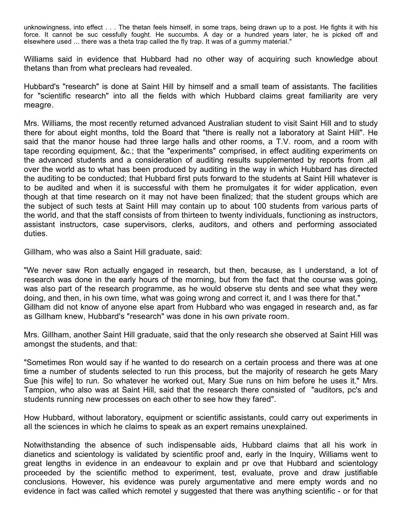unknowingness, into effect . . . The thetan feels himself, in some traps, being drawn up to a post. He fights it with his force. It cannot be suc cessfully fought. He succumbs. A day or a hundred years later, he is picked off and elsewhere used ... there was a theta trap called the fly trap. It was of a gummy material."

Williams said in evidence that Hubbard had no other way of acquiring such knowledge about thetans than from what preclears had revealed.

Hubbard's "research" is done at Saint Hill by himself and a small team of assistants. The facilities for "scientific research" into all the fields with which Hubbard claims great familiarity are very meagre.

Mrs. Williams, the most recently returned advanced Australian student to visit Saint Hill and to study there for about eight months, told the Board that "there is really not a laboratory at Saint Hill". He said that the manor house had three large halls and other rooms, a T.V. room, and a room with tape recording equipment, &c.; that the "experiments" comprised, in effect auditing experiments on the advanced students and a consideration of auditing results supplemented by reports from ,all over the world as to what has been produced by auditing in the way in which Hubbard has directed the auditing to be conducted; that Hubbard first puts forward to the students at Saint Hill whatever is to be audited and when it is successful with them he promulgates it for wider application, even though at that time research on it may not have been finalized; that the student groups which are the subject of such tests at Saint Hill may contain up to about 100 students from various parts of the world, and that the staff consists of from thirteen to twenty individuals, functioning as instructors, assistant instructors, case supervisors, clerks, auditors, and others and performing associated duties.

Gillham, who was also a Saint Hill graduate, said:

"We never saw Ron actually engaged in research, but then, because, as I understand, a lot of research was done in the early hours of the morning, but from the fact that the course was going, was also part of the research programme, as he would observe stu dents and see what they were doing, and then, in his own time, what was going wrong and correct it, and I was there for that." Gillham did not know of anyone else apart from Hubbard who was engaged in research and, as far as Gillham knew, Hubbard's "research" was done in his own private room.

Mrs. Gillham, another Saint Hill graduate, said that the only research she observed at Saint Hill was amongst the students, and that:

"Sometimes Ron would say if he wanted to do research on a certain process and there was at one time a number of students selected to run this process, but the majority of research he gets Mary Sue [his wife] to run. So whatever he worked out, Mary Sue runs on him before he uses it." Mrs. Tampion, who also was at Saint Hill, said that the research there consisted of "auditors, pc's and students running new processes on each other to see how they fared".

How Hubbard, without laboratory, equipment or scientific assistants, could carry out experiments in all the sciences in which he claims to speak as an expert remains unexplained.

Notwithstanding the absence of such indispensable aids, Hubbard claims that all his work in dianetics and scientology is validated by scientific proof and, early in the Inquiry, Williams went to great lengths in evidence in an endeavour to explain and pr ove that Hubbard and scientology proceeded by the scientific method to experiment, test, evaluate, prove and draw justifiable conclusions. However, his evidence was purely argumentative and mere empty words and no evidence in fact was called which remotel y suggested that there was anything scientific - or for that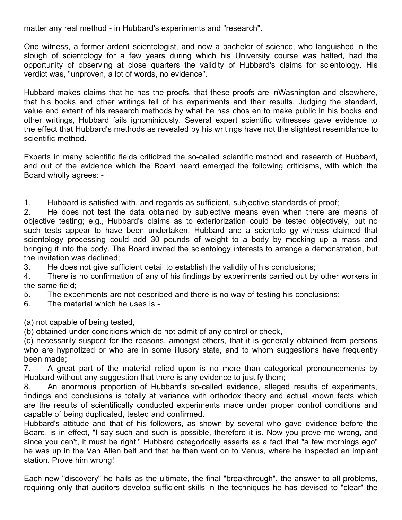matter any real method - in Hubbard's experiments and "research".

One witness, a former ardent scientologist, and now a bachelor of science, who languished in the slough of scientology for a few years during which his University course was halted, had the opportunity of observing at close quarters the validity of Hubbard's claims for scientology. His verdict was, "unproven, a lot of words, no evidence".

Hubbard makes claims that he has the proofs, that these proofs are inWashington and elsewhere, that his books and other writings tell of his experiments and their results. Judging the standard, value and extent of his research methods by what he has chos en to make public in his books and other writings, Hubbard fails ignominiously. Several expert scientific witnesses gave evidence to the effect that Hubbard's methods as revealed by his writings have not the slightest resemblance to scientific method.

Experts in many scientific fields criticized the so-called scientific method and research of Hubbard, and out of the evidence which the Board heard emerged the following criticisms, with which the Board wholly agrees: -

1. Hubbard is satisfied with, and regards as sufficient, subjective standards of proof;

2. He does not test the data obtained by subjective means even when there are means of objective testing; e.g., Hubbard's claims as to exteriorization could be tested objectively, but no such tests appear to have been undertaken. Hubbard and a scientolo gy witness claimed that scientology processing could add 30 pounds of weight to a body by mocking up a mass and bringing it into the body. The Board invited the scientology interests to arrange a demonstration, but the invitation was declined;

3. He does not give sufficient detail to establish the validity of his conclusions;

4. There is no confirmation of any of his findings by experiments carried out by other workers in the same field;

5. The experiments are not described and there is no way of testing his conclusions;

6. The material which he uses is -

(a) not capable of being tested,

(b) obtained under conditions which do not admit of any control or check,

(c) necessarily suspect for the reasons, amongst others, that it is generally obtained from persons who are hypnotized or who are in some illusory state, and to whom suggestions have frequently been made;

7. A great part of the material relied upon is no more than categorical pronouncements by Hubbard without any suggestion that there is any evidence to justify them;

8. An enormous proportion of Hubbard's so-called evidence, alleged results of experiments, findings and conclusions is totally at variance with orthodox theory and actual known facts which are the results of scientifically conducted experiments made under proper control conditions and capable of being duplicated, tested and confirmed.

Hubbard's attitude and that of his followers, as shown by several who gave evidence before the Board, is in effect, "I say such and such is possible, therefore it is. Now you prove me wrong, and since you can't, it must be right." Hubbard categorically asserts as a fact that "a few mornings ago" he was up in the Van Allen belt and that he then went on to Venus, where he inspected an implant station. Prove him wrong!

Each new "discovery" he hails as the ultimate, the final "breakthrough", the answer to all problems, requiring only that auditors develop sufficient skills in the techniques he has devised to "clear" the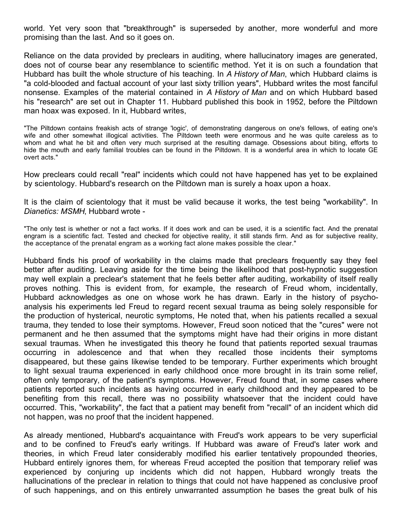world. Yet very soon that "breakthrough" is superseded by another, more wonderful and more promising than the last. And so it goes on.

Reliance on the data provided by preclears in auditing, where hallucinatory images are generated, does not of course bear any resemblance to scientific method. Yet it is on such a foundation that Hubbard has built the whole structure of his teaching. In *A History of Man*, which Hubbard claims is "a cold-blooded and factual account of your last sixty trillion years", Hubbard writes the most fanciful nonsense. Examples of the material contained in *A History of Man* and on which Hubbard based his "research" are set out in Chapter 11. Hubbard published this book in 1952, before the Piltdown man hoax was exposed. In it, Hubbard writes,

"The Piltdown contains freakish acts of strange 'logic', of demonstrating dangerous on one's fellows, of eating one's wife and other somewhat illogical activities. The Piltdown teeth were enormous and he was quite careless as to whom and what he bit and often very much surprised at the resulting damage. Obsessions about biting, efforts to hide the mouth and early familial troubles can be found in the Piltdown. It is a wonderful area in which to locate GE overt acts."

How preclears could recall "real" incidents which could not have happened has yet to be explained by scientology. Hubbard's research on the Piltdown man is surely a hoax upon a hoax.

It is the claim of scientology that it must be valid because it works, the test being "workability". In *Dianetics: MSMH*, Hubbard wrote -

"The only test is whether or not a fact works. If it does work and can be used, it is a scientific fact. And the prenatal engram is a scientific fact. Tested and checked for objective reality, it still stands firm. And as for subjective reality, the acceptance of the prenatal engram as a working fact alone makes possible the clear."

Hubbard finds his proof of workability in the claims made that preclears frequently say they feel better after auditing. Leaving aside for the time being the likelihood that post-hypnotic suggestion may well explain a preclear's statement that he feels better after auditing, workability of itself really proves nothing. This is evident from, for example, the research of Freud whom, incidentally, Hubbard acknowledges as one on whose work he has drawn. Early in the history of psychoanalysis his experiments led Freud to regard recent sexual trauma as being solely responsible for the production of hysterical, neurotic symptoms, He noted that, when his patients recalled a sexual trauma, they tended to lose their symptoms. However, Freud soon noticed that the "cures" were not permanent and he then assumed that the symptoms might have had their origins in more distant sexual traumas. When he investigated this theory he found that patients reported sexual traumas occurring in adolescence and that when they recalled those incidents their symptoms disappeared, but these gains likewise tended to be temporary. Further experiments which brought to light sexual trauma experienced in early childhood once more brought in its train some relief, often only temporary, of the patient's symptoms. However, Freud found that, in some cases where patients reported such incidents as having occurred in early childhood and they appeared to be benefiting from this recall, there was no possibility whatsoever that the incident could have occurred. This, "workability", the fact that a patient may benefit from "recall" of an incident which did not happen, was no proof that the incident happened.

As already mentioned, Hubbard's acquaintance with Freud's work appears to be very superficial and to be confined to Freud's early writings. If Hubbard was aware of Freud's later work and theories, in which Freud later considerably modified his earlier tentatively propounded theories, Hubbard entirely ignores them, for whereas Freud accepted the position that temporary relief was experienced by conjuring up incidents which did not happen, Hubbard wrongly treats the hallucinations of the preclear in relation to things that could not have happened as conclusive proof of such happenings, and on this entirely unwarranted assumption he bases the great bulk of his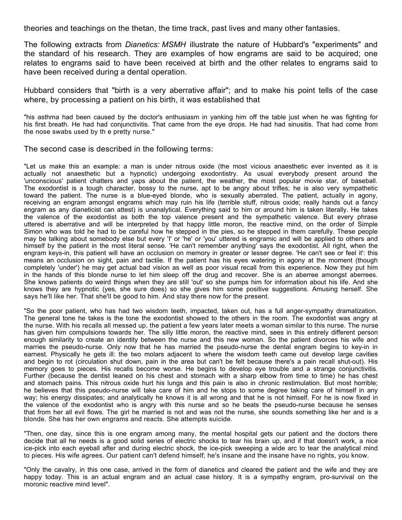theories and teachings on the thetan, the time track, past lives and many other fantasies.

The following extracts from *Dianetics: MSMH* illustrate the nature of Hubbard's "experiments" and the standard of his research. They are examples of how engrams are said to be acquired; one relates to engrams said to have been received at birth and the other relates to engrams said to have been received during a dental operation.

Hubbard considers that "birth is a very aberrative affair"; and to make his point tells of the case where, by processing a patient on his birth, it was established that

"his asthma had been caused by the doctor's enthusiasm in yanking him off the table just when he was fighting for his first breath. He had had conjunctivitis. That came from the eye drops. He had had sinusitis. That had come from the nose swabs used by th e pretty nurse."

The second case is described in the following terms:

"Let us make this an example: a man is under nitrous oxide (the most vicious anaesthetic ever invented as it is actually not anaesthetic but a hypnotic) undergoing exodontistry. As usual everybody present around the 'unconscious' patient chatters and yaps about the patient, the weather, the most popular movie star, of baseball. The exodontist is a tough character, bossy to the nurse, apt to be angry about trifles; he is also very sympathetic toward the patient. The nurse is a blue-eyed blonde, who is sexually aberrated. The patient, actually in agony, receiving an engram amongst engrams which may ruin his life (terrible stuff, nitrous oxide; really hands out a fancy engram as any dianeticist can attest) is unanalytical. Everything said to him or around him is taken literally. He takes the valence of the exodontist as both the top valence present and the sympathetic valence. But every phrase uttered is aberrative and will be interpreted by that happy little moron, the reactive mind, on the order of Simple Simon who was told he had to be careful how he stepped in the pies, so he stepped in them carefully. These people may be talking about somebody else but every 'I' or 'he' or 'you' uttered is engramic and will be applied to others and himself by the patient in the most literal sense. 'He can't remember anything' says the exodontist. All right, when the engram keys-in, this patient will have an occlusion on memory in greater or lesser degree. 'He can't see or feel it': this means an occlusion on sight, pain and tactile. If the patient has his eyes watering in agony at the moment (though completely 'under') he may get actual bad vision as well as poor visual recall from this experience. Now they put him in the hands of this blonde nurse to let him sleep off the drug and recover. She is an aberree amongst aberrees. She knows patients do weird things when they are still 'out' so she pumps him for information about his life. And she knows they are hypnotic (yes, she sure does) so she gives him some positive suggestions. Amusing herself. She says he'll like her. That she'll be good to him. And stay there now for the present.

"So the poor patient, who has had two wisdom teeth, impacted, taken out, has a full anger-sympathy dramatization. The general tone he takes is the tone the exodontist showed to the others in the room. The exodontist was angry at the nurse. With his recalls all messed up, the patient a few years later meets a woman similar to this nurse. The nurse has given him compulsions towards her. The silly little moron, the reactive mind, sees in this entirely different person enough similarity to create an identity between the nurse and this new woman. So the patient divorces his wife and marries the pseudo-nurse. Only now that he has married the pseudo-nurse the dental engram begins to key-in in earnest. Physically he gets ill: the two molars adjacent to where the wisdom teeth came out develop large cavities and begin to rot (circulation shut down, pain in the area but can't be felt because there's a pain recall shut-out). His memory goes to pieces. His recalls become worse. He begins to develop eye trouble and a strange conjunctivitis. Further (because the dentist leaned on his chest and stomach with a sharp elbow from time to time) he has chest and stomach pains. This nitrous oxide hurt his lungs and this pain is also in chronic restimulation. But most horrible; he believes that this pseudo-nurse will take care of him and he stops to some degree taking care of himself in any way; his energy dissipates; and analytically he knows it is all wrong and that he is not himself. For he is now fixed in the valence of the exodontist who is angry with this nurse and so he beats the pseudo-nurse because he senses that from her all evil flows. The girl he married is not and was not the nurse, she sounds something like her and is a blonde. She has her own engrams and reacts. She attempts suicide.

"Then, one day, since this is one engram among many, the mental hospital gets our patient and the doctors there decide that all he needs is a good solid series of electric shocks to tear his brain up, and if that doesn't work, a nice ice-pick into each eyeball after and during electric shock, the ice-pick sweeping a wide arc to tear the analytical mind to pieces. His wife agrees. Our patient can't defend himself; he's insane and the insane have no rights, you know.

"Only the cavalry, in this one case, arrived in the form of dianetics and cleared the patient and the wife and they are happy today. This is an actual engram and an actual case history. It is a sympathy engram, pro-survival on the moronic reactive mind level".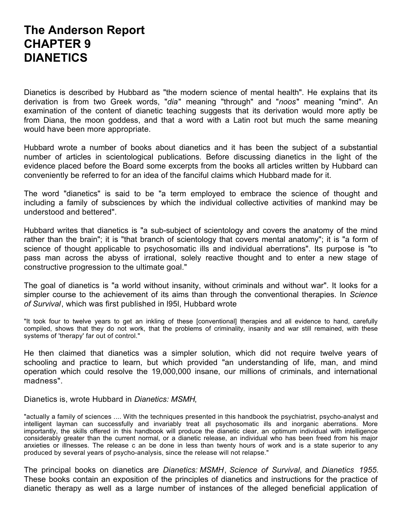# **The Anderson Report CHAPTER 9 DIANETlCS**

Dianetics is described by Hubbard as "the modern science of mental health". He explains that its derivation is from two Greek words, "*dia*" meaning "through" and "*noos*" meaning "mind". An examination of the content of dianetic teaching suggests that its derivation would more aptly be from Diana, the moon goddess, and that a word with a Latin root but much the same meaning would have been more appropriate.

Hubbard wrote a number of books about dianetics and it has been the subject of a substantial number of articles in scientological publications. Before discussing dianetics in the light of the evidence placed before the Board some excerpts from the books all articles written by Hubbard can conveniently be referred to for an idea of the fanciful claims which Hubbard made for it.

The word "dianetics" is said to be "a term employed to embrace the science of thought and including a family of subsciences by which the individual collective activities of mankind may be understood and bettered".

Hubbard writes that dianetics is "a sub-subject of scientology and covers the anatomy of the mind rather than the brain"; it is "that branch of scientology that covers mental anatomy"; it is "a form of science of thought applicable to psychosomatic ills and individual aberrations". Its purpose is "to pass man across the abyss of irrational, solely reactive thought and to enter a new stage of constructive progression to the ultimate goal."

The goal of dianetics is "a world without insanity, without criminals and without war". It looks for a simpler course to the achievement of its aims than through the conventional therapies. In *Science of Survival*, which was first published in l95l, Hubbard wrote

"It took four to twelve years to get an inkling of these [conventional] therapies and all evidence to hand, carefully compiled, shows that they do not work, that the problems of criminality, insanity and war still remained, with these systems of 'therapy' far out of control."

He then claimed that dianetics was a simpler solution, which did not require twelve years of schooling and practice to learn, but which provided "an understanding of life, man, and mind operation which could resolve the 19,000,000 insane, our millions of criminals, and international madness".

Dianetics is, wrote Hubbard in *Dianetics: MSMH*,

"actually a family of sciences .... With the techniques presented in this handbook the psychiatrist, psycho-analyst and intelligent layman can successfully and invariably treat all psychosomatic ills and inorganic aberrations. More importantly, the skills offered in this handbook will produce the dianetic clear, an optimum individual with intelligence considerably greater than the current normal, or a dianetic release, an individual who has been freed from his major anxieties or illnesses. The release c an be done in less than twenty hours of work and is a state superior to any produced by several years of psycho-analysis, since the release will not relapse."

The principal books on dianetics are *Dianetics: MSMH*, *Science of Survival*, and *Dianetics 1955*. These books contain an exposition of the principles of dianetics and instructions for the practice of dianetic therapy as well as a large number of instances of the alleged beneficial application of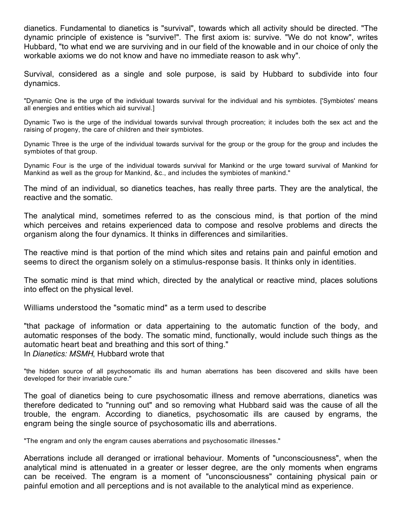dianetics. Fundamental to dianetics is "survival", towards which all activity should be directed. "The dynamic principle of existence is "survive!". The first axiom is: survive. "We do not know", writes Hubbard, "to what end we are surviving and in our field of the knowable and in our choice of only the workable axioms we do not know and have no immediate reason to ask why".

Survival, considered as a single and sole purpose, is said by Hubbard to subdivide into four dynamics.

"Dynamic One is the urge of the individual towards survival for the individual and his symbiotes. ['Symbiotes' means all energies and entities which aid survival.]

Dynamic Two is the urge of the individual towards survival through procreation; it includes both the sex act and the raising of progeny, the care of children and their symbiotes.

Dynamic Three is the urge of the individual towards survival for the group or the group for the group and includes the symbiotes of that group.

Dynamic Four is the urge of the individual towards survival for Mankind or the urge toward survival of Mankind for Mankind as well as the group for Mankind, &c., and includes the symbiotes of mankind."

The mind of an individual, so dianetics teaches, has really three parts. They are the analytical, the reactive and the somatic.

The analytical mind, sometimes referred to as the conscious mind, is that portion of the mind which perceives and retains experienced data to compose and resolve problems and directs the organism along the four dynamics. It thinks in differences and similarities.

The reactive mind is that portion of the mind which sites and retains pain and painful emotion and seems to direct the organism solely on a stimulus-response basis. It thinks only in identities.

The somatic mind is that mind which, directed by the analytical or reactive mind, places solutions into effect on the physical level.

Williams understood the "somatic mind" as a term used to describe

"that package of information or data appertaining to the automatic function of the body, and automatic responses of the body. The somatic mind, functionally, would include such things as the automatic heart beat and breathing and this sort of thing." In *Dianetics: MSMH*, Hubbard wrote that

"the hidden source of all psychosomatic ills and human aberrations has been discovered and skills have been developed for their invariable cure."

The goal of dianetics being to cure psychosomatic illness and remove aberrations, dianetics was therefore dedicated to "running out" and so removing what Hubbard said was the cause of all the trouble, the engram. According to dianetics, psychosomatic ills are caused by engrams, the engram being the single source of psychosomatic ills and aberrations.

"The engram and only the engram causes aberrations and psychosomatic illnesses."

Aberrations include all deranged or irrational behaviour. Moments of "unconsciousness", when the analytical mind is attenuated in a greater or lesser degree, are the only moments when engrams can be received. The engram is a moment of "unconsciousness" containing physical pain or painful emotion and all perceptions and is not available to the analytical mind as experience.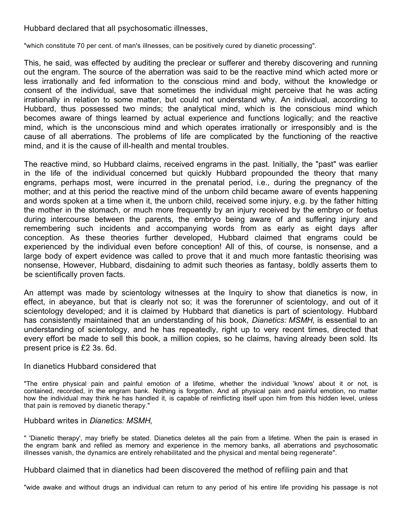Hubbard declared that all psychosomatic illnesses,

"which constitute 70 per cent. of man's illnesses, can be positively cured by dianetic processing".

This, he said, was effected by auditing the preclear or sufferer and thereby discovering and running out the engram. The source of the aberration was said to be the reactive mind which acted more or less irrationally and fed information to the conscious mind and body, without the knowledge or consent of the individual, save that sometimes the individual might perceive that he was acting irrationally in relation to some matter, but could not understand why. An individual, according to Hubbard, thus possessed two minds; the analytical mind, which is the conscious mind which becomes aware of things learned by actual experience and functions logically; and the reactive mind, which is the unconscious mind and which operates irrationally or irresponsibly and is the cause of all aberrations. The problems of life are complicated by the functioning of the reactive mind, and it is the cause of ill-health and mental troubles.

The reactive mind, so Hubbard claims, received engrams in the past. Initially, the "past" was earlier in the life of the individual concerned but quickly Hubbard propounded the theory that many engrams, perhaps most, were incurred in the prenatal period, i.e., during the pregnancy of the mother; and at this period the reactive mind of the unborn child became aware of events happening and words spoken at a time when it, the unborn child, received some injury, e.g. by the father hitting the mother in the stomach, or much more frequently by an injury received by the embryo or foetus during intercourse between the parents, the embryo being aware of and suffering injury and remembering such incidents and accompanying words from as early as eight days after conception. As these theories further developed, Hubbard claimed that engrams could be experienced by the individual even before conception! All of this, of course, is nonsense, and a large body of expert evidence was called to prove that it and much more fantastic theorising was nonsense, However, Hubbard, disdaining to admit such theories as fantasy, boldly asserts them to be scientifically proven facts.

An attempt was made by scientology witnesses at the Inquiry to show that dianetics is now, in effect, in abeyance, but that is clearly not so; it was the forerunner of scientology, and out of it scientology developed; and it is claimed by Hubbard that dianetics is part of scientology. Hubbard has consistently maintained that an understanding of his book, *Dianetics: MSMH*, is essential to an understanding of scientology, and he has repeatedly, right up to very recent times, directed that every effort be made to sell this book, a million copies, so he claims, having already been sold. Its present price is £2 3s. 6d.

#### In dianetics Hubbard considered that

"The entire physical pain and painful emotion of a lifetime, whether the individual 'knows' about it or not, is contained, recorded, in the engram bank. Nothing is forgotten. And all physical pain and painful emotion, no matter how the individual may think he has handled it, is capable of reinflicting itself upon him from this hidden level, unless that pain is removed by dianetic therapy."

#### Hubbard writes in *Dianetics: MSMH*,

" 'Dianetic therapy', may briefly be stated. Dianetics deletes all the pain from a lifetime. When the pain is erased in the engram bank and refiled as memory and experience in the memory banks, all aberrations and psychosomatic illnesses vanish, the dynamics are entirely rehabilitated and the physical and mental being regenerate".

Hubbard claimed that in dianetics had been discovered the method of refiling pain and that

"wide awake and without drugs an individual can return to any period of his entire life providing his passage is not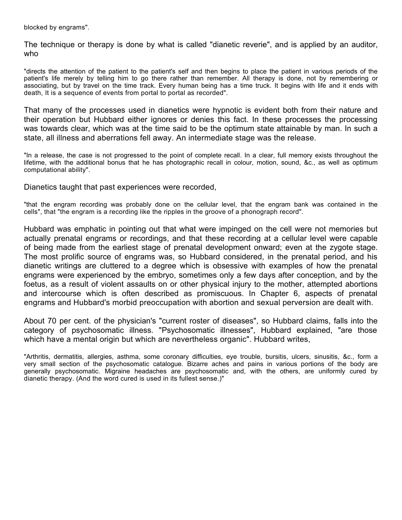blocked by engrams".

The technique or therapy is done by what is called "dianetic reverie", and is applied by an auditor, who

"directs the attention of the patient to the patient's self and then begins to place the patient in various periods of the patient's life merely by telling him to go there rather than remember. All therapy is done, not by remembering or associating, but by travel on the time track. Every human being has a time truck. It begins with life and it ends with death, It is a sequence of events from portal to portal as recorded".

That many of the processes used in dianetics were hypnotic is evident both from their nature and their operation but Hubbard either ignores or denies this fact. In these processes the processing was towards clear, which was at the time said to be the optimum state attainable by man. In such a state, all illness and aberrations fell away. An intermediate stage was the release.

"In a release, the case is not progressed to the point of complete recall. In a clear, full memory exists throughout the lifetime, with the additional bonus that he has photographic recall in colour, motion, sound, &c., as well as optimum computational ability".

Dianetics taught that past experiences were recorded,

"that the engram recording was probably done on the cellular level, that the engram bank was contained in the cells", that "the engram is a recording like the ripples in the groove of a phonograph record".

Hubbard was emphatic in pointing out that what were impinged on the cell were not memories but actually prenatal engrams or recordings, and that these recording at a cellular level were capable of being made from the earliest stage of prenatal development onward; even at the zygote stage. The most prolific source of engrams was, so Hubbard considered, in the prenatal period, and his dianetic writings are cluttered to a degree which is obsessive with examples of how the prenatal engrams were experienced by the embryo, sometimes only a few days after conception, and by the foetus, as a result of violent assaults on or other physical injury to the mother, attempted abortions and intercourse which is often described as promiscuous. In Chapter 6, aspects of prenatal engrams and Hubbard's morbid preoccupation with abortion and sexual perversion are dealt with.

About 70 per cent. of the physician's "current roster of diseases", so Hubbard claims, falls into the category of psychosomatic illness. "Psychosomatic illnesses", Hubbard explained, "are those which have a mental origin but which are nevertheless organic". Hubbard writes,

"Arthritis, dermatitis, allergies, asthma, some coronary difficulties, eye trouble, bursitis, ulcers, sinusitis, &c., form a very small section of the psychosomatic catalogue. Bizarre aches and pains in various portions of the body are generally psychosomatic. Migraine headaches are psychosomatic and, with the others, are uniformly cured by dianetic therapy. (And the word cured is used in its fullest sense.)"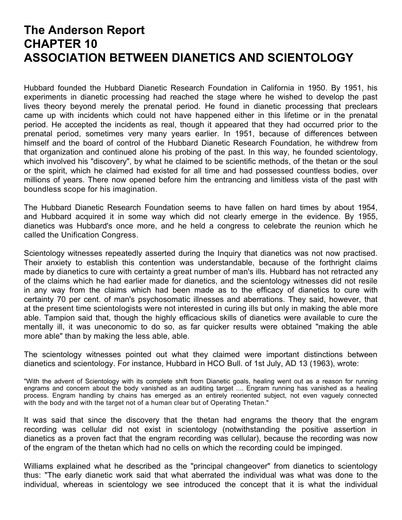### **The Anderson Report CHAPTER 10 ASSOCIATION BETWEEN DIANETICS AND SCIENTOLOGY**

Hubbard founded the Hubbard Dianetic Research Foundation in California in 1950. By 1951, his experiments in dianetic processing had reached the stage where he wished to develop the past lives theory beyond merely the prenatal period. He found in dianetic processing that preclears came up with incidents which could not have happened either in this lifetime or in the prenatal period. He accepted the incidents as real, though it appeared that they had occurred prior to the prenatal period, sometimes very many years earlier. In 1951, because of differences between himself and the board of control of the Hubbard Dianetic Research Foundation, he withdrew from that organization and continued alone his probing of the past. In this way, he founded scientology, which involved his "discovery", by what he claimed to be scientific methods, of the thetan or the soul or the spirit, which he claimed had existed for all time and had possessed countless bodies, over millions of years. There now opened before him the entrancing and limitless vista of the past with boundless scope for his imagination.

The Hubbard Dianetic Research Foundation seems to have fallen on hard times by about 1954, and Hubbard acquired it in some way which did not clearly emerge in the evidence. By 1955, dianetics was Hubbard's once more, and he held a congress to celebrate the reunion which he called the Unification Congress.

Scientology witnesses repeatedly asserted during the Inquiry that dianetics was not now practised. Their anxiety to establish this contention was understandable, because of the forthright claims made by dianetics to cure with certainty a great number of man's ills. Hubbard has not retracted any of the claims which he had earlier made for dianetics, and the scientology witnesses did not resile in any way from the claims which had been made as to the efficacy of dianetics to cure with certainty 70 per cent. of man's psychosomatic illnesses and aberrations. They said, however, that at the present time scientologists were not interested in curing ills but only in making the able more able. Tampion said that, though the highly efficacious skills of dianetics were available to cure the mentally ill, it was uneconomic to do so, as far quicker results were obtained "making the able more able" than by making the less able, able.

The scientology witnesses pointed out what they claimed were important distinctions between dianetics and scientology. For instance, Hubbard in HCO Bull. of 1st July, AD 13 (1963), wrote:

"With the advent of Scientology with its complete shift from Dianetic goals, healing went out as a reason for running engrams and concern about the body vanished as an auditing target .... Engram running has vanished as a healing process. Engram handling by chains has emerged as an entirely reoriented subject, not even vaguely connected with the body and with the target not of a human clear but of Operating Thetan."

It was said that since the discovery that the thetan had engrams the theory that the engram recording was cellular did not exist in scientology (notwithstanding the positive assertion in dianetics as a proven fact that the engram recording was cellular), because the recording was now of the engram of the thetan which had no cells on which the recording could be impinged.

Williams explained what he described as the "principal changeover" from dianetics to scientology thus: "The early dianetic work said that what aberrated the individual was what was done to the individual, whereas in scientology we see introduced the concept that it is what the individual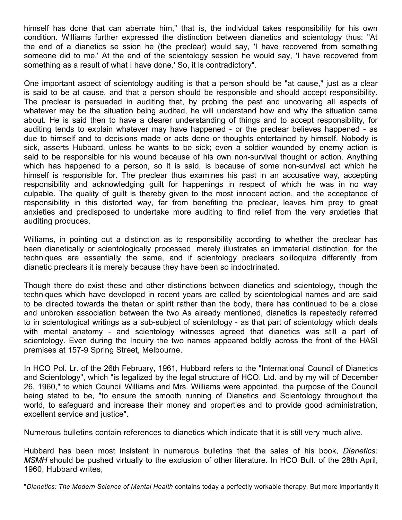himself has done that can aberrate him," that is, the individual takes responsibility for his own condition. Williams further expressed the distinction between dianetics and scientology thus: "At the end of a dianetics se ssion he (the preclear) would say, 'I have recovered from something someone did to me.' At the end of the scientology session he would say, 'I have recovered from something as a result of what I have done.' So, it is contradictory".

One important aspect of scientology auditing is that a person should be "at cause," just as a clear is said to be at cause, and that a person should be responsible and should accept responsibility. The preclear is persuaded in auditing that, by probing the past and uncovering all aspects of whatever may be the situation being audited, he will understand how and why the situation came about. He is said then to have a clearer understanding of things and to accept responsibility, for auditing tends to explain whatever may have happened - or the preclear believes happened - as due to himself and to decisions made or acts done or thoughts entertained by himself. Nobody is sick, asserts Hubbard, unless he wants to be sick; even a soldier wounded by enemy action is said to be responsible for his wound because of his own non-survival thought or action. Anything which has happened to a person, so it is said, is because of some non-survival act which he himself is responsible for. The preclear thus examines his past in an accusative way, accepting responsibility and acknowledging guilt for happenings in respect of which he was in no way culpable. The quality of guilt is thereby given to the most innocent action, and the acceptance of responsibility in this distorted way, far from benefiting the preclear, leaves him prey to great anxieties and predisposed to undertake more auditing to find relief from the very anxieties that auditing produces.

Williams, in pointing out a distinction as to responsibility according to whether the preclear has been dianetically or scientologically processed, merely illustrates an immaterial distinction, for the techniques are essentially the same, and if scientology preclears soliloquize differently from dianetic preclears it is merely because they have been so indoctrinated.

Though there do exist these and other distinctions between dianetics and scientology, though the techniques which have developed in recent years are called by scientological names and are said to be directed towards the thetan or spirit rather than the body, there has continued to be a close and unbroken association between the two As already mentioned, dianetics is repeatedly referred to in scientological writings as a sub-subject of scientology - as that part of scientology which deals with mental anatomy - and scientology witnesses agreed that dianetics was still a part of scientology. Even during the Inquiry the two names appeared boldly across the front of the HASI premises at 157-9 Spring Street, Melbourne.

In HCO Pol. Lr. of the 26th February, 1961, Hubbard refers to the "International Council of Dianetics and Scientology", which "is legalized by the legal structure of HCO. Ltd. and by my will of December 26, 1960," to which Council Williams and Mrs. Williams were appointed, the purpose of the Council being stated to be, "to ensure the smooth running of Dianetics and Scientology throughout the world, to safeguard and increase their money and properties and to provide good administration, excellent service and justice".

Numerous bulletins contain references to dianetics which indicate that it is still very much alive.

Hubbard has been most insistent in numerous bulletins that the sales of his book, *Dianetics: MSMH* should be pushed virtually to the exclusion of other literature. In HCO Bull. of the 28th April, 1960, Hubbard writes,

"*Dianetics: The Modern Science of Mental Health* contains today a perfectly workable therapy. But more importantly it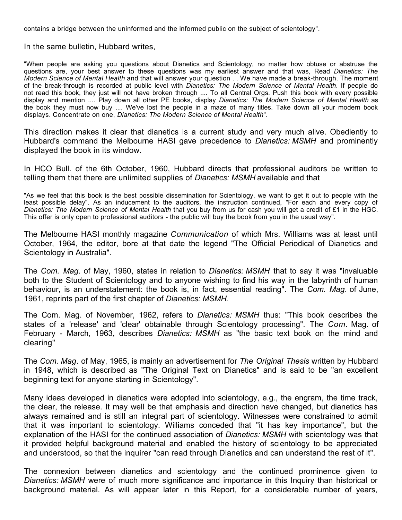contains a bridge between the uninformed and the informed public on the subject of scientology".

In the same bulletin, Hubbard writes,

"When people are asking you questions about Dianetics and Scientology, no matter how obtuse or abstruse the questions are, your best answer to these questions was my earliest answer and that was, Read *Dianetics: The Modern Science of Mental Health* and that will answer your question . . We have made a break-through. The moment of the break-through is recorded at public level with *Dianetics: The Modern Science of Mental Health*. If people do not read this book, they just will not have broken through .... To all Central Orgs. Push this book with every possible display and mention .... Play down all other PE books, display *Dianetics: The Modern Science of Mental Health* as the book they must now buy .... We've lost the people in a maze of many titles. Take down all your modern book displays. Concentrate on one, *Dianetics: The Modern Science of Mental Health*".

This direction makes it clear that dianetics is a current study and very much alive. Obediently to Hubbard's command the Melbourne HASI gave precedence to *Dianetics: MSMH* and prominently displayed the book in its window.

In HCO Bull. of the 6th October, 1960, Hubbard directs that professional auditors be written to telling them that there are unlimited supplies of *Dianetics: MSMH* available and that

"As we feel that this book is the best possible dissemination for Scientology, we want to get it out to people with the least possible delay". As an inducement to the auditors, the instruction continued, "For each and every copy of *Dianetics: The Modern Science of Mental Health* that you buy from us for cash you will get a credit of £1 in the HGC. This offer is only open to professional auditors - the public will buy the book from you in the usual way".

The Melbourne HASI monthly magazine *Communication* of which Mrs. Williams was at least until October, 1964, the editor, bore at that date the legend "The Official Periodical of Dianetics and Scientology in Australia".

The *Com. Mag*. of May, 1960, states in relation to *Dianetics: MSMH* that to say it was "invaluable both to the Student of Scientology and to anyone wishing to find his way in the labyrinth of human behaviour, is an understatement: the book is, in fact, essential reading". The *Com. Mag*. of June, 1961, reprints part of the first chapter of *Dianetics: MSMH*.

The Com. Mag. of November, 1962, refers to *Dianetics: MSMH* thus: "This book describes the states of a 'release' and 'clear' obtainable through Scientology processing". The *Com*. Mag. of February - March, 1963, describes *Dianetics: MSMH* as "the basic text book on the mind and clearing"

The *Com. Mag*. of May, 1965, is mainly an advertisement for *The Original Thesis* written by Hubbard in 1948, which is described as "The Original Text on Dianetics" and is said to be "an excellent beginning text for anyone starting in Scientology".

Many ideas developed in dianetics were adopted into scientology, e.g., the engram, the time track, the clear, the release. It may well be that emphasis and direction have changed, but dianetics has always remained and is still an integral part of scientology. Witnesses were constrained to admit that it was important to scientology. Williams conceded that "it has key importance", but the explanation of the HASI for the continued association of *Dianetics: MSMH* with scientology was that it provided helpful background material and enabled the history of scientology to be appreciated and understood, so that the inquirer "can read through Dianetics and can understand the rest of it".

The connexion between dianetics and scientology and the continued prominence given to *Dianetics: MSMH* were of much more significance and importance in this Inquiry than historical or background material. As will appear later in this Report, for a considerable number of years,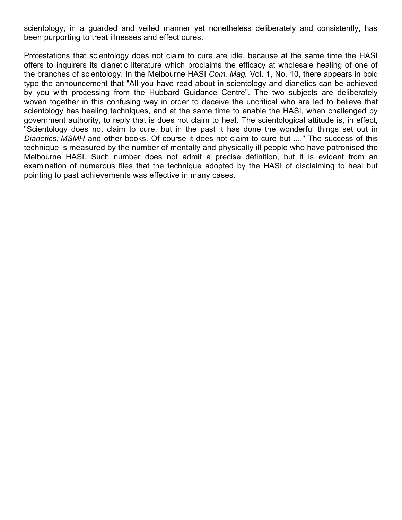scientology, in a guarded and veiled manner yet nonetheless deliberately and consistently, has been purporting to treat illnesses and effect cures.

Protestations that scientology does not claim to cure are idle, because at the same time the HASI offers to inquirers its dianetic literature which proclaims the efficacy at wholesale healing of one of the branches of scientology. In the Melbourne HASI *Com. Mag.* Vol. 1, No. 10, there appears in bold type the announcement that "All you have read about in scientology and dianetics can be achieved by you with processing from the Hubbard Guidance Centre". The two subjects are deliberately woven together in this confusing way in order to deceive the uncritical who are led to believe that scientology has healing techniques, and at the same time to enable the HASI, when challenged by government authority, to reply that is does not claim to heal. The scientological attitude is, in effect, "Scientology does not claim to cure, but in the past it has done the wonderful things set out in *Dianetics: MSMH* and other books. Of course it does not claim to cure but ...." The success of this technique is measured by the number of mentally and physically ill people who have patronised the Melbourne HASI. Such number does not admit a precise definition, but it is evident from an examination of numerous files that the technique adopted by the HASI of disclaiming to heal but pointing to past achievements was effective in many cases.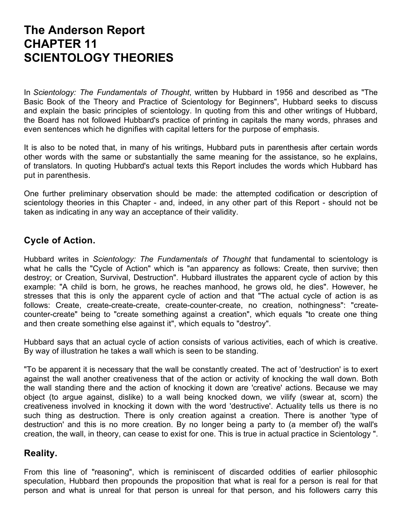# **The Anderson Report CHAPTER 11 SCIENTOLOGY THEORIES**

In *Scientology: The Fundamentals of Thought*, written by Hubbard in 1956 and described as "The Basic Book of the Theory and Practice of Scientology for Beginners", Hubbard seeks to discuss and explain the basic principles of scientology. In quoting from this and other writings of Hubbard, the Board has not followed Hubbard's practice of printing in capitals the many words, phrases and even sentences which he dignifies with capital letters for the purpose of emphasis.

It is also to be noted that, in many of his writings, Hubbard puts in parenthesis after certain words other words with the same or substantially the same meaning for the assistance, so he explains, of translators. In quoting Hubbard's actual texts this Report includes the words which Hubbard has put in parenthesis.

One further preliminary observation should be made: the attempted codification or description of scientology theories in this Chapter - and, indeed, in any other part of this Report - should not be taken as indicating in any way an acceptance of their validity.

### **Cycle of Action.**

Hubbard writes in *Scientology: The Fundamentals of Thought* that fundamental to scientology is what he calls the "Cycle of Action" which is "an apparency as follows: Create, then survive; then destroy; or Creation, Survival, Destruction". Hubbard illustrates the apparent cycle of action by this example: "A child is born, he grows, he reaches manhood, he grows old, he dies". However, he stresses that this is only the apparent cycle of action and that "The actual cycle of action is as follows: Create, create-create-create, create-counter-create, no creation, nothingness": "createcounter-create" being to "create something against a creation", which equals "to create one thing and then create something else against it", which equals to "destroy".

Hubbard says that an actual cycle of action consists of various activities, each of which is creative. By way of illustration he takes a wall which is seen to be standing.

"To be apparent it is necessary that the wall be constantly created. The act of 'destruction' is to exert against the wall another creativeness that of the action or activity of knocking the wall down. Both the wall standing there and the action of knocking it down are 'creative' actions. Because we may object (to argue against, dislike) to a wall being knocked down, we vilify (swear at, scorn) the creativeness involved in knocking it down with the word 'destructive'. Actuality tells us there is no such thing as destruction. There is only creation against a creation. There is another 'type of destruction' and this is no more creation. By no longer being a party to (a member of) the wall's creation, the wall, in theory, can cease to exist for one. This is true in actual practice in Scientology ".

### **Reality.**

From this line of "reasoning", which is reminiscent of discarded oddities of earlier philosophic speculation, Hubbard then propounds the proposition that what is real for a person is real for that person and what is unreal for that person is unreal for that person, and his followers carry this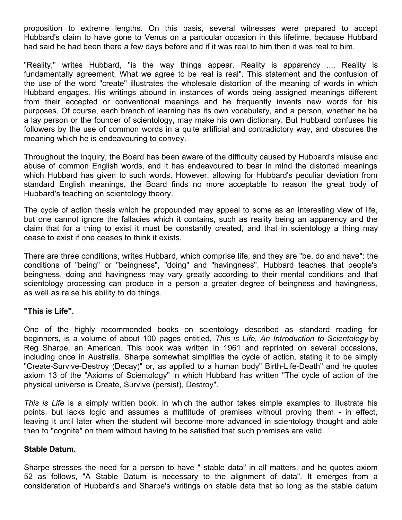proposition to extreme lengths. On this basis, several witnesses were prepared to accept Hubbard's claim to have gone to Venus on a particular occasion in this lifetime, because Hubbard had said he had been there a few days before and if it was real to him then it was real to him.

"Reality," writes Hubbard, "is the way things appear. Reality is apparency .... Reality is fundamentally agreement. What we agree to be real is real". This statement and the confusion of the use of the word "create" illustrates the wholesale distortion of the meaning of words in which Hubbard engages. His writings abound in instances of words being assigned meanings different from their accepted or conventional meanings and he frequently invents new words for his purposes. Of course, each branch of learning has its own vocabulary, and a person, whether he be a lay person or the founder of scientology, may make his own dictionary. But Hubbard confuses his followers by the use of common words in a quite artificial and contradictory way, and obscures the meaning which he is endeavouring to convey.

Throughout the Inquiry, the Board has been aware of the difficulty caused by Hubbard's misuse and abuse of common English words, and it has endeavoured to bear in mind the distorted meanings which Hubbard has given to such words. However, allowing for Hubbard's peculiar deviation from standard English meanings, the Board finds no more acceptable to reason the great body of Hubbard's teaching on scientology theory.

The cycle of action thesis which he propounded may appeal to some as an interesting view of life, but one cannot ignore the fallacies which it contains, such as reality being an apparency and the claim that for a thing to exist it must be constantly created, and that in scientology a thing may cease to exist if one ceases to think it exists.

There are three conditions, writes Hubbard, which comprise life, and they are "be, do and have": the conditions of "being" or "beingness", "doing" and "havingness". Hubbard teaches that people's beingness, doing and havingness may vary greatly according to their mental conditions and that scientology processing can produce in a person a greater degree of beingness and havingness, as well as raise his ability to do things.

#### **"This is Life".**

One of the highly recommended books on scientology described as standard reading for beginners, is a volume of about 100 pages entitled, *This is Life, An Introduction to Scientology* by Reg Sharpe, an American. This book was written in 1961 and reprinted on several occasions, including once in Australia. Sharpe somewhat simplifies the cycle of action, stating it to be simply "Create-Survive-Destroy (Decay)" or, as applied to a human body" Birth-Life-Death" and he quotes axiom 13 of the "Axioms of Scientology" in which Hubbard has written "The cycle of action of the physical universe is Create, Survive (persist), Destroy".

*This is Life* is a simply written book, in which the author takes simple examples to illustrate his points, but lacks logic and assumes a multitude of premises without proving them - in effect, leaving it until later when the student will become more advanced in scientology thought and able then to "cognite" on them without having to be satisfied that such premises are valid.

#### **Stable Datum.**

Sharpe stresses the need for a person to have " stable data" in all matters, and he quotes axiom 52 as follows, "A Stable Datum is necessary to the alignment of data". It emerges from a consideration of Hubbard's and Sharpe's writings on stable data that so long as the stable datum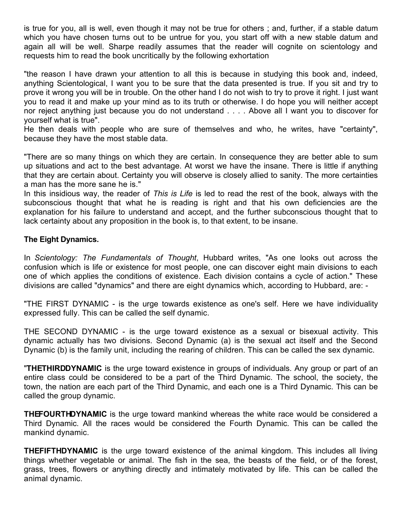is true for you, all is well, even though it may not be true for others ; and, further, if a stable datum which you have chosen turns out to be untrue for you, you start off with a new stable datum and again all will be well. Sharpe readily assumes that the reader will cognite on scientology and requests him to read the book uncritically by the following exhortation

"the reason I have drawn your attention to all this is because in studying this book and, indeed, anything Scientological, I want you to be sure that the data presented is true. If you sit and try to prove it wrong you will be in trouble. On the other hand I do not wish to try to prove it right. I just want you to read it and make up your mind as to its truth or otherwise. I do hope you will neither accept nor reject anything just because you do not understand . . . . Above all I want you to discover for yourself what is true".

He then deals with people who are sure of themselves and who, he writes, have "certainty", because they have the most stable data.

"There are so many things on which they are certain. In consequence they are better able to sum up situations and act to the best advantage. At worst we have the insane. There is little if anything that they are certain about. Certainty you will observe is closely allied to sanity. The more certainties a man has the more sane he is."

In this insidious way, the reader of *This is Life* is led to read the rest of the book, always with the subconscious thought that what he is reading is right and that his own deficiencies are the explanation for his failure to understand and accept, and the further subconscious thought that to lack certainty about any proposition in the book is, to that extent, to be insane.

#### **The Eight Dynamics.**

In *Scientology: The Fundamentals of Thought*, Hubbard writes, "As one looks out across the confusion which is life or existence for most people, one can discover eight main divisions to each one of which applies the conditions of existence. Each division contains a cycle of action." These divisions are called "dynamics" and there are eight dynamics which, according to Hubbard, are: -

"THE FIRST DYNAMIC - is the urge towards existence as one's self. Here we have individuality expressed fully. This can be called the self dynamic.

THE SECOND DYNAMIC - is the urge toward existence as a sexual or bisexual activity. This dynamic actually has two divisions. Second Dynamic (a) is the sexual act itself and the Second Dynamic (b) is the family unit, including the rearing of children. This can be called the sex dynamic.

**"THETHIRDDYNAMIC** is the urge toward existence in groups of individuals. Any group or part of an entire class could be considered to be a part of the Third Dynamic. The school, the society, the town, the nation are each part of the Third Dynamic, and each one is a Third Dynamic. This can be called the group dynamic.

**THE FOURTHD YNAMIC** is the urge toward mankind whereas the white race would be considered a Third Dynamic. All the races would be considered the Fourth Dynamic. This can be called the mankind dynamic.

**THEFIFTHDYNAMIC** is the urge toward existence of the animal kingdom. This includes all living things whether vegetable or animal. The fish in the sea, the beasts of the field, or of the forest, grass, trees, flowers or anything directly and intimately motivated by life. This can be called the animal dynamic.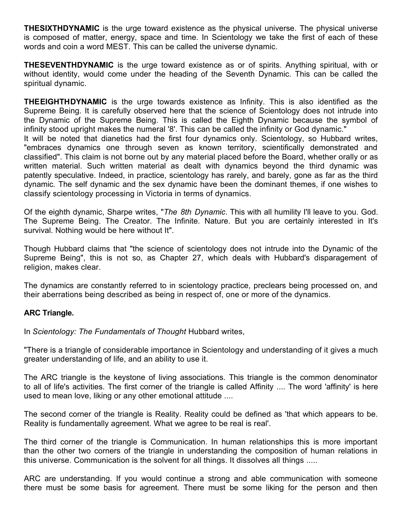**THESIXTHDYNAMIC** is the urge toward existence as the physical universe. The physical universe is composed of matter, energy, space and time. In Scientology we take the first of each of these words and coin a word MEST. This can be called the universe dynamic.

**THESEVENTHDYNAMIC** is the urge toward existence as or of spirits. Anything spiritual, with or without identity, would come under the heading of the Seventh Dynamic. This can be called the spiritual dynamic.

**THE EIGHTH DYNAMIC** is the urge towards existence as Infinity. This is also identified as the Supreme Being. It is carefully observed here that the science of Scientology does not intrude into the Dynamic of the Supreme Being. This is called the Eighth Dynamic because the symbol of infinity stood upright makes the numeral '8'. This can be called the infinity or God dynamic." It will be noted that dianetics had the first four dynamics only. Scientology, so Hubbard writes, "embraces dynamics one through seven as known territory, scientifically demonstrated and classified". This claim is not borne out by any material placed before the Board, whether orally or as written material. Such written material as dealt with dynamics beyond the third dynamic was patently speculative. Indeed, in practice, scientology has rarely, and barely, gone as far as the third dynamic. The self dynamic and the sex dynamic have been the dominant themes, if one wishes to classify scientology processing in Victoria in terms of dynamics.

Of the eighth dynamic, Sharpe writes, "*The 8th Dynamic*. This with all humility I'll leave to you. God. The Supreme Being. The Creator. The Infinite. Nature. But you are certainly interested in It's survival. Nothing would be here without It".

Though Hubbard claims that "the science of scientology does not intrude into the Dynamic of the Supreme Being", this is not so, as Chapter 27, which deals with Hubbard's disparagement of religion, makes clear.

The dynamics are constantly referred to in scientology practice, preclears being processed on, and their aberrations being described as being in respect of, one or more of the dynamics.

#### **ARC Triangle.**

In *Scientology: The Fundamentals of Thought* Hubbard writes,

"There is a triangle of considerable importance in Scientology and understanding of it gives a much greater understanding of life, and an ability to use it.

The ARC triangle is the keystone of living associations. This triangle is the common denominator to all of life's activities. The first corner of the triangle is called Affinity .... The word 'affinity' is here used to mean love, liking or any other emotional attitude ....

The second corner of the triangle is Reality. Reality could be defined as 'that which appears to be. Reality is fundamentally agreement. What we agree to be real is real'.

The third corner of the triangle is Communication. In human relationships this is more important than the other two corners of the triangle in understanding the composition of human relations in this universe. Communication is the solvent for all things. It dissolves all things .....

ARC are understanding. If you would continue a strong and able communication with someone there must be some basis for agreement. There must be some liking for the person and then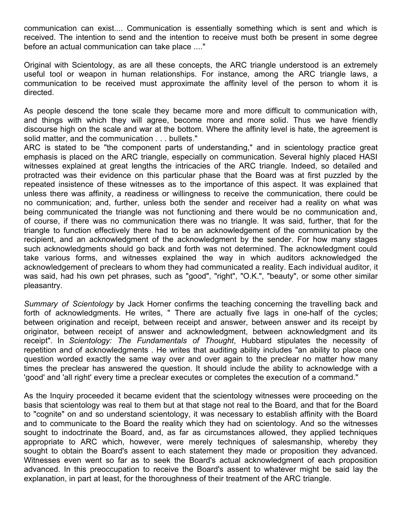communication can exist.... Communication is essentially something which is sent and which is received. The intention to send and the intention to receive must both be present in some degree before an actual communication can take place ...."

Original with Scientology, as are all these concepts, the ARC triangle understood is an extremely useful tool or weapon in human relationships. For instance, among the ARC triangle laws, a communication to be received must approximate the affinity level of the person to whom it is directed.

As people descend the tone scale they became more and more difficult to communication with, and things with which they will agree, become more and more solid. Thus we have friendly discourse high on the scale and war at the bottom. Where the affinity level is hate, the agreement is solid matter, and the communication . . . bullets."

ARC is stated to be "the component parts of understanding," and in scientology practice great emphasis is placed on the ARC triangle, especially on communication. Several highly placed HASI witnesses explained at great lengths the intricacies of the ARC triangle. Indeed, so detailed and protracted was their evidence on this particular phase that the Board was at first puzzled by the repeated insistence of these witnesses as to the importance of this aspect. It was explained that unless there was affinity, a readiness or willingness to receive the communication, there could be no communication; and, further, unless both the sender and receiver had a reality on what was being communicated the triangle was not functioning and there would be no communication and, of course, if there was no communication there was no triangle. It was said, further, that for the triangle to function effectively there had to be an acknowledgement of the communication by the recipient, and an acknowledgment of the acknowledgment by the sender. For how many stages such acknowledgments should go back and forth was not determined. The acknowledgment could take various forms, and witnesses explained the way in which auditors acknowledged the acknowledgement of preclears to whom they had communicated a reality. Each individual auditor, it was said, had his own pet phrases, such as "good", "right", "O.K.", "beauty", or some other similar pleasantry.

*Summary of Scientology* by Jack Horner confirms the teaching concerning the travelling back and forth of acknowledgments. He writes, " There are actually five lags in one-half of the cycles; between origination and receipt, between receipt and answer, between answer and its receipt by originator, between receipt of answer and acknowledgment, between acknowledgment and its receipt". In *Scientology: The Fundamentals of Thought*, Hubbard stipulates the necessity of repetition and of acknowledgments . He writes that auditing ability includes "an ability to place one question worded exactly the same way over and over again to the preclear no matter how many times the preclear has answered the question. It should include the ability to acknowledge with a 'good' and 'all right' every time a preclear executes or completes the execution of a command."

As the Inquiry proceeded it became evident that the scientology witnesses were proceeding on the basis that scientology was real to them but at that stage not real to the Board, and that for the Board to "cognite" on and so understand scientology, it was necessary to establish affinity with the Board and to communicate to the Board the reality which they had on scientology. And so the witnesses sought to indoctrinate the Board, and, as far as circumstances allowed, they applied techniques appropriate to ARC which, however, were merely techniques of salesmanship, whereby they sought to obtain the Board's assent to each statement they made or proposition they advanced. Witnesses even went so far as to seek the Board's actual acknowledgment of each proposition advanced. In this preoccupation to receive the Board's assent to whatever might be said lay the explanation, in part at least, for the thoroughness of their treatment of the ARC triangle.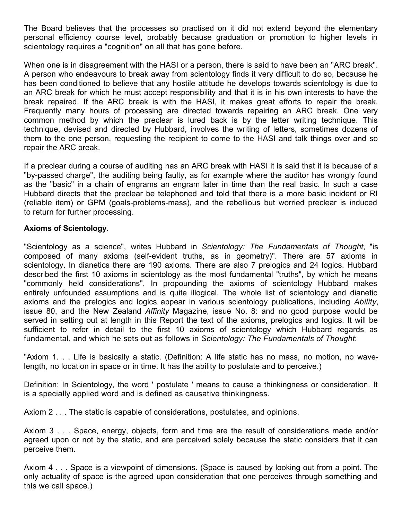The Board believes that the processes so practised on it did not extend beyond the elementary personal efficiency course level, probably because graduation or promotion to higher levels in scientology requires a "cognition" on all that has gone before.

When one is in disagreement with the HASI or a person, there is said to have been an "ARC break". A person who endeavours to break away from scientology finds it very difficult to do so, because he has been conditioned to believe that any hostile attitude he develops towards scientology is due to an ARC break for which he must accept responsibility and that it is in his own interests to have the break repaired. If the ARC break is with the HASI, it makes great efforts to repair the break. Frequently many hours of processing are directed towards repairing an ARC break. One very common method by which the preclear is lured back is by the letter writing technique. This technique, devised and directed by Hubbard, involves the writing of letters, sometimes dozens of them to the one person, requesting the recipient to come to the HASI and talk things over and so repair the ARC break.

If a preclear during a course of auditing has an ARC break with HASI it is said that it is because of a "by-passed charge", the auditing being faulty, as for example where the auditor has wrongly found as the "basic" in a chain of engrams an engram later in time than the real basic. In such a case Hubbard directs that the preclear be telephoned and told that there is a more basic incident or RI (reliable item) or GPM (goals-problems-mass), and the rebellious but worried preclear is induced to return for further processing.

#### **Axioms of Scientology.**

"Scientology as a science", writes Hubbard in *Scientology: The Fundamentals of Thought*, "is composed of many axioms (self-evident truths, as in geometry)". There are 57 axioms in scientology. In dianetics there are 190 axioms. There are also 7 prelogics and 24 logics. Hubbard described the first 10 axioms in scientology as the most fundamental "truths", by which he means "commonly held considerations". In propounding the axioms of scientology Hubbard makes entirely unfounded assumptions and is quite illogical. The whole list of scientology and dianetic axioms and the prelogics and logics appear in various scientology publications, including *Ability*, issue 80, and the New Zealand *Affinity* Magazine, issue No. 8: and no good purpose would be served in setting out at length in this Report the text of the axioms, prelogics and logics. It will be sufficient to refer in detail to the first 10 axioms of scientology which Hubbard regards as fundamental, and which he sets out as follows in *Scientology: The Fundamentals of Thought*:

"Axiom 1. . . Life is basically a static. (Definition: A life static has no mass, no motion, no wavelength, no location in space or in time. It has the ability to postulate and to perceive.)

Definition: In Scientology, the word ' postulate ' means to cause a thinkingness or consideration. It is a specially applied word and is defined as causative thinkingness.

Axiom 2 . . . The static is capable of considerations, postulates, and opinions.

Axiom 3 . . . Space, energy, objects, form and time are the result of considerations made and/or agreed upon or not by the static, and are perceived solely because the static considers that it can perceive them.

Axiom 4 . . . Space is a viewpoint of dimensions. (Space is caused by looking out from a point. The only actuality of space is the agreed upon consideration that one perceives through something and this we call space.)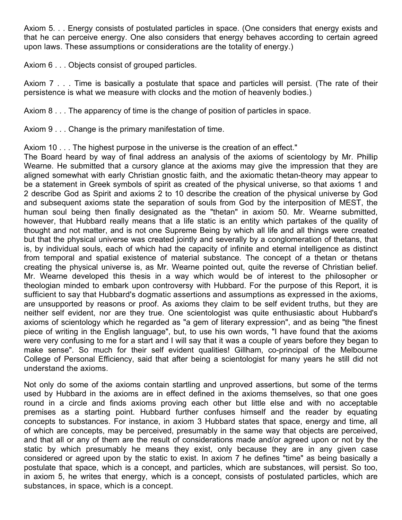Axiom 5. . . Energy consists of postulated particles in space. (One considers that energy exists and that he can perceive energy. One also considers that energy behaves according to certain agreed upon laws. These assumptions or considerations are the totality of energy.)

Axiom 6 . . . Objects consist of grouped particles.

Axiom 7 . . . Time is basically a postulate that space and particles will persist. (The rate of their persistence is what we measure with clocks and the motion of heavenly bodies.)

Axiom 8 . . . The apparency of time is the change of position of particles in space.

Axiom 9 . . . Change is the primary manifestation of time.

Axiom 10 . . . The highest purpose in the universe is the creation of an effect."

The Board heard by way of final address an analysis of the axioms of scientology by Mr. Phillip Wearne. He submitted that a cursory glance at the axioms may give the impression that they are aligned somewhat with early Christian gnostic faith, and the axiomatic thetan-theory may appear to be a statement in Greek symbols of spirit as created of the physical universe, so that axioms 1 and 2 describe God as Spirit and axioms 2 to 10 describe the creation of the physical universe by God and subsequent axioms state the separation of souls from God by the interposition of MEST, the human soul being then finally designated as the "thetan" in axiom 50. Mr. Wearne submitted, however, that Hubbard really means that a life static is an entity which partakes of the quality of thought and not matter, and is not one Supreme Being by which all life and all things were created but that the physical universe was created jointly and severally by a conglomeration of thetans, that is, by individual souls, each of which had the capacity of infinite and eternal intelligence as distinct from temporal and spatial existence of material substance. The concept of a thetan or thetans creating the physical universe is, as Mr. Wearne pointed out, quite the reverse of Christian belief. Mr. Wearne developed this thesis in a way which would be of interest to the philosopher or theologian minded to embark upon controversy with Hubbard. For the purpose of this Report, it is sufficient to say that Hubbard's dogmatic assertions and assumptions as expressed in the axioms, are unsupported by reasons or proof. As axioms they claim to be self evident truths, but they are neither self evident, nor are they true. One scientologist was quite enthusiastic about Hubbard's axioms of scientology which he regarded as "a gem of literary expression", and as being "the finest piece of writing in the English language", but, to use his own words, "I have found that the axioms were very confusing to me for a start and I will say that it was a couple of years before they began to make sense". So much for their self evident qualities! Gillham, co-principal of the Melbourne College of Personal Efficiency, said that after being a scientologist for many years he still did not understand the axioms.

Not only do some of the axioms contain startling and unproved assertions, but some of the terms used by Hubbard in the axioms are in effect defined in the axioms themselves, so that one goes round in a circle and finds axioms proving each other but little else and with no acceptable premises as a starting point. Hubbard further confuses himself and the reader by equating concepts to substances. For instance, in axiom 3 Hubbard states that space, energy and time, all of which are concepts, may be perceived, presumably in the same way that objects are perceived, and that all or any of them are the result of considerations made and/or agreed upon or not by the static by which presumably he means they exist, only because they are in any given case considered or agreed upon by the static to exist. In axiom 7 he defines "time" as being basically a postulate that space, which is a concept, and particles, which are substances, will persist. So too, in axiom 5, he writes that energy, which is a concept, consists of postulated particles, which are substances, in space, which is a concept.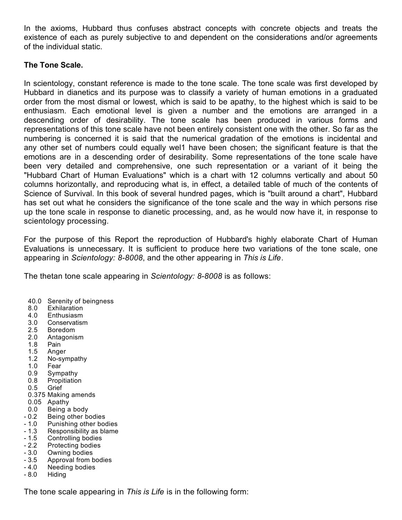In the axioms, Hubbard thus confuses abstract concepts with concrete objects and treats the existence of each as purely subjective to and dependent on the considerations and/or agreements of the individual static.

### **The Tone Scale.**

In scientology, constant reference is made to the tone scale. The tone scale was first developed by Hubbard in dianetics and its purpose was to classify a variety of human emotions in a graduated order from the most dismal or lowest, which is said to be apathy, to the highest which is said to be enthusiasm. Each emotional level is given a number and the emotions are arranged in a descending order of desirability. The tone scale has been produced in various forms and representations of this tone scale have not been entirely consistent one with the other. So far as the numbering is concerned it is said that the numerical gradation of the emotions is incidental and any other set of numbers could equally wel1 have been chosen; the significant feature is that the emotions are in a descending order of desirability. Some representations of the tone scale have been very detailed and comprehensive, one such representation or a variant of it being the "Hubbard Chart of Human Evaluations" which is a chart with 12 columns vertically and about 50 columns horizontally, and reproducing what is, in effect, a detailed table of much of the contents of Science of Survival. In this book of several hundred pages, which is "built around a chart", Hubbard has set out what he considers the significance of the tone scale and the way in which persons rise up the tone scale in response to dianetic processing, and, as he would now have it, in response to scientology processing.

For the purpose of this Report the reproduction of Hubbard's highly elaborate Chart of Human Evaluations is unnecessary. It is sufficient to produce here two variations of the tone scale, one appearing in *Scientology: 8-8008*, and the other appearing in *This is Life*.

The thetan tone scale appearing in *Scientology: 8-8008* is as follows:

- 40.0 Serenity of beingness
- 8.0 Exhilaration
- 4.0 Enthusiasm
- 3.0 Conservatism
- 2.5 Boredom
- 2.0 Antagonism
- 1.8 Pain
- 1.5 Anger
- No-sympathy
- 1.0 Fear<br>0.9 Symr
- Sympathy 0.8 Propitiation
- 0.5 Grief
- 0.375 Making amends
- 0.05 Apathy
- 0.0 Being a body
- 0.2 Being other bodies
- 1.0 Punishing other bodies
- 1.3 Responsibility as blame
- 1.5 Controlling bodies
- 2.2 Protecting bodies
- 3.0 Owning bodies
- 3.5 Approval from bodies<br>- 4.0 Needing bodies
- 4.0 Needing bodies<br>- 8.0 Hiding
- Hiding

The tone scale appearing in *This is Life* is in the following form: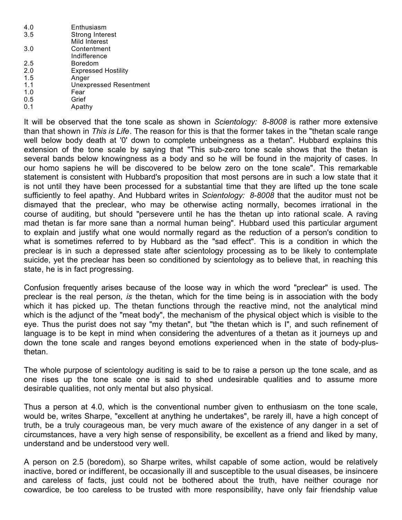| 4.0 | Enthusiasm                    |
|-----|-------------------------------|
| 3.5 | <b>Strong Interest</b>        |
|     | Mild Interest                 |
| 3.0 | Contentment                   |
|     | Indifference                  |
| 2.5 | Boredom                       |
| 2.0 | <b>Expressed Hostility</b>    |
| 1.5 | Anger                         |
| 1.1 | <b>Unexpressed Resentment</b> |
| 1.0 | Fear                          |
| 0.5 | Grief                         |
| 0.1 | Apathy                        |

It will be observed that the tone scale as shown in *Scientology: 8-8008* is rather more extensive than that shown in *This is Life*. The reason for this is that the former takes in the "thetan scale range well below body death at '0' down to complete unbeingness as a thetan". Hubbard explains this extension of the tone scale by saying that "This sub-zero tone scale shows that the thetan is several bands below knowingness as a body and so he will be found in the majority of cases. In our homo sapiens he will be discovered to be below zero on the tone scale". This remarkable statement is consistent with Hubbard's proposition that most persons are in such a low state that it is not until they have been processed for a substantial time that they are lifted up the tone scale sufficiently to feel apathy. And Hubbard writes in *Scientology: 8-8008* that the auditor must not be dismayed that the preclear, who may be otherwise acting normally, becomes irrational in the course of auditing, but should "persevere until he has the thetan up into rational scale. A raving mad thetan is far more sane than a normal human being". Hubbard used this particular argument to explain and justify what one would normally regard as the reduction of a person's condition to what is sometimes referred to by Hubbard as the "sad effect". This is a condition in which the preclear is in such a depressed state after scientology processing as to be likely to contemplate suicide, yet the preclear has been so conditioned by scientology as to believe that, in reaching this state, he is in fact progressing.

Confusion frequently arises because of the loose way in which the word "preclear" is used. The preclear is the real person, *is* the thetan, which for the time being is in association with the body which it has picked up. The thetan functions through the reactive mind, not the analytical mind which is the adjunct of the "meat body", the mechanism of the physical object which is visible to the eye. Thus the purist does not say "my thetan", but "the thetan which is I", and such refinement of language is to be kept in mind when considering the adventures of a thetan as it journeys up and down the tone scale and ranges beyond emotions experienced when in the state of body-plusthetan.

The whole purpose of scientology auditing is said to be to raise a person up the tone scale, and as one rises up the tone scale one is said to shed undesirable qualities and to assume more desirable qualities, not only mental but also physical.

Thus a person at 4.0, which is the conventional number given to enthusiasm on the tone scale, would be, writes Sharpe, "excellent at anything he undertakes", be rarely ill, have a high concept of truth, be a truly courageous man, be very much aware of the existence of any danger in a set of circumstances, have a very high sense of responsibility, be excellent as a friend and liked by many, understand and be understood very well.

A person on 2.5 (boredom), so Sharpe writes, whilst capable of some action, would be relatively inactive, bored or indifferent, be occasionally ill and susceptible to the usual diseases, be insincere and careless of facts, just could not be bothered about the truth, have neither courage nor cowardice, be too careless to be trusted with more responsibility, have only fair friendship value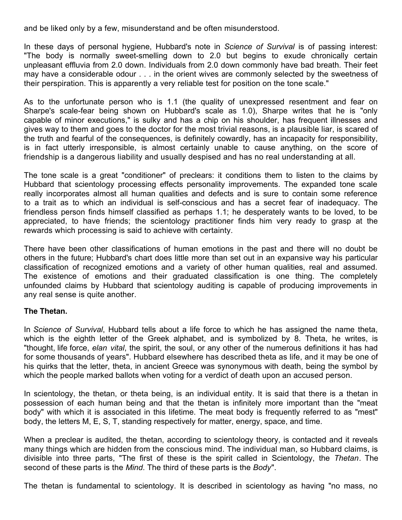and be liked only by a few, misunderstand and be often misunderstood.

In these days of personal hygiene, Hubbard's note in *Science of Survival* is of passing interest: "The body is normally sweet-smelling down to 2.0 but begins to exude chronically certain unpleasant effluvia from 2.0 down. Individuals from 2.0 down commonly have bad breath. Their feet may have a considerable odour . . . in the orient wives are commonly selected by the sweetness of their perspiration. This is apparently a very reliable test for position on the tone scale."

As to the unfortunate person who is 1.1 (the quality of unexpressed resentment and fear on Sharpe's scale-fear being shown on Hubbard's scale as 1.0), Sharpe writes that he is "only capable of minor executions," is sulky and has a chip on his shoulder, has frequent illnesses and gives way to them and goes to the doctor for the most trivial reasons, is a plausible liar, is scared of the truth and fearful of the consequences, is definitely cowardly, has an incapacity for responsibility, is in fact utterly irresponsible, is almost certainly unable to cause anything, on the score of friendship is a dangerous liability and usually despised and has no real understanding at all.

The tone scale is a great "conditioner" of preclears: it conditions them to listen to the claims by Hubbard that scientology processing effects personality improvements. The expanded tone scale really incorporates almost all human qualities and defects and is sure to contain some reference to a trait as to which an individual is self-conscious and has a secret fear of inadequacy. The friendless person finds himself classified as perhaps 1.1; he desperately wants to be loved, to be appreciated, to have friends; the scientology practitioner finds him very ready to grasp at the rewards which processing is said to achieve with certainty.

There have been other classifications of human emotions in the past and there will no doubt be others in the future; Hubbard's chart does little more than set out in an expansive way his particular classification of recognized emotions and a variety of other human qualities, real and assumed. The existence of emotions and their graduated classification is one thing. The completely unfounded claims by Hubbard that scientology auditing is capable of producing improvements in any real sense is quite another.

#### **The Thetan.**

In *Science of Survival*, Hubbard tells about a life force to which he has assigned the name theta, which is the eighth letter of the Greek alphabet, and is symbolized by 8. Theta, he writes, is "thought, life force, *elan vital*, the spirit, the soul, or any other of the numerous definitions it has had for some thousands of years". Hubbard elsewhere has described theta as life, and it may be one of his quirks that the letter, theta, in ancient Greece was synonymous with death, being the symbol by which the people marked ballots when voting for a verdict of death upon an accused person.

In scientology, the thetan, or theta being, is an individual entity. It is said that there is a thetan in possession of each human being and that the thetan is infinitely more important than the "meat body" with which it is associated in this lifetime. The meat body is frequently referred to as "mest" body, the letters M, E, S, T, standing respectively for matter, energy, space, and time.

When a preclear is audited, the thetan, according to scientology theory, is contacted and it reveals many things which are hidden from the conscious mind. The individual man, so Hubbard claims, is divisible into three parts, "The first of these is the spirit called in Scientology, the *Thetan*. The second of these parts is the *Mind*. The third of these parts is the *Body*".

The thetan is fundamental to scientology. It is described in scientology as having "no mass, no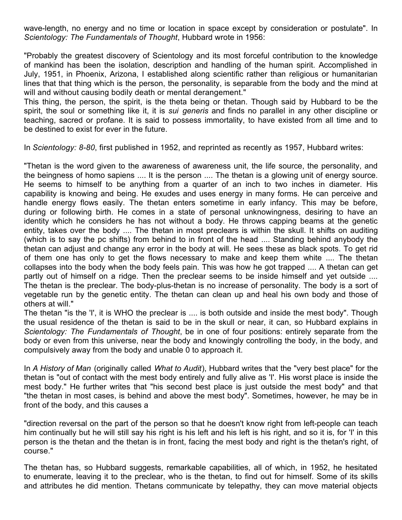wave-length, no energy and no time or location in space except by consideration or postulate". In *Scientology: The Fundamentals of Thought*, Hubbard wrote in 1956:

"Probably the greatest discovery of Scientology and its most forceful contribution to the knowledge of mankind has been the isolation, description and handling of the human spirit. Accomplished in July, 1951, in Phoenix, Arizona, I established along scientific rather than religious or humanitarian lines that that thing which is the person, the personality, is separable from the body and the mind at will and without causing bodily death or mental derangement."

This thing, the person, the spirit, is the theta being or thetan. Though said by Hubbard to be the spirit, the soul or something like it, it is *sui generis* and finds no parallel in any other discipline or teaching, sacred or profane. It is said to possess immortality, to have existed from all time and to be destined to exist for ever in the future.

In *Scientology: 8-80*, first published in 1952, and reprinted as recently as 1957, Hubbard writes:

"Thetan is the word given to the awareness of awareness unit, the life source, the personality, and the beingness of homo sapiens .... It is the person .... The thetan is a glowing unit of energy source. He seems to himself to be anything from a quarter of an inch to two inches in diameter. His capability is knowing and being. He exudes and uses energy in many forms. He can perceive and handle energy flows easily. The thetan enters sometime in early infancy. This may be before, during or following birth. He comes in a state of personal unknowingness, desiring to have an identity which he considers he has not without a body. He throws capping beams at the genetic entity, takes over the body .... The thetan in most preclears is within the skull. It shifts on auditing (which is to say the pc shifts) from behind to in front of the head .... Standing behind anybody the thetan can adjust and change any error in the body at will. He sees these as black spots. To get rid of them one has only to get the flows necessary to make and keep them white .... The thetan collapses into the body when the body feels pain. This was how he got trapped .... A thetan can get partly out of himself on a ridge. Then the preclear seems to be inside himself and yet outside .... The thetan is the preclear. The body-plus-thetan is no increase of personality. The body is a sort of vegetable run by the genetic entity. The thetan can clean up and heal his own body and those of others at will."

The thetan "is the 'I', it is WHO the preclear is .... is both outside and inside the mest body". Though the usual residence of the thetan is said to be in the skull or near, it can, so Hubbard explains in *Scientology: The Fundamentals of Thought*, be in one of four positions: entirely separate from the body or even from this universe, near the body and knowingly controlling the body, in the body, and compulsively away from the body and unable 0 to approach it.

In *A History of Man* (originally called *What to Audit*), Hubbard writes that the "very best place" for the thetan is "out of contact with the mest body entirely and fully alive as 'I'. His worst place is inside the mest body." He further writes that "his second best place is just outside the mest body" and that "the thetan in most cases, is behind and above the mest body". Sometimes, however, he may be in front of the body, and this causes a

"direction reversal on the part of the person so that he doesn't know right from left-people can teach him continually but he will still say his right is his left and his left is his right, and so it is, for 'I' in this person is the thetan and the thetan is in front, facing the mest body and right is the thetan's right, of course."

The thetan has, so Hubbard suggests, remarkable capabilities, all of which, in 1952, he hesitated to enumerate, leaving it to the preclear, who is the thetan, to find out for himself. Some of its skills and attributes he did mention. Thetans communicate by telepathy, they can move material objects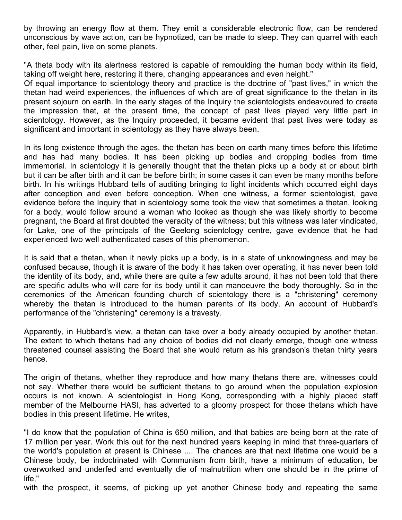by throwing an energy flow at them. They emit a considerable electronic flow, can be rendered unconscious by wave action, can be hypnotized, can be made to sleep. They can quarrel with each other, feel pain, live on some planets.

"A theta body with its alertness restored is capable of remoulding the human body within its field, taking off weight here, restoring it there, changing appearances and even height."

Of equal importance to scientology theory and practice is the doctrine of "past lives," in which the thetan had weird experiences, the influences of which are of great significance to the thetan in its present sojourn on earth. In the early stages of the Inquiry the scientologists endeavoured to create the impression that, at the present time, the concept of past lives played very little part in scientology. However, as the Inquiry proceeded, it became evident that past lives were today as significant and important in scientology as they have always been.

In its long existence through the ages, the thetan has been on earth many times before this lifetime and has had many bodies. lt has been picking up bodies and dropping bodies from time immemorial. In scientology it is generally thought that the thetan picks up a body at or about birth but it can be after birth and it can be before birth; in some cases it can even be many months before birth. In his writings Hubbard tells of auditing bringing to light incidents which occurred eight days after conception and even before conception. When one witness, a former scientologist, gave evidence before the Inquiry that in scientology some took the view that sometimes a thetan, looking for a body, would follow around a woman who looked as though she was likely shortly to become pregnant, the Board at first doubted the veracity of the witness; but this witness was later vindicated, for Lake, one of the principals of the Geelong scientology centre, gave evidence that he had experienced two well authenticated cases of this phenomenon.

It is said that a thetan, when it newly picks up a body, is in a state of unknowingness and may be confused because, though it is aware of the body it has taken over operating, it has never been told the identity of its body, and, while there are quite a few adults around, it has not been told that there are specific adults who will care for its body until it can manoeuvre the body thoroughly. So in the ceremonies of the American founding church of scientology there is a "christening" ceremony whereby the thetan is introduced to the human parents of its body. An account of Hubbard's performance of the "christening" ceremony is a travesty.

Apparently, in Hubbard's view, a thetan can take over a body already occupied by another thetan. The extent to which thetans had any choice of bodies did not clearly emerge, though one witness threatened counsel assisting the Board that she would return as his grandson's thetan thirty years hence.

The origin of thetans, whether they reproduce and how many thetans there are, witnesses could not say. Whether there would be sufficient thetans to go around when the population explosion occurs is not known. A scientologist in Hong Kong, corresponding with a highly placed staff member of the Melbourne HASI, has adverted to a gloomy prospect for those thetans which have bodies in this present lifetime. He writes,

"I do know that the population of China is 650 million, and that babies are being born at the rate of 17 million per year. Work this out for the next hundred years keeping in mind that three-quarters of the world's population at present is Chinese .... The chances are that next lifetime one would be a Chinese body, be indoctrinated with Communism from birth, have a minimum of education, be overworked and underfed and eventually die of malnutrition when one should be in the prime of life,"

with the prospect, it seems, of picking up yet another Chinese body and repeating the same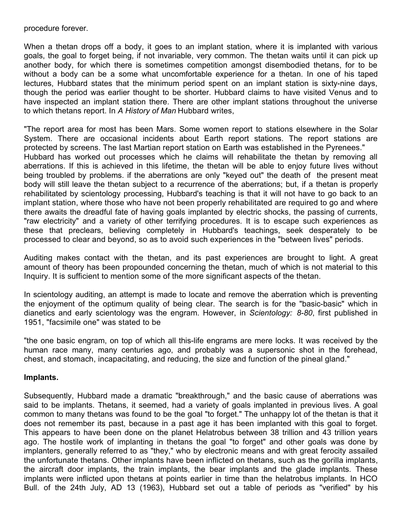procedure forever.

When a thetan drops off a body, it goes to an implant station, where it is implanted with various goals, the goal to forget being, if not invariable, very common. The thetan waits until it can pick up another body, for which there is sometimes competition amongst disembodied thetans, for to be without a body can be a some what uncomfortable experience for a thetan. In one of his taped lectures, Hubbard states that the minimum period spent on an implant station is sixty-nine days, though the period was earlier thought to be shorter. Hubbard claims to have visited Venus and to have inspected an implant station there. There are other implant stations throughout the universe to which thetans report. In *A History of Man* Hubbard writes,

"The report area for most has been Mars. Some women report to stations elsewhere in the Solar System. There are occasional incidents about Earth report stations. The report stations are protected by screens. The last Martian report station on Earth was established in the Pyrenees." Hubbard has worked out processes which he claims will rehabilitate the thetan by removing all aberrations. If this is achieved in this lifetime, the thetan will be able to enjoy future lives without being troubled by problems. if the aberrations are only "keyed out" the death of the present meat body will still leave the thetan subject to a recurrence of the aberrations; but, if a thetan is properly rehabilitated by scientology processing, Hubbard's teaching is that it will not have to go back to an implant station, where those who have not been properly rehabilitated are required to go and where there awaits the dreadful fate of having goals implanted by electric shocks, the passing of currents, "raw electricity" and a variety of other terrifying procedures. It is to escape such experiences as these that preclears, believing completely in Hubbard's teachings, seek desperately to be processed to clear and beyond, so as to avoid such experiences in the "between lives" periods.

Auditing makes contact with the thetan, and its past experiences are brought to light. A great amount of theory has been propounded concerning the thetan, much of which is not material to this Inquiry. It is sufficient to mention some of the more significant aspects of the thetan.

In scientology auditing, an attempt is made to locate and remove the aberration which is preventing the enjoyment of the optimum quality of being clear. The search is for the "basic-basic" which in dianetics and early scientology was the engram. However, in *Scientology: 8-80*, first published in 1951, "facsimile one" was stated to be

"the one basic engram, on top of which all this-life engrams are mere locks. It was received by the human race many, many centuries ago, and probably was a supersonic shot in the forehead, chest, and stomach, incapacitating, and reducing, the size and function of the pineal gland."

#### **Implants.**

Subsequently, Hubbard made a dramatic "breakthrough," and the basic cause of aberrations was said to be implants. Thetans, it seemed, had a variety of goals implanted in previous lives. A goal common to many thetans was found to be the goal "to forget." The unhappy lot of the thetan is that it does not remember its past, because in a past age it has been implanted with this goal to forget. This appears to have been done on the planet Helatrobus between 38 trillion and 43 trillion years ago. The hostile work of implanting in thetans the goal "to forget" and other goals was done by implanters, generally referred to as "they," who by electronic means and with great ferocity assailed the unfortunate thetans. Other implants have been inflicted on thetans, such as the gorilla implants, the aircraft door implants, the train implants, the bear implants and the glade implants. These implants were inflicted upon thetans at points earlier in time than the helatrobus implants. In HCO Bull. of the 24th July, AD 13 (1963), Hubbard set out a table of periods as "verified" by his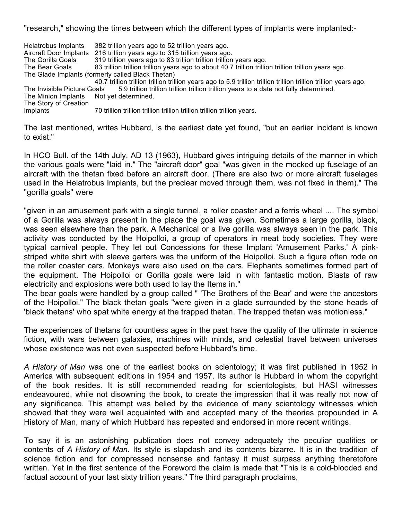"research," showing the times between which the different types of implants were implanted:-

Helatrobus Implants 382 trillion years ago to 52 trillion years ago. Aircraft Door Implants 216 trillion years ago to 315 trillion years ago. The Gorilla Goals 319 trillion years ago to 83 trillion trillion trillion years ago. The Bear Goals 83 trillion trillion trillion years ago to about 40.7 trillion trillion trillion trillion years ago. The Glade Implants (formerly called Black Thetan) 40.7 trillion trillion trillion trillion years ago to 5.9 trillion trillion trillion trillion trillion years ago. The Invisible Picture Goals 5.9 trillion trillion trillion trillion trillion years to a date not fully determined. The Minion Implants Not yet determined. The Story of Creation Implants 70 trillion trillion trillion trillion trillion trillion trillion years.

The last mentioned, writes Hubbard, is the earliest date yet found, "but an earlier incident is known to exist."

In HCO Bull. of the 14th July, AD 13 (1963), Hubbard gives intriguing details of the manner in which the various goals were "laid in." The "aircraft door" goal "was given in the mocked up fuselage of an aircraft with the thetan fixed before an aircraft door. (There are also two or more aircraft fuselages used in the Helatrobus Implants, but the preclear moved through them, was not fixed in them)." The "gorilla goals" were

"given in an amusement park with a single tunnel, a roller coaster and a ferris wheel .... The symbol of a Gorilla was always present in the place the goal was given. Sometimes a large gorilla, black, was seen elsewhere than the park. A Mechanical or a live gorilla was always seen in the park. This activity was conducted by the Hoipolloi, a group of operators in meat body societies. They were typical carnival people. They let out Concessions for these Implant 'Amusement Parks.' A pinkstriped white shirt with sleeve garters was the uniform of the Hoipolloi. Such a figure often rode on the roller coaster cars. Monkeys were also used on the cars. Elephants sometimes formed part of the equipment. The Hoipolloi or Gorilla goals were laid in with fantastic motion. Blasts of raw electricity and explosions were both used to lay the Items in."

The bear goals were handled by a group called " 'The Brothers of the Bear' and were the ancestors of the Hoipolloi." The black thetan goals "were given in a glade surrounded by the stone heads of 'black thetans' who spat white energy at the trapped thetan. The trapped thetan was motionless."

The experiences of thetans for countless ages in the past have the quality of the ultimate in science fiction, with wars between galaxies, machines with minds, and celestial travel between universes whose existence was not even suspected before Hubbard's time.

*A History of Man* was one of the earliest books on scientology; it was first published in 1952 in America with subsequent editions in 1954 and 1957. Its author is Hubbard in whom the copyright of the book resides. It is still recommended reading for scientologists, but HASI witnesses endeavoured, while not disowning the book, to create the impression that it was really not now of any significance. This attempt was belied by the evidence of many scientology witnesses which showed that they were well acquainted with and accepted many of the theories propounded in A History of Man, many of which Hubbard has repeated and endorsed in more recent writings.

To say it is an astonishing publication does not convey adequately the peculiar qualities or contents of *A History of Man*. Its style is slapdash and its contents bizarre. It is in the tradition of science fiction and for compressed nonsense and fantasy it must surpass anything theretofore written. Yet in the first sentence of the Foreword the claim is made that "This is a cold-blooded and factual account of your last sixty trillion years." The third paragraph proclaims,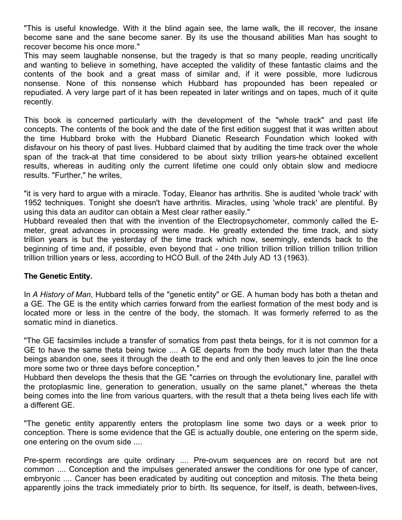"This is useful knowledge. With it the blind again see, the lame walk, the ill recover, the insane become sane and the sane become saner. By its use the thousand abilities Man has sought to recover become his once more."

This may seem laughable nonsense, but the tragedy is that so many people, reading uncritically and wanting to believe in something, have accepted the validity of these fantastic claims and the contents of the book and a great mass of similar and, if it were possible, more ludicrous nonsense. None of this nonsense which Hubbard has propounded has been repealed or repudiated. A very large part of it has been repeated in later writings and on tapes, much of it quite recently.

This book is concerned particularly with the development of the "whole track" and past life concepts. The contents of the book and the date of the first edition suggest that it was written about the time Hubbard broke with the Hubbard Dianetic Research Foundation which looked with disfavour on his theory of past lives. Hubbard claimed that by auditing the time track over the whole span of the track-at that time considered to be about sixty trillion years-he obtained excellent results, whereas in auditing only the current lifetime one could only obtain slow and mediocre results. "Further," he writes,

"it is very hard to argue with a miracle. Today, Eleanor has arthritis. She is audited 'whole track' with 1952 techniques. Tonight she doesn't have arthritis. Miracles, using 'whole track' are plentiful. By using this data an auditor can obtain a Mest clear rather easily."

Hubbard revealed then that with the invention of the Electropsychometer, commonly called the Emeter, great advances in processing were made. He greatly extended the time track, and sixty trillion years is but the yesterday of the time track which now, seemingly, extends back to the beginning of time and, if possible, even beyond that - one trillion trillion trillion trillion trillion trillion trillion trillion years or less, according to HCO Bull. of the 24th July AD 13 (1963).

#### **The Genetic Entity.**

In *A History of Man*, Hubbard tells of the "genetic entity" or GE. A human body has both a thetan and a GE. The GE is the entity which carries forward from the earliest formation of the mest body and is located more or less in the centre of the body, the stomach. It was formerly referred to as the somatic mind in dianetics.

"The GE facsimiles include a transfer of somatics from past theta beings, for it is not common for a GE to have the same theta being twice .... A GE departs from the body much later than the theta beings abandon one, sees it through the death to the end and only then leaves to join the line once more some two or three days before conception."

Hubbard then develops the thesis that the GE "carries on through the evolutionary line, parallel with the protoplasmic line, generation to generation, usually on the same planet," whereas the theta being comes into the line from various quarters, with the result that a theta being lives each life with a different GE.

"The genetic entity apparently enters the protoplasm line some two days or a week prior to conception. There is some evidence that the GE is actually double, one entering on the sperm side, one entering on the ovum side ....

Pre-sperm recordings are quite ordinary .... Pre-ovum sequences are on record but are not common .... Conception and the impulses generated answer the conditions for one type of cancer, embryonic .... Cancer has been eradicated by auditing out conception and mitosis. The theta being apparently joins the track immediately prior to birth. Its sequence, for itself, is death, between-lives,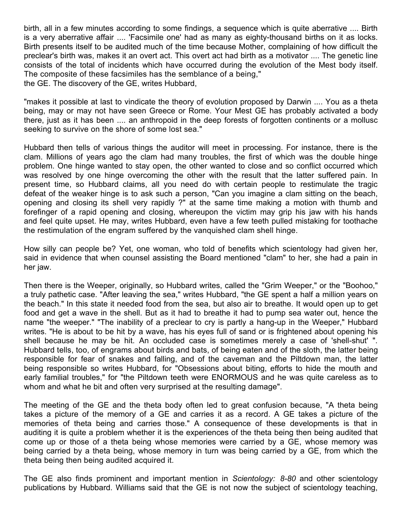birth, all in a few minutes according to some findings, a sequence which is quite aberrative .... Birth is a very aberrative affair .... 'Facsimile one' had as many as eighty-thousand births on it as locks. Birth presents itself to be audited much of the time because Mother, complaining of how difficult the preclear's birth was, makes it an overt act. This overt act had birth as a motivator .... The genetic line consists of the total of incidents which have occurred during the evolution of the Mest body itself. The composite of these facsimiles has the semblance of a being," the GE. The discovery of the GE, writes Hubbard,

"makes it possible at last to vindicate the theory of evolution proposed by Darwin .... You as a theta being, may or may not have seen Greece or Rome. Your Mest GE has probably activated a body there, just as it has been .... an anthropoid in the deep forests of forgotten continents or a mollusc seeking to survive on the shore of some lost sea."

Hubbard then tells of various things the auditor will meet in processing. For instance, there is the clam. Millions of years ago the clam had many troubles, the first of which was the double hinge problem. One hinge wanted to stay open, the other wanted to close and so conflict occurred which was resolved by one hinge overcoming the other with the result that the latter suffered pain. In present time, so Hubbard claims, all you need do with certain people to restimulate the tragic defeat of the weaker hinge is to ask such a person, "Can you imagine a clam sitting on the beach, opening and closing its shell very rapidly ?" at the same time making a motion with thumb and forefinger of a rapid opening and closing, whereupon the victim may grip his jaw with his hands and feel quite upset. He may, writes Hubbard, even have a few teeth pulled mistaking for toothache the restimulation of the engram suffered by the vanquished clam shell hinge.

How silly can people be? Yet, one woman, who told of benefits which scientology had given her, said in evidence that when counsel assisting the Board mentioned "clam" to her, she had a pain in her jaw.

Then there is the Weeper, originally, so Hubbard writes, called the "Grim Weeper," or the "Boohoo," a truly pathetic case. "After leaving the sea," writes Hubbard, "the GE spent a half a million years on the beach." In this state it needed food from the sea, but also air to breathe. It would open up to get food and get a wave in the shell. But as it had to breathe it had to pump sea water out, hence the name "the weeper." "The inability of a preclear to cry is partly a hang-up in the Weeper," Hubbard writes. "He is about to be hit by a wave, has his eyes full of sand or is frightened about opening his shell because he may be hit. An occluded case is sometimes merely a case of 'shell-shut' ". Hubbard tells, too, of engrams about birds and bats, of being eaten and of the sloth, the latter being responsible for fear of snakes and falling, and of the caveman and the Piltdown man, the latter being responsible so writes Hubbard, for "Obsessions about biting, efforts to hide the mouth and early familial troubles," for "the Piltdown teeth were ENORMOUS and he was quite careless as to whom and what he bit and often very surprised at the resulting damage".

The meeting of the GE and the theta body often led to great confusion because, "A theta being takes a picture of the memory of a GE and carries it as a record. A GE takes a picture of the memories of theta being and carries those." A consequence of these developments is that in auditing it is quite a problem whether it is the experiences of the theta being then being audited that come up or those of a theta being whose memories were carried by a GE, whose memory was being carried by a theta being, whose memory in turn was being carried by a GE, from which the theta being then being audited acquired it.

The GE also finds prominent and important mention in *Scientology: 8-80* and other scientology publications by Hubbard. Williams said that the GE is not now the subject of scientology teaching,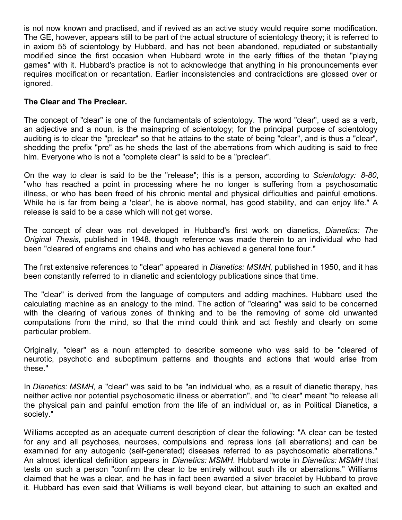is not now known and practised, and if revived as an active study would require some modification. The GE, however, appears still to be part of the actual structure of scientology theory; it is referred to in axiom 55 of scientology by Hubbard, and has not been abandoned, repudiated or substantially modified since the first occasion when Hubbard wrote in the early fifties of the thetan "playing games" with it. Hubbard's practice is not to acknowledge that anything in his pronouncements ever requires modification or recantation. Earlier inconsistencies and contradictions are glossed over or ignored.

#### **The Clear and The Preclear.**

The concept of "clear" is one of the fundamentals of scientology. The word "clear", used as a verb, an adjective and a noun, is the mainspring of scientology; for the principal purpose of scientology auditing is to clear the "preclear" so that he attains to the state of being "clear", and is thus a "clear", shedding the prefix "pre" as he sheds the last of the aberrations from which auditing is said to free him. Everyone who is not a "complete clear" is said to be a "preclear".

On the way to clear is said to be the "release"; this is a person, according to *Scientology: 8-80*, "who has reached a point in processing where he no longer is suffering from a psychosomatic illness, or who has been freed of his chronic mental and physical difficulties and painful emotions. While he is far from being a 'clear', he is above normal, has good stability, and can enjoy life." A release is said to be a case which will not get worse.

The concept of clear was not developed in Hubbard's first work on dianetics, *Dianetics: The Original Thesis*, published in 1948, though reference was made therein to an individual who had been "cleared of engrams and chains and who has achieved a general tone four."

The first extensive references to "clear" appeared in *Dianetics: MSMH*, published in 1950, and it has been constantly referred to in dianetic and scientology publications since that time.

The "clear" is derived from the language of computers and adding machines. Hubbard used the calculating machine as an analogy to the mind. The action of "clearing" was said to be concerned with the clearing of various zones of thinking and to be the removing of some old unwanted computations from the mind, so that the mind could think and act freshly and clearly on some particular problem.

Originally, "clear" as a noun attempted to describe someone who was said to be "cleared of neurotic, psychotic and suboptimum patterns and thoughts and actions that would arise from these."

In *Dianetics: MSMH*, a "clear" was said to be "an individual who, as a result of dianetic therapy, has neither active nor potential psychosomatic illness or aberration", and "to clear" meant "to release all the physical pain and painful emotion from the life of an individual or, as in Political Dianetics, a society."

Williams accepted as an adequate current description of clear the following: "A clear can be tested for any and all psychoses, neuroses, compulsions and repress ions (all aberrations) and can be examined for any autogenic (self-generated) diseases referred to as psychosomatic aberrations." An almost identical definition appears in *Dianetics: MSMH*. Hubbard wrote in *Dianetics: MSMH* that tests on such a person "confirm the clear to be entirely without such ills or aberrations." Williams claimed that he was a clear, and he has in fact been awarded a silver bracelet by Hubbard to prove it. Hubbard has even said that Williams is well beyond clear, but attaining to such an exalted and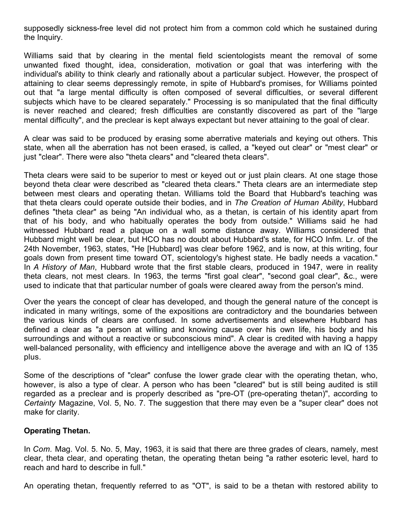supposedly sickness-free level did not protect him from a common cold which he sustained during the Inquiry.

Williams said that by clearing in the mental field scientologists meant the removal of some unwanted fixed thought, idea, consideration, motivation or goal that was interfering with the individual's ability to think clearly and rationally about a particular subject. However, the prospect of attaining to clear seems depressingly remote, in spite of Hubbard's promises, for Williams pointed out that "a large mental difficulty is often composed of several difficulties, or several different subjects which have to be cleared separately." Processing is so manipulated that the final difficulty is never reached and cleared; fresh difficulties are constantly discovered as part of the "large mental difficulty", and the preclear is kept always expectant but never attaining to the goal of clear.

A clear was said to be produced by erasing some aberrative materials and keying out others. This state, when all the aberration has not been erased, is called, a "keyed out clear" or "mest clear" or just "clear". There were also "theta clears" and "cleared theta clears".

Theta clears were said to be superior to mest or keyed out or just plain clears. At one stage those beyond theta clear were described as "cleared theta clears." Theta clears are an intermediate step between mest clears and operating thetan. Williams told the Board that Hubbard's teaching was that theta clears could operate outside their bodies, and in *The Creation of Human Ability*, Hubbard defines "theta clear" as being "An individual who, as a thetan, is certain of his identity apart from that of his body, and who habitually operates the body from outside." Williams said he had witnessed Hubbard read a plaque on a wall some distance away. Williams considered that Hubbard might well be clear, but HCO has no doubt about Hubbard's state, for HCO Infm. Lr. of the 24th November, 1963, states, "He [Hubbard] was clear before 1962, and is now, at this writing, four goals down from present time toward OT, scientology's highest state. He badly needs a vacation." In *A History of Man*, Hubbard wrote that the first stable clears, produced in 1947, were in reality theta clears, not mest clears. In 1963, the terms "first goal clear", "second goal clear", &c., were used to indicate that that particular number of goals were cleared away from the person's mind.

Over the years the concept of clear has developed, and though the general nature of the concept is indicated in many writings, some of the expositions are contradictory and the boundaries between the various kinds of clears are confused. In some advertisements and elsewhere Hubbard has defined a clear as "a person at willing and knowing cause over his own life, his body and his surroundings and without a reactive or subconscious mind". A clear is credited with having a happy well-balanced personality, with efficiency and intelligence above the average and with an IQ of 135 plus.

Some of the descriptions of "clear" confuse the lower grade clear with the operating thetan, who, however, is also a type of clear. A person who has been "cleared" but is still being audited is still regarded as a preclear and is properly described as "pre-OT (pre-operating thetan)", according to *Certainty* Magazine, Vol. 5, No. 7. The suggestion that there may even be a "super clear" does not make for clarity.

#### **Operating Thetan.**

In *Com.* Mag. Vol. 5. No. 5, May, 1963, it is said that there are three grades of clears, namely, mest clear, theta clear, and operating thetan, the operating thetan being "a rather esoteric level, hard to reach and hard to describe in full."

An operating thetan, frequently referred to as "OT", is said to be a thetan with restored ability to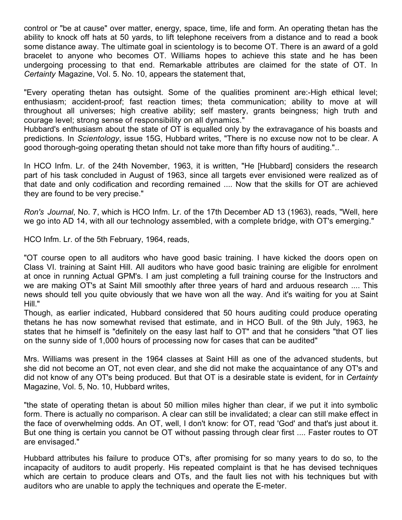control or "be at cause" over matter, energy, space, time, life and form. An operating thetan has the ability to knock off hats at 50 yards, to lift telephone receivers from a distance and to read a book some distance away. The ultimate goal in scientology is to become OT. There is an award of a gold bracelet to anyone who becomes OT. Williams hopes to achieve this state and he has been undergoing processing to that end. Remarkable attributes are claimed for the state of OT. In *Certainty* Magazine, Vol. 5. No. 10, appears the statement that,

"Every operating thetan has outsight. Some of the qualities prominent are:-High ethical level; enthusiasm; accident-proof; fast reaction times; theta communication; ability to move at will throughout all universes; high creative ability; self mastery, grants beingness; high truth and courage level; strong sense of responsibility on all dynamics."

Hubbard's enthusiasm about the state of OT is equalled only by the extravagance of his boasts and predictions. In *Scientology*, issue 15G, Hubbard writes, "There is no excuse now not to be clear. A good thorough-going operating thetan should not take more than fifty hours of auditing."..

In HCO Infm. Lr. of the 24th November, 1963, it is written, "He [Hubbard] considers the research part of his task concluded in August of 1963, since all targets ever envisioned were realized as of that date and only codification and recording remained .... Now that the skills for OT are achieved they are found to be very precise."

*Ron's Journal*, No. 7, which is HCO Infm. Lr. of the 17th December AD 13 (1963), reads, "Well, here we go into AD 14, with all our technology assembled, with a complete bridge, with OT's emerging."

HCO Infm. Lr. of the 5th February, 1964, reads,

"OT course open to all auditors who have good basic training. I have kicked the doors open on Class VI. training at Saint Hill. All auditors who have good basic training are eligible for enrolment at once in running Actual GPM's. I am just completing a full training course for the Instructors and we are making OT's at Saint Mill smoothly after three years of hard and arduous research .... This news should tell you quite obviously that we have won all the way. And it's waiting for you at Saint Hill."

Though, as earlier indicated, Hubbard considered that 50 hours auditing could produce operating thetans he has now somewhat revised that estimate, and in HCO Bull. of the 9th July, 1963, he states that he himself is "definitely on the easy last half to OT" and that he considers "that OT lies on the sunny side of 1,000 hours of processing now for cases that can be audited"

Mrs. Williams was present in the 1964 classes at Saint Hill as one of the advanced students, but she did not become an OT, not even clear, and she did not make the acquaintance of any OT's and did not know of any OT's being produced. But that OT is a desirable state is evident, for in *Certainty* Magazine, Vol. 5, No. 10, Hubbard writes,

"the state of operating thetan is about 50 million miles higher than clear, if we put it into symbolic form. There is actually no comparison. A clear can still be invalidated; a clear can still make effect in the face of overwhelming odds. An OT, well, I don't know: for OT, read 'God' and that's just about it. But one thing is certain you cannot be OT without passing through clear first .... Faster routes to OT are envisaged."

Hubbard attributes his failure to produce OT's, after promising for so many years to do so, to the incapacity of auditors to audit properly. His repeated complaint is that he has devised techniques which are certain to produce clears and OTs, and the fault lies not with his techniques but with auditors who are unable to apply the techniques and operate the E-meter.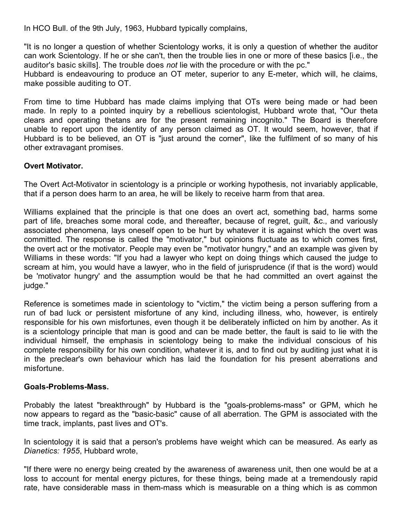In HCO Bull. of the 9th July, 1963, Hubbard typically complains,

"It is no longer a question of whether Scientology works, it is only a question of whether the auditor can work Scientology. If he or she can't, then the trouble lies in one or more of these basics [i.e., the auditor's basic skills]. The trouble does *not* lie with the procedure or with the pc."

Hubbard is endeavouring to produce an OT meter, superior to any E-meter, which will, he claims, make possible auditing to OT.

From time to time Hubbard has made claims implying that OTs were being made or had been made. In reply to a pointed inquiry by a rebellious scientologist, Hubbard wrote that, "Our theta clears and operating thetans are for the present remaining incognito." The Board is therefore unable to report upon the identity of any person claimed as OT. It would seem, however, that if Hubbard is to be believed, an OT is "just around the corner", like the fulfilment of so many of his other extravagant promises.

#### **Overt Motivator.**

The Overt Act-Motivator in scientology is a principle or working hypothesis, not invariably applicable, that if a person does harm to an area, he will be likely to receive harm from that area.

Williams explained that the principle is that one does an overt act, something bad, harms some part of life, breaches some moral code, and thereafter, because of regret, guilt, &c., and variously associated phenomena, lays oneself open to be hurt by whatever it is against which the overt was committed. The response is called the "motivator," but opinions fluctuate as to which comes first, the overt act or the motivator. People may even be "motivator hungry," and an example was given by Williams in these words: "If you had a lawyer who kept on doing things which caused the judge to scream at him, you would have a lawyer, who in the field of jurisprudence (if that is the word) would be 'motivator hungry' and the assumption would be that he had committed an overt against the judge."

Reference is sometimes made in scientology to "victim," the victim being a person suffering from a run of bad luck or persistent misfortune of any kind, including illness, who, however, is entirely responsible for his own misfortunes, even though it be deliberately inflicted on him by another. As it is a scientology principle that man is good and can be made better, the fault is said to lie with the individual himself, the emphasis in scientology being to make the individual conscious of his complete responsibility for his own condition, whatever it is, and to find out by auditing just what it is in the preclear's own behaviour which has laid the foundation for his present aberrations and misfortune.

#### **Goals-Problems-Mass.**

Probably the latest "breakthrough" by Hubbard is the "goals-problems-mass" or GPM, which he now appears to regard as the "basic-basic" cause of all aberration. The GPM is associated with the time track, implants, past lives and OT's.

In scientology it is said that a person's problems have weight which can be measured. As early as *Dianetics: 1955*, Hubbard wrote,

"If there were no energy being created by the awareness of awareness unit, then one would be at a loss to account for mental energy pictures, for these things, being made at a tremendously rapid rate, have considerable mass in them-mass which is measurable on a thing which is as common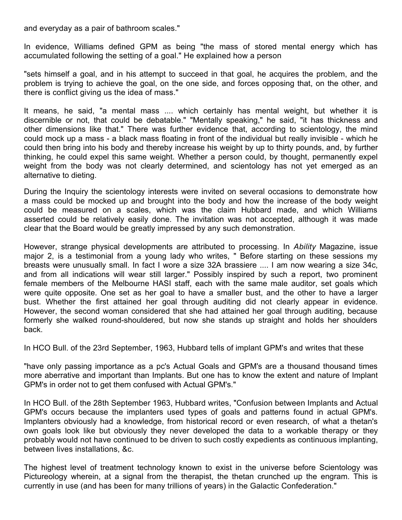and everyday as a pair of bathroom scales."

In evidence, Williams defined GPM as being "the mass of stored mental energy which has accumulated following the setting of a goal." He explained how a person

"sets himself a goal, and in his attempt to succeed in that goal, he acquires the problem, and the problem is trying to achieve the goal, on the one side, and forces opposing that, on the other, and there is conflict giving us the idea of mass."

It means, he said, "a mental mass .... which certainly has mental weight, but whether it is discernible or not, that could be debatable." "Mentally speaking," he said, "it has thickness and other dimensions like that." There was further evidence that, according to scientology, the mind could mock up a mass - a black mass floating in front of the individual but really invisible - which he could then bring into his body and thereby increase his weight by up to thirty pounds, and, by further thinking, he could expel this same weight. Whether a person could, by thought, permanently expel weight from the body was not clearly determined, and scientology has not yet emerged as an alternative to dieting.

During the Inquiry the scientology interests were invited on several occasions to demonstrate how a mass could be mocked up and brought into the body and how the increase of the body weight could be measured on a scales, which was the claim Hubbard made, and which Williams asserted could be relatively easily done. The invitation was not accepted, although it was made clear that the Board would be greatly impressed by any such demonstration.

However, strange physical developments are attributed to processing. In *Ability* Magazine, issue major 2, is a testimonial from a young lady who writes, " Before starting on these sessions my breasts were unusually small. In fact I wore a size 32A brassiere .... I am now wearing a size 34c, and from all indications will wear still larger." Possibly inspired by such a report, two prominent female members of the Melbourne HASI staff, each with the same male auditor, set goals which were quite opposite. One set as her goal to have a smaller bust, and the other to have a larger bust. Whether the first attained her goal through auditing did not clearly appear in evidence. However, the second woman considered that she had attained her goal through auditing, because formerly she walked round-shouldered, but now she stands up straight and holds her shoulders back.

In HCO Bull. of the 23rd September, 1963, Hubbard tells of implant GPM's and writes that these

"have only passing importance as a pc's Actual Goals and GPM's are a thousand thousand times more aberrative and important than Implants. But one has to know the extent and nature of Implant GPM's in order not to get them confused with Actual GPM's."

In HCO Bull. of the 28th September 1963, Hubbard writes, "Confusion between Implants and Actual GPM's occurs because the implanters used types of goals and patterns found in actual GPM's. Implanters obviously had a knowledge, from historical record or even research, of what a thetan's own goals look like but obviously they never developed the data to a workable therapy or they probably would not have continued to be driven to such costly expedients as continuous implanting, between lives installations, &c.

The highest level of treatment technology known to exist in the universe before Scientology was Pictureology wherein, at a signal from the therapist, the thetan crunched up the engram. This is currently in use (and has been for many trillions of years) in the Galactic Confederation."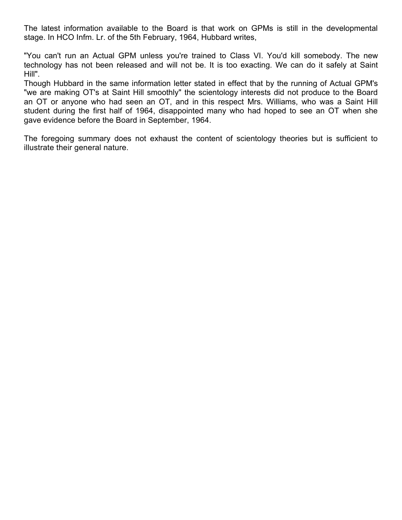The latest information available to the Board is that work on GPMs is still in the developmental stage. In HCO Infm. Lr. of the 5th February, 1964, Hubbard writes,

"You can't run an Actual GPM unless you're trained to Class VI. You'd kill somebody. The new technology has not been released and will not be. It is too exacting. We can do it safely at Saint Hill".

Though Hubbard in the same information letter stated in effect that by the running of Actual GPM's "we are making OT's at Saint Hill smoothly" the scientology interests did not produce to the Board an OT or anyone who had seen an OT, and in this respect Mrs. Williams, who was a Saint Hill student during the first half of 1964, disappointed many who had hoped to see an OT when she gave evidence before the Board in September, 1964.

The foregoing summary does not exhaust the content of scientology theories but is sufficient to illustrate their general nature.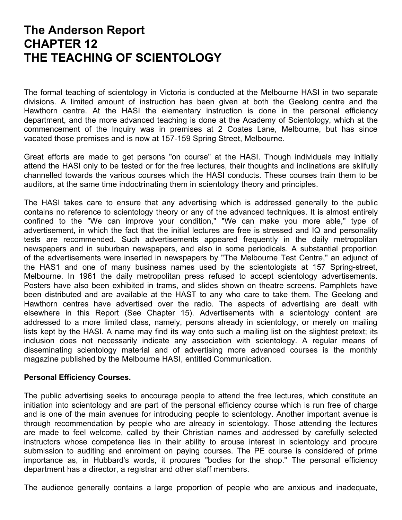# **The Anderson Report CHAPTER 12 THE TEACHING OF SCIENTOLOGY**

The formal teaching of scientology in Victoria is conducted at the Melbourne HASI in two separate divisions. A limited amount of instruction has been given at both the Geelong centre and the Hawthorn centre. At the HASI the elementary instruction is done in the personal efficiency department, and the more advanced teaching is done at the Academy of Scientology, which at the commencement of the Inquiry was in premises at 2 Coates Lane, Melbourne, but has since vacated those premises and is now at 157-159 Spring Street, Melbourne.

Great efforts are made to get persons "on course" at the HASI. Though individuals may initially attend the HASI only to be tested or for the free lectures, their thoughts and inclinations are skilfully channelled towards the various courses which the HASI conducts. These courses train them to be auditors, at the same time indoctrinating them in scientology theory and principles.

The HASI takes care to ensure that any advertising which is addressed generally to the public contains no reference to scientology theory or any of the advanced techniques. It is almost entirely confined to the "We can improve your condition," "We can make you more able," type of advertisement, in which the fact that the initial lectures are free is stressed and IQ and personality tests are recommended. Such advertisements appeared frequently in the daily metropolitan newspapers and in suburban newspapers, and also in some periodicals. A substantial proportion of the advertisements were inserted in newspapers by "The Melbourne Test Centre," an adjunct of the HAS1 and one of many business names used by the scientologists at 157 Spring-street, Melbourne. In 1961 the daily metropolitan press refused to accept scientology advertisements. Posters have also been exhibited in trams, and slides shown on theatre screens. Pamphlets have been distributed and are available at the HAST to any who care to take them. The Geelong and Hawthorn centres have advertised over the radio. The aspects of advertising are dealt with elsewhere in this Report (See Chapter 15). Advertisements with a scientology content are addressed to a more limited class, namely, persons already in scientology, or merely on mailing lists kept by the HASI. A name may find its way onto such a mailing list on the slightest pretext; its inclusion does not necessarily indicate any association with scientology. A regular means of disseminating scientology material and of advertising more advanced courses is the monthly magazine published by the Melbourne HASI, entitled Communication.

#### **Personal Efficiency Courses.**

The public advertising seeks to encourage people to attend the free lectures, which constitute an initiation into scientology and are part of the personal efficiency course which is run free of charge and is one of the main avenues for introducing people to scientology. Another important avenue is through recommendation by people who are already in scientology. Those attending the lectures are made to feel welcome, called by their Christian names and addressed by carefully selected instructors whose competence lies in their ability to arouse interest in scientology and procure submission to auditing and enrolment on paying courses. The PE course is considered of prime importance as, in Hubbard's words, it procures "bodies for the shop." The personal efficiency department has a director, a registrar and other staff members.

The audience generally contains a large proportion of people who are anxious and inadequate,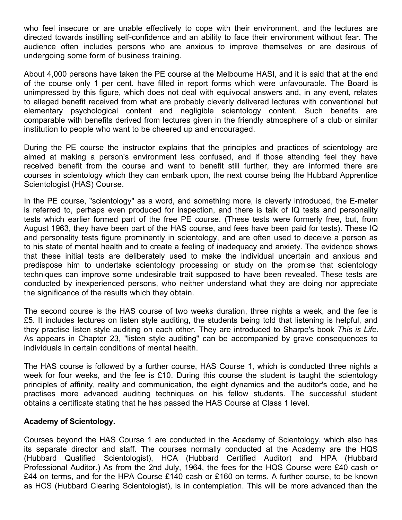who feel insecure or are unable effectively to cope with their environment, and the lectures are directed towards instilling self-confidence and an ability to face their environment without fear. The audience often includes persons who are anxious to improve themselves or are desirous of undergoing some form of business training.

About 4,000 persons have taken the PE course at the Melbourne HASI, and it is said that at the end of the course only 1 per cent. have filled in report forms which were unfavourable. The Board is unimpressed by this figure, which does not deal with equivocal answers and, in any event, relates to alleged benefit received from what are probably cleverly delivered lectures with conventional but elementary psychological content and negligible scientology content. Such benefits are comparable with benefits derived from lectures given in the friendly atmosphere of a club or similar institution to people who want to be cheered up and encouraged.

During the PE course the instructor explains that the principles and practices of scientology are aimed at making a person's environment less confused, and if those attending feel they have received benefit from the course and want to benefit still further, they are informed there are courses in scientology which they can embark upon, the next course being the Hubbard Apprentice Scientologist (HAS) Course.

In the PE course, "scientology" as a word, and something more, is cleverly introduced, the E-meter is referred to, perhaps even produced for inspection, and there is talk of IQ tests and personality tests which earlier formed part of the free PE course. (These tests were formerly free, but, from August 1963, they have been part of the HAS course, and fees have been paid for tests). These IQ and personality tests figure prominently in scientology, and are often used to deceive a person as to his state of mental health and to create a feeling of inadequacy and anxiety. The evidence shows that these initial tests are deliberately used to make the individual uncertain and anxious and predispose him to undertake scientology processing or study on the promise that scientology techniques can improve some undesirable trait supposed to have been revealed. These tests are conducted by inexperienced persons, who neither understand what they are doing nor appreciate the significance of the results which they obtain.

The second course is the HAS course of two weeks duration, three nights a week, and the fee is £5. It includes lectures on listen style auditing, the students being told that listening is helpful, and they practise listen style auditing on each other. They are introduced to Sharpe's book *This is Life*. As appears in Chapter 23, "listen style auditing" can be accompanied by grave consequences to individuals in certain conditions of mental health.

The HAS course is followed by a further course, HAS Course 1, which is conducted three nights a week for four weeks, and the fee is £10. During this course the student is taught the scientology principles of affinity, reality and communication, the eight dynamics and the auditor's code, and he practises more advanced auditing techniques on his fellow students. The successful student obtains a certificate stating that he has passed the HAS Course at Class 1 level.

#### **Academy of Scientology.**

Courses beyond the HAS Course 1 are conducted in the Academy of Scientology, which also has its separate director and staff. The courses normally conducted at the Academy are the HQS (Hubbard Qualified Scientologist), HCA (Hubbard Certified Auditor) and HPA (Hubbard Professional Auditor.) As from the 2nd July, 1964, the fees for the HQS Course were £40 cash or £44 on terms, and for the HPA Course £140 cash or £160 on terms. A further course, to be known as HCS (Hubbard Clearing Scientologist), is in contemplation. This will be more advanced than the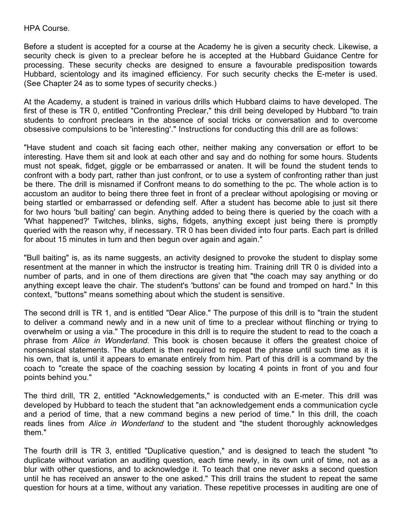#### HPA Course.

Before a student is accepted for a course at the Academy he is given a security check. Likewise, a security check is given to a preclear before he is accepted at the Hubbard Guidance Centre for processing. These security checks are designed to ensure a favourable predisposition towards Hubbard, scientology and its imagined efficiency. For such security checks the E-meter is used. (See Chapter 24 as to some types of security checks.)

At the Academy, a student is trained in various drills which Hubbard claims to have developed. The first of these is TR 0, entitled "Confronting Preclear," this drill being developed by Hubbard "to train students to confront preclears in the absence of social tricks or conversation and to overcome obsessive compulsions to be 'interesting'." Instructions for conducting this drill are as follows:

"Have student and coach sit facing each other, neither making any conversation or effort to be interesting. Have them sit and look at each other and say and do nothing for some hours. Students must not speak, fidget, giggle or be embarrassed or anaten. It will be found the student tends to confront with a body part, rather than just confront, or to use a system of confronting rather than just be there. The drill is misnamed if Confront means to do something to the pc. The whole action is to accustom an auditor to being there three feet in front of a preclear without apologising or moving or being startled or embarrassed or defending self. After a student has become able to just sit there for two hours 'bull baiting' can begin. Anything added to being there is queried by the coach with a 'What happened?' Twitches, blinks, sighs, fidgets, anything except just being there is promptly queried with the reason why, if necessary. TR 0 has been divided into four parts. Each part is drilled for about 15 minutes in turn and then begun over again and again."

"Bull baiting" is, as its name suggests, an activity designed to provoke the student to display some resentment at the manner in which the instructor is treating him. Training drill TR 0 is divided into a number of parts, and in one of them directions are given that "the coach may say anything or do anything except leave the chair. The student's 'buttons' can be found and tromped on hard." In this context, "buttons" means something about which the student is sensitive.

The second drill is TR 1, and is entitled "Dear Alice." The purpose of this drill is to "train the student to deliver a command newly and in a new unit of time to a preclear without flinching or trying to overwhelm or using a via." The procedure in this drill is to require the student to read to the coach a phrase from *Alice in Wonderland*. This book is chosen because it offers the greatest choice of nonsensical statements. The student is then required to repeat the phrase until such time as it is his own, that is, until it appears to emanate entirely from him. Part of this drill is a command by the coach to "create the space of the coaching session by locating 4 points in front of you and four points behind you."

The third drill, TR 2, entitled "Acknowledgements," is conducted with an E-meter. This drill was developed by Hubbard to teach the student that "an acknowledgement ends a communication cycle and a period of time, that a new command begins a new period of time." In this drill, the coach reads lines from *Alice in Wonderland* to the student and "the student thoroughly acknowledges them."

The fourth drill is TR 3, entitled "Duplicative question," and is designed to teach the student "to duplicate without variation an auditing question, each time newly, in its own unit of time, not as a blur with other questions, and to acknowledge it. To teach that one never asks a second question until he has received an answer to the one asked." This drill trains the student to repeat the same question for hours at a time, without any variation. These repetitive processes in auditing are one of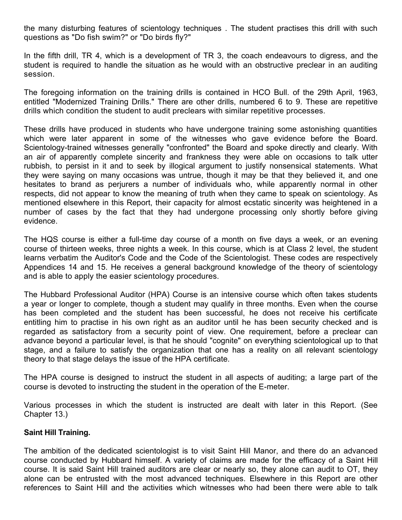the many disturbing features of scientology techniques . The student practises this drill with such questions as "Do fish swim?" or "Do birds fly?"

In the fifth drill, TR 4, which is a development of TR 3, the coach endeavours to digress, and the student is required to handle the situation as he would with an obstructive preclear in an auditing session.

The foregoing information on the training drills is contained in HCO Bull. of the 29th April, 1963, entitled "Modernized Training Drills." There are other drills, numbered 6 to 9. These are repetitive drills which condition the student to audit preclears with similar repetitive processes.

These drills have produced in students who have undergone training some astonishing quantities which were later apparent in some of the witnesses who gave evidence before the Board. Scientology-trained witnesses generally "confronted" the Board and spoke directly and clearly. With an air of apparently complete sincerity and frankness they were able on occasions to talk utter rubbish, to persist in it and to seek by illogical argument to justify nonsensical statements. What they were saying on many occasions was untrue, though it may be that they believed it, and one hesitates to brand as perjurers a number of individuals who, while apparently normal in other respects, did not appear to know the meaning of truth when they came to speak on scientology. As mentioned elsewhere in this Report, their capacity for almost ecstatic sincerity was heightened in a number of cases by the fact that they had undergone processing only shortly before giving evidence.

The HQS course is either a full-time day course of a month on five days a week, or an evening course of thirteen weeks, three nights a week. In this course, which is at Class 2 level, the student learns verbatim the Auditor's Code and the Code of the Scientologist. These codes are respectively Appendices 14 and 15. He receives a general background knowledge of the theory of scientology and is able to apply the easier scientology procedures.

The Hubbard Professional Auditor (HPA) Course is an intensive course which often takes students a year or longer to complete, though a student may qualify in three months. Even when the course has been completed and the student has been successful, he does not receive his certificate entitling him to practise in his own right as an auditor until he has been security checked and is regarded as satisfactory from a security point of view. One requirement, before a preclear can advance beyond a particular level, is that he should "cognite" on everything scientological up to that stage, and a failure to satisfy the organization that one has a reality on all relevant scientology theory to that stage delays the issue of the HPA certificate.

The HPA course is designed to instruct the student in all aspects of auditing; a large part of the course is devoted to instructing the student in the operation of the E-meter.

Various processes in which the student is instructed are dealt with later in this Report. (See Chapter 13.)

#### **Saint Hill Training.**

The ambition of the dedicated scientologist is to visit Saint Hill Manor, and there do an advanced course conducted by Hubbard himself. A variety of claims are made for the efficacy of a Saint Hill course. It is said Saint Hill trained auditors are clear or nearly so, they alone can audit to OT, they alone can be entrusted with the most advanced techniques. Elsewhere in this Report are other references to Saint Hill and the activities which witnesses who had been there were able to talk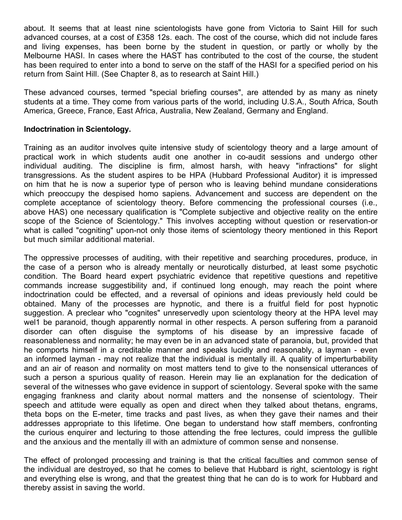about. It seems that at least nine scientologists have gone from Victoria to Saint Hill for such advanced courses, at a cost of £358 12s. each. The cost of the course, which did not include fares and living expenses, has been borne by the student in question, or partly or wholly by the Melbourne HASI. In cases where the HAST has contributed to the cost of the course, the student has been required to enter into a bond to serve on the staff of the HASI for a specified period on his return from Saint Hill. (See Chapter 8, as to research at Saint Hill.)

These advanced courses, termed "special briefing courses", are attended by as many as ninety students at a time. They come from various parts of the world, including U.S.A., South Africa, South America, Greece, France, East Africa, Australia, New Zealand, Germany and England.

# **Indoctrination in Scientology.**

Training as an auditor involves quite intensive study of scientology theory and a large amount of practical work in which students audit one another in co-audit sessions and undergo other individual auditing. The discipline is firm, almost harsh, with heavy "infractions" for slight transgressions. As the student aspires to be HPA (Hubbard Professional Auditor) it is impressed on him that he is now a superior type of person who is leaving behind mundane considerations which preoccupy the despised homo sapiens. Advancement and success are dependent on the complete acceptance of scientology theory. Before commencing the professional courses (i.e., above HAS) one necessary qualification is "Complete subjective and objective reality on the entire scope of the Science of Scientology." This involves accepting without question or reservation-or what is called "cogniting" upon-not only those items of scientology theory mentioned in this Report but much similar additional material.

The oppressive processes of auditing, with their repetitive and searching procedures, produce, in the case of a person who is already mentally or neurotically disturbed, at least some psychotic condition. The Board heard expert psychiatric evidence that repetitive questions and repetitive commands increase suggestibility and, if continued long enough, may reach the point where indoctrination could be effected, and a reversal of opinions and ideas previously held could be obtained. Many of the processes are hypnotic, and there is a fruitful field for post hypnotic suggestion. A preclear who "cognites" unreservedly upon scientology theory at the HPA level may wel1 be paranoid, though apparently normal in other respects. A person suffering from a paranoid disorder can often disguise the symptoms of his disease by an impressive facade of reasonableness and normality; he may even be in an advanced state of paranoia, but, provided that he comports himself in a creditable manner and speaks lucidly and reasonably, a layman - even an informed layman - may not realize that the individual is mentally ill. A quality of imperturbability and an air of reason and normality on most matters tend to give to the nonsensical utterances of such a person a spurious quality of reason. Herein may lie an explanation for the dedication of several of the witnesses who gave evidence in support of scientology. Several spoke with the same engaging frankness and clarity about normal matters and the nonsense of scientology. Their speech and attitude were equally as open and direct when they talked about thetans, engrams, theta bops on the E-meter, time tracks and past lives, as when they gave their names and their addresses appropriate to this lifetime. One began to understand how staff members, confronting the curious enquirer and lecturing to those attending the free lectures, could impress the gullible and the anxious and the mentally ill with an admixture of common sense and nonsense.

The effect of prolonged processing and training is that the critical faculties and common sense of the individual are destroyed, so that he comes to believe that Hubbard is right, scientology is right and everything else is wrong, and that the greatest thing that he can do is to work for Hubbard and thereby assist in saving the world.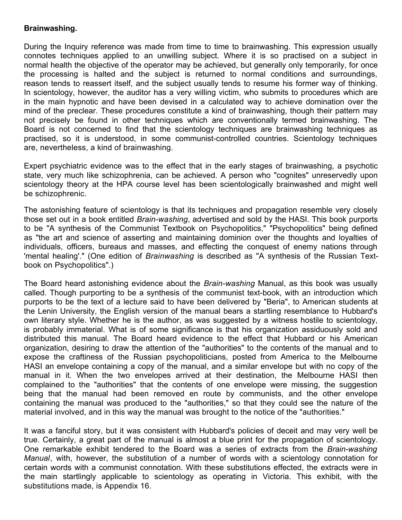# **Brainwashing.**

During the Inquiry reference was made from time to time to brainwashing. This expression usually connotes techniques applied to an unwilling subject. Where it is so practised on a subject in normal health the objective of the operator may be achieved, but generally only temporarily, for once the processing is halted and the subject is returned to normal conditions and surroundings, reason tends to reassert itself, and the subject usually tends to resume his former way of thinking. In scientology, however, the auditor has a very willing victim, who submits to procedures which are in the main hypnotic and have been devised in a calculated way to achieve domination over the mind of the preclear. These procedures constitute a kind of brainwashing, though their pattern may not precisely be found in other techniques which are conventionally termed brainwashing. The Board is not concerned to find that the scientology techniques are brainwashing techniques as practised, so it is understood, in some communist-controlled countries. Scientology techniques are, nevertheless, a kind of brainwashing.

Expert psychiatric evidence was to the effect that in the early stages of brainwashing, a psychotic state, very much like schizophrenia, can be achieved. A person who "cognites" unreservedly upon scientology theory at the HPA course level has been scientologically brainwashed and might well be schizophrenic.

The astonishing feature of scientology is that its techniques and propagation resemble very closely those set out in a book entitled *Brain-washing*, advertised and sold by the HASI. This book purports to be "A synthesis of the Communist Textbook on Psychopolitics," "Psychopolitics" being defined as "the art and science of asserting and maintaining dominion over the thoughts and loyalties of individuals, officers, bureaus and masses, and effecting the conquest of enemy nations through 'mental healing'." (One edition of *Brainwashing* is described as "A synthesis of the Russian Textbook on Psychopolitics".)

The Board heard astonishing evidence about the *Brain-washing* Manual, as this book was usually called. Though purporting to be a synthesis of the communist text-book, with an introduction which purports to be the text of a lecture said to have been delivered by "Beria", to American students at the Lenin University, the English version of the manual bears a startling resemblance to Hubbard's own literary style. Whether he is the author, as was suggested by a witness hostile to scientology, is probably immaterial. What is of some significance is that his organization assiduously sold and distributed this manual. The Board heard evidence to the effect that Hubbard or his American organization, desiring to draw the attention of the "authorities" to the contents of the manual and to expose the craftiness of the Russian psychopoliticians, posted from America to the Melbourne HASI an envelope containing a copy of the manual, and a similar envelope but with no copy of the manual in it. When the two envelopes arrived at their destination, the Melbourne HASI then complained to the "authorities" that the contents of one envelope were missing, the suggestion being that the manual had been removed en route by communists, and the other envelope containing the manual was produced to the "authorities," so that they could see the nature of the material involved, and in this way the manual was brought to the notice of the "authorities."

It was a fanciful story, but it was consistent with Hubbard's policies of deceit and may very well be true. Certainly, a great part of the manual is almost a blue print for the propagation of scientology. One remarkable exhibit tendered to the Board was a series of extracts from the *Brain-washing Manual*, with, however, the substitution of a number of words with a scientology connotation for certain words with a communist connotation. With these substitutions effected, the extracts were in the main startlingly applicable to scientology as operating in Victoria. This exhibit, with the substitutions made, is Appendix 16.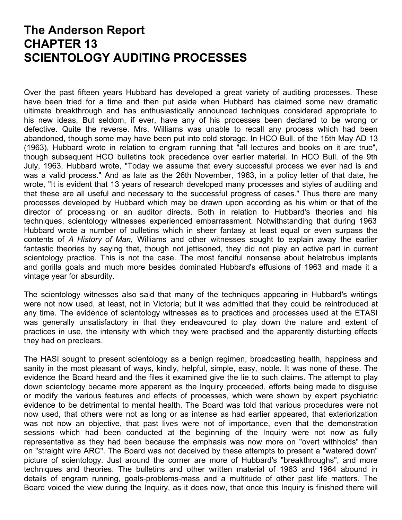# **The Anderson Report CHAPTER 13 SCIENTOLOGY AUDITING PROCESSES**

Over the past fifteen years Hubbard has developed a great variety of auditing processes. These have been tried for a time and then put aside when Hubbard has claimed some new dramatic ultimate breakthrough and has enthusiastically announced techniques considered appropriate to his new ideas, But seldom, if ever, have any of his processes been declared to be wrong or defective. Quite the reverse. Mrs. Williams was unable to recall any process which had been abandoned, though some may have been put into cold storage. In HCO Bull. of the 15th May AD 13 (1963), Hubbard wrote in relation to engram running that "all lectures and books on it are true", though subsequent HCO bulletins took precedence over earlier material. In HCO Bull. of the 9th July, 1963, Hubbard wrote, "Today we assume that every successful process we ever had is and was a valid process." And as late as the 26th November, 1963, in a policy letter of that date, he wrote, "It is evident that 13 years of research developed many processes and styles of auditing and that these are all useful and necessary to the successful progress of cases." Thus there are many processes developed by Hubbard which may be drawn upon according as his whim or that of the director of processing or an auditor directs. Both in relation to Hubbard's theories and his techniques, scientology witnesses experienced embarrassment. Notwithstanding that during 1963 Hubbard wrote a number of bulletins which in sheer fantasy at least equal or even surpass the contents of *A History of Man*, Williams and other witnesses sought to explain away the earlier fantastic theories by saying that, though not jettisoned, they did not play an active part in current scientology practice. This is not the case. The most fanciful nonsense about helatrobus implants and gorilla goals and much more besides dominated Hubbard's effusions of 1963 and made it a vintage year for absurdity.

The scientology witnesses also said that many of the techniques appearing in Hubbard's writings were not now used, at least, not in Victoria; but it was admitted that they could be reintroduced at any time. The evidence of scientology witnesses as to practices and processes used at the ETASI was generally unsatisfactory in that they endeavoured to play down the nature and extent of practices in use, the intensity with which they were practised and the apparently disturbing effects they had on preclears.

The HASI sought to present scientology as a benign regimen, broadcasting health, happiness and sanity in the most pleasant of ways, kindly, helpful, simple, easy, noble. It was none of these. The evidence the Board heard and the files it examined give the lie to such claims. The attempt to play down scientology became more apparent as the Inquiry proceeded, efforts being made to disguise or modify the various features and effects of processes, which were shown by expert psychiatric evidence to be detrimental to mental health. The Board was told that various procedures were not now used, that others were not as long or as intense as had earlier appeared, that exteriorization was not now an objective, that past lives were not of importance, even that the demonstration sessions which had been conducted at the beginning of the Inquiry were not now as fully representative as they had been because the emphasis was now more on "overt withholds" than on "straight wire ARC". The Board was not deceived by these attempts to present a "watered down" picture of scientology. Just around the corner are more of Hubbard's "breakthroughs", and more techniques and theories. The bulletins and other written material of 1963 and 1964 abound in details of engram running, goals-problems-mass and a multitude of other past life matters. The Board voiced the view during the Inquiry, as it does now, that once this Inquiry is finished there will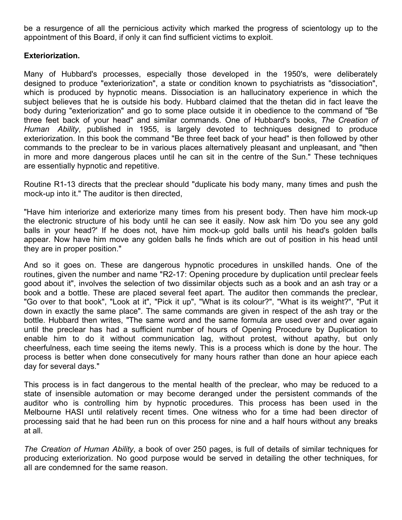be a resurgence of all the pernicious activity which marked the progress of scientology up to the appointment of this Board, if only it can find sufficient victims to exploit.

# **Exteriorization.**

Many of Hubbard's processes, especially those developed in the 1950's, were deliberately designed to produce "exteriorization", a state or condition known to psychiatrists as "dissociation", which is produced by hypnotic means. Dissociation is an hallucinatory experience in which the subject believes that he is outside his body. Hubbard claimed that the thetan did in fact leave the body during "exteriorization" and go to some place outside it in obedience to the command of "Be three feet back of your head" and similar commands. One of Hubbard's books, *The Creation of Human Ability*, published in 1955, is largely devoted to techniques designed to produce exteriorization. In this book the command "Be three feet back of your head" is then followed by other commands to the preclear to be in various places alternatively pleasant and unpleasant, and "then in more and more dangerous places until he can sit in the centre of the Sun." These techniques are essentially hypnotic and repetitive.

Routine R1-13 directs that the preclear should "duplicate his body many, many times and push the mock-up into it." The auditor is then directed,

"Have him interiorize and exteriorize many times from his present body. Then have him mock-up the electronic structure of his body until he can see it easily. Now ask him 'Do you see any gold balls in your head?' If he does not, have him mock-up gold balls until his head's golden balls appear. Now have him move any golden balls he finds which are out of position in his head until they are in proper position."

And so it goes on. These are dangerous hypnotic procedures in unskilled hands. One of the routines, given the number and name "R2-17: Opening procedure by duplication until preclear feels good about it", involves the selection of two dissimilar objects such as a book and an ash tray or a book and a bottle. These are placed several feet apart. The auditor then commands the preclear, "Go over to that book", "Look at it", "Pick it up", "What is its colour?", "What is its weight?", "Put it down in exactly the same place". The same commands are given in respect of the ash tray or the bottle. Hubbard then writes, "The same word and the same formula are used over and over again until the preclear has had a sufficient number of hours of Opening Procedure by Duplication to enable him to do it without communication lag, without protest, without apathy, but only cheerfulness, each time seeing the items newly. This is a process which is done by the hour. The process is better when done consecutively for many hours rather than done an hour apiece each day for several days."

This process is in fact dangerous to the mental health of the preclear, who may be reduced to a state of insensible automation or may become deranged under the persistent commands of the auditor who is controlling him by hypnotic procedures. This process has been used in the Melbourne HASI until relatively recent times. One witness who for a time had been director of processing said that he had been run on this process for nine and a half hours without any breaks at all.

*The Creation of Human Ability*, a book of over 250 pages, is full of details of similar techniques for producing exteriorization. No good purpose would be served in detailing the other techniques, for all are condemned for the same reason.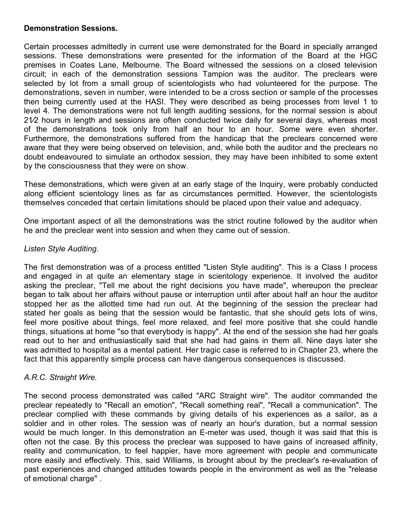### **Demonstration Sessions.**

Certain processes admittedly in current use were demonstrated for the Board in specially arranged sessions. These demonstrations were presented for the information of the Board at the HGC premises in Coates Lane, Melbourne. The Board witnessed the sessions on a closed television circuit; in each of the demonstration sessions Tampion was the auditor. The preclears were selected by lot from a small group of scientologists who had volunteered for the purpose. The demonstrations, seven in number, were intended to be a cross section or sample of the processes then being currently used at the HASI. They were described as being processes from level 1 to level 4. The demonstrations were not full length auditing sessions, for the normal session is about 21⁄2 hours in length and sessions are often conducted twice daily for several days, whereas most of the demonstrations took only from half an hour to an hour. Some were even shorter. Furthermore, the demonstrations suffered from the handicap that the preclears concerned were aware that they were being observed on television, and, while both the auditor and the preclears no doubt endeavoured to simulate an orthodox session, they may have been inhibited to some extent by the consciousness that they were on show.

These demonstrations, which were given at an early stage of the Inquiry, were probably conducted along efficient scientology lines as far as circumstances permitted. However, the scientologists themselves conceded that certain limitations should be placed upon their value and adequacy.

One important aspect of all the demonstrations was the strict routine followed by the auditor when he and the preclear went into session and when they came out of session.

# *Listen Style Auditing.*

The first demonstration was of a process entitled "Listen Style auditing". This is a Class I process and engaged in at quite an elementary stage in scientology experience. It involved the auditor asking the preclear, "Tell me about the right decisions you have made", whereupon the preclear began to talk about her affairs without pause or interruption until after about half an hour the auditor stopped her as the allotted time had run out. At the beginning of the session the preclear had stated her goals as being that the session would be fantastic, that she should gets lots of wins, feel more positive about things, feel more relaxed, and feel more positive that she could handle things, situations at home "so that everybody is happy". At the end of the session she had her goals read out to her and enthusiastically said that she had had gains in them all. Nine days later she was admitted to hospital as a mental patient. Her tragic case is referred to in Chapter 23, where the fact that this apparently simple process can have dangerous consequences is discussed.

#### *A.R.C. Straight Wire.*

The second process demonstrated was called "ARC Straight wire". The auditor commanded the preclear repeatedly to "Recall an emotion", "Recall something real", "Recall a communication". The preclear complied with these commands by giving details of his experiences as a sailor, as a soldier and in other roles. The session was of nearly an hour's duration, but a normal session would be much longer. In this demonstration an E-meter was used, though it was said that this is often not the case. By this process the preclear was supposed to have gains of increased affinity, reality and communication, to feel happier, have more agreement with people and communicate more easily and effectively. This, said Williams, is brought about by the preclear's re-evaluation of past experiences and changed attitudes towards people in the environment as well as the "release of emotional charge" .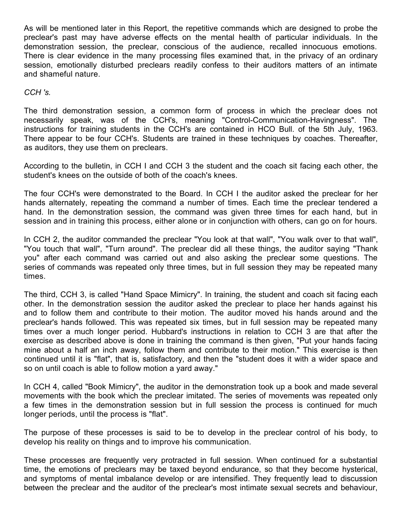As will be mentioned later in this Report, the repetitive commands which are designed to probe the preclear's past may have adverse effects on the mental health of particular individuals. In the demonstration session, the preclear, conscious of the audience, recalled innocuous emotions. There is clear evidence in the many processing files examined that, in the privacy of an ordinary session, emotionally disturbed preclears readily confess to their auditors matters of an intimate and shameful nature.

*CCH 's.*

The third demonstration session, a common form of process in which the preclear does not necessarily speak, was of the CCH's, meaning "Control-Communication-Havingness". The instructions for training students in the CCH's are contained in HCO Bull. of the 5th July, 1963. There appear to be four CCH's. Students are trained in these techniques by coaches. Thereafter, as auditors, they use them on preclears.

According to the bulletin, in CCH I and CCH 3 the student and the coach sit facing each other, the student's knees on the outside of both of the coach's knees.

The four CCH's were demonstrated to the Board. In CCH I the auditor asked the preclear for her hands alternately, repeating the command a number of times. Each time the preclear tendered a hand. In the demonstration session, the command was given three times for each hand, but in session and in training this process, either alone or in conjunction with others, can go on for hours.

In CCH 2, the auditor commanded the preclear "You look at that wall", "You walk over to that wall", "You touch that wall", "Turn around". The preclear did all these things, the auditor saying "Thank you" after each command was carried out and also asking the preclear some questions. The series of commands was repeated only three times, but in full session they may be repeated many times.

The third, CCH 3, is called "Hand Space Mimicry". In training, the student and coach sit facing each other. In the demonstration session the auditor asked the preclear to place her hands against his and to follow them and contribute to their motion. The auditor moved his hands around and the preclear's hands followed. This was repeated six times, but in full session may be repeated many times over a much longer period. Hubbard's instructions in relation to CCH 3 are that after the exercise as described above is done in training the command is then given, "Put your hands facing mine about a half an inch away, follow them and contribute to their motion." This exercise is then continued until it is "flat", that is, satisfactory, and then the "student does it with a wider space and so on until coach is able to follow motion a yard away."

In CCH 4, called "Book Mimicry", the auditor in the demonstration took up a book and made several movements with the book which the preclear imitated. The series of movements was repeated only a few times in the demonstration session but in full session the process is continued for much longer periods, until the process is "flat".

The purpose of these processes is said to be to develop in the preclear control of his body, to develop his reality on things and to improve his communication.

These processes are frequently very protracted in full session. When continued for a substantial time, the emotions of preclears may be taxed beyond endurance, so that they become hysterical, and symptoms of mental imbalance develop or are intensified. They frequently lead to discussion between the preclear and the auditor of the preclear's most intimate sexual secrets and behaviour,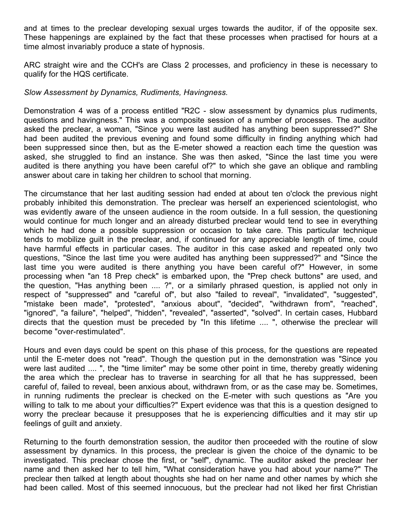and at times to the preclear developing sexual urges towards the auditor, if of the opposite sex. These happenings are explained by the fact that these processes when practised for hours at a time almost invariably produce a state of hypnosis.

ARC straight wire and the CCH's are Class 2 processes, and proficiency in these is necessary to qualify for the HQS certificate.

#### *Slow Assessment by Dynamics, Rudiments, Havingness.*

Demonstration 4 was of a process entitled "R2C - slow assessment by dynamics plus rudiments, questions and havingness." This was a composite session of a number of processes. The auditor asked the preclear, a woman, "Since you were last audited has anything been suppressed?" She had been audited the previous evening and found some difficulty in finding anything which had been suppressed since then, but as the E-meter showed a reaction each time the question was asked, she struggled to find an instance. She was then asked, "Since the last time you were audited is there anything you have been careful of?" to which she gave an oblique and rambling answer about care in taking her children to school that morning.

The circumstance that her last auditing session had ended at about ten o'clock the previous night probably inhibited this demonstration. The preclear was herself an experienced scientologist, who was evidently aware of the unseen audience in the room outside. In a full session, the questioning would continue for much longer and an already disturbed preclear would tend to see in everything which he had done a possible suppression or occasion to take care. This particular technique tends to mobilize guilt in the preclear, and, if continued for any appreciable length of time, could have harmful effects in particular cases. The auditor in this case asked and repeated only two questions, "Since the last time you were audited has anything been suppressed?" and "Since the last time you were audited is there anything you have been careful of?" However, in some processing when "an 18 Prep check" is embarked upon, the "Prep check buttons" are used, and the question, "Has anything been .... ?", or a similarly phrased question, is applied not only in respect of "suppressed" and "careful of", but also "failed to reveal", "invalidated", "suggested", "mistake been made", "protested", "anxious about", "decided", "withdrawn from", "reached", "ignored", "a failure", "helped", "hidden", "revealed", "asserted", "solved". In certain cases, Hubbard directs that the question must be preceded by "In this lifetime .... ", otherwise the preclear will become "over-restimulated".

Hours and even days could be spent on this phase of this process, for the questions are repeated until the E-meter does not "read". Though the question put in the demonstration was "Since you were last audited .... ", the "time limiter" may be some other point in time, thereby greatly widening the area which the preclear has to traverse in searching for all that he has suppressed, been careful of, failed to reveal, been anxious about, withdrawn from, or as the case may be. Sometimes, in running rudiments the preclear is checked on the E-meter with such questions as "Are you willing to talk to me about your difficulties?" Expert evidence was that this is a question designed to worry the preclear because it presupposes that he is experiencing difficulties and it may stir up feelings of guilt and anxiety.

Returning to the fourth demonstration session, the auditor then proceeded with the routine of slow assessment by dynamics. In this process, the preclear is given the choice of the dynamic to be investigated. This preclear chose the first, or "self", dynamic. The auditor asked the preclear her name and then asked her to tell him, "What consideration have you had about your name?" The preclear then talked at length about thoughts she had on her name and other names by which she had been called. Most of this seemed innocuous, but the preclear had not liked her first Christian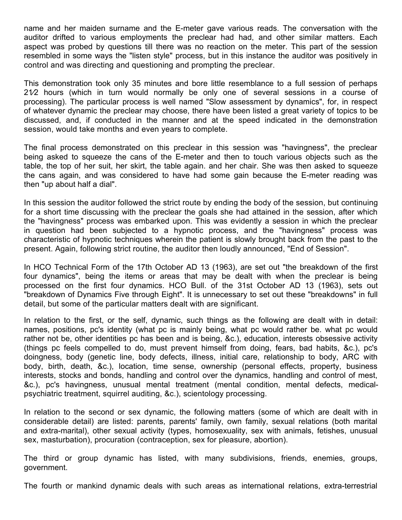name and her maiden surname and the E-meter gave various reads. The conversation with the auditor drifted to various employments the preclear had had, and other similar matters. Each aspect was probed by questions till there was no reaction on the meter. This part of the session resembled in some ways the "listen style" process, but in this instance the auditor was positively in control and was directing and questioning and prompting the preclear.

This demonstration took only 35 minutes and bore little resemblance to a full session of perhaps 21⁄2 hours (which in turn would normally be only one of several sessions in a course of processing). The particular process is well named "Slow assessment by dynamics", for, in respect of whatever dynamic the preclear may choose, there have been listed a great variety of topics to be discussed, and, if conducted in the manner and at the speed indicated in the demonstration session, would take months and even years to complete.

The final process demonstrated on this preclear in this session was "havingness", the preclear being asked to squeeze the cans of the E-meter and then to touch various objects such as the table, the top of her suit, her skirt, the table again. and her chair. She was then asked to squeeze the cans again, and was considered to have had some gain because the E-meter reading was then "up about half a dial".

In this session the auditor followed the strict route by ending the body of the session, but continuing for a short time discussing with the preclear the goals she had attained in the session, after which the "havingness" process was embarked upon. This was evidently a session in which the preclear in question had been subjected to a hypnotic process, and the "havingness" process was characteristic of hypnotic techniques wherein the patient is slowly brought back from the past to the present. Again, following strict routine, the auditor then loudly announced, "End of Session".

In HCO Technical Form of the 17th October AD 13 (1963), are set out "the breakdown of the first four dynamics", being the items or areas that may be dealt with when the preclear is being processed on the first four dynamics. HCO Bull. of the 31st October AD 13 (1963), sets out "breakdown of Dynamics Five through Eight". It is unnecessary to set out these "breakdowns" in full detail, but some of the particular matters dealt with are significant.

In relation to the first, or the self, dynamic, such things as the following are dealt with in detail: names, positions, pc's identity (what pc is mainly being, what pc would rather be. what pc would rather not be, other identities pc has been and is being, &c.), education, interests obsessive activity (things pc feels compelled to do, must prevent himself from doing, fears, bad habits, &c.), pc's doingness, body (genetic line, body defects, illness, initial care, relationship to body, ARC with body, birth, death, &c.), location, time sense, ownership (personal effects, property, business interests, stocks and bonds, handling and control over the dynamics, handling and control of mest, &c.), pc's havingness, unusual mental treatment (mental condition, mental defects, medicalpsychiatric treatment, squirrel auditing, &c.), scientology processing.

In relation to the second or sex dynamic, the following matters (some of which are dealt with in considerable detail) are listed: parents, parents' family, own family, sexual relations (both marital and extra-marital), other sexual activity (types, homosexuality, sex with animals, fetishes, unusual sex, masturbation), procuration (contraception, sex for pleasure, abortion).

The third or group dynamic has listed, with many subdivisions, friends, enemies, groups, government.

The fourth or mankind dynamic deals with such areas as international relations, extra-terrestrial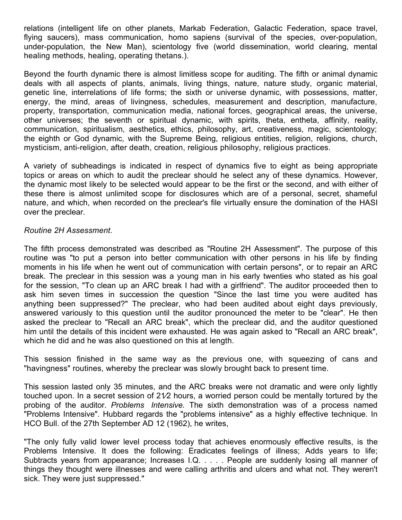relations (intelligent life on other planets, Markab Federation, Galactic Federation, space travel, flying saucers), mass communication, homo sapiens (survival of the species, over-population, under-population, the New Man), scientology five (world dissemination, world clearing, mental healing methods, healing, operating thetans.).

Beyond the fourth dynamic there is almost limitless scope for auditing. The fifth or animal dynamic deals with all aspects of plants, animals, living things, nature, nature study, organic material, genetic line, interrelations of life forms; the sixth or universe dynamic, with possessions, matter, energy, the mind, areas of livingness, schedules, measurement and description, manufacture, property, transportation, communication media, national forces, geographical areas, the universe, other universes; the seventh or spiritual dynamic, with spirits, theta, entheta, affinity, reality, communication, spiritualism, aesthetics, ethics, philosophy, art, creativeness, magic, scientology; the eighth or God dynamic, with the Supreme Being, religious entities, religion, religions, church, mysticism, anti-religion, after death, creation, religious philosophy, religious practices.

A variety of subheadings is indicated in respect of dynamics five to eight as being appropriate topics or areas on which to audit the preclear should he select any of these dynamics. However, the dynamic most likely to be selected would appear to be the first or the second, and with either of these there is almost unlimited scope for disclosures which are of a personal, secret, shameful nature, and which, when recorded on the preclear's file virtually ensure the domination of the HASI over the preclear.

#### *Routine 2H Assessment.*

The fifth process demonstrated was described as "Routine 2H Assessment". The purpose of this routine was "to put a person into better communication with other persons in his life by finding moments in his life when he went out of communication with certain persons", or to repair an ARC break. The preclear in this session was a young man in his early twenties who stated as his goal for the session, "To clean up an ARC break I had with a girlfriend". The auditor proceeded then to ask him seven times in succession the question "Since the last time you were audited has anything been suppressed?" The preclear, who had been audited about eight days previously, answered variously to this question until the auditor pronounced the meter to be "clear". He then asked the preclear to "Recall an ARC break", which the preclear did, and the auditor questioned him until the details of this incident were exhausted. He was again asked to "Recall an ARC break", which he did and he was also questioned on this at length.

This session finished in the same way as the previous one, with squeezing of cans and "havingness" routines, whereby the preclear was slowly brought back to present time.

This session lasted only 35 minutes, and the ARC breaks were not dramatic and were only lightly touched upon. In a secret session of  $2\sqrt{2}$  hours, a worried person could be mentally tortured by the probing of the auditor. *Problems Intensive.* The sixth demonstration was of a process named "Problems Intensive". Hubbard regards the "problems intensive" as a highly effective technique. In HCO Bull. of the 27th September AD 12 (1962), he writes,

"The only fully valid lower level process today that achieves enormously effective results, is the Problems Intensive. It does the following: Eradicates feelings of illness; Adds years to life; Subtracts years from appearance; Increases I.Q. . . . . People are suddenly losing all manner of things they thought were illnesses and were calling arthritis and ulcers and what not. They weren't sick. They were just suppressed."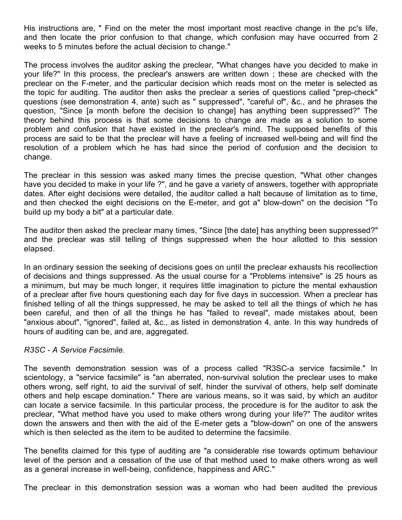His instructions are, " Find on the meter the most important most reactive change in the pc's life, and then locate the prior confusion to that change, which confusion may have occurred from 2 weeks to 5 minutes before the actual decision to change."

The process involves the auditor asking the preclear, "What changes have you decided to make in your life?" In this process, the preclear's answers are written down ; these are checked with the preclear on the F-meter, and the particular decision which reads most on the meter is selected as the topic for auditing. The auditor then asks the preclear a series of questions called "prep-check" questions (see demonstration 4, ante) such as " suppressed", "careful of", &c., and he phrases the question, "Since [a month before the decision to change] has anything been suppressed?" The theory behind this process is that some decisions to change are made as a solution to some problem and confusion that have existed in the preclear's mind. The supposed benefits of this process are said to be that the preclear will have a feeling of increased well-being and will find the resolution of a problem which he has had since the period of confusion and the decision to change.

The preclear in this session was asked many times the precise question, "What other changes have you decided to make in your life ?", and he gave a variety of answers, together with appropriate dates. After eight decisions were detailed, the auditor called a halt because of limitation as to time, and then checked the eight decisions on the E-meter, and got a" blow-down" on the decision "To build up my body a bit" at a particular date.

The auditor then asked the preclear many times, "Since [the date] has anything been suppressed?" and the preclear was still telling of things suppressed when the hour allotted to this session elapsed.

In an ordinary session the seeking of decisions goes on until the preclear exhausts his recollection of decisions and things suppressed. As the usual course for a "Problems intensive" is 25 hours as a minimum, but may be much longer, it requires little imagination to picture the mental exhaustion of a preclear after five hours questioning each day for five days in succession. When a preclear has finished telling of all the things suppressed, he may be asked to tell all the things of which he has been careful, and then of all the things he has "failed to reveal", made mistakes about, been "anxious about", "ignored", failed at, &c., as listed in demonstration 4, ante. In this way hundreds of hours of auditing can be, and are, aggregated.

#### *R3SC - A Service Facsimile.*

The seventh demonstration session was of a process called "R3SC-a service facsimile." In scientology, a "service facsimile" is "an aberrated, non-survival solution the preclear uses to make others wrong, self right, to aid the survival of self, hinder the survival of others, help self dominate others and help escape domination." There are various means, so it was said, by which an auditor can locate a service facsimile. In this particular process, the procedure is for the auditor to ask the preclear, "What method have you used to make others wrong during your life?" The auditor writes down the answers and then with the aid of the E-meter gets a "blow-down" on one of the answers which is then selected as the item to be audited to determine the facsimile.

The benefits claimed for this type of auditing are "a considerable rise towards optimum behaviour level of the person and a cessation of the use of that method used to make others wrong as well as a general increase in well-being, confidence, happiness and ARC."

The preclear in this demonstration session was a woman who had been audited the previous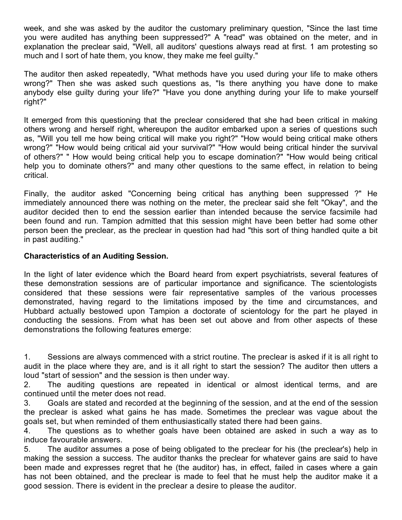week, and she was asked by the auditor the customary preliminary question, "Since the last time you were audited has anything been suppressed?" A "read" was obtained on the meter, and in explanation the preclear said, "Well, all auditors' questions always read at first. 1 am protesting so much and I sort of hate them, you know, they make me feel guilty."

The auditor then asked repeatedly, "What methods have you used during your life to make others wrong?" Then she was asked such questions as, "Is there anything you have done to make anybody else guilty during your life?" "Have you done anything during your life to make yourself right?"

It emerged from this questioning that the preclear considered that she had been critical in making others wrong and herself right, whereupon the auditor embarked upon a series of questions such as, "Will you tell me how being critical will make you right?" "How would being critical make others wrong?" "How would being critical aid your survival?" "How would being critical hinder the survival of others?" " How would being critical help you to escape domination?" "How would being critical help you to dominate others?" and many other questions to the same effect, in relation to being critical.

Finally, the auditor asked "Concerning being critical has anything been suppressed ?" He immediately announced there was nothing on the meter, the preclear said she felt "Okay", and the auditor decided then to end the session earlier than intended because the service facsimile had been found and run. Tampion admitted that this session might have been better had some other person been the preclear, as the preclear in question had had "this sort of thing handled quite a bit in past auditing."

# **Characteristics of an Auditing Session.**

In the light of later evidence which the Board heard from expert psychiatrists, several features of these demonstration sessions are of particular importance and significance. The scientologists considered that these sessions were fair representative samples of the various processes demonstrated, having regard to the limitations imposed by the time and circumstances, and Hubbard actually bestowed upon Tampion a doctorate of scientology for the part he played in conducting the sessions. From what has been set out above and from other aspects of these demonstrations the following features emerge:

1. Sessions are always commenced with a strict routine. The preclear is asked if it is all right to audit in the place where they are, and is it all right to start the session? The auditor then utters a loud "start of session" and the session is then under way.

2. The auditing questions are repeated in identical or almost identical terms, and are continued until the meter does not read.

3. Goals are stated and recorded at the beginning of the session, and at the end of the session the preclear is asked what gains he has made. Sometimes the preclear was vague about the goals set, but when reminded of them enthusiastically stated there had been gains.

4. The questions as to whether goals have been obtained are asked in such a way as to induce favourable answers.

5. The auditor assumes a pose of being obligated to the preclear for his (the preclear's) help in making the session a success. The auditor thanks the preclear for whatever gains are said to have been made and expresses regret that he (the auditor) has, in effect, failed in cases where a gain has not been obtained, and the preclear is made to feel that he must help the auditor make it a good session. There is evident in the preclear a desire to please the auditor.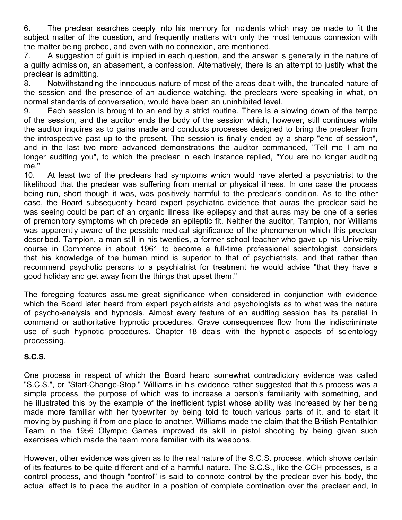6. The preclear searches deeply into his memory for incidents which may be made to fit the subject matter of the question, and frequently matters with only the most tenuous connexion with the matter being probed, and even with no connexion, are mentioned.

7. A suggestion of guilt is implied in each question, and the answer is generally in the nature of a guilty admission, an abasement, a confession. Alternatively, there is an attempt to justify what the preclear is admitting.

8. Notwithstanding the innocuous nature of most of the areas dealt with, the truncated nature of the session and the presence of an audience watching, the preclears were speaking in what, on normal standards of conversation, would have been an uninhibited level.

9. Each session is brought to an end by a strict routine. There is a slowing down of the tempo of the session, and the auditor ends the body of the session which, however, still continues while the auditor inquires as to gains made and conducts processes designed to bring the preclear from the introspective past up to the present. The session is finally ended by a sharp "end of session", and in the last two more advanced demonstrations the auditor commanded, "Tell me I am no longer auditing you", to which the preclear in each instance replied, "You are no longer auditing me."

10. At least two of the preclears had symptoms which would have alerted a psychiatrist to the likelihood that the preclear was suffering from mental or physical illness. In one case the process being run, short though it was, was positively harmful to the preclear's condition. As to the other case, the Board subsequently heard expert psychiatric evidence that auras the preclear said he was seeing could be part of an organic illness like epilepsy and that auras may be one of a series of premonitory symptoms which precede an epileptic fit. Neither the auditor, Tampion, nor Williams was apparently aware of the possible medical significance of the phenomenon which this preclear described. Tampion, a man still in his twenties, a former school teacher who gave up his University course in Commerce in about 1961 to become a full-time professional scientologist, considers that his knowledge of the human mind is superior to that of psychiatrists, and that rather than recommend psychotic persons to a psychiatrist for treatment he would advise "that they have a good holiday and get away from the things that upset them."

The foregoing features assume great significance when considered in conjunction with evidence which the Board later heard from expert psychiatrists and psychologists as to what was the nature of psycho-analysis and hypnosis. Almost every feature of an auditing session has its parallel in command or authoritative hypnotic procedures. Grave consequences flow from the indiscriminate use of such hypnotic procedures. Chapter 18 deals with the hypnotic aspects of scientology processing.

# **S.C.S.**

One process in respect of which the Board heard somewhat contradictory evidence was called "S.C.S.", or "Start-Change-Stop." Williams in his evidence rather suggested that this process was a simple process, the purpose of which was to increase a person's familiarity with something, and he illustrated this by the example of the inefficient typist whose ability was increased by her being made more familiar with her typewriter by being told to touch various parts of it, and to start it moving by pushing it from one place to another. Williams made the claim that the British Pentathlon Team in the 1956 Olympic Games improved its skill in pistol shooting by being given such exercises which made the team more familiar with its weapons.

However, other evidence was given as to the real nature of the S.C.S. process, which shows certain of its features to be quite different and of a harmful nature. The S.C.S., like the CCH processes, is a control process, and though "control" is said to connote control by the preclear over his body, the actual effect is to place the auditor in a position of complete domination over the preclear and, in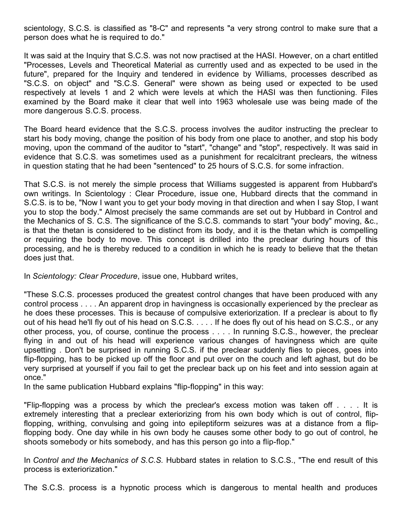scientology, S.C.S. is classified as "8-C" and represents "a very strong control to make sure that a person does what he is required to do."

It was said at the Inquiry that S.C.S. was not now practised at the HASI. However, on a chart entitled "Processes, Levels and Theoretical Material as currently used and as expected to be used in the future", prepared for the Inquiry and tendered in evidence by Williams, processes described as "S.C.S. on object" and "S.C.S. General" were shown as being used or expected to be used respectively at levels 1 and 2 which were levels at which the HASI was then functioning. Files examined by the Board make it clear that well into 1963 wholesale use was being made of the more dangerous S.C.S. process.

The Board heard evidence that the S.C.S. process involves the auditor instructing the preclear to start his body moving, change the position of his body from one place to another, and stop his body moving, upon the command of the auditor to "start", "change" and "stop", respectively. It was said in evidence that S.C.S. was sometimes used as a punishment for recalcitrant preclears, the witness in question stating that he had been "sentenced" to 25 hours of S.C.S. for some infraction.

That S.C.S. is not merely the simple process that Williams suggested is apparent from Hubbard's own writings. In Scientology : Clear Procedure, issue one, Hubbard directs that the command in S.C.S. is to be, "Now I want you to get your body moving in that direction and when I say Stop, I want you to stop the body." Almost precisely the same commands are set out by Hubbard in Control and the Mechanics of S. C.S. The significance of the S.C.S. commands to start "your body" moving, &c., is that the thetan is considered to be distinct from its body, and it is the thetan which is compelling or requiring the body to move. This concept is drilled into the preclear during hours of this processing, and he is thereby reduced to a condition in which he is ready to believe that the thetan does just that.

In *Scientology: Clear Procedure*, issue one, Hubbard writes,

"These S.C.S. processes produced the greatest control changes that have been produced with any control process . . . . An apparent drop in havingness is occasionally experienced by the preclear as he does these processes. This is because of compulsive exteriorization. If a preclear is about to fly out of his head he'll fly out of his head on S.C.S. . . . . If he does fly out of his head on S.C.S., or any other process, you, of course, continue the process . . . . In running S.C.S., however, the preclear flying in and out of his head will experience various changes of havingness which are quite upsetting . Don't be surprised in running S.C.S. if the preclear suddenly flies to pieces, goes into flip-flopping, has to be picked up off the floor and put over on the couch and left aghast, but do be very surprised at yourself if you fail to get the preclear back up on his feet and into session again at once."

In the same publication Hubbard explains "flip-flopping" in this way:

"Flip-flopping was a process by which the preclear's excess motion was taken off . . . . It is extremely interesting that a preclear exteriorizing from his own body which is out of control, flipflopping, writhing, convulsing and going into epileptiform seizures was at a distance from a flipflopping body. One day while in his own body he causes some other body to go out of control, he shoots somebody or hits somebody, and has this person go into a flip-flop."

In *Control and the Mechanics of S.C.S.* Hubbard states in relation to S.C.S., "The end result of this process is exteriorization."

The S.C.S. process is a hypnotic process which is dangerous to mental health and produces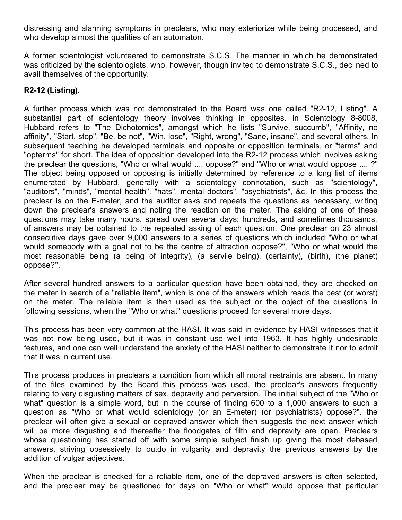distressing and alarming symptoms in preclears, who may exteriorize while being processed, and who develop almost the qualities of an automaton.

A former scientologist volunteered to demonstrate S.C.S. The manner in which he demonstrated was criticized by the scientologists, who, however, though invited to demonstrate S.C.S., declined to avail themselves of the opportunity.

# **R2-12 (Listing).**

A further process which was not demonstrated to the Board was one called "R2-12, Listing". A substantial part of scientology theory involves thinking in opposites. In Scientology 8-8008, Hubbard refers to "The Dichotomies", amongst which he lists "Survive, succumb", "Affinity, no affinity", "Start, stop", "Be, be not", "Win, lose", "Right, wrong", "Sane, insane", and several others. In subsequent teaching he developed terminals and opposite or opposition terminals, or "terms" and "opterms" for short. The idea of opposition developed into the R2-12 process which involves asking the preclear the questions, "Who or what would .... oppose?" and "Who or what would oppose .... ?" The object being opposed or opposing is initially determined by reference to a long list of items enumerated by Hubbard, generally with a scientology connotation, such as "scientology", "auditors", "minds", "mental health", "hats", mental doctors", "psychiatrists", &c. In this process the preclear is on the E-meter, and the auditor asks and repeats the questions as necessary, writing down the preclear's answers and noting the reaction on the meter. The asking of one of these questions may take many hours, spread over several days; hundreds, and sometimes thousands, of answers may be obtained to the repeated asking of each question. One preclear on 23 almost consecutive days gave over 9,000 answers to a series of questions which included "Who or what would somebody with a goal not to be the centre of attraction oppose?", "Who or what would the most reasonable being (a being of integrity), (a servile being), (certainty), (birth), (the planet) oppose?".

After several hundred answers to a particular question have been obtained, they are checked on the meter in search of a "reliable item", which is one of the answers which reads the best (or worst) on the meter. The reliable item is then used as the subject or the object of the questions in following sessions, when the "Who or what" questions proceed for several more days.

This process has been very common at the HASI. It was said in evidence by HASI witnesses that it was not now being used, but it was in constant use well into 1963. It has highly undesirable features, and one can well understand the anxiety of the HASI neither to demonstrate it nor to admit that it was in current use.

This process produces in preclears a condition from which all moral restraints are absent. In many of the files examined by the Board this process was used, the preclear's answers frequently relating to very disgusting matters of sex, depravity and perversion. The initial subject of the "Who or what" question is a simple word, but in the course of finding 600 to a 1,000 answers to such a question as "Who or what would scientology (or an E-meter) (or psychiatrists) oppose?". the preclear will often give a sexual or depraved answer which then suggests the next answer which will be more disgusting and thereafter the floodgates of filth and depravity are open. Preclears whose questioning has started off with some simple subject finish up giving the most debased answers, striving obsessively to outdo in vulgarity and depravity the previous answers by the addition of vulgar adjectives.

When the preclear is checked for a reliable item, one of the depraved answers is often selected, and the preclear may be questioned for days on "Who or what" would oppose that particular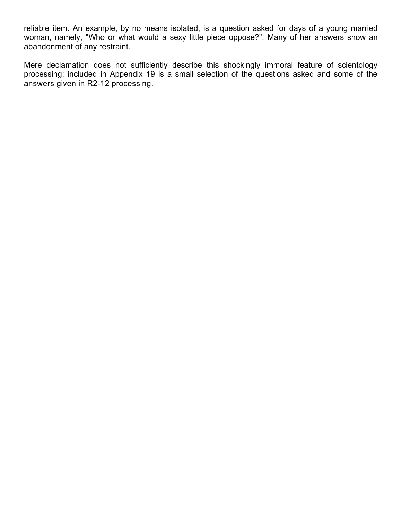reliable item. An example, by no means isolated, is a question asked for days of a young married woman, namely, "Who or what would a sexy little piece oppose?". Many of her answers show an abandonment of any restraint.

Mere declamation does not sufficiently describe this shockingly immoral feature of scientology processing; included in Appendix 19 is a small selection of the questions asked and some of the answers given in R2-12 processing.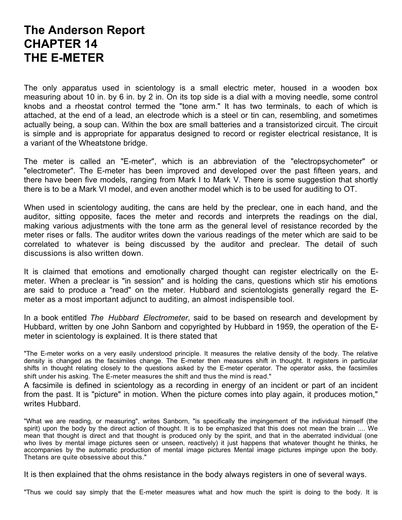# **The Anderson Report CHAPTER 14 THE E-METER**

The only apparatus used in scientology is a small electric meter, housed in a wooden box measuring about 10 in. by 6 in. by 2 in. On its top side is a dial with a moving needle, some control knobs and a rheostat control termed the "tone arm." It has two terminals, to each of which is attached, at the end of a lead, an electrode which is a steel or tin can, resembling, and sometimes actually being, a soup can. Within the box are small batteries and a transistorized circuit. The circuit is simple and is appropriate for apparatus designed to record or register electrical resistance, It is a variant of the Wheatstone bridge.

The meter is called an "E-meter", which is an abbreviation of the "electropsychometer" or "electrometer". The E-meter has been improved and developed over the past fifteen years, and there have been five models, ranging from Mark I to Mark V. There is some suggestion that shortly there is to be a Mark VI model, and even another model which is to be used for auditing to OT.

When used in scientology auditing, the cans are held by the preclear, one in each hand, and the auditor, sitting opposite, faces the meter and records and interprets the readings on the dial, making various adjustments with the tone arm as the general level of resistance recorded by the meter rises or falls. The auditor writes down the various readings of the meter which are said to be correlated to whatever is being discussed by the auditor and preclear. The detail of such discussions is also written down.

It is claimed that emotions and emotionally charged thought can register electrically on the Emeter. When a preclear is "in session" and is holding the cans, questions which stir his emotions are said to produce a "read" on the meter. Hubbard and scientologists generally regard the Emeter as a most important adjunct to auditing, an almost indispensible tool.

In a book entitled *The Hubbard Electrometer*, said to be based on research and development by Hubbard, written by one John Sanborn and copyrighted by Hubbard in 1959, the operation of the Emeter in scientology is explained. It is there stated that

"The E-meter works on a very easily understood principle. It measures the relative density of the body. The relative density is changed as the facsimiles change. The E-meter then measures shift in thought. It registers in particular shifts in thought relating closely to the questions asked by the E-meter operator. The operator asks, the facsimiles shift under his asking. The E-meter measures the shift and thus the mind is read."

A facsimile is defined in scientology as a recording in energy of an incident or part of an incident from the past. It is "picture" in motion. When the picture comes into play again, it produces motion," writes Hubbard.

"What we are reading, or measuring", writes Sanborn, "is specifically the impingement of the individual himself (the spirit) upon the body by the direct action of thought. It is to be emphasized that this does not mean the brain .... We mean that thought is direct and that thought is produced only by the spirit, and that in the aberrated individual (one who lives by mental image pictures seen or unseen, reactively) it just happens that whatever thought he thinks, he accompanies by the automatic production of mental image pictures Mental image pictures impinge upon the body. Thetans are quite obsessive about this."

It is then explained that the ohms resistance in the body always registers in one of several ways.

"Thus we could say simply that the E-meter measures what and how much the spirit is doing to the body. It is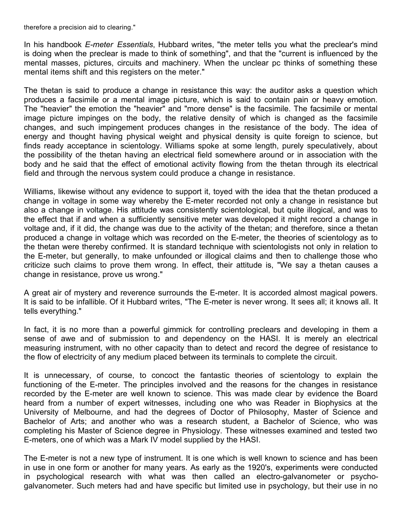therefore a precision aid to clearing."

In his handbook *E-meter Essentials*, Hubbard writes, "the meter tells you what the preclear's mind is doing when the preclear is made to think of something", and that the "current is influenced by the mental masses, pictures, circuits and machinery. When the unclear pc thinks of something these mental items shift and this registers on the meter."

The thetan is said to produce a change in resistance this way: the auditor asks a question which produces a facsimile or a mental image picture, which is said to contain pain or heavy emotion. The "heavier" the emotion the "heavier" and "more dense" is the facsimile. The facsimile or mental image picture impinges on the body, the relative density of which is changed as the facsimile changes, and such impingement produces changes in the resistance of the body. The idea of energy and thought having physical weight and physical density is quite foreign to science, but finds ready acceptance in scientology. Williams spoke at some length, purely speculatively, about the possibility of the thetan having an electrical field somewhere around or in association with the body and he said that the effect of emotional activity flowing from the thetan through its electrical field and through the nervous system could produce a change in resistance.

Williams, likewise without any evidence to support it, toyed with the idea that the thetan produced a change in voltage in some way whereby the E-meter recorded not only a change in resistance but also a change in voltage. His attitude was consistently scientological, but quite illogical, and was to the effect that if and when a sufficiently sensitive meter was developed it might record a change in voltage and, if it did, the change was due to the activity of the thetan; and therefore, since a thetan produced a change in voltage which was recorded on the E-meter, the theories of scientology as to the thetan were thereby confirmed. It is standard technique with scientologists not only in relation to the E-meter, but generally, to make unfounded or illogical claims and then to challenge those who criticize such claims to prove them wrong. In effect, their attitude is, "We say a thetan causes a change in resistance, prove us wrong."

A great air of mystery and reverence surrounds the E-meter. It is accorded almost magical powers. It is said to be infallible. Of it Hubbard writes, "The E-meter is never wrong. It sees all; it knows all. It tells everything."

In fact, it is no more than a powerful gimmick for controlling preclears and developing in them a sense of awe and of submission to and dependency on the HASI. It is merely an electrical measuring instrument, with no other capacity than to detect and record the degree of resistance to the flow of electricity of any medium placed between its terminals to complete the circuit.

It is unnecessary, of course, to concoct the fantastic theories of scientology to explain the functioning of the E-meter. The principles involved and the reasons for the changes in resistance recorded by the E-meter are well known to science. This was made clear by evidence the Board heard from a number of expert witnesses, including one who was Reader in Biophysics at the University of Melbourne, and had the degrees of Doctor of Philosophy, Master of Science and Bachelor of Arts; and another who was a research student, a Bachelor of Science, who was completing his Master of Science degree in Physiology. These witnesses examined and tested two E-meters, one of which was a Mark IV model supplied by the HASI.

The E-meter is not a new type of instrument. It is one which is well known to science and has been in use in one form or another for many years. As early as the 1920's, experiments were conducted in psychological research with what was then called an electro-galvanometer or psychogalvanometer. Such meters had and have specific but limited use in psychology, but their use in no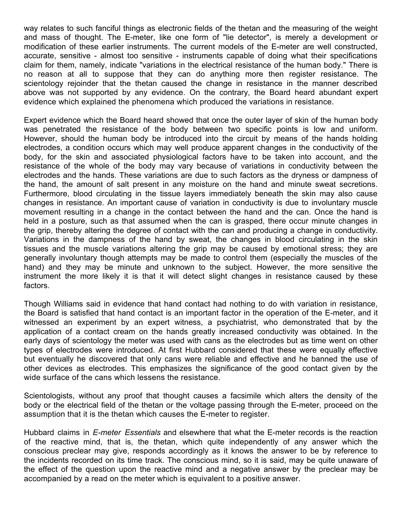way relates to such fanciful things as electronic fields of the thetan and the measuring of the weight and mass of thought. The E-meter, like one form of "lie detector", is merely a development or modification of these earlier instruments. The current models of the E-meter are well constructed, accurate, sensitive - almost too sensitive - instruments capable of doing what their specifications claim for them, namely, indicate "variations in the electrical resistance of the human body." There is no reason at all to suppose that they can do anything more then register resistance. The scientology rejoinder that the thetan caused the change in resistance in the manner described above was not supported by any evidence. On the contrary, the Board heard abundant expert evidence which explained the phenomena which produced the variations in resistance.

Expert evidence which the Board heard showed that once the outer layer of skin of the human body was penetrated the resistance of the body between two specific points is low and uniform. However, should the human body be introduced into the circuit by means of the hands holding electrodes, a condition occurs which may well produce apparent changes in the conductivity of the body, for the skin and associated physiological factors have to be taken into account, and the resistance of the whole of the body may vary because of variations in conductivity between the electrodes and the hands. These variations are due to such factors as the dryness or dampness of the hand, the amount of salt present in any moisture on the hand and minute sweat secretions. Furthermore, blood circulating in the tissue layers immediately beneath the skin may also cause changes in resistance. An important cause of variation in conductivity is due to involuntary muscle movement resulting in a change in the contact between the hand and the can. Once the hand is held in a posture, such as that assumed when the can is grasped, there occur minute changes in the grip, thereby altering the degree of contact with the can and producing a change in conductivity. Variations in the dampness of the hand by sweat, the changes in blood circulating in the skin tissues and the muscle variations altering the grip may be caused by emotional stress; they are generally involuntary though attempts may be made to control them (especially the muscles of the hand) and they may be minute and unknown to the subject. However, the more sensitive the instrument the more likely it is that it will detect slight changes in resistance caused by these factors.

Though Williams said in evidence that hand contact had nothing to do with variation in resistance, the Board is satisfied that hand contact is an important factor in the operation of the E-meter, and it witnessed an experiment by an expert witness, a psychiatrist, who demonstrated that by the application of a contact cream on the hands greatly increased conductivity was obtained. In the early days of scientology the meter was used with cans as the electrodes but as time went on other types of electrodes were introduced. At first Hubbard considered that these were equally effective but eventually he discovered that only cans were reliable and effective and he banned the use of other devices as electrodes. This emphasizes the significance of the good contact given by the wide surface of the cans which lessens the resistance.

Scientologists, without any proof that thought causes a facsimile which alters the density of the body or the electrical field of the thetan or the voltage passing through the E-meter, proceed on the assumption that it is the thetan which causes the E-meter to register.

Hubbard claims in *E-meter Essentials* and elsewhere that what the E-meter records is the reaction of the reactive mind, that is, the thetan, which quite independently of any answer which the conscious preclear may give, responds accordingly as it knows the answer to be by reference to the incidents recorded on its time track. The conscious mind, so it is said, may be quite unaware of the effect of the question upon the reactive mind and a negative answer by the preclear may be accompanied by a read on the meter which is equivalent to a positive answer.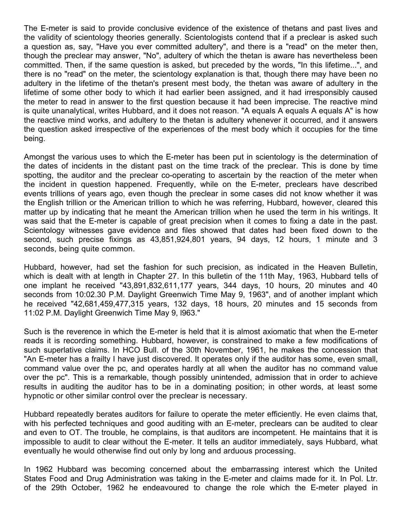The E-meter is said to provide conclusive evidence of the existence of thetans and past lives and the validity of scientology theories generally. Scientologists contend that if a preclear is asked such a question as, say, "Have you ever committed adultery", and there is a "read" on the meter then, though the preclear may answer, "No", adultery of which the thetan is aware has nevertheless been committed. Then, if the same question is asked, but preceded by the words, "In this lifetime...", and there is no "read" on the meter, the scientology explanation is that, though there may have been no adultery in the lifetime of the thetan's present mest body, the thetan was aware of adultery in the lifetime of some other body to which it had earlier been assigned, and it had irresponsibly caused the meter to read in answer to the first question because it had been imprecise. The reactive mind is quite unanalytical, writes Hubbard, and it does not reason. "A equals A equals A equals A" is how the reactive mind works, and adultery to the thetan is adultery whenever it occurred, and it answers the question asked irrespective of the experiences of the mest body which it occupies for the time being.

Amongst the various uses to which the E-meter has been put in scientology is the determination of the dates of incidents in the distant past on the time track of the preclear. This is done by time spotting, the auditor and the preclear co-operating to ascertain by the reaction of the meter when the incident in question happened. Frequently, while on the E-meter, preclears have described events trillions of years ago, even though the preclear in some cases did not know whether it was the English trillion or the American trillion to which he was referring, Hubbard, however, cleared this matter up by indicating that he meant the American trillion when he used the term in his writings. It was said that the E-meter is capable of great precision when it comes to fixing a date in the past. Scientology witnesses gave evidence and files showed that dates had been fixed down to the second, such precise fixings as 43,851,924,801 years, 94 days, 12 hours, 1 minute and 3 seconds, being quite common.

Hubbard, however, had set the fashion for such precision, as indicated in the Heaven Bulletin, which is dealt with at length in Chapter 27. In this bulletin of the 11th May, 1963, Hubbard tells of one implant he received "43,891,832,611,177 years, 344 days, 10 hours, 20 minutes and 40 seconds from 10:02.30 P.M. Daylight Greenwich Time May 9, 1963", and of another implant which he received "42,681,459,477,315 years, 132 days, 18 hours, 20 minutes and 15 seconds from 11:02 P.M. Daylight Greenwich Time May 9, l963."

Such is the reverence in which the E-meter is held that it is almost axiomatic that when the E-meter reads it is recording something. Hubbard, however, is constrained to make a few modifications of such superlative claims. In HCO Bull. of the 30th November, 1961, he makes the concession that "An E-meter has a frailty I have just discovered. It operates only if the auditor has some, even small, command value over the pc, and operates hardly at all when the auditor has no command value over the pc". This is a remarkable, though possibly unintended, admission that in order to achieve results in auditing the auditor has to be in a dominating position; in other words, at least some hypnotic or other similar control over the preclear is necessary.

Hubbard repeatedly berates auditors for failure to operate the meter efficiently. He even claims that, with his perfected techniques and good auditing with an E-meter, preclears can be audited to clear and even to OT. The trouble, he complains, is that auditors are incompetent. He maintains that it is impossible to audit to clear without the E-meter. It tells an auditor immediately, says Hubbard, what eventually he would otherwise find out only by long and arduous processing.

In 1962 Hubbard was becoming concerned about the embarrassing interest which the United States Food and Drug Administration was taking in the E-meter and claims made for it. In Pol. Ltr. of the 29th October, 1962 he endeavoured to change the role which the E-meter played in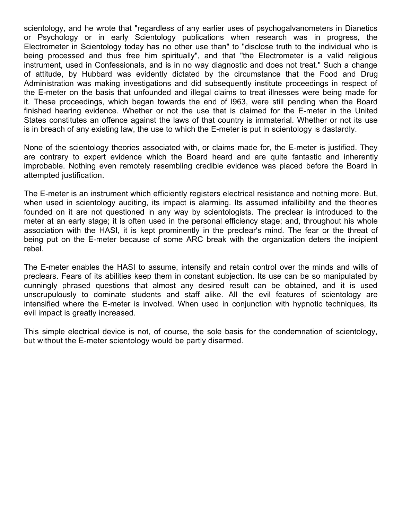scientology, and he wrote that "regardless of any earlier uses of psychogalvanometers in Dianetics or Psychology or in early Scientology publications when research was in progress, the Electrometer in Scientology today has no other use than" to "disclose truth to the individual who is being processed and thus free him spiritually", and that "the Electrometer is a valid religious instrument, used in Confessionals, and is in no way diagnostic and does not treat." Such a change of attitude, by Hubbard was evidently dictated by the circumstance that the Food and Drug Administration was making investigations and did subsequently institute proceedings in respect of the E-meter on the basis that unfounded and illegal claims to treat illnesses were being made for it. These proceedings, which began towards the end of l963, were still pending when the Board finished hearing evidence. Whether or not the use that is claimed for the E-meter in the United States constitutes an offence against the laws of that country is immaterial. Whether or not its use is in breach of any existing law, the use to which the E-meter is put in scientology is dastardly.

None of the scientology theories associated with, or claims made for, the E-meter is justified. They are contrary to expert evidence which the Board heard and are quite fantastic and inherently improbable. Nothing even remotely resembling credible evidence was placed before the Board in attempted justification.

The E-meter is an instrument which efficiently registers electrical resistance and nothing more. But, when used in scientology auditing, its impact is alarming. Its assumed infallibility and the theories founded on it are not questioned in any way by scientologists. The preclear is introduced to the meter at an early stage; it is often used in the personal efficiency stage; and, throughout his whole association with the HASI, it is kept prominently in the preclear's mind. The fear or the threat of being put on the E-meter because of some ARC break with the organization deters the incipient rebel.

The E-meter enables the HASI to assume, intensify and retain control over the minds and wills of preclears. Fears of its abilities keep them in constant subjection. Its use can be so manipulated by cunningly phrased questions that almost any desired result can be obtained, and it is used unscrupulously to dominate students and staff alike. All the evil features of scientology are intensified where the E-meter is involved. When used in conjunction with hypnotic techniques, its evil impact is greatly increased.

This simple electrical device is not, of course, the sole basis for the condemnation of scientology, but without the E-meter scientology would be partly disarmed.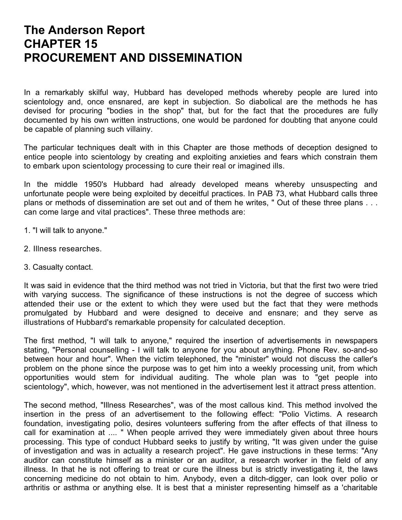# **The Anderson Report CHAPTER 15 PROCUREMENT AND DISSEMINATION**

In a remarkably skilful way, Hubbard has developed methods whereby people are lured into scientology and, once ensnared, are kept in subjection. So diabolical are the methods he has devised for procuring "bodies in the shop" that, but for the fact that the procedures are fully documented by his own written instructions, one would be pardoned for doubting that anyone could be capable of planning such villainy.

The particular techniques dealt with in this Chapter are those methods of deception designed to entice people into scientology by creating and exploiting anxieties and fears which constrain them to embark upon scientology processing to cure their real or imagined ills.

In the middle 1950's Hubbard had already developed means whereby unsuspecting and unfortunate people were being exploited by deceitful practices. In PAB 73, what Hubbard calls three plans or methods of dissemination are set out and of them he writes, " Out of these three plans . . . can come large and vital practices". These three methods are:

- 1. "I will talk to anyone."
- 2. Illness researches.
- 3. Casualty contact.

It was said in evidence that the third method was not tried in Victoria, but that the first two were tried with varying success. The significance of these instructions is not the degree of success which attended their use or the extent to which they were used but the fact that they were methods promulgated by Hubbard and were designed to deceive and ensnare; and they serve as illustrations of Hubbard's remarkable propensity for calculated deception.

The first method, "I will talk to anyone," required the insertion of advertisements in newspapers stating, "Personal counselling - I will talk to anyone for you about anything. Phone Rev. so-and-so between hour and hour". When the victim telephoned, the "minister" would not discuss the caller's problem on the phone since the purpose was to get him into a weekly processing unit, from which opportunities would stem for individual auditing. The whole plan was to "get people into scientology", which, however, was not mentioned in the advertisement lest it attract press attention.

The second method, "Illness Researches", was of the most callous kind. This method involved the insertion in the press of an advertisement to the following effect: "Polio Victims. A research foundation, investigating polio, desires volunteers suffering from the after effects of that illness to call for examination at .... " When people arrived they were immediately given about three hours processing. This type of conduct Hubbard seeks to justify by writing, "It was given under the guise of investigation and was in actuality a research project". He gave instructions in these terms: "Any auditor can constitute himself as a minister or an auditor, a research worker in the field of any illness. In that he is not offering to treat or cure the illness but is strictly investigating it, the laws concerning medicine do not obtain to him. Anybody, even a ditch-digger, can look over polio or arthritis or asthma or anything else. It is best that a minister representing himself as a 'charitable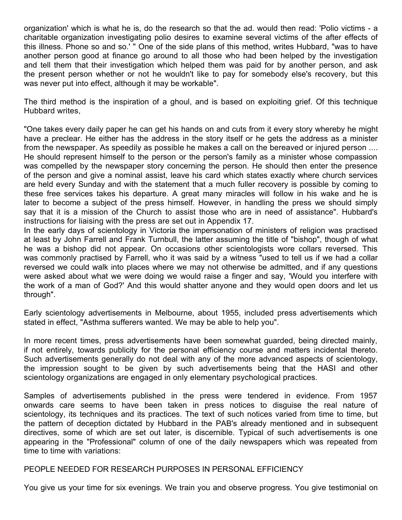organization' which is what he is, do the research so that the ad. would then read: 'Polio victims - a charitable organization investigating polio desires to examine several victims of the after effects of this illness. Phone so and so.' " One of the side plans of this method, writes Hubbard, "was to have another person good at finance go around to all those who had been helped by the investigation and tell them that their investigation which helped them was paid for by another person, and ask the present person whether or not he wouldn't like to pay for somebody else's recovery, but this was never put into effect, although it may be workable".

The third method is the inspiration of a ghoul, and is based on exploiting grief. Of this technique Hubbard writes,

"One takes every daily paper he can get his hands on and cuts from it every story whereby he might have a preclear. He either has the address in the story itself or he gets the address as a minister from the newspaper. As speedily as possible he makes a call on the bereaved or injured person .... He should represent himself to the person or the person's family as a minister whose compassion was compelled by the newspaper story concerning the person. He should then enter the presence of the person and give a nominal assist, leave his card which states exactly where church services are held every Sunday and with the statement that a much fuller recovery is possible by coming to these free services takes his departure. A great many miracles will follow in his wake and he is later to become a subject of the press himself. However, in handling the press we should simply say that it is a mission of the Church to assist those who are in need of assistance". Hubbard's instructions for liaising with the press are set out in Appendix 17.

In the early days of scientology in Victoria the impersonation of ministers of religion was practised at least by John Farrell and Frank Turnbull, the latter assuming the title of "bishop", though of what he was a bishop did not appear. On occasions other scientologists wore collars reversed. This was commonly practised by Farrell, who it was said by a witness "used to tell us if we had a collar reversed we could walk into places where we may not otherwise be admitted, and if any questions were asked about what we were doing we would raise a finger and say, 'Would you interfere with the work of a man of God?' And this would shatter anyone and they would open doors and let us through".

Early scientology advertisements in Melbourne, about 1955, included press advertisements which stated in effect, "Asthma sufferers wanted. We may be able to help you".

In more recent times, press advertisements have been somewhat guarded, being directed mainly, if not entirely, towards publicity for the personal efficiency course and matters incidental thereto. Such advertisements generally do not deal with any of the more advanced aspects of scientology, the impression sought to be given by such advertisements being that the HASI and other scientology organizations are engaged in only elementary psychological practices.

Samples of advertisements published in the press were tendered in evidence. From 1957 onwards care seems to have been taken in press notices to disguise the real nature of scientology, its techniques and its practices. The text of such notices varied from time to time, but the pattern of deception dictated by Hubbard in the PAB's already mentioned and in subsequent directives, some of which are set out later, is discernible. Typical of such advertisements is one appearing in the "Professional" column of one of the daily newspapers which was repeated from time to time with variations:

PEOPLE NEEDED FOR RESEARCH PURPOSES IN PERSONAL EFFICIENCY

You give us your time for six evenings. We train you and observe progress. You give testimonial on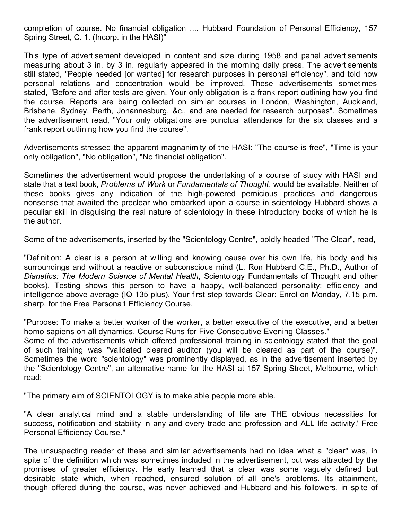completion of course. No financial obligation .... Hubbard Foundation of Personal Efficiency, 157 Spring Street, C. 1. (Incorp. in the HASI)"

This type of advertisement developed in content and size during 1958 and panel advertisements measuring about 3 in. by 3 in. regularly appeared in the morning daily press. The advertisements still stated, "People needed [or wanted] for research purposes in personal efficiency", and told how personal relations and concentration would be improved. These advertisements sometimes stated, "Before and after tests are given. Your only obligation is a frank report outlining how you find the course. Reports are being collected on similar courses in London, Washington, Auckland, Brisbane, Sydney, Perth, Johannesburg, &c., and are needed for research purposes". Sometimes the advertisement read, "Your only obligations are punctual attendance for the six classes and a frank report outlining how you find the course".

Advertisements stressed the apparent magnanimity of the HASI: "The course is free", "Time is your only obligation", "No obligation", "No financial obligation".

Sometimes the advertisement would propose the undertaking of a course of study with HASI and state that a text book, *Problems of Work* or *Fundamentals of Thought*, would be available. Neither of these books gives any indication of the high-powered pernicious practices and dangerous nonsense that awaited the preclear who embarked upon a course in scientology Hubbard shows a peculiar skill in disguising the real nature of scientology in these introductory books of which he is the author.

Some of the advertisements, inserted by the "Scientology Centre", boldly headed "The Clear", read,

"Definition: A clear is a person at willing and knowing cause over his own life, his body and his surroundings and without a reactive or subconscious mind (L. Ron Hubbard C.E., Ph.D., Author of *Dianetics: The Modern Science of Mental Health*, Scientology Fundamentals of Thought and other books). Testing shows this person to have a happy, well-balanced personality; efficiency and intelligence above average (IQ 135 plus). Your first step towards Clear: Enrol on Monday, 7.15 p.m. sharp, for the Free Persona1 Efficiency Course.

"Purpose: To make a better worker of the worker, a better executive of the executive, and a better homo sapiens on all dynamics. Course Runs for Five Consecutive Evening Classes."

Some of the advertisements which offered professional training in scientology stated that the goal of such training was "validated cleared auditor (you will be cleared as part of the course)". Sometimes the word "scientology" was prominently displayed, as in the advertisement inserted by the "Scientology Centre", an alternative name for the HASI at 157 Spring Street, Melbourne, which read:

"The primary aim of SCIENTOLOGY is to make able people more able.

"A clear analytical mind and a stable understanding of life are THE obvious necessities for success, notification and stability in any and every trade and profession and ALL life activity.' Free Personal Efficiency Course."

The unsuspecting reader of these and similar advertisements had no idea what a "clear" was, in spite of the definition which was sometimes included in the advertisement, but was attracted by the promises of greater efficiency. He early learned that a clear was some vaguely defined but desirable state which, when reached, ensured solution of all one's problems. Its attainment, though offered during the course, was never achieved and Hubbard and his followers, in spite of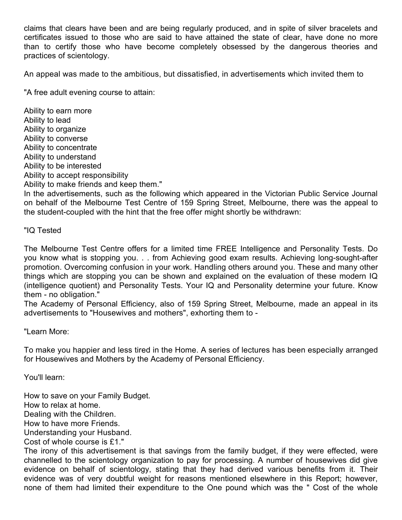claims that clears have been and are being regularly produced, and in spite of silver bracelets and certificates issued to those who are said to have attained the state of clear, have done no more than to certify those who have become completely obsessed by the dangerous theories and practices of scientology.

An appeal was made to the ambitious, but dissatisfied, in advertisements which invited them to

"A free adult evening course to attain:

Ability to earn more Ability to lead Ability to organize Ability to converse Ability to concentrate Ability to understand Ability to be interested Ability to accept responsibility Ability to make friends and keep them."

In the advertisements, such as the following which appeared in the Victorian Public Service Journal on behalf of the Melbourne Test Centre of 159 Spring Street, Melbourne, there was the appeal to the student-coupled with the hint that the free offer might shortly be withdrawn:

"IQ Tested

The Melbourne Test Centre offers for a limited time FREE Intelligence and Personality Tests. Do you know what is stopping you. . . from Achieving good exam results. Achieving long-sought-after promotion. Overcoming confusion in your work. Handling others around you. These and many other things which are stopping you can be shown and explained on the evaluation of these modern IQ (intelligence quotient) and Personality Tests. Your IQ and Personality determine your future. Know them - no obligation."

The Academy of Personal Efficiency, also of 159 Spring Street, Melbourne, made an appeal in its advertisements to "Housewives and mothers", exhorting them to -

"Learn More:

To make you happier and less tired in the Home. A series of lectures has been especially arranged for Housewives and Mothers by the Academy of Personal Efficiency.

You'll learn:

How to save on your Family Budget.

How to relax at home.

Dealing with the Children.

How to have more Friends.

Understanding your Husband.

Cost of whole course is £1."

The irony of this advertisement is that savings from the family budget, if they were effected, were channelled to the scientology organization to pay for processing. A number of housewives did give evidence on behalf of scientology, stating that they had derived various benefits from it. Their evidence was of very doubtful weight for reasons mentioned elsewhere in this Report; however, none of them had limited their expenditure to the One pound which was the " Cost of the whole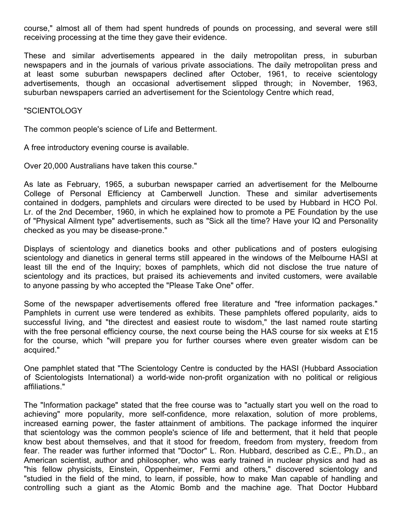course," almost all of them had spent hundreds of pounds on processing, and several were still receiving processing at the time they gave their evidence.

These and similar advertisements appeared in the daily metropolitan press, in suburban newspapers and in the journals of various private associations. The daily metropolitan press and at least some suburban newspapers declined after October, 1961, to receive scientology advertisements, though an occasional advertisement slipped through; in November, 1963, suburban newspapers carried an advertisement for the Scientology Centre which read,

"SCIENTOLOGY

The common people's science of Life and Betterment.

A free introductory evening course is available.

Over 20,000 Australians have taken this course."

As late as February, 1965, a suburban newspaper carried an advertisement for the Melbourne College of Personal Efficiency at Camberwell Junction. These and similar advertisements contained in dodgers, pamphlets and circulars were directed to be used by Hubbard in HCO Pol. Lr. of the 2nd December, 1960, in which he explained how to promote a PE Foundation by the use of "Physical Ailment type" advertisements, such as "Sick all the time? Have your IQ and Personality checked as you may be disease-prone."

Displays of scientology and dianetics books and other publications and of posters eulogising scientology and dianetics in general terms still appeared in the windows of the Melbourne HASI at least till the end of the Inquiry; boxes of pamphlets, which did not disclose the true nature of scientology and its practices, but praised its achievements and invited customers, were available to anyone passing by who accepted the "Please Take One" offer.

Some of the newspaper advertisements offered free literature and "free information packages." Pamphlets in current use were tendered as exhibits. These pamphlets offered popularity, aids to successful living, and "the directest and easiest route to wisdom," the last named route starting with the free personal efficiency course, the next course being the HAS course for six weeks at £15 for the course, which "will prepare you for further courses where even greater wisdom can be acquired."

One pamphlet stated that "The Scientology Centre is conducted by the HASI (Hubbard Association of Scientologists International) a world-wide non-profit organization with no political or religious affiliations."

The "Information package" stated that the free course was to "actually start you well on the road to achieving" more popularity, more self-confidence, more relaxation, solution of more problems, increased earning power, the faster attainment of ambitions. The package informed the inquirer that scientology was the common people's science of life and betterment, that it held that people know best about themselves, and that it stood for freedom, freedom from mystery, freedom from fear. The reader was further informed that "Doctor" L. Ron. Hubbard, described as C.E., Ph.D., an American scientist, author and philosopher, who was early trained in nuclear physics and had as "his fellow physicists, Einstein, Oppenheimer, Fermi and others," discovered scientology and "studied in the field of the mind, to learn, if possible, how to make Man capable of handling and controlling such a giant as the Atomic Bomb and the machine age. That Doctor Hubbard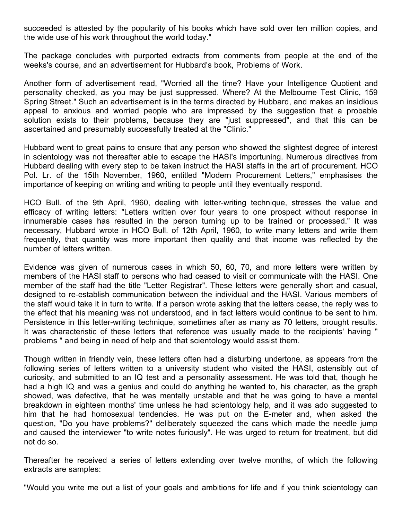succeeded is attested by the popularity of his books which have sold over ten million copies, and the wide use of his work throughout the world today."

The package concludes with purported extracts from comments from people at the end of the weeks's course, and an advertisement for Hubbard's book, Problems of Work.

Another form of advertisement read, "Worried all the time? Have your Intelligence Quotient and personality checked, as you may be just suppressed. Where? At the Melbourne Test Clinic, 159 Spring Street." Such an advertisement is in the terms directed by Hubbard, and makes an insidious appeal to anxious and worried people who are impressed by the suggestion that a probable solution exists to their problems, because they are "just suppressed", and that this can be ascertained and presumably successfully treated at the "Clinic."

Hubbard went to great pains to ensure that any person who showed the slightest degree of interest in scientology was not thereafter able to escape the HASI's importuning. Numerous directives from Hubbard dealing with every step to be taken instruct the HASI staffs in the art of procurement. HCO Pol. Lr. of the 15th November, 1960, entitled "Modern Procurement Letters," emphasises the importance of keeping on writing and writing to people until they eventually respond.

HCO Bull. of the 9th April, 1960, dealing with letter-writing technique, stresses the value and efficacy of writing letters: "Letters written over four years to one prospect without response in innumerable cases has resulted in the person turning up to be trained or processed." It was necessary, Hubbard wrote in HCO Bull. of 12th April, 1960, to write many letters and write them frequently, that quantity was more important then quality and that income was reflected by the number of letters written.

Evidence was given of numerous cases in which 50, 60, 70, and more letters were written by members of the HASI staff to persons who had ceased to visit or communicate with the HASI. One member of the staff had the title "Letter Registrar". These letters were generally short and casual, designed to re-establish communication between the individual and the HASI. Various members of the staff would take it in turn to write. If a person wrote asking that the letters cease, the reply was to the effect that his meaning was not understood, and in fact letters would continue to be sent to him. Persistence in this letter-writing technique, sometimes after as many as 70 letters, brought results. It was characteristic of these letters that reference was usually made to the recipients' having " problems " and being in need of help and that scientology would assist them.

Though written in friendly vein, these letters often had a disturbing undertone, as appears from the following series of letters written to a university student who visited the HASI, ostensibly out of curiosity, and submitted to an IQ test and a personality assessment. He was told that, though he had a high IQ and was a genius and could do anything he wanted to, his character, as the graph showed, was defective, that he was mentally unstable and that he was going to have a mental breakdown in eighteen months' time unless he had scientology help, and it was ado suggested to him that he had homosexual tendencies. He was put on the E-meter and, when asked the question, "Do you have problems?" deliberately squeezed the cans which made the needle jump and caused the interviewer "to write notes furiously". He was urged to return for treatment, but did not do so.

Thereafter he received a series of letters extending over twelve months, of which the following extracts are samples:

"Would you write me out a list of your goals and ambitions for life and if you think scientology can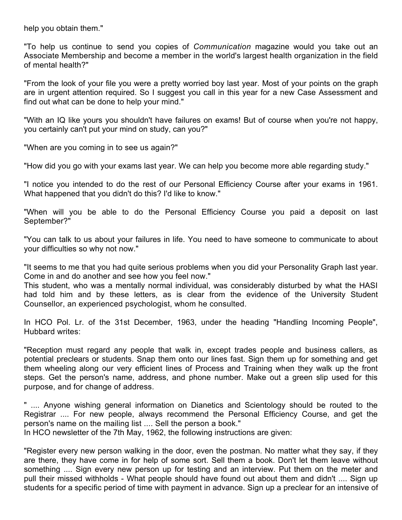help you obtain them."

"To help us continue to send you copies of *Communication* magazine would you take out an Associate Membership and become a member in the world's largest health organization in the field of mental health?"

"From the look of your file you were a pretty worried boy last year. Most of your points on the graph are in urgent attention required. So I suggest you call in this year for a new Case Assessment and find out what can be done to help your mind."

"With an IQ like yours you shouldn't have failures on exams! But of course when you're not happy, you certainly can't put your mind on study, can you?"

"When are you coming in to see us again?"

"How did you go with your exams last year. We can help you become more able regarding study."

"I notice you intended to do the rest of our Personal Efficiency Course after your exams in 1961. What happened that you didn't do this? I'd like to know."

"When will you be able to do the Personal Efficiency Course you paid a deposit on last September?"

"You can talk to us about your failures in life. You need to have someone to communicate to about your difficulties so why not now."

"It seems to me that you had quite serious problems when you did your Personality Graph last year. Come in and do another and see how you feel now."

This student, who was a mentally normal individual, was considerably disturbed by what the HASI had told him and by these letters, as is clear from the evidence of the University Student Counsellor, an experienced psychologist, whom he consulted.

In HCO Pol. Lr. of the 31st December, 1963, under the heading "Handling Incoming People", Hubbard writes:

"Reception must regard any people that walk in, except trades people and business callers, as potential preclears or students. Snap them onto our lines fast. Sign them up for something and get them wheeling along our very efficient lines of Process and Training when they walk up the front steps. Get the person's name, address, and phone number. Make out a green slip used for this purpose, and for change of address.

" .... Anyone wishing general information on Dianetics and Scientology should be routed to the Registrar .... For new people, always recommend the Personal Efficiency Course, and get the person's name on the mailing list .... Sell the person a book."

In HCO newsletter of the 7th May, 1962, the following instructions are given:

"Register every new person walking in the door, even the postman. No matter what they say, if they are there, they have come in for help of some sort. Sell them a book. Don't let them leave without something .... Sign every new person up for testing and an interview. Put them on the meter and pull their missed withholds - What people should have found out about them and didn't .... Sign up students for a specific period of time with payment in advance. Sign up a preclear for an intensive of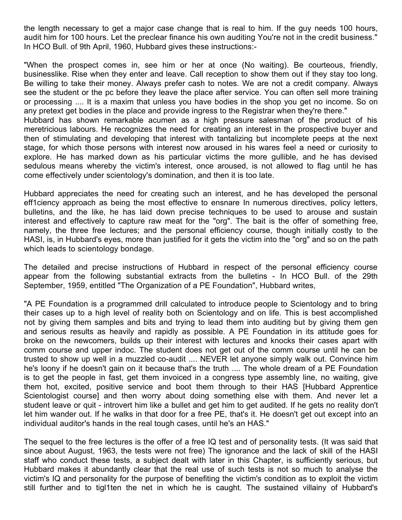the length necessary to get a major case change that is real to him. If the guy needs 100 hours, audit him for 100 hours. Let the preclear finance his own auditing You're not in the credit business." In HCO Bull. of 9th April, 1960, Hubbard gives these instructions:-

"When the prospect comes in, see him or her at once (No waiting). Be courteous, friendly, businesslike. Rise when they enter and leave. Call reception to show them out if they stay too long. Be willing to take their money. Always prefer cash to notes. We are not a credit company. Always see the student or the pc before they leave the place after service. You can often sell more training or processing .... It is a maxim that unless you have bodies in the shop you get no income. So on any pretext get bodies in the place and provide ingress to the Registrar when they're there." Hubbard has shown remarkable acumen as a high pressure salesman of the product of his meretricious labours. He recognizes the need for creating an interest in the prospective buyer and then of stimulating and developing that interest with tantalizing but incomplete peeps at the next stage, for which those persons with interest now aroused in his wares feel a need or curiosity to explore. He has marked down as his particular victims the more gullible, and he has devised sedulous means whereby the victim's interest, once aroused, is not allowed to flag until he has

Hubbard appreciates the need for creating such an interest, and he has developed the personal eff1ciency approach as being the most effective to ensnare In numerous directives, policy letters, bulletins, and the like, he has laid down precise techniques to be used to arouse and sustain interest and effectively to capture raw meat for the "org". The bait is the offer of something free, namely, the three free lectures; and the personal efficiency course, though initially costly to the HASI, is, in Hubbard's eyes, more than justified for it gets the victim into the "org" and so on the path which leads to scientology bondage.

come effectively under scientology's domination, and then it is too late.

The detailed and precise instructions of Hubbard in respect of the personal efficiency course appear from the following substantial extracts from the bulletins - In HCO Bull. of the 29th September, 1959, entitled "The Organization of a PE Foundation", Hubbard writes,

"A PE Foundation is a programmed drill calculated to introduce people to Scientology and to bring their cases up to a high level of reality both on Scientology and on life. This is best accomplished not by giving them samples and bits and trying to lead them into auditing but by giving them gen and serious results as heavily and rapidly as possible. A PE Foundation in its attitude goes for broke on the newcomers, builds up their interest with lectures and knocks their cases apart with comm course and upper indoc. The student does not get out of the comm course until he can be trusted to show up well in a muzzled co-audit .... NEVER let anyone simply walk out. Convince him he's loony if he doesn't gain on it because that's the truth .... The whole dream of a PE Foundation is to get the people in fast, get them invoiced in a congress type assembly line, no waiting, give them hot, excited, positive service and boot them through to their HAS [Hubbard Apprentice Scientologist course] and then worry about doing something else with them. And never let a student leave or quit - introvert him like a bullet and get him to get audited. If he gets no reality don't let him wander out. If he walks in that door for a free PE, that's it. He doesn't get out except into an individual auditor's hands in the real tough cases, until he's an HAS."

The sequel to the free lectures is the offer of a free IQ test and of personality tests. (It was said that since about August, 1963, the tests were not free) The ignorance and the lack of skill of the HASI staff who conduct these tests, a subject dealt with later in this Chapter, is sufficiently serious, but Hubbard makes it abundantly clear that the real use of such tests is not so much to analyse the victim's IQ and personality for the purpose of benefiting the victim's condition as to exploit the victim still further and to tigl1ten the net in which he is caught. The sustained villainy of Hubbard's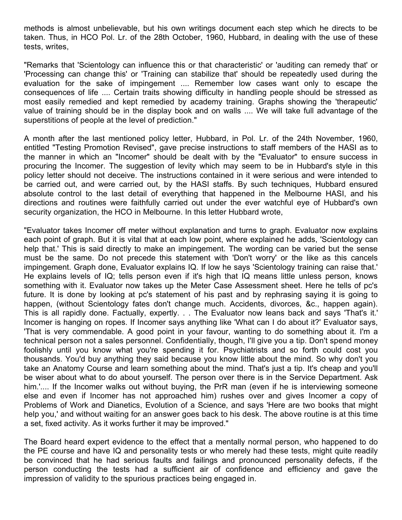methods is almost unbelievable, but his own writings document each step which he directs to be taken. Thus, in HCO Pol. Lr. of the 28th October, 1960, Hubbard, in dealing with the use of these tests, writes,

"Remarks that 'Scientology can influence this or that characteristic' or 'auditing can remedy that' or 'Processing can change this' or 'Training can stabilize that' should be repeatedly used during the evaluation for the sake of impingement .... Remember low cases want only to escape the consequences of life .... Certain traits showing difficulty in handling people should be stressed as most easily remedied and kept remedied by academy training. Graphs showing the 'therapeutic' value of training should be in the display book and on walls .... We will take full advantage of the superstitions of people at the level of prediction."

A month after the last mentioned policy letter, Hubbard, in Pol. Lr. of the 24th November, 1960, entitled "Testing Promotion Revised", gave precise instructions to staff members of the HASI as to the manner in which an "Incomer" should be dealt with by the "Evaluator" to ensure success in procuring the Incomer. The suggestion of levity which may seem to be in Hubbard's style in this policy letter should not deceive. The instructions contained in it were serious and were intended to be carried out, and were carried out, by the HASI staffs. By such techniques, Hubbard ensured absolute control to the last detail of everything that happened in the Melbourne HASI, and his directions and routines were faithfully carried out under the ever watchful eye of Hubbard's own security organization, the HCO in Melbourne. In this letter Hubbard wrote,

"Evaluator takes Incomer off meter without explanation and turns to graph. Evaluator now explains each point of graph. But it is vital that at each low point, where explained he adds, 'Scientology can help that.' This is said directly to make an impingement. The wording can be varied but the sense must be the same. Do not precede this statement with 'Don't worry' or the like as this cancels impingement. Graph done, Evaluator explains IQ. If low he says 'Scientology training can raise that.' He explains levels of IQ; tells person even if it's high that IQ means little unless person, knows something with it. Evaluator now takes up the Meter Case Assessment sheet. Here he tells of pc's future. It is done by looking at pc's statement of his past and by rephrasing saying it is going to happen, (without Scientology fates don't change much. Accidents, divorces, &c., happen again). This is all rapidly done. Factually, expertly. . . The Evaluator now leans back and says 'That's it.' Incomer is hanging on ropes. If Incomer says anything like 'What can I do about it?' Evaluator says, 'That is very commendable. A good point in your favour, wanting to do something about it. I'm a technical person not a sales personnel. Confidentially, though, I'll give you a tip. Don't spend money foolishly until you know what you're spending it for. Psychiatrists and so forth could cost you thousands. You'd buy anything they said because you know little about the mind. So why don't you take an Anatomy Course and learn something about the mind. That's just a tip. It's cheap and you'll be wiser about what to do about yourself. The person over there is in the Service Department. Ask him.'.... If the Incomer walks out without buying, the PrR man (even if he is interviewing someone else and even if Incomer has not approached him) rushes over and gives Incomer a copy of Problems of Work and Dianetics, Evolution of a Science, and says 'Here are two books that might help you,' and without waiting for an answer goes back to his desk. The above routine is at this time a set, fixed activity. As it works further it may be improved."

The Board heard expert evidence to the effect that a mentally normal person, who happened to do the PE course and have IQ and personality tests or who merely had these tests, might quite readily be convinced that he had serious faults and failings and pronounced personality defects, if the person conducting the tests had a sufficient air of confidence and efficiency and gave the impression of validity to the spurious practices being engaged in.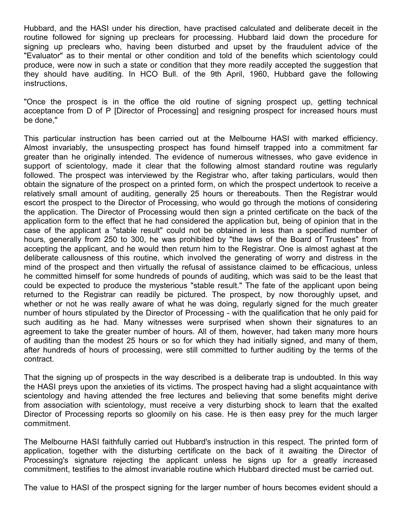Hubbard, and the HASI under his direction, have practised calculated and deliberate deceit in the routine followed for signing up preclears for processing. Hubbard laid down the procedure for signing up preclears who, having been disturbed and upset by the fraudulent advice of the "Evaluator" as to their mental or other condition and told of the benefits which scientology could produce, were now in such a state or condition that they more readily accepted the suggestion that they should have auditing. In HCO Bull. of the 9th April, 1960, Hubbard gave the following instructions,

"Once the prospect is in the office the old routine of signing prospect up, getting technical acceptance from D of P [Director of Processing] and resigning prospect for increased hours must be done,"

This particular instruction has been carried out at the Melbourne HASI with marked efficiency. Almost invariably, the unsuspecting prospect has found himself trapped into a commitment far greater than he originally intended. The evidence of numerous witnesses, who gave evidence in support of scientology, made it clear that the following almost standard routine was regularly followed. The prospect was interviewed by the Registrar who, after taking particulars, would then obtain the signature of the prospect on a printed form, on which the prospect undertook to receive a relatively small amount of auditing, generally 25 hours or thereabouts. Then the Registrar would escort the prospect to the Director of Processing, who would go through the motions of considering the application. The Director of Processing would then sign a printed certificate on the back of the application form to the effect that he had considered the application but, being of opinion that in the case of the applicant a "stable result" could not be obtained in less than a specified number of hours, generally from 250 to 300, he was prohibited by "the laws of the Board of Trustees" from accepting the applicant, and he would then return him to the Registrar. One is almost aghast at the deliberate callousness of this routine, which involved the generating of worry and distress in the mind of the prospect and then virtually the refusal of assistance claimed to be efficacious, unless he committed himself for some hundreds of pounds of auditing, which was said to be the least that could be expected to produce the mysterious "stable result." The fate of the applicant upon being returned to the Registrar can readily be pictured. The prospect, by now thoroughly upset, and whether or not he was really aware of what he was doing, regularly signed for the much greater number of hours stipulated by the Director of Processing - with the qualification that he only paid for such auditing as he had. Many witnesses were surprised when shown their signatures to an agreement to take the greater number of hours. All of them, however, had taken many more hours of auditing than the modest 25 hours or so for which they had initially signed, and many of them, after hundreds of hours of processing, were still committed to further auditing by the terms of the contract.

That the signing up of prospects in the way described is a deliberate trap is undoubted. In this way the HASI preys upon the anxieties of its victims. The prospect having had a slight acquaintance with scientology and having attended the free lectures and believing that some benefits might derive from association with scientology, must receive a very disturbing shock to learn that the exalted Director of Processing reports so gloomily on his case. He is then easy prey for the much larger commitment.

The Melbourne HASI faithfully carried out Hubbard's instruction in this respect. The printed form of application, together with the disturbing certificate on the back of it awaiting the Director of Processing's signature rejecting the applicant unless he signs up for a greatly increased commitment, testifies to the almost invariable routine which Hubbard directed must be carried out.

The value to HASI of the prospect signing for the larger number of hours becomes evident should a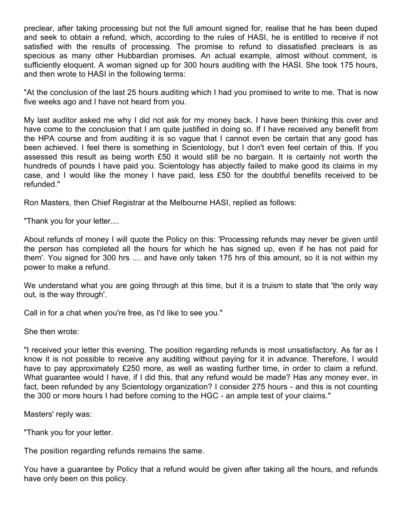preclear, after taking processing but not the full amount signed for, realise that he has been duped and seek to obtain a refund, which, according to the rules of HASI, he is entitled to receive if not satisfied with the results of processing. The promise to refund to dissatisfied preclears is as specious as many other Hubbardian promises. An actual example, almost without comment, is sufficiently eloquent. A woman signed up for 300 hours auditing with the HASI. She took 175 hours, and then wrote to HASI in the following terms:

"At the conclusion of the last 25 hours auditing which I had you promised to write to me. That is now five weeks ago and I have not heard from you.

My last auditor asked me why I did not ask for my money back. I have been thinking this over and have come to the conclusion that I am quite justified in doing so. If I have received any benefit from the HPA course and from auditing it is so vague that I cannot even be certain that any good has been achieved. I feel there is something in Scientology, but I don't even feel certain of this. If you assessed this result as being worth £50 it would still be no bargain. It is certainly not worth the hundreds of pounds I have paid you. Scientology has abjectly failed to make good its claims in my case, and I would like the money I have paid, less £50 for the doubtful benefits received to be refunded."

Ron Masters, then Chief Registrar at the Melbourne HASI, replied as follows:

"Thank you for your letter....

About refunds of money I will quote the Policy on this: 'Processing refunds may never be given until the person has completed all the hours for which he has signed up, even if he has not paid for them'. You signed for 300 hrs .... and have only taken 175 hrs of this amount, so it is not within my power to make a refund.

We understand what you are going through at this time, but it is a truism to state that 'the only way out, is the way through'.

Call in for a chat when you're free, as I'd like to see you."

She then wrote:

"I received your letter this evening. The position regarding refunds is most unsatisfactory. As far as I know it is not possible to receive any auditing without paying for it in advance. Therefore, I would have to pay approximately £250 more, as well as wasting further time, in order to claim a refund. What guarantee would I have, if I did this, that any refund would be made? Has any money ever, in fact, been refunded by any Scientology organization? I consider 275 hours - and this is not counting the 300 or more hours I had before coming to the HGC - an ample test of your claims."

Masters' reply was:

"Thank you for your letter.

The position regarding refunds remains the same.

You have a guarantee by Policy that a refund would be given after taking all the hours, and refunds have only been on this policy.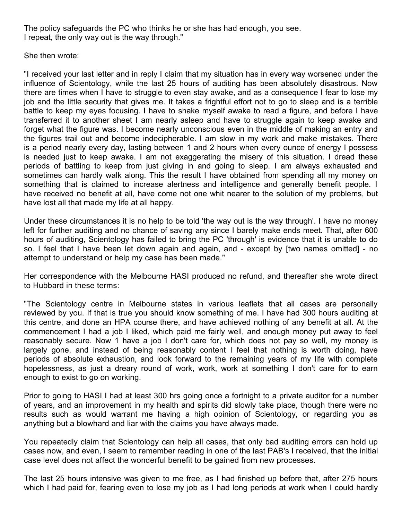The policy safeguards the PC who thinks he or she has had enough, you see. I repeat, the only way out is the way through."

She then wrote:

"I received your last letter and in reply I claim that my situation has in every way worsened under the influence of Scientology, while the last 25 hours of auditing has been absolutely disastrous. Now there are times when I have to struggle to even stay awake, and as a consequence I fear to lose my job and the little security that gives me. It takes a frightful effort not to go to sleep and is a terrible battle to keep my eyes focusing. I have to shake myself awake to read a figure, and before I have transferred it to another sheet I am nearly asleep and have to struggle again to keep awake and forget what the figure was. I become nearly unconscious even in the middle of making an entry and the figures trail out and become indecipherable. I am slow in my work and make mistakes. There is a period nearly every day, lasting between 1 and 2 hours when every ounce of energy I possess is needed just to keep awake. I am not exaggerating the misery of this situation. I dread these periods of battling to keep from just giving in and going to sleep. I am always exhausted and sometimes can hardly walk along. This the result I have obtained from spending all my money on something that is claimed to increase alertness and intelligence and generally benefit people. I have received no benefit at all, have come not one whit nearer to the solution of my problems, but have lost all that made my life at all happy.

Under these circumstances it is no help to be told 'the way out is the way through'. I have no money left for further auditing and no chance of saving any since I barely make ends meet. That, after 600 hours of auditing, Scientology has failed to bring the PC 'through' is evidence that it is unable to do so. I feel that I have been let down again and again, and - except by [two names omitted] - no attempt to understand or help my case has been made."

Her correspondence with the Melbourne HASI produced no refund, and thereafter she wrote direct to Hubbard in these terms:

"The Scientology centre in Melbourne states in various leaflets that all cases are personally reviewed by you. If that is true you should know something of me. I have had 300 hours auditing at this centre, and done an HPA course there, and have achieved nothing of any benefit at all. At the commencement I had a job I liked, which paid me fairly well, and enough money put away to feel reasonably secure. Now 1 have a job I don't care for, which does not pay so well, my money is largely gone, and instead of being reasonably content I feel that nothing is worth doing, have periods of absolute exhaustion, and look forward to the remaining years of my life with complete hopelessness, as just a dreary round of work, work, work at something I don't care for to earn enough to exist to go on working.

Prior to going to HASI I had at least 300 hrs going once a fortnight to a private auditor for a number of years, and an improvement in my health and spirits did slowly take place, though there were no results such as would warrant me having a high opinion of Scientology, or regarding you as anything but a blowhard and liar with the claims you have always made.

You repeatedly claim that Scientology can help all cases, that only bad auditing errors can hold up cases now, and even, I seem to remember reading in one of the last PAB's I received, that the initial case level does not affect the wonderful benefit to be gained from new processes.

The last 25 hours intensive was given to me free, as I had finished up before that, after 275 hours which I had paid for, fearing even to lose my job as I had long periods at work when I could hardly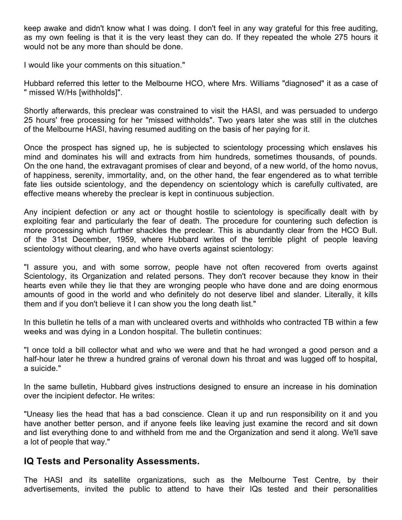keep awake and didn't know what I was doing. I don't feel in any way grateful for this free auditing, as my own feeling is that it is the very least they can do. If they repeated the whole 275 hours it would not be any more than should be done.

I would like your comments on this situation."

Hubbard referred this letter to the Melbourne HCO, where Mrs. Williams "diagnosed" it as a case of " missed W/Hs [withholds]".

Shortly afterwards, this preclear was constrained to visit the HASI, and was persuaded to undergo 25 hours' free processing for her "missed withholds". Two years later she was still in the clutches of the Melbourne HASI, having resumed auditing on the basis of her paying for it.

Once the prospect has signed up, he is subjected to scientology processing which enslaves his mind and dominates his will and extracts from him hundreds, sometimes thousands, of pounds. On the one hand, the extravagant promises of clear and beyond, of a new world, of the homo novus, of happiness, serenity, immortality, and, on the other hand, the fear engendered as to what terrible fate lies outside scientology, and the dependency on scientology which is carefully cultivated, are effective means whereby the preclear is kept in continuous subjection.

Any incipient defection or any act or thought hostile to scientology is specifically dealt with by exploiting fear and particularly the fear of death. The procedure for countering such defection is more processing which further shackles the preclear. This is abundantly clear from the HCO Bull. of the 31st December, 1959, where Hubbard writes of the terrible plight of people leaving scientology without clearing, and who have overts against scientology:

"I assure you, and with some sorrow, people have not often recovered from overts against Scientology, its Organization and related persons. They don't recover because they know in their hearts even while they lie that they are wronging people who have done and are doing enormous amounts of good in the world and who definitely do not deserve libel and slander. Literally, it kills them and if you don't believe it I can show you the long death list."

In this bulletin he tells of a man with uncleared overts and withholds who contracted TB within a few weeks and was dying in a London hospital. The bulletin continues:

"I once told a bill collector what and who we were and that he had wronged a good person and a half-hour later he threw a hundred grains of veronal down his throat and was lugged off to hospital, a suicide."

In the same bulletin, Hubbard gives instructions designed to ensure an increase in his domination over the incipient defector. He writes:

"Uneasy lies the head that has a bad conscience. Clean it up and run responsibility on it and you have another better person, and if anyone feels like leaving just examine the record and sit down and list everything done to and withheld from me and the Organization and send it along. We'll save a lot of people that way."

# **IQ Tests and Personality Assessments.**

The HASI and its satellite organizations, such as the Melbourne Test Centre, by their advertisements, invited the public to attend to have their IQs tested and their personalities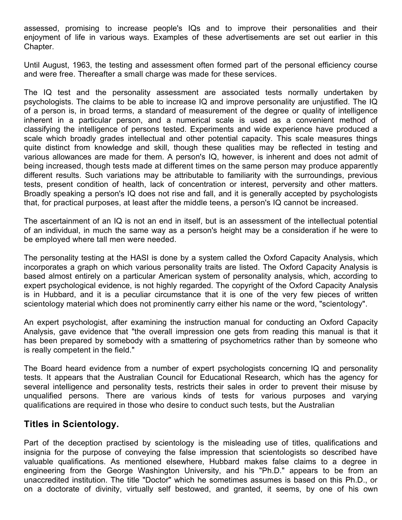assessed, promising to increase people's IQs and to improve their personalities and their enjoyment of life in various ways. Examples of these advertisements are set out earlier in this Chapter.

Until August, 1963, the testing and assessment often formed part of the personal efficiency course and were free. Thereafter a small charge was made for these services.

The IQ test and the personality assessment are associated tests normally undertaken by psychologists. The claims to be able to increase IQ and improve personality are unjustified. The IQ of a person is, in broad terms, a standard of measurement of the degree or quality of intelligence inherent in a particular person, and a numerical scale is used as a convenient method of classifying the intelligence of persons tested. Experiments and wide experience have produced a scale which broadly grades intellectual and other potential capacity. This scale measures things quite distinct from knowledge and skill, though these qualities may be reflected in testing and various allowances are made for them. A person's IQ, however, is inherent and does not admit of being increased, though tests made at different times on the same person may produce apparently different results. Such variations may be attributable to familiarity with the surroundings, previous tests, present condition of health, lack of concentration or interest, perversity and other matters. Broadly speaking a person's IQ does not rise and fall, and it is generally accepted by psychologists that, for practical purposes, at least after the middle teens, a person's IQ cannot be increased.

The ascertainment of an IQ is not an end in itself, but is an assessment of the intellectual potential of an individual, in much the same way as a person's height may be a consideration if he were to be employed where tall men were needed.

The personality testing at the HASI is done by a system called the Oxford Capacity Analysis, which incorporates a graph on which various personality traits are listed. The Oxford Capacity Analysis is based almost entirely on a particular American system of personality analysis, which, according to expert psychological evidence, is not highly regarded. The copyright of the Oxford Capacity Analysis is in Hubbard, and it is a peculiar circumstance that it is one of the very few pieces of written scientology material which does not prominently carry either his name or the word, "scientology".

An expert psychologist, after examining the instruction manual for conducting an Oxford Capacity Analysis, gave evidence that "the overall impression one gets from reading this manual is that it has been prepared by somebody with a smattering of psychometrics rather than by someone who is really competent in the field."

The Board heard evidence from a number of expert psychologists concerning IQ and personality tests. It appears that the Australian Council for Educational Research, which has the agency for several intelligence and personality tests, restricts their sales in order to prevent their misuse by unqualified persons. There are various kinds of tests for various purposes and varying qualifications are required in those who desire to conduct such tests, but the Australian

#### **Titles in Scientology.**

Part of the deception practised by scientology is the misleading use of titles, qualifications and insignia for the purpose of conveying the false impression that scientologists so described have valuable qualifications. As mentioned elsewhere, Hubbard makes false claims to a degree in engineering from the George Washington University, and his "Ph.D." appears to be from an unaccredited institution. The title "Doctor" which he sometimes assumes is based on this Ph.D., or on a doctorate of divinity, virtually self bestowed, and granted, it seems, by one of his own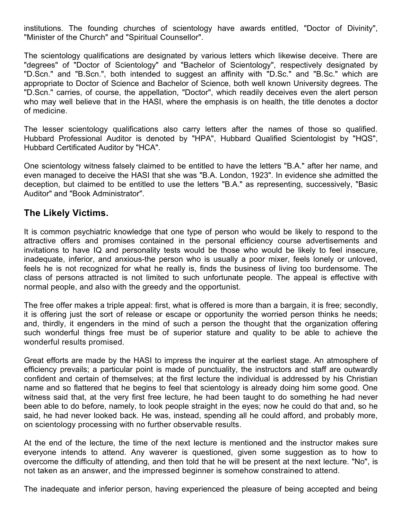institutions. The founding churches of scientology have awards entitled, "Doctor of Divinity", "Minister of the Church" and "Spiritual Counsellor".

The scientology qualifications are designated by various letters which likewise deceive. There are "degrees" of "Doctor of Scientology" and "Bachelor of Scientology", respectively designated by "D.Scn." and "B.Scn.", both intended to suggest an affinity with "D.Sc." and "B.Sc." which are appropriate to Doctor of Science and Bachelor of Science, both well known University degrees. The "D.Scn." carries, of course, the appellation, "Doctor", which readily deceives even the alert person who may well believe that in the HASI, where the emphasis is on health, the title denotes a doctor of medicine.

The lesser scientology qualifications also carry letters after the names of those so qualified. Hubbard Professional Auditor is denoted by "HPA", Hubbard Qualified Scientologist by "HQS", Hubbard Certificated Auditor by "HCA".

One scientology witness falsely claimed to be entitled to have the letters "B.A." after her name, and even managed to deceive the HASI that she was "B.A. London, 1923". In evidence she admitted the deception, but claimed to be entitled to use the letters "B.A." as representing, successively, "Basic Auditor" and "Book Administrator".

#### **The Likely Victims.**

It is common psychiatric knowledge that one type of person who would be likely to respond to the attractive offers and promises contained in the personal efficiency course advertisements and invitations to have IQ and personality tests would be those who would be likely to feel insecure, inadequate, inferior, and anxious-the person who is usually a poor mixer, feels lonely or unloved, feels he is not recognized for what he really is, finds the business of living too burdensome. The class of persons attracted is not limited to such unfortunate people. The appeal is effective with normal people, and also with the greedy and the opportunist.

The free offer makes a triple appeal: first, what is offered is more than a bargain, it is free; secondly, it is offering just the sort of release or escape or opportunity the worried person thinks he needs; and, thirdly, it engenders in the mind of such a person the thought that the organization offering such wonderful things free must be of superior stature and quality to be able to achieve the wonderful results promised.

Great efforts are made by the HASI to impress the inquirer at the earliest stage. An atmosphere of efficiency prevails; a particular point is made of punctuality, the instructors and staff are outwardly confident and certain of themselves; at the first lecture the individual is addressed by his Christian name and so flattered that he begins to feel that scientology is already doing him some good. One witness said that, at the very first free lecture, he had been taught to do something he had never been able to do before, namely, to look people straight in the eyes; now he could do that and, so he said, he had never looked back. He was, instead, spending all he could afford, and probably more, on scientology processing with no further observable results.

At the end of the lecture, the time of the next lecture is mentioned and the instructor makes sure everyone intends to attend. Any waverer is questioned, given some suggestion as to how to overcome the difficulty of attending, and then told that he will be present at the next lecture. "No", is not taken as an answer, and the impressed beginner is somehow constrained to attend.

The inadequate and inferior person, having experienced the pleasure of being accepted and being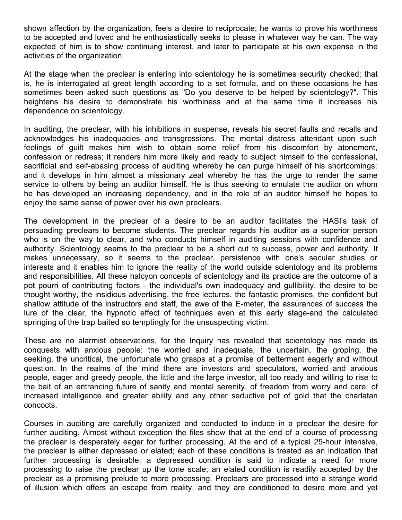shown affection by the organization, feels a desire to reciprocate; he wants to prove his worthiness to be accepted and loved and he enthusiastically seeks to please in whatever way he can. The way expected of him is to show continuing interest, and later to participate at his own expense in the activities of the organization.

At the stage when the preclear is entering into scientology he is sometimes security checked; that is, he is interrogated at great length according to a set formula, and on these occasions he has sometimes been asked such questions as "Do you deserve to be helped by scientology?". This heightens his desire to demonstrate his worthiness and at the same time it increases his dependence on scientology.

In auditing, the preclear, with his inhibitions in suspense, reveals his secret faults and recalls and acknowledges his inadequacies and transgressions. The mental distress attendant upon such feelings of guilt makes him wish to obtain some relief from his discomfort by atonement, confession or redress; it renders him more likely and ready to subject himself to the confessional, sacrificial and self-abasing process of auditing whereby he can purge himself of his shortcomings; and it develops in him almost a missionary zeal whereby he has the urge to render the same service to others by being an auditor himself. He is thus seeking to emulate the auditor on whom he has developed an increasing dependency, and in the role of an auditor himself he hopes to enjoy the same sense of power over his own preclears.

The development in the preclear of a desire to be an auditor facilitates the HASI's task of persuading preclears to become students. The preclear regards his auditor as a superior person who is on the way to clear, and who conducts himself in auditing sessions with confidence and authority. Scientology seems to the preclear to be a short cut to success, power and authority. It makes unnecessary, so it seems to the preclear, persistence with one's secular studies or interests and it enables him to ignore the reality of the world outside scientology and its problems and responsibilities. All these halcyon concepts of scientology and its practice are the outcome of a pot pourri of contributing factors - the individual's own inadequacy and gullibility, the desire to be thought worthy, the insidious advertising, the free lectures, the fantastic promises, the confident but shallow attitude of the instructors and staff, the awe of the E-meter, the assurances of success the lure of the clear, the hypnotic effect of techniques even at this early stage-and the calculated springing of the trap baited so temptingly for the unsuspecting victim.

These are no alarmist observations, for the Inquiry has revealed that scientology has made its conquests with anxious people: the worried and inadequate, the uncertain, the groping, the seeking, the uncritical, the unfortunate who grasps at a promise of betterment eagerly and without question. In the realms of the mind there are investors and speculators, worried and anxious people, eager and greedy people, the little and the large investor, all too ready and willing to rise to the bait of an entrancing future of sanity and mental serenity, of freedom from worry and care, of increased intelligence and greater ability and any other seductive pot of gold that the charlatan concocts.

Courses in auditing are carefully organized and conducted to induce in a preclear the desire for further auditing. Almost without exception the files show that at the end of a course of processing the preclear is desperately eager for further processing. At the end of a typical 25-hour intensive, the preclear is either depressed or elated; each of these conditions is treated as an indication that further processing is desirable; a depressed condition is said to indicate a need for more processing to raise the preclear up the tone scale; an elated condition is readily accepted by the preclear as a promising prelude to more processing. Preclears are processed into a strange world of illusion which offers an escape from reality, and they are conditioned to desire more and yet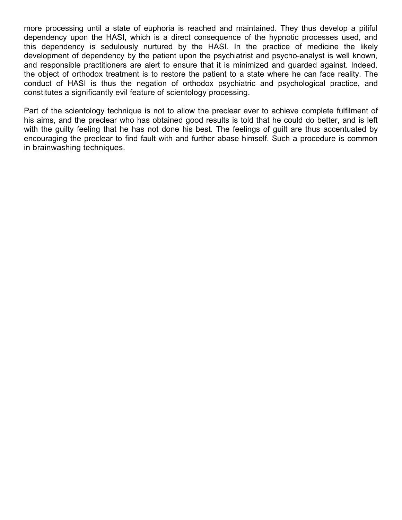more processing until a state of euphoria is reached and maintained. They thus develop a pitiful dependency upon the HASI, which is a direct consequence of the hypnotic processes used, and this dependency is sedulously nurtured by the HASI. In the practice of medicine the likely development of dependency by the patient upon the psychiatrist and psycho-analyst is well known, and responsible practitioners are alert to ensure that it is minimized and guarded against. Indeed, the object of orthodox treatment is to restore the patient to a state where he can face reality. The conduct of HASI is thus the negation of orthodox psychiatric and psychological practice, and constitutes a significantly evil feature of scientology processing.

Part of the scientology technique is not to allow the preclear ever to achieve complete fulfilment of his aims, and the preclear who has obtained good results is told that he could do better, and is left with the guilty feeling that he has not done his best. The feelings of guilt are thus accentuated by encouraging the preclear to find fault with and further abase himself. Such a procedure is common in brainwashing techniques.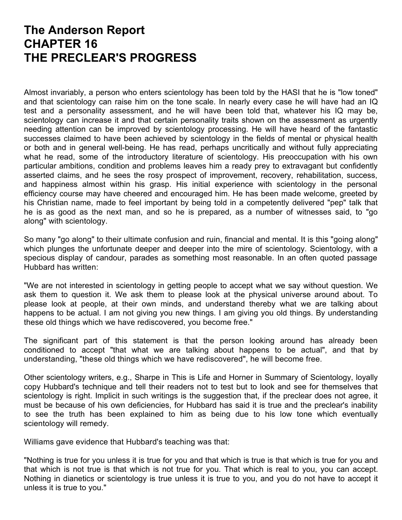# **The Anderson Report CHAPTER 16 THE PRECLEAR'S PROGRESS**

Almost invariably, a person who enters scientology has been told by the HASI that he is "low toned" and that scientology can raise him on the tone scale. In nearly every case he will have had an IQ test and a personality assessment, and he will have been told that, whatever his IQ may be, scientology can increase it and that certain personality traits shown on the assessment as urgently needing attention can be improved by scientology processing. He will have heard of the fantastic successes claimed to have been achieved by scientology in the fields of mental or physical health or both and in general well-being. He has read, perhaps uncritically and without fully appreciating what he read, some of the introductory literature of scientology. His preoccupation with his own particular ambitions, condition and problems leaves him a ready prey to extravagant but confidently asserted claims, and he sees the rosy prospect of improvement, recovery, rehabilitation, success, and happiness almost within his grasp. His initial experience with scientology in the personal efficiency course may have cheered and encouraged him. He has been made welcome, greeted by his Christian name, made to feel important by being told in a competently delivered "pep" talk that he is as good as the next man, and so he is prepared, as a number of witnesses said, to "go along" with scientology.

So many "go along" to their ultimate confusion and ruin, financial and mental. It is this "going along" which plunges the unfortunate deeper and deeper into the mire of scientology. Scientology, with a specious display of candour, parades as something most reasonable. In an often quoted passage Hubbard has written:

"We are not interested in scientology in getting people to accept what we say without question. We ask them to question it. We ask them to please look at the physical universe around about. To please look at people, at their own minds, and understand thereby what we are talking about happens to be actual. I am not giving you new things. I am giving you old things. By understanding these old things which we have rediscovered, you become free."

The significant part of this statement is that the person looking around has already been conditioned to accept "that what we are talking about happens to be actual", and that by understanding, "these old things which we have rediscovered", he will become free.

Other scientology writers, e.g., Sharpe in This is Life and Horner in Summary of Scientology, loyally copy Hubbard's technique and tell their readers not to test but to look and see for themselves that scientology is right. Implicit in such writings is the suggestion that, if the preclear does not agree, it must be because of his own deficiencies, for Hubbard has said it is true and the preclear's inability to see the truth has been explained to him as being due to his low tone which eventually scientology will remedy.

Williams gave evidence that Hubbard's teaching was that:

"Nothing is true for you unless it is true for you and that which is true is that which is true for you and that which is not true is that which is not true for you. That which is real to you, you can accept. Nothing in dianetics or scientology is true unless it is true to you, and you do not have to accept it unless it is true to you."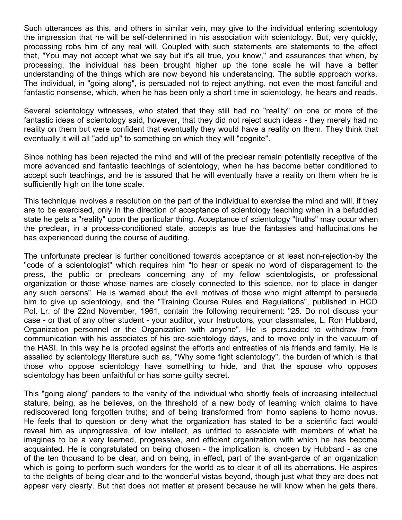Such utterances as this, and others in similar vein, may give to the individual entering scientology the impression that he will be self-determined in his association with scientology. But, very quickly, processing robs him of any real will. Coupled with such statements are statements to the effect that, "You may not accept what we say but it's all true, you know," and assurances that when, by processing, the individual has been brought higher up the tone scale he will have a better understanding of the things which are now beyond his understanding. The subtle approach works. The individual, in "going along", is persuaded not to reject anything, not even the most fanciful and fantastic nonsense, which, when he has been only a short time in scientology, he hears and reads.

Several scientology witnesses, who stated that they still had no "reality" on one or more of the fantastic ideas of scientology said, however, that they did not reject such ideas - they merely had no reality on them but were confident that eventually they would have a reality on them. They think that eventually it will all "add up" to something on which they will "cognite".

Since nothing has been rejected the mind and will of the preclear remain potentially receptive of the more advanced and fantastic teachings of scientology, when he has become better conditioned to accept such teachings, and he is assured that he will eventually have a reality on them when he is sufficiently high on the tone scale.

This technique involves a resolution on the part of the individual to exercise the mind and will, if they are to be exercised, only in the direction of acceptance of scientology teaching when in a befuddled state he gets a "reality" upon the particular thing. Acceptance of scientology "truths" may occur when the preclear, in a process-conditioned state, accepts as true the fantasies and hallucinations he has experienced during the course of auditing.

The unfortunate preclear is further conditioned towards acceptance or at least non-rejection-by the "code of a scientologist" which requires him "to hear or speak no word of disparagement to the press, the public or preclears concerning any of my fellow scientologists, or professional organization or those whose names are closely connected to this science, nor to place in danger any such persons". He is warned about the evil motives of those who might attempt to persuade him to give up scientology, and the "Training Course Rules and Regulations", published in HCO Pol. Lr. of the 22nd November, 1961, contain the following requirement: "25. Do not discuss your case - or that of any other student - your auditor, your Instructors, your classmates, L. Ron Hubbard, Organization personnel or the Organization with anyone". He is persuaded to withdraw from communication with his associates of his pre-scientology days, and to move only in the vacuum of the HASI. In this way he is proofed against the efforts and entreaties of his friends and family. He is assailed by scientology literature such as, "Why some fight scientology", the burden of which is that those who oppose scientology have something to hide, and that the spouse who opposes scientology has been unfaithful or has some guilty secret.

This "going along" panders to the vanity of the individual who shortly feels of increasing intellectual stature, being, as he believes, on the threshold of a new body of learning which claims to have rediscovered long forgotten truths; and of being transformed from homo sapiens to homo novus. He feels that to question or deny what the organization has stated to be a scientific fact would reveal him as unprogressive, of low intellect, as unfitted to associate with members of what he imagines to be a very learned, progressive, and efficient organization with which he has become acquainted. He is congratulated on being chosen - the implication is, chosen by Hubbard - as one of the ten thousand to be clear, and on being, in effect, part of the avant-garde of an organization which is going to perform such wonders for the world as to clear it of all its aberrations. He aspires to the delights of being clear and to the wonderful vistas beyond, though just what they are does not appear very clearly. But that does not matter at present because he will know when he gets there.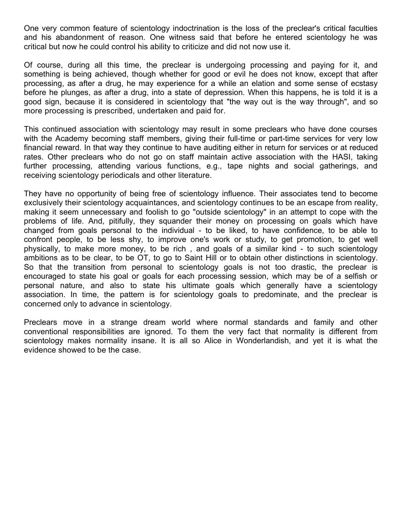One very common feature of scientology indoctrination is the loss of the preclear's critical faculties and his abandonment of reason. One witness said that before he entered scientology he was critical but now he could control his ability to criticize and did not now use it.

Of course, during all this time, the preclear is undergoing processing and paying for it, and something is being achieved, though whether for good or evil he does not know, except that after processing, as after a drug, he may experience for a while an elation and some sense of ecstasy before he plunges, as after a drug, into a state of depression. When this happens, he is told it is a good sign, because it is considered in scientology that "the way out is the way through", and so more processing is prescribed, undertaken and paid for.

This continued association with scientology may result in some preclears who have done courses with the Academy becoming staff members, giving their full-time or part-time services for very low financial reward. In that way they continue to have auditing either in return for services or at reduced rates. Other preclears who do not go on staff maintain active association with the HASI, taking further processing, attending various functions, e.g., tape nights and social gatherings, and receiving scientology periodicals and other literature.

They have no opportunity of being free of scientology influence. Their associates tend to become exclusively their scientology acquaintances, and scientology continues to be an escape from reality, making it seem unnecessary and foolish to go "outside scientology" in an attempt to cope with the problems of life. And, pitifully, they squander their money on processing on goals which have changed from goals personal to the individual - to be liked, to have confidence, to be able to confront people, to be less shy, to improve one's work or study, to get promotion, to get well physically, to make more money, to be rich , and goals of a similar kind - to such scientology ambitions as to be clear, to be OT, to go to Saint Hill or to obtain other distinctions in scientology. So that the transition from personal to scientology goals is not too drastic, the preclear is encouraged to state his goal or goals for each processing session, which may be of a selfish or personal nature, and also to state his ultimate goals which generally have a scientology association. In time, the pattern is for scientology goals to predominate, and the preclear is concerned only to advance in scientology.

Preclears move in a strange dream world where normal standards and family and other conventional responsibilities are ignored. To them the very fact that normality is different from scientology makes normality insane. It is all so Alice in Wonderlandish, and yet it is what the evidence showed to be the case.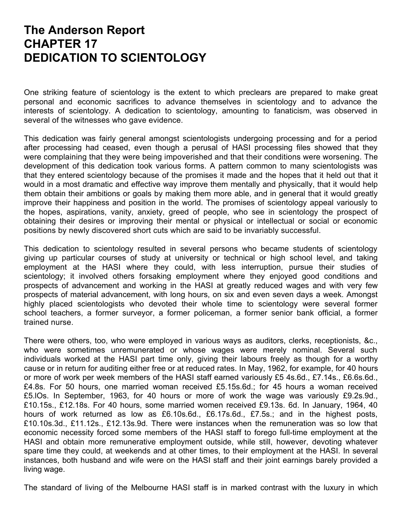# **The Anderson Report CHAPTER 17 DEDICATION TO SCIENTOLOGY**

One striking feature of scientology is the extent to which preclears are prepared to make great personal and economic sacrifices to advance themselves in scientology and to advance the interests of scientology. A dedication to scientology, amounting to fanaticism, was observed in several of the witnesses who gave evidence.

This dedication was fairly general amongst scientologists undergoing processing and for a period after processing had ceased, even though a perusal of HASI processing files showed that they were complaining that they were being impoverished and that their conditions were worsening. The development of this dedication took various forms. A pattern common to many scientologists was that they entered scientology because of the promises it made and the hopes that it held out that it would in a most dramatic and effective way improve them mentally and physically, that it would help them obtain their ambitions or goals by making them more able, and in general that it would greatly improve their happiness and position in the world. The promises of scientology appeal variously to the hopes, aspirations, vanity, anxiety, greed of people, who see in scientology the prospect of obtaining their desires or improving their mental or physical or intellectual or social or economic positions by newly discovered short cuts which are said to be invariably successful.

This dedication to scientology resulted in several persons who became students of scientology giving up particular courses of study at university or technical or high school level, and taking employment at the HASI where they could, with less interruption, pursue their studies of scientology; it involved others forsaking employment where they enjoyed good conditions and prospects of advancement and working in the HASI at greatly reduced wages and with very few prospects of material advancement, with long hours, on six and even seven days a week. Amongst highly placed scientologists who devoted their whole time to scientology were several former school teachers, a former surveyor, a former policeman, a former senior bank official, a former trained nurse.

There were others, too, who were employed in various ways as auditors, clerks, receptionists, &c., who were sometimes unremunerated or whose wages were merely nominal. Several such individuals worked at the HASI part time only, giving their labours freely as though for a worthy cause or in return for auditing either free or at reduced rates. In May, 1962, for example, for 40 hours or more of work per week members of the HASI staff earned variously £5 4s.6d., £7.14s., £6.6s.6d., £4.8s. For 50 hours, one married woman received £5.15s.6d.; for 45 hours a woman received £5.lOs. In September, 1963, for 40 hours or more of work the wage was variously £9.2s.9d., £10.15s., £12.18s. For 40 hours, some married women received £9.13s. 6d. In January, 1964, 40 hours of work returned as low as £6.10s.6d., £6.17s.6d., £7.5s.; and in the highest posts, £10.10s.3d., £11.12s., £12.13s.9d. There were instances when the remuneration was so low that economic necessity forced some members of the HASI staff to forego full-time employment at the HASI and obtain more remunerative employment outside, while still, however, devoting whatever spare time they could, at weekends and at other times, to their employment at the HASI. In several instances, both husband and wife were on the HASI staff and their joint earnings barely provided a living wage.

The standard of living of the Melbourne HASI staff is in marked contrast with the luxury in which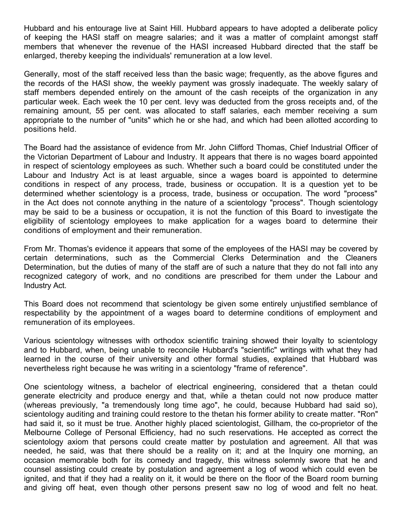Hubbard and his entourage live at Saint Hill. Hubbard appears to have adopted a deliberate policy of keeping the HASI staff on meagre salaries; and it was a matter of complaint amongst staff members that whenever the revenue of the HASI increased Hubbard directed that the staff be enlarged, thereby keeping the individuals' remuneration at a low level.

Generally, most of the staff received less than the basic wage; frequently, as the above figures and the records of the HASI show, the weekly payment was grossly inadequate. The weekly salary of staff members depended entirely on the amount of the cash receipts of the organization in any particular week. Each week the 10 per cent. levy was deducted from the gross receipts and, of the remaining amount, 55 per cent. was allocated to staff salaries, each member receiving a sum appropriate to the number of "units" which he or she had, and which had been allotted according to positions held.

The Board had the assistance of evidence from Mr. John Clifford Thomas, Chief Industrial Officer of the Victorian Department of Labour and Industry. It appears that there is no wages board appointed in respect of scientology employees as such. Whether such a board could be constituted under the Labour and Industry Act is at least arguable, since a wages board is appointed to determine conditions in respect of any process, trade, business or occupation. It is a question yet to be determined whether scientology is a process, trade, business or occupation. The word "process" in the Act does not connote anything in the nature of a scientology "process". Though scientology may be said to be a business or occupation, it is not the function of this Board to investigate the eligibility of scientology employees to make application for a wages board to determine their conditions of employment and their remuneration.

From Mr. Thomas's evidence it appears that some of the employees of the HASI may be covered by certain determinations, such as the Commercial Clerks Determination and the Cleaners Determination, but the duties of many of the staff are of such a nature that they do not fall into any recognized category of work, and no conditions are prescribed for them under the Labour and Industry Act.

This Board does not recommend that scientology be given some entirely unjustified semblance of respectability by the appointment of a wages board to determine conditions of employment and remuneration of its employees.

Various scientology witnesses with orthodox scientific training showed their loyalty to scientology and to Hubbard, when, being unable to reconcile Hubbard's "scientific" writings with what they had learned in the course of their university and other formal studies, explained that Hubbard was nevertheless right because he was writing in a scientology "frame of reference".

One scientology witness, a bachelor of electrical engineering, considered that a thetan could generate electricity and produce energy and that, while a thetan could not now produce matter (whereas previously, "a tremendously long time ago", he could, because Hubbard had said so), scientology auditing and training could restore to the thetan his former ability to create matter. "Ron" had said it, so it must be true. Another highly placed scientologist, Gillham, the co-proprietor of the Melbourne College of Personal Efficiency, had no such reservations. He accepted as correct the scientology axiom that persons could create matter by postulation and agreement. All that was needed, he said, was that there should be a reality on it; and at the Inquiry one morning, an occasion memorable both for its comedy and tragedy, this witness solemnly swore that he and counsel assisting could create by postulation and agreement a log of wood which could even be ignited, and that if they had a reality on it, it would be there on the floor of the Board room burning and giving off heat, even though other persons present saw no log of wood and felt no heat.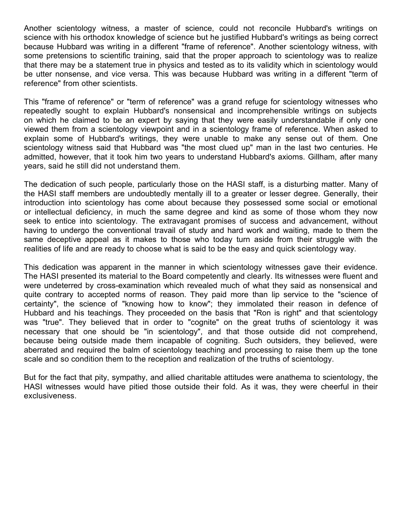Another scientology witness, a master of science, could not reconcile Hubbard's writings on science with his orthodox knowledge of science but he justified Hubbard's writings as being correct because Hubbard was writing in a different "frame of reference". Another scientology witness, with some pretensions to scientific training, said that the proper approach to scientology was to realize that there may be a statement true in physics and tested as to its validity which in scientology would be utter nonsense, and vice versa. This was because Hubbard was writing in a different "term of reference" from other scientists.

This "frame of reference" or "term of reference" was a grand refuge for scientology witnesses who repeatedly sought to explain Hubbard's nonsensical and incomprehensible writings on subjects on which he claimed to be an expert by saying that they were easily understandable if only one viewed them from a scientology viewpoint and in a scientology frame of reference. When asked to explain some of Hubbard's writings, they were unable to make any sense out of them. One scientology witness said that Hubbard was "the most clued up" man in the last two centuries. He admitted, however, that it took him two years to understand Hubbard's axioms. Gillham, after many years, said he still did not understand them.

The dedication of such people, particularly those on the HASI staff, is a disturbing matter. Many of the HASI staff members are undoubtedly mentally ill to a greater or lesser degree. Generally, their introduction into scientology has come about because they possessed some social or emotional or intellectual deficiency, in much the same degree and kind as some of those whom they now seek to entice into scientology. The extravagant promises of success and advancement, without having to undergo the conventional travail of study and hard work and waiting, made to them the same deceptive appeal as it makes to those who today turn aside from their struggle with the realities of life and are ready to choose what is said to be the easy and quick scientology way.

This dedication was apparent in the manner in which scientology witnesses gave their evidence. The HASI presented its material to the Board competently and clearly. Its witnesses were fluent and were undeterred by cross-examination which revealed much of what they said as nonsensical and quite contrary to accepted norms of reason. They paid more than lip service to the "science of certainty", the science of "knowing how to know"; they immolated their reason in defence of Hubbard and his teachings. They proceeded on the basis that "Ron is right" and that scientology was "true". They believed that in order to "cognite" on the great truths of scientology it was necessary that one should be "in scientology", and that those outside did not comprehend, because being outside made them incapable of cogniting. Such outsiders, they believed, were aberrated and required the balm of scientology teaching and processing to raise them up the tone scale and so condition them to the reception and realization of the truths of scientology.

But for the fact that pity, sympathy, and allied charitable attitudes were anathema to scientology, the HASI witnesses would have pitied those outside their fold. As it was, they were cheerful in their exclusiveness.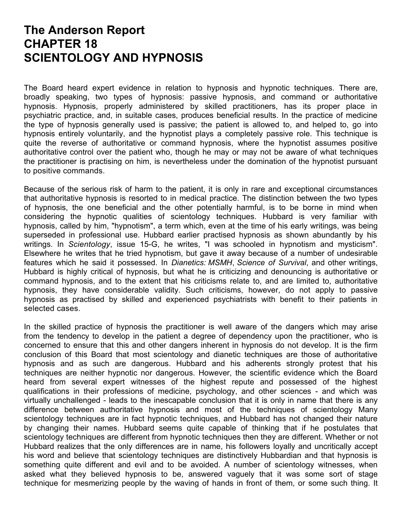# **The Anderson Report CHAPTER 18 SCIENTOLOGY AND HYPNOSIS**

The Board heard expert evidence in relation to hypnosis and hypnotic techniques. There are, broadly speaking, two types of hypnosis: passive hypnosis, and command or authoritative hypnosis. Hypnosis, properly administered by skilled practitioners, has its proper place in psychiatric practice, and, in suitable cases, produces beneficial results. In the practice of medicine the type of hypnosis generally used is passive; the patient is allowed to, and helped to, go into hypnosis entirely voluntarily, and the hypnotist plays a completely passive role. This technique is quite the reverse of authoritative or command hypnosis, where the hypnotist assumes positive authoritative control over the patient who, though he may or may not be aware of what techniques the practitioner is practising on him, is nevertheless under the domination of the hypnotist pursuant to positive commands.

Because of the serious risk of harm to the patient, it is only in rare and exceptional circumstances that authoritative hypnosis is resorted to in medical practice. The distinction between the two types of hypnosis, the one beneficial and the other potentially harmful, is to be borne in mind when considering the hypnotic qualities of scientology techniques. Hubbard is very familiar with hypnosis, called by him, "hypnotism", a term which, even at the time of his early writings, was being superseded in professional use. Hubbard earlier practised hypnosis as shown abundantly by his writings. In *Scientology*, issue 15-G, he writes, "I was schooled in hypnotism and mysticism". Elsewhere he writes that he tried hypnotism, but gave it away because of a number of undesirable features which he said it possessed. In *Dianetics: MSMH*, *Science of Survival*, and other writings, Hubbard is highly critical of hypnosis, but what he is criticizing and denouncing is authoritative or command hypnosis, and to the extent that his criticisms relate to, and are limited to, authoritative hypnosis, they have considerable validity. Such criticisms, however, do not apply to passive hypnosis as practised by skilled and experienced psychiatrists with benefit to their patients in selected cases.

In the skilled practice of hypnosis the practitioner is well aware of the dangers which may arise from the tendency to develop in the patient a degree of dependency upon the practitioner, who is concerned to ensure that this and other dangers inherent in hypnosis do not develop. It is the firm conclusion of this Board that most scientology and dianetic techniques are those of authoritative hypnosis and as such are dangerous. Hubbard and his adherents strongly protest that his techniques are neither hypnotic nor dangerous. However, the scientific evidence which the Board heard from several expert witnesses of the highest repute and possessed of the highest qualifications in their professions of medicine, psychology, and other sciences - and which was virtually unchallenged - leads to the inescapable conclusion that it is only in name that there is any difference between authoritative hypnosis and most of the techniques of scientology Many scientology techniques are in fact hypnotic techniques, and Hubbard has not changed their nature by changing their names. Hubbard seems quite capable of thinking that if he postulates that scientology techniques are different from hypnotic techniques then they are different. Whether or not Hubbard realizes that the only differences are in name, his followers loyally and uncritically accept his word and believe that scientology techniques are distinctively Hubbardian and that hypnosis is something quite different and evil and to be avoided. A number of scientology witnesses, when asked what they believed hypnosis to be, answered vaguely that it was some sort of stage technique for mesmerizing people by the waving of hands in front of them, or some such thing. It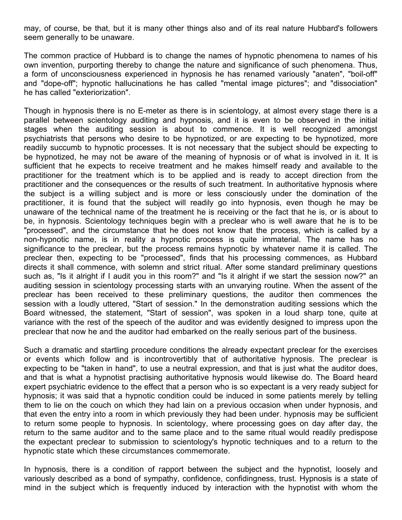may, of course, be that, but it is many other things also and of its real nature Hubbard's followers seem generally to be unaware.

The common practice of Hubbard is to change the names of hypnotic phenomena to names of his own invention, purporting thereby to change the nature and significance of such phenomena. Thus, a form of unconsciousness experienced in hypnosis he has renamed variously "anaten", "boil-off" and "dope-off"; hypnotic hallucinations he has called "mental image pictures"; and "dissociation" he has called "exteriorization".

Though in hypnosis there is no E-meter as there is in scientology, at almost every stage there is a parallel between scientology auditing and hypnosis, and it is even to be observed in the initial stages when the auditing session is about to commence. It is well recognized amongst psychiatrists that persons who desire to be hypnotized, or are expecting to be hypnotized, more readily succumb to hypnotic processes. It is not necessary that the subject should be expecting to be hypnotized, he may not be aware of the meaning of hypnosis or of what is involved in it. It is sufficient that he expects to receive treatment and he makes himself ready and available to the practitioner for the treatment which is to be applied and is ready to accept direction from the practitioner and the consequences or the results of such treatment. In authoritative hypnosis where the subject is a willing subject and is more or less consciously under the domination of the practitioner, it is found that the subject will readily go into hypnosis, even though he may be unaware of the technical name of the treatment he is receiving or the fact that he is, or is about to be, in hypnosis. Scientology techniques begin with a preclear who is well aware that he is to be "processed", and the circumstance that he does not know that the process, which is called by a non-hypnotic name, is in reality a hypnotic process is quite immaterial. The name has no significance to the preclear, but the process remains hypnotic by whatever name it is called. The preclear then, expecting to be "processed", finds that his processing commences, as Hubbard directs it shall commence, with solemn and strict ritual. After some standard preliminary questions such as, "Is it alright if I audit you in this room?" and "Is it alright if we start the session now?" an auditing session in scientology processing starts with an unvarying routine. When the assent of the preclear has been received to these preliminary questions, the auditor then commences the session with a loudly uttered, "Start of session." In the demonstration auditing sessions which the Board witnessed, the statement, "Start of session", was spoken in a loud sharp tone, quite at variance with the rest of the speech of the auditor and was evidently designed to impress upon the preclear that now he and the auditor had embarked on the really serious part of the business.

Such a dramatic and startling procedure conditions the already expectant preclear for the exercises or events which follow and is incontrovertibly that of authoritative hypnosis. The preclear is expecting to be "taken in hand", to use a neutral expression, and that is just what the auditor does, and that is what a hypnotist practising authoritative hypnosis would likewise do. The Board heard expert psychiatric evidence to the effect that a person who is so expectant is a very ready subject for hypnosis; it was said that a hypnotic condition could be induced in some patients merely by telling them to lie on the couch on which they had lain on a previous occasion when under hypnosis, and that even the entry into a room in which previously they had been under. hypnosis may be sufficient to return some people to hypnosis. In scientology, where processing goes on day after day, the return to the same auditor and to the same place and to the same ritual would readily predispose the expectant preclear to submission to scientology's hypnotic techniques and to a return to the hypnotic state which these circumstances commemorate.

In hypnosis, there is a condition of rapport between the subject and the hypnotist, loosely and variously described as a bond of sympathy, confidence, confidingness, trust. Hypnosis is a state of mind in the subject which is frequently induced by interaction with the hypnotist with whom the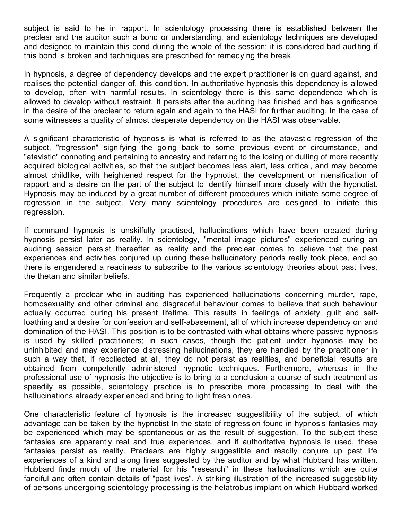subject is said to he in rapport. In scientology processing there is established between the preclear and the auditor such a bond or understanding, and scientology techniques are developed and designed to maintain this bond during the whole of the session; it is considered bad auditing if this bond is broken and techniques are prescribed for remedying the break.

In hypnosis, a degree of dependency develops and the expert practitioner is on guard against, and realises the potential danger of, this condition. In authoritative hypnosis this dependency is allowed to develop, often with harmful results. In scientology there is this same dependence which is allowed to develop without restraint. It persists after the auditing has finished and has significance in the desire of the preclear to return again and again to the HASI for further auditing. In the case of some witnesses a quality of almost desperate dependency on the HASI was observable.

A significant characteristic of hypnosis is what is referred to as the atavastic regression of the subject, "regression" signifying the going back to some previous event or circumstance, and "atavistic" connoting and pertaining to ancestry and referring to the losing or dulling of more recently acquired biological activities, so that the subject becomes less alert, less critical, and may become almost childlike, with heightened respect for the hypnotist, the development or intensification of rapport and a desire on the part of the subject to identify himself more closely with the hypnotist. Hypnosis may be induced by a great number of different procedures which initiate some degree of regression in the subject. Very many scientology procedures are designed to initiate this regression.

If command hypnosis is unskilfully practised, hallucinations which have been created during hypnosis persist later as reality. In scientology, "mental image pictures" experienced during an auditing session persist thereafter as reality and the preclear comes to believe that the past experiences and activities conjured up during these hallucinatory periods really took place, and so there is engendered a readiness to subscribe to the various scientology theories about past lives, the thetan and similar beliefs.

Frequently a preclear who in auditing has experienced hallucinations concerning murder, rape, homosexuality and other criminal and disgraceful behaviour comes to believe that such behaviour actually occurred during his present lifetime. This results in feelings of anxiety. guilt and selfloathing and a desire for confession and self-abasement, all of which increase dependency on and domination of the HASI. This position is to be contrasted with what obtains where passive hypnosis is used by skilled practitioners; in such cases, though the patient under hypnosis may be uninhibited and may experience distressing hallucinations, they are handled by the practitioner in such a way that, if recollected at all, they do not persist as realities, and beneficial results are obtained from competently administered hypnotic techniques. Furthermore, whereas in the professional use of hypnosis the objective is to bring to a conclusion a course of such treatment as speedily as possible, scientology practice is to prescribe more processing to deal with the hallucinations already experienced and bring to light fresh ones.

One characteristic feature of hypnosis is the increased suggestibility of the subject, of which advantage can be taken by the hypnotist In the state of regression found in hypnosis fantasies may be experienced which may be spontaneous or as the result of suggestion. To the subject these fantasies are apparently real and true experiences, and if authoritative hypnosis is used, these fantasies persist as reality. Preclears are highly suggestible and readily conjure up past life experiences of a kind and along lines suggested by the auditor and by what Hubbard has written. Hubbard finds much of the material for his "research" in these hallucinations which are quite fanciful and often contain details of "past lives". A striking illustration of the increased suggestibility of persons undergoing scientology processing is the helatrobus implant on which Hubbard worked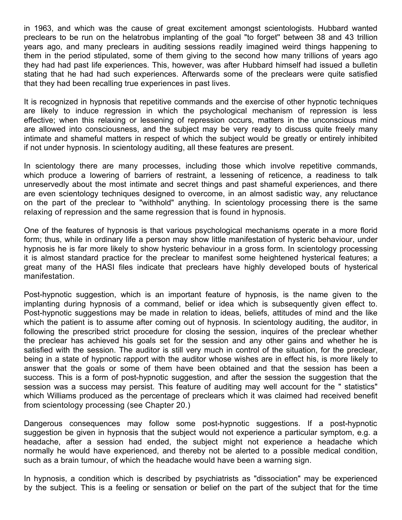in 1963, and which was the cause of great excitement amongst scientologists. Hubbard wanted preclears to be run on the helatrobus implanting of the goal "to forget'' between 38 and 43 trillion years ago, and many preclears in auditing sessions readily imagined weird things happening to them in the period stipulated, some of them giving to the second how many trillions of years ago they had had past life experiences. This, however, was after Hubbard himself had issued a bulletin stating that he had had such experiences. Afterwards some of the preclears were quite satisfied that they had been recalling true experiences in past lives.

It is recognized in hypnosis that repetitive commands and the exercise of other hypnotic techniques are likely to induce regression in which the psychological mechanism of repression is less effective; when this relaxing or lessening of repression occurs, matters in the unconscious mind are allowed into consciousness, and the subject may be very ready to discuss quite freely many intimate and shameful matters in respect of which the subject would be greatly or entirely inhibited if not under hypnosis. In scientology auditing, all these features are present.

In scientology there are many processes, including those which involve repetitive commands, which produce a lowering of barriers of restraint, a lessening of reticence, a readiness to talk unreservedly about the most intimate and secret things and past shameful experiences, and there are even scientology techniques designed to overcome, in an almost sadistic way, any reluctance on the part of the preclear to "withhold" anything. In scientology processing there is the same relaxing of repression and the same regression that is found in hypnosis.

One of the features of hypnosis is that various psychological mechanisms operate in a more florid form; thus, while in ordinary life a person may show little manifestation of hysteric behaviour, under hypnosis he is far more likely to show hysteric behaviour in a gross form. In scientology processing it is almost standard practice for the preclear to manifest some heightened hysterical features; a great many of the HASI files indicate that preclears have highly developed bouts of hysterical manifestation.

Post-hypnotic suggestion, which is an important feature of hypnosis, is the name given to the implanting during hypnosis of a command, belief or idea which is subsequently given effect to. Post-hypnotic suggestions may be made in relation to ideas, beliefs, attitudes of mind and the like which the patient is to assume after coming out of hypnosis. In scientology auditing, the auditor, in following the prescribed strict procedure for closing the session, inquires of the preclear whether the preclear has achieved his goals set for the session and any other gains and whether he is satisfied with the session. The auditor is still very much in control of the situation, for the preclear, being in a state of hypnotic rapport with the auditor whose wishes are in effect his, is more likely to answer that the goals or some of them have been obtained and that the session has been a success. This is a form of post-hypnotic suggestion, and after the session the suggestion that the session was a success may persist. This feature of auditing may well account for the " statistics" which Williams produced as the percentage of preclears which it was claimed had received benefit from scientology processing (see Chapter 20.)

Dangerous consequences may follow some post-hypnotic suggestions. If a post-hypnotic suggestion be given in hypnosis that the subject would not experience a particular symptom, e.g. a headache, after a session had ended, the subject might not experience a headache which normally he would have experienced, and thereby not be alerted to a possible medical condition, such as a brain tumour, of which the headache would have been a warning sign.

In hypnosis, a condition which is described by psychiatrists as "dissociation" may be experienced by the subject. This is a feeling or sensation or belief on the part of the subject that for the time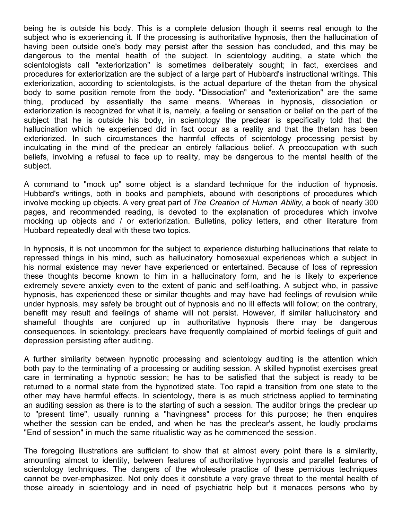being he is outside his body. This is a complete delusion though it seems real enough to the subject who is experiencing it. If the processing is authoritative hypnosis, then the hallucination of having been outside one's body may persist after the session has concluded, and this may be dangerous to the mental health of the subject. In scientology auditing, a state which the scientologists call "exteriorization" is sometimes deliberately sought; in fact, exercises and procedures for exteriorization are the subject of a large part of Hubbard's instructional writings. This exteriorization, according to scientologists, is the actual departure of the thetan from the physical body to some position remote from the body. "Dissociation" and "exteriorization" are the same thing, produced by essentially the same means. Whereas in hypnosis, dissociation or exteriorization is recognized for what it is, namely, a feeling or sensation or belief on the part of the subject that he is outside his body, in scientology the preclear is specifically told that the hallucination which he experienced did in fact occur as a reality and that the thetan has been exteriorized. In such circumstances the harmful effects of scientology processing persist by inculcating in the mind of the preclear an entirely fallacious belief. A preoccupation with such beliefs, involving a refusal to face up to reality, may be dangerous to the mental health of the subject.

A command to "mock up" some object is a standard technique for the induction of hypnosis. Hubbard's writings, both in books and pamphlets, abound with descriptions of procedures which involve mocking up objects. A very great part of *The Creation of Human Ability*, a book of nearly 300 pages, and recommended reading, is devoted to the explanation of procedures which involve mocking up objects and / or exteriorization. Bulletins, policy letters, and other literature from Hubbard repeatedly deal with these two topics.

In hypnosis, it is not uncommon for the subject to experience disturbing hallucinations that relate to repressed things in his mind, such as hallucinatory homosexual experiences which a subject in his normal existence may never have experienced or entertained. Because of loss of repression these thoughts become known to him in a hallucinatory form, and he is likely to experience extremely severe anxiety even to the extent of panic and self-loathing. A subject who, in passive hypnosis, has experienced these or similar thoughts and may have had feelings of revulsion while under hypnosis, may safely be brought out of hypnosis and no ill effects will follow; on the contrary, benefit may result and feelings of shame will not persist. However, if similar hallucinatory and shameful thoughts are conjured up in authoritative hypnosis there may be dangerous consequences. In scientology, preclears have frequently complained of morbid feelings of guilt and depression persisting after auditing.

A further similarity between hypnotic processing and scientology auditing is the attention which both pay to the terminating of a processing or auditing session. A skilled hypnotist exercises great care in terminating a hypnotic session; he has to be satisfied that the subject is ready to be returned to a normal state from the hypnotized state. Too rapid a transition from one state to the other may have harmful effects. In scientology, there is as much strictness applied to terminating an auditing session as there is to the starting of such a session. The auditor brings the preclear up to "present time", usually running a "havingness" process for this purpose; he then enquires whether the session can be ended, and when he has the preclear's assent, he loudly proclaims "End of session" in much the same ritualistic way as he commenced the session.

The foregoing illustrations are sufficient to show that at almost every point there is a similarity, amounting almost to identity, between features of authoritative hypnosis and parallel features of scientology techniques. The dangers of the wholesale practice of these pernicious techniques cannot be over-emphasized. Not only does it constitute a very grave threat to the mental health of those already in scientology and in need of psychiatric help but it menaces persons who by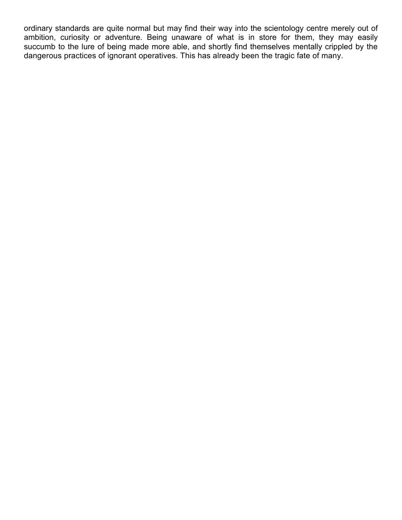ordinary standards are quite normal but may find their way into the scientology centre merely out of ambition, curiosity or adventure. Being unaware of what is in store for them, they may easily succumb to the lure of being made more able, and shortly find themselves mentally crippled by the dangerous practices of ignorant operatives. This has already been the tragic fate of many.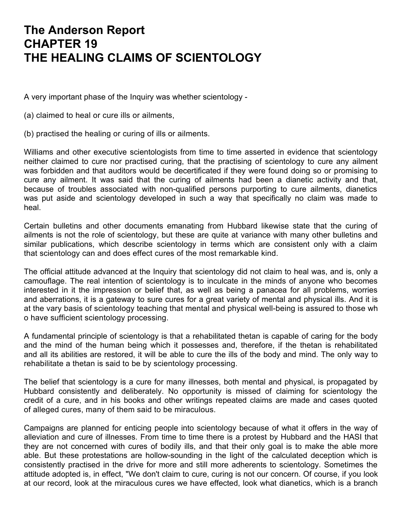# **The Anderson Report CHAPTER 19 THE HEALING CLAIMS OF SCIENTOLOGY**

A very important phase of the Inquiry was whether scientology -

- (a) claimed to heal or cure ills or ailments,
- (b) practised the healing or curing of ills or ailments.

Williams and other executive scientologists from time to time asserted in evidence that scientology neither claimed to cure nor practised curing, that the practising of scientology to cure any ailment was forbidden and that auditors would be decertificated if they were found doing so or promising to cure any ailment. It was said that the curing of ailments had been a dianetic activity and that, because of troubles associated with non-qualified persons purporting to cure ailments, dianetics was put aside and scientology developed in such a way that specifically no claim was made to heal.

Certain bulletins and other documents emanating from Hubbard likewise state that the curing of ailments is not the role of scientology, but these are quite at variance with many other bulletins and similar publications, which describe scientology in terms which are consistent only with a claim that scientology can and does effect cures of the most remarkable kind.

The official attitude advanced at the Inquiry that scientology did not claim to heal was, and is, only a camouflage. The real intention of scientology is to inculcate in the minds of anyone who becomes interested in it the impression or belief that, as well as being a panacea for all problems, worries and aberrations, it is a gateway to sure cures for a great variety of mental and physical ills. And it is at the vary basis of scientology teaching that mental and physical well-being is assured to those wh o have sufficient scientology processing.

A fundamental principle of scientology is that a rehabilitated thetan is capable of caring for the body and the mind of the human being which it possesses and, therefore, if the thetan is rehabilitated and all its abilities are restored, it will be able to cure the ills of the body and mind. The only way to rehabilitate a thetan is said to be by scientology processing.

The belief that scientology is a cure for many illnesses, both mental and physical, is propagated by Hubbard consistently and deliberately. No opportunity is missed of claiming for scientology the credit of a cure, and in his books and other writings repeated claims are made and cases quoted of alleged cures, many of them said to be miraculous.

Campaigns are planned for enticing people into scientology because of what it offers in the way of alleviation and cure of illnesses. From time to time there is a protest by Hubbard and the HASI that they are not concerned with cures of bodily ills, and that their only goal is to make the able more able. But these protestations are hollow-sounding in the light of the calculated deception which is consistently practised in the drive for more and still more adherents to scientology. Sometimes the attitude adopted is, in effect, "We don't claim to cure, curing is not our concern. Of course, if you look at our record, look at the miraculous cures we have effected, look what dianetics, which is a branch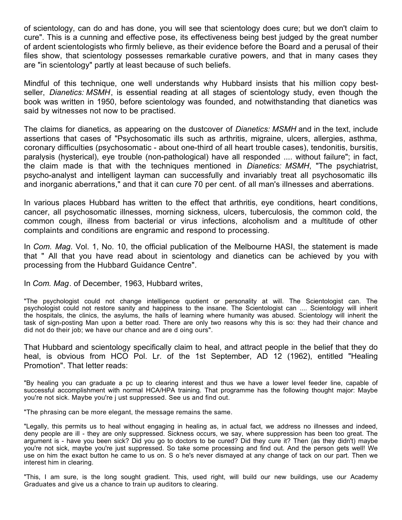of scientology, can do and has done, you will see that scientology does cure; but we don't claim to cure". This is a cunning and effective pose, its effectiveness being best judged by the great number of ardent scientologists who firmly believe, as their evidence before the Board and a perusal of their files show, that scientology possesses remarkable curative powers, and that in many cases they are "in scientology" partly at least because of such beliefs.

Mindful of this technique, one well understands why Hubbard insists that his million copy bestseller, *Dianetics: MSMH*, is essential reading at all stages of scientology study, even though the book was written in 1950, before scientology was founded, and notwithstanding that dianetics was said by witnesses not now to be practised.

The claims for dianetics, as appearing on the dustcover of *Dianetics: MSMH* and in the text, include assertions that cases of "Psychosomatic ills such as arthritis, migraine, ulcers, allergies, asthma, coronary difficulties (psychosomatic - about one-third of all heart trouble cases), tendonitis, bursitis, paralysis (hysterical), eye trouble (non-pathological) have all responded .... without failure"; in fact, the claim made is that with the techniques mentioned in *Dianetics: MSMH*, "The psychiatrist, psycho-analyst and intelligent layman can successfully and invariably treat all psychosomatic ills and inorganic aberrations," and that it can cure 70 per cent. of all man's illnesses and aberrations.

In various places Hubbard has written to the effect that arthritis, eye conditions, heart conditions, cancer, all psychosomatic illnesses, morning sickness, ulcers, tuberculosis, the common cold, the common cough, illness from bacterial or virus infections, alcoholism and a multitude of other complaints and conditions are engramic and respond to processing.

In *Com. Mag*. Vol. 1, No. 10, the official publication of the Melbourne HASI, the statement is made that " All that you have read about in scientology and dianetics can be achieved by you with processing from the Hubbard Guidance Centre".

In *Com. Mag*. of December, 1963, Hubbard writes,

"The psychologist could not change intelligence quotient or personality at will. The Scientologist can. The psychologist could not restore sanity and happiness to the insane. The Scientologist can .... Scientology will inherit the hospitals, the clinics, the asylums, the halls of learning where humanity was abused. Scientology will inherit the task of sign-posting Man upon a better road. There are only two reasons why this is so: they had their chance and did not do their job; we have our chance and are d oing ours".

That Hubbard and scientology specifically claim to heal, and attract people in the belief that they do heal, is obvious from HCO Pol. Lr. of the 1st September, AD 12 (1962), entitled "Healing Promotion". That letter reads:

"By healing you can graduate a pc up to clearing interest and thus we have a lower level feeder line, capable of successful accomplishment with normal HCA/HPA training. That programme has the following thought major: Maybe you're not sick. Maybe you're j ust suppressed. See us and find out.

"The phrasing can be more elegant, the message remains the same.

"Legally, this permits us to heal without engaging in healing as, in actual fact, we address no illnesses and indeed, deny people are ill - they are only suppressed. Sickness occurs, we say, where suppression has been too great. The argument is - have you been sick? Did you go to doctors to be cured? Did they cure it? Then (as they didn't) maybe you're not sick, maybe you're just suppressed. So take some processing and find out. And the person gets well! We use on him the exact button he came to us on. S o he's never dismayed at any change of tack on our part. Then we interest him in clearing.

"This, I am sure, is the long sought gradient. This, used right, will build our new buildings, use our Academy Graduates and give us a chance to train up auditors to clearing.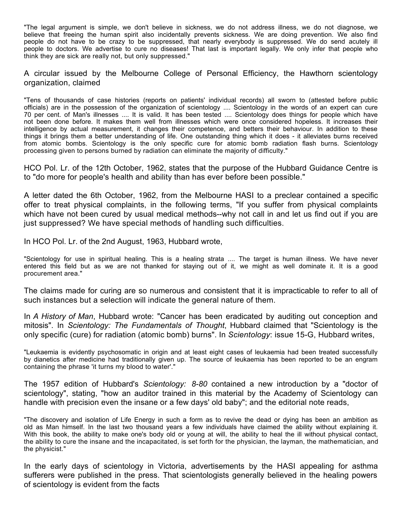"The legal argument is simple, we don't believe in sickness, we do not address illness, we do not diagnose, we believe that freeing the human spirit also incidentally prevents sickness. We are doing prevention. We also find people do not have to be crazy to be suppressed, that nearly everybody is suppressed. We do send acutely ill people to doctors. We advertise to cure no diseases! That last is important legally. We only infer that people who think they are sick are really not, but only suppressed."

A circular issued by the Melbourne College of Personal Efficiency, the Hawthorn scientology organization, claimed

"Tens of thousands of case histories (reports on patients' individual records) all sworn to (attested before public officials) are in the possession of the organization of scientology .... Scientology in the words of an expert can cure 70 per cent. of Man's illnesses .... It is valid. It has been tested .... Scientology does things for people which have not been done before. It makes them well from illnesses which were once considered hopeless. It increases their intelligence by actual measurement, it changes their competence, and betters their behaviour. In addition to these things it brings them a better understanding of life. One outstanding thing which it does - it alleviates burns received from atomic bombs. Scientology is the only specific cure for atomic bomb radiation flash burns. Scientology processing given to persons burned by radiation can eliminate the majority of difficulty."

HCO Pol. Lr. of the 12th October, 1962, states that the purpose of the Hubbard Guidance Centre is to "do more for people's health and ability than has ever before been possible."

A letter dated the 6th October, 1962, from the Melbourne HASI to a preclear contained a specific offer to treat physical complaints, in the following terms, "If you suffer from physical complaints which have not been cured by usual medical methods--why not call in and let us find out if you are just suppressed? We have special methods of handling such difficulties.

In HCO Pol. Lr. of the 2nd August, 1963, Hubbard wrote,

"Scientology for use in spiritual healing. This is a healing strata .... The target is human illness. We have never entered this field but as we are not thanked for staying out of it, we might as well dominate it. It is a good procurement area."

The claims made for curing are so numerous and consistent that it is impracticable to refer to all of such instances but a selection will indicate the general nature of them.

In *A History of Man*, Hubbard wrote: "Cancer has been eradicated by auditing out conception and mitosis". In *Scientology: The Fundamentals of Thought*, Hubbard claimed that "Scientology is the only specific (cure) for radiation (atomic bomb) burns". In *Scientology*: issue 15-G, Hubbard writes,

"Leukaemia is evidently psychosomatic in origin and at least eight cases of leukaemia had been treated successfully by dianetics after medicine had traditionally given up. The source of leukaemia has been reported to be an engram containing the phrase 'it turns my blood to water'."

The 1957 edition of Hubbard's *Scientology: 8-80* contained a new introduction by a "doctor of scientology", stating, "how an auditor trained in this material by the Academy of Scientology can handle with precision even the insane or a few days' old baby"; and the editorial note reads,

"The discovery and isolation of Life Energy in such a form as to revive the dead or dying has been an ambition as old as Man himself. In the last two thousand years a few individuals have claimed the ability without explaining it. With this book, the ability to make one's body old or young at will, the ability to heal the ill without physical contact, the ability to cure the insane and the incapacitated, is set forth for the physician, the layman, the mathematician, and the physicist."

In the early days of scientology in Victoria, advertisements by the HASI appealing for asthma sufferers were published in the press. That scientologists generally believed in the healing powers of scientology is evident from the facts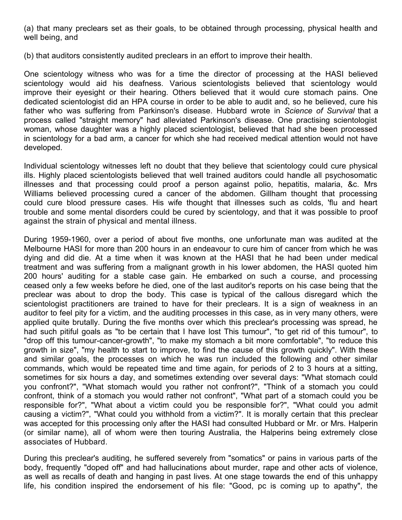(a) that many preclears set as their goals, to be obtained through processing, physical health and well being, and

(b) that auditors consistently audited preclears in an effort to improve their health.

One scientology witness who was for a time the director of processing at the HASI believed scientology would aid his deafness. Various scientologists believed that scientology would improve their eyesight or their hearing. Others believed that it would cure stomach pains. One dedicated scientologist did an HPA course in order to be able to audit and, so he believed, cure his father who was suffering from Parkinson's disease. Hubbard wrote in *Science of Survival* that a process called "straight memory" had alleviated Parkinson's disease. One practising scientologist woman, whose daughter was a highly placed scientologist, believed that had she been processed in scientology for a bad arm, a cancer for which she had received medical attention would not have developed.

Individual scientology witnesses left no doubt that they believe that scientology could cure physical ills. Highly placed scientologists believed that well trained auditors could handle all psychosomatic illnesses and that processing could proof a person against polio, hepatitis, malaria, &c. Mrs Williams believed processing cured a cancer of the abdomen. Gillham thought that processing could cure blood pressure cases. His wife thought that illnesses such as colds, 'flu and heart trouble and some mental disorders could be cured by scientology, and that it was possible to proof against the strain of physical and mental illness.

During 1959-1960, over a period of about five months, one unfortunate man was audited at the Melbourne HASI for more than 200 hours in an endeavour to cure him of cancer from which he was dying and did die. At a time when it was known at the HASI that he had been under medical treatment and was suffering from a malignant growth in his lower abdomen, the HASI quoted him 200 hours' auditing for a stable case gain. He embarked on such a course, and processing ceased only a few weeks before he died, one of the last auditor's reports on his case being that the preclear was about to drop the body. This case is typical of the callous disregard which the scientologist practitioners are trained to have for their preclears. It is a sign of weakness in an auditor to feel pity for a victim, and the auditing processes in this case, as in very many others, were applied quite brutally. During the five months over which this preclear's processing was spread, he had such pitiful goals as "to be certain that I have lost This tumour", "to get rid of this tumour", to "drop off this tumour-cancer-growth", "to make my stomach a bit more comfortable", "to reduce this growth in size", "my health to start to improve, to find the cause of this growth quickly". With these and similar goals, the processes on which he was run included the following and other similar commands, which would be repeated time and time again, for periods of 2 to 3 hours at a sitting, sometimes for six hours a day, and sometimes extending over several days: "What stomach could you confront?", "What stomach would you rather not confront?", "Think of a stomach you could confront, think of a stomach you would rather not confront", "What part of a stomach could you be responsible for?", "What about a victim could you be responsible for?", "What could you admit causing a victim?", "What could you withhold from a victim?". It is morally certain that this preclear was accepted for this processing only after the HASI had consulted Hubbard or Mr. or Mrs. Halperin (or similar name), all of whom were then touring Australia, the Halperins being extremely close associates of Hubbard.

During this preclear's auditing, he suffered severely from "somatics" or pains in various parts of the body, frequently "doped off" and had hallucinations about murder, rape and other acts of violence, as well as recalls of death and hanging in past lives. At one stage towards the end of this unhappy life, his condition inspired the endorsement of his file: "Good, pc is coming up to apathy", the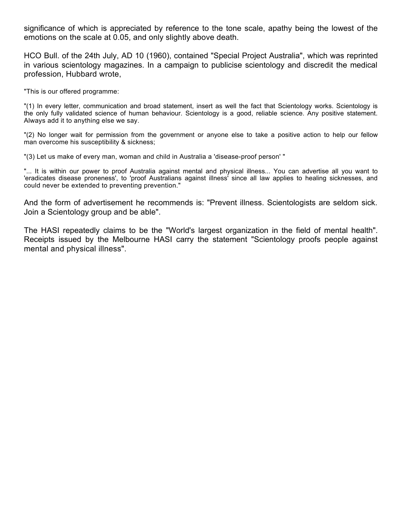significance of which is appreciated by reference to the tone scale, apathy being the lowest of the emotions on the scale at 0.05, and only slightly above death.

HCO Bull. of the 24th July, AD 10 (1960), contained "Special Project Australia", which was reprinted in various scientology magazines. In a campaign to publicise scientology and discredit the medical profession, Hubbard wrote,

"This is our offered programme:

"(1) In every letter, communication and broad statement, insert as well the fact that Scientology works. Scientology is the only fully validated science of human behaviour. Scientology is a good, reliable science. Any positive statement. Always add it to anything else we say.

"(2) No longer wait for permission from the government or anyone else to take a positive action to help our fellow man overcome his susceptibility & sickness;

"(3) Let us make of every man, woman and child in Australia a 'disease-proof person' "

"... It is within our power to proof Australia against mental and physical illness... You can advertise all you want to 'eradicates disease proneness', to 'proof Australians against illness' since all law applies to healing sicknesses, and could never be extended to preventing prevention."

And the form of advertisement he recommends is: "Prevent illness. Scientologists are seldom sick. Join a Scientology group and be able".

The HASI repeatedly claims to be the "World's largest organization in the field of mental health". Receipts issued by the Melbourne HASI carry the statement "Scientology proofs people against mental and physical illness".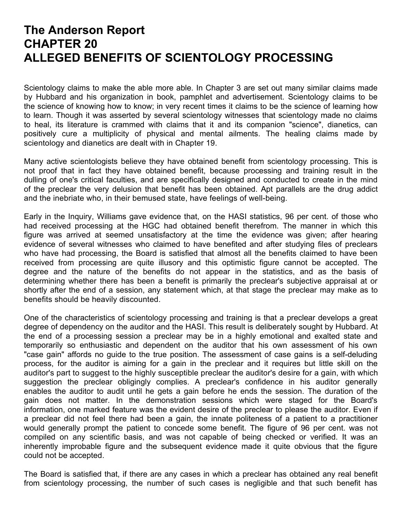### **The Anderson Report CHAPTER 20 ALLEGED BENEFITS OF SCIENTOLOGY PROCESSING**

Scientology claims to make the able more able. In Chapter 3 are set out many similar claims made by Hubbard and his organization in book, pamphlet and advertisement. Scientology claims to be the science of knowing how to know; in very recent times it claims to be the science of learning how to learn. Though it was asserted by several scientology witnesses that scientology made no claims to heal, its literature is crammed with claims that it and its companion "science", dianetics, can positively cure a multiplicity of physical and mental ailments. The healing claims made by scientology and dianetics are dealt with in Chapter 19.

Many active scientologists believe they have obtained benefit from scientology processing. This is not proof that in fact they have obtained benefit, because processing and training result in the dulling of one's critical faculties, and are specifically designed and conducted to create in the mind of the preclear the very delusion that benefit has been obtained. Apt parallels are the drug addict and the inebriate who, in their bemused state, have feelings of well-being.

Early in the Inquiry, Williams gave evidence that, on the HASI statistics, 96 per cent. of those who had received processing at the HGC had obtained benefit therefrom. The manner in which this figure was arrived at seemed unsatisfactory at the time the evidence was given; after hearing evidence of several witnesses who claimed to have benefited and after studying files of preclears who have had processing, the Board is satisfied that almost all the benefits claimed to have been received from processing are quite illusory and this optimistic figure cannot be accepted. The degree and the nature of the benefits do not appear in the statistics, and as the basis of determining whether there has been a benefit is primarily the preclear's subjective appraisal at or shortly after the end of a session, any statement which, at that stage the preclear may make as to benefits should be heavily discounted.

One of the characteristics of scientology processing and training is that a preclear develops a great degree of dependency on the auditor and the HASI. This result is deliberately sought by Hubbard. At the end of a processing session a preclear may be in a highly emotional and exalted state and temporarily so enthusiastic and dependent on the auditor that his own assessment of his own "case gain" affords no guide to the true position. The assessment of case gains is a self-deluding process, for the auditor is aiming for a gain in the preclear and it requires but little skill on the auditor's part to suggest to the highly susceptible preclear the auditor's desire for a gain, with which suggestion the preclear obligingly complies. A preclear's confidence in his auditor generally enables the auditor to audit until he gets a gain before he ends the session. The duration of the gain does not matter. In the demonstration sessions which were staged for the Board's information, one marked feature was the evident desire of the preclear to please the auditor. Even if a preclear did not feel there had been a gain, the innate politeness of a patient to a practitioner would generally prompt the patient to concede some benefit. The figure of 96 per cent. was not compiled on any scientific basis, and was not capable of being checked or verified. It was an inherently improbable figure and the subsequent evidence made it quite obvious that the figure could not be accepted.

The Board is satisfied that, if there are any cases in which a preclear has obtained any real benefit from scientology processing, the number of such cases is negligible and that such benefit has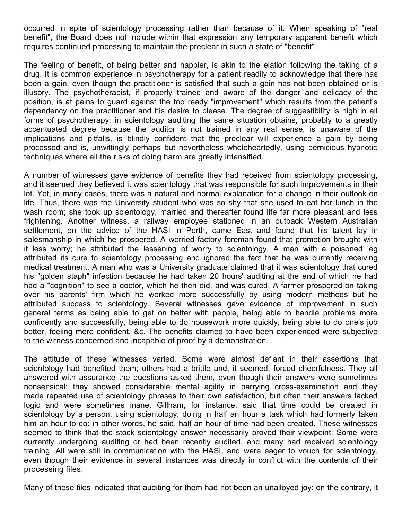occurred in spite of scientology processing rather than because of it. When speaking of "real benefit", the Board does not include within that expression any temporary apparent benefit which requires continued processing to maintain the preclear in such a state of "benefit".

The feeling of benefit, of being better and happier, is akin to the elation following the taking of a drug. It is common experience in psychotherapy for a patient readily to acknowledge that there has been a gain, even though the practitioner is satisfied that such a gain has not been obtained or is illusory. The psychotherapist, if properly trained and aware of the danger and delicacy of the position, is at pains to guard against the too ready "improvement" which results from the patient's dependency on the practitioner and his desire to please. The degree of suggestibility is high in all forms of psychotherapy; in scientology auditing the same situation obtains, probably to a greatly accentuated degree because the auditor is not trained in any real sense, is unaware of the implications and pitfalls, is blindly confident that the preclear will experience a gain by being processed and is, unwittingly perhaps but nevertheless wholeheartedly, using pernicious hypnotic techniques where all the risks of doing harm are greatly intensified.

A number of witnesses gave evidence of benefits they had received from scientology processing, and it seemed they believed it was scientology that was responsible for such improvements in their lot. Yet, in many cases, there was a natural and normal explanation for a change in their outlook on life. Thus, there was the University student who was so shy that she used to eat her lunch in the wash room; she took up scientology, married and thereafter found life far more pleasant and less frightening. Another witness, a railway employee stationed in an outback Western Australian settlement, on the advice of the HASI in Perth, came East and found that his talent lay in salesmanship in which he prospered. A worried factory foreman found that promotion brought with it less worry; he attributed the lessening of worry to scientology. A man with a poisoned leg attributed its cure to scientology processing and ignored the fact that he was currently receiving medical treatment. A man who was a University graduate claimed that it was scientology that cured his "golden staph" infection because he had taken 20 hours' auditing at the end of which he had had a "cognition" to see a doctor, which he then did, and was cured. A farmer prospered on taking over his parents' firm which he worked more successfully by using modern methods but he attributed success to scientology. Several witnesses gave evidence of improvement in such general terms as being able to get on better with people, being able to handle problems more confidently and successfully, being able to do housework more quickly, being able to do one's job better, feeling more confident, &c. The benefits claimed to have been experienced were subjective to the witness concerned and incapable of proof by a demonstration.

The attitude of these witnesses varied. Some were almost defiant in their assertions that scientology had benefited them; others had a brittle and, it seemed, forced cheerfulness. They all answered with assurance the questions asked them, even though their answers were sometimes nonsensical; they showed considerable mental agility in parrying cross-examination and they made repeated use of scientology phrases to their own satisfaction, but often their answers lacked logic and were sometimes inane. Gillham, for instance, said that time could be created in scientology by a person, using scientology, doing in half an hour a task which had formerly taken him an hour to do: in other words, he said, half an hour of time had been created. These witnesses seemed to think that the stock scientology answer necessarily proved their viewpoint. Some were currently undergoing auditing or had been recently audited, and many had received scientology training. All were still in communication with the HASI, and were eager to vouch for scientology, even though their evidence in several instances was directly in conflict with the contents of their processing files.

Many of these files indicated that auditing for them had not been an unalloyed joy: on the contrary, it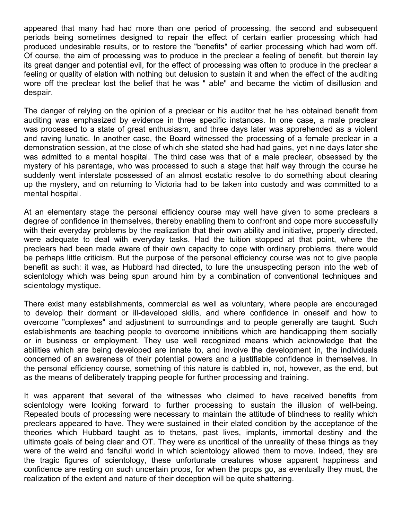appeared that many had had more than one period of processing, the second and subsequent periods being sometimes designed to repair the effect of certain earlier processing which had produced undesirable results, or to restore the "benefits" of earlier processing which had worn off. Of course, the aim of processing was to produce in the preclear a feeling of benefit, but therein lay its great danger and potential evil, for the effect of processing was often to produce in the preclear a feeling or quality of elation with nothing but delusion to sustain it and when the effect of the auditing wore off the preclear lost the belief that he was " able" and became the victim of disillusion and despair.

The danger of relying on the opinion of a preclear or his auditor that he has obtained benefit from auditing was emphasized by evidence in three specific instances. In one case, a male preclear was processed to a state of great enthusiasm, and three days later was apprehended as a violent and raving lunatic. In another case, the Board witnessed the processing of a female preclear in a demonstration session, at the close of which she stated she had had gains, yet nine days later she was admitted to a mental hospital. The third case was that of a male preclear, obsessed by the mystery of his parentage, who was processed to such a stage that half way through the course he suddenly went interstate possessed of an almost ecstatic resolve to do something about clearing up the mystery, and on returning to Victoria had to be taken into custody and was committed to a mental hospital.

At an elementary stage the personal efficiency course may well have given to some preclears a degree of confidence in themselves, thereby enabling them to confront and cope more successfully with their everyday problems by the realization that their own ability and initiative, properly directed, were adequate to deal with everyday tasks. Had the tuition stopped at that point, where the preclears had been made aware of their own capacity to cope with ordinary problems, there would be perhaps little criticism. But the purpose of the personal efficiency course was not to give people benefit as such: it was, as Hubbard had directed, to lure the unsuspecting person into the web of scientology which was being spun around him by a combination of conventional techniques and scientology mystique.

There exist many establishments, commercial as well as voluntary, where people are encouraged to develop their dormant or ill-developed skills, and where confidence in oneself and how to overcome "complexes" and adjustment to surroundings and to people generally are taught. Such establishments are teaching people to overcome inhibitions which are handicapping them socially or in business or employment. They use well recognized means which acknowledge that the abilities which are being developed are innate to, and involve the development in, the individuals concerned of an awareness of their potential powers and a justifiable confidence in themselves. In the personal efficiency course, something of this nature is dabbled in, not, however, as the end, but as the means of deliberately trapping people for further processing and training.

It was apparent that several of the witnesses who claimed to have received benefits from scientology were looking forward to further processing to sustain the illusion of well-being. Repeated bouts of processing were necessary to maintain the attitude of blindness to reality which preclears appeared to have. They were sustained in their elated condition by the acceptance of the theories which Hubbard taught as to thetans, past lives, implants, immortal destiny and the ultimate goals of being clear and OT. They were as uncritical of the unreality of these things as they were of the weird and fanciful world in which scientology allowed them to move. Indeed, they are the tragic figures of scientology, these unfortunate creatures whose apparent happiness and confidence are resting on such uncertain props, for when the props go, as eventually they must, the realization of the extent and nature of their deception will be quite shattering.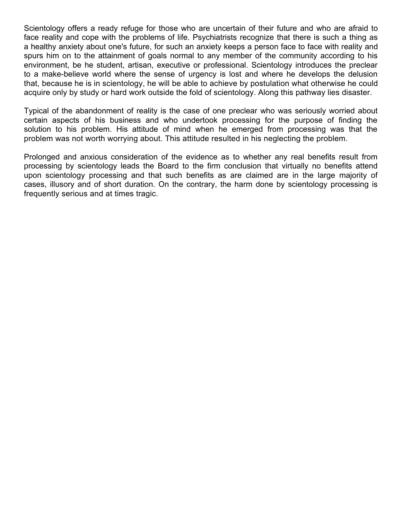Scientology offers a ready refuge for those who are uncertain of their future and who are afraid to face reality and cope with the problems of life. Psychiatrists recognize that there is such a thing as a healthy anxiety about one's future, for such an anxiety keeps a person face to face with reality and spurs him on to the attainment of goals normal to any member of the community according to his environment, be he student, artisan, executive or professional. Scientology introduces the preclear to a make-believe world where the sense of urgency is lost and where he develops the delusion that, because he is in scientology, he will be able to achieve by postulation what otherwise he could acquire only by study or hard work outside the fold of scientology. Along this pathway lies disaster.

Typical of the abandonment of reality is the case of one preclear who was seriously worried about certain aspects of his business and who undertook processing for the purpose of finding the solution to his problem. His attitude of mind when he emerged from processing was that the problem was not worth worrying about. This attitude resulted in his neglecting the problem.

Prolonged and anxious consideration of the evidence as to whether any real benefits result from processing by scientology leads the Board to the firm conclusion that virtually no benefits attend upon scientology processing and that such benefits as are claimed are in the large majority of cases, illusory and of short duration. On the contrary, the harm done by scientology processing is frequently serious and at times tragic.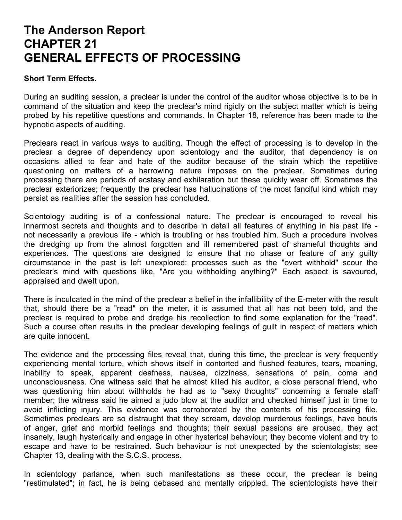# **The Anderson Report CHAPTER 21 GENERAL EFFECTS OF PROCESSING**

#### **Short Term Effects.**

During an auditing session, a preclear is under the control of the auditor whose objective is to be in command of the situation and keep the preclear's mind rigidly on the subject matter which is being probed by his repetitive questions and commands. In Chapter 18, reference has been made to the hypnotic aspects of auditing.

Preclears react in various ways to auditing. Though the effect of processing is to develop in the preclear a degree of dependency upon scientology and the auditor, that dependency is on occasions allied to fear and hate of the auditor because of the strain which the repetitive questioning on matters of a harrowing nature imposes on the preclear. Sometimes during processing there are periods of ecstasy and exhilaration but these quickly wear off. Sometimes the preclear exteriorizes; frequently the preclear has hallucinations of the most fanciful kind which may persist as realities after the session has concluded.

Scientology auditing is of a confessional nature. The preclear is encouraged to reveal his innermost secrets and thoughts and to describe in detail all features of anything in his past life not necessarily a previous life - which is troubling or has troubled him. Such a procedure involves the dredging up from the almost forgotten and ill remembered past of shameful thoughts and experiences. The questions are designed to ensure that no phase or feature of any guilty circumstance in the past is left unexplored: processes such as the "overt withhold" scour the preclear's mind with questions like, "Are you withholding anything?" Each aspect is savoured, appraised and dwelt upon.

There is inculcated in the mind of the preclear a belief in the infallibility of the E-meter with the result that, should there be a "read" on the meter, it is assumed that all has not been told, and the preclear is required to probe and dredge his recollection to find some explanation for the "read". Such a course often results in the preclear developing feelings of guilt in respect of matters which are quite innocent.

The evidence and the processing files reveal that, during this time, the preclear is very frequently experiencing mental torture, which shows itself in contorted and flushed features, tears, moaning, inability to speak, apparent deafness, nausea, dizziness, sensations of pain, coma and unconsciousness. One witness said that he almost killed his auditor, a close personal friend, who was questioning him about withholds he had as to "sexy thoughts" concerning a female staff member; the witness said he aimed a judo blow at the auditor and checked himself just in time to avoid inflicting injury. This evidence was corroborated by the contents of his processing file. Sometimes preclears are so distraught that they scream, develop murderous feelings, have bouts of anger, grief and morbid feelings and thoughts; their sexual passions are aroused, they act insanely, laugh hysterically and engage in other hysterical behaviour; they become violent and try to escape and have to be restrained. Such behaviour is not unexpected by the scientologists; see Chapter 13, dealing with the S.C.S. process.

In scientology parlance, when such manifestations as these occur, the preclear is being "restimulated"; in fact, he is being debased and mentally crippled. The scientologists have their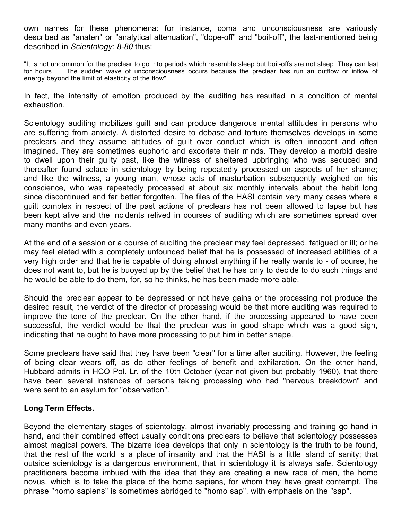own names for these phenomena: for instance, coma and unconsciousness are variously described as "anaten" or "analytical attenuation", "dope-off" and "boil-off", the last-mentioned being described in *Scientology: 8-80* thus:

"It is not uncommon for the preclear to go into periods which resemble sleep but boil-offs are not sleep. They can last for hours .... The sudden wave of unconsciousness occurs because the preclear has run an outflow or inflow of energy beyond the limit of elasticity of the flow".

In fact, the intensity of emotion produced by the auditing has resulted in a condition of mental exhaustion.

Scientology auditing mobilizes guilt and can produce dangerous mental attitudes in persons who are suffering from anxiety. A distorted desire to debase and torture themselves develops in some preclears and they assume attitudes of guilt over conduct which is often innocent and often imagined. They are sometimes euphoric and excoriate their minds. They develop a morbid desire to dwell upon their guilty past, like the witness of sheltered upbringing who was seduced and thereafter found solace in scientology by being repeatedly processed on aspects of her shame; and like the witness, a young man, whose acts of masturbation subsequently weighed on his conscience, who was repeatedly processed at about six monthly intervals about the habit long since discontinued and far better forgotten. The files of the HASI contain very many cases where a guilt complex in respect of the past actions of preclears has not been allowed to lapse but has been kept alive and the incidents relived in courses of auditing which are sometimes spread over many months and even years.

At the end of a session or a course of auditing the preclear may feel depressed, fatigued or ill; or he may feel elated with a completely unfounded belief that he is possessed of increased abilities of a very high order and that he is capable of doing almost anything if he really wants to - of course, he does not want to, but he is buoyed up by the belief that he has only to decide to do such things and he would be able to do them, for, so he thinks, he has been made more able.

Should the preclear appear to be depressed or not have gains or the processing not produce the desired result, the verdict of the director of processing would be that more auditing was required to improve the tone of the preclear. On the other hand, if the processing appeared to have been successful, the verdict would be that the preclear was in good shape which was a good sign, indicating that he ought to have more processing to put him in better shape.

Some preclears have said that they have been "clear" for a time after auditing. However, the feeling of being clear wears off, as do other feelings of benefit and exhilaration. On the other hand, Hubbard admits in HCO Pol. Lr. of the 10th October (year not given but probably 1960), that there have been several instances of persons taking processing who had "nervous breakdown" and were sent to an asylum for "observation".

#### **Long Term Effects.**

Beyond the elementary stages of scientology, almost invariably processing and training go hand in hand, and their combined effect usually conditions preclears to believe that scientology possesses almost magical powers. The bizarre idea develops that only in scientology is the truth to be found, that the rest of the world is a place of insanity and that the HASI is a little island of sanity; that outside scientology is a dangerous environment, that in scientology it is always safe. Scientology practitioners become imbued with the idea that they are creating a new race of men, the homo novus, which is to take the place of the homo sapiens, for whom they have great contempt. The phrase "homo sapiens" is sometimes abridged to "homo sap", with emphasis on the "sap".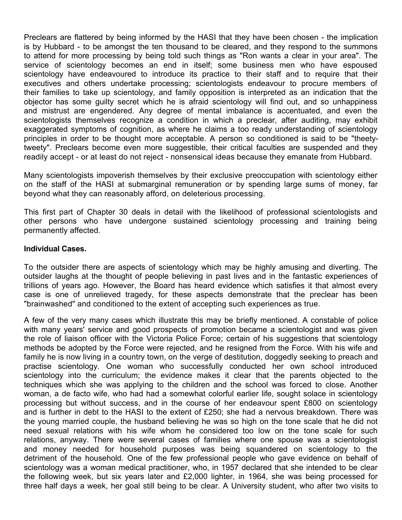Preclears are flattered by being informed by the HASI that they have been chosen - the implication is by Hubbard - to be amongst the ten thousand to be cleared, and they respond to the summons to attend for more processing by being told such things as "Ron wants a clear in your area". The service of scientology becomes an end in itself; some business men who have espoused scientology have endeavoured to introduce its practice to their staff and to require that their executives and others undertake processing; scientologists endeavour to procure members of their families to take up scientology, and family opposition is interpreted as an indication that the objector has some guilty secret which he is afraid scientology will find out, and so unhappiness and mistrust are engendered. Any degree of mental imbalance is accentuated, and even the scientologists themselves recognize a condition in which a preclear, after auditing, may exhibit exaggerated symptoms of cognition, as where he claims a too ready understanding of scientology principles in order to be thought more acceptable. A person so conditioned is said to be "theetytweety". Preclears become even more suggestible, their critical faculties are suspended and they readily accept - or at least do not reject - nonsensical ideas because they emanate from Hubbard.

Many scientologists impoverish themselves by their exclusive preoccupation with scientology either on the staff of the HASI at submarginal remuneration or by spending large sums of money, far beyond what they can reasonably afford, on deleterious processing.

This first part of Chapter 30 deals in detail with the likelihood of professional scientologists and other persons who have undergone sustained scientology processing and training being permanently affected.

#### **Individual Cases.**

To the outsider there are aspects of scientology which may be highly amusing and diverting. The outsider laughs at the thought of people believing in past lives and in the fantastic experiences of trillions of years ago. However, the Board has heard evidence which satisfies it that almost every case is one of unrelieved tragedy, for these aspects demonstrate that the preclear has been "brainwashed" and conditioned to the extent of accepting such experiences as true.

A few of the very many cases which illustrate this may be briefly mentioned. A constable of police with many years' service and good prospects of promotion became a scientologist and was given the role of liaison officer with the Victoria Police Force; certain of his suggestions that scientology methods be adopted by the Force were rejected, and he resigned from the Force. With his wife and family he is now living in a country town, on the verge of destitution, doggedly seeking to preach and practise scientology. One woman who successfully conducted her own school introduced scientology into the curriculum; the evidence makes it clear that the parents objected to the techniques which she was applying to the children and the school was forced to close. Another woman, a de facto wife, who had had a somewhat colorful earlier life, sought solace in scientology processing but without success, and in the course of her endeavour spent £800 on scientology and is further in debt to the HASI to the extent of £250; she had a nervous breakdown. There was the young married couple, the husband believing he was so high on the tone scale that he did not need sexual relations with his wife whom he considered too low on the tone scale for such relations, anyway. There were several cases of families where one spouse was a scientologist and money needed for household purposes was being squandered on scientology to the detriment of the household. One of the few professional people who gave evidence on behalf of scientology was a woman medical practitioner, who, in 1957 declared that she intended to be clear the following week, but six years later and £2,000 lighter, in 1964, she was being processed for three half days a week, her goal still being to be clear. A University student, who after two visits to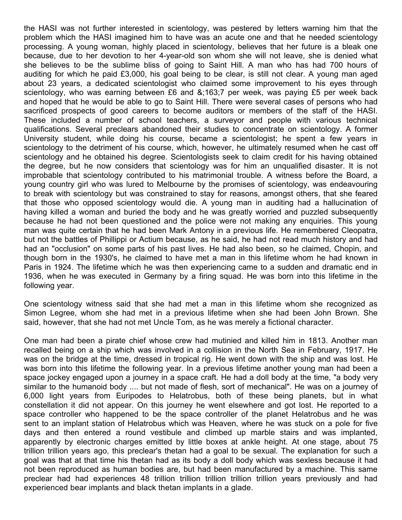the HASI was not further interested in scientology, was pestered by letters warning him that the problem which the HASI imagined him to have was an acute one and that he needed scientology processing. A young woman, highly placed in scientology, believes that her future is a bleak one because, due to her devotion to her 4-year-old son whom she will not leave, she is denied what she believes to be the sublime bliss of going to Saint Hill. A man who has had 700 hours of auditing for which he paid £3,000, his goal being to be clear, is still not clear. A young man aged about 23 years, a dedicated scientologist who claimed some improvement to his eyes through scientology, who was earning between £6 and &;163;7 per week, was paying £5 per week back and hoped that he would be able to go to Saint Hill. There were several cases of persons who had sacrificed prospects of good careers to become auditors or members of the staff of the HASI. These included a number of school teachers, a surveyor and people with various technical qualifications. Several preclears abandoned their studies to concentrate on scientology. A former University student, while doing his course, became a scientologist; he spent a few years in scientology to the detriment of his course, which, however, he ultimately resumed when he cast off scientology and he obtained his degree. Scientologists seek to claim credit for his having obtained the degree, but he now considers that scientology was for him an unqualified disaster. It is not improbable that scientology contributed to his matrimonial trouble. A witness before the Board, a young country girl who was lured to Melbourne by the promises of scientology, was endeavouring to break with scientology but was constrained to stay for reasons, amongst others, that she feared that those who opposed scientology would die. A young man in auditing had a hallucination of having killed a woman and buried the body and he was greatly worried and puzzled subsequently because he had not been questioned and the police were not making any enquiries. This young man was quite certain that he had been Mark Antony in a previous life. He remembered Cleopatra, but not the battles of Phillippi or Actium because, as he said, he had not read much history and had had an "occlusion" on some parts of his past lives. He had also been, so he claimed, Chopin, and though born in the 1930's, he claimed to have met a man in this lifetime whom he had known in Paris in 1924. The lifetime which he was then experiencing came to a sudden and dramatic end in 1936, when he was executed in Germany by a firing squad. He was born into this lifetime in the following year.

One scientology witness said that she had met a man in this lifetime whom she recognized as Simon Legree, whom she had met in a previous lifetime when she had been John Brown. She said, however, that she had not met Uncle Tom, as he was merely a fictional character.

One man had been a pirate chief whose crew had mutinied and killed him in 1813. Another man recalled being on a ship which was involved in a collision in the North Sea in February, 1917. He was on the bridge at the time, dressed in tropical rig. He went down with the ship and was lost. He was born into this lifetime the following year. In a previous lifetime another young man had been a space jockey engaged upon a journey in a space craft. He had a doll body at the time, "a body very similar to the humanoid body .... but not made of flesh, sort of mechanical". He was on a journey of 6,000 light years from Euripodes to Helatrobus, both of these being planets, but in what constellation it did not appear. On this journey he went elsewhere and got lost. He reported to a space controller who happened to be the space controller of the planet Helatrobus and he was sent to an implant station of Helatrobus which was Heaven, where he was stuck on a pole for five days and then entered a round vestibule and climbed up marble stairs and was implanted, apparently by electronic charges emitted by little boxes at ankle height. At one stage, about 75 trillion trillion years ago, this preclear's thetan had a goal to be sexual. The explanation for such a goal was that at that time his thetan had as its body a doll body which was sexless because it had not been reproduced as human bodies are, but had been manufactured by a machine. This same preclear had had experiences 48 trillion trillion trillion trillion trillion years previously and had experienced bear implants and black thetan implants in a glade.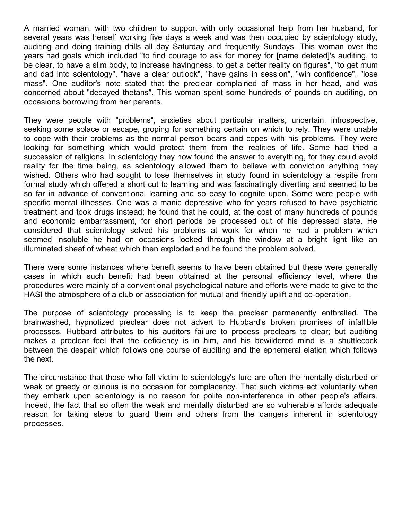A married woman, with two children to support with only occasional help from her husband, for several years was herself working five days a week and was then occupied by scientology study, auditing and doing training drills all day Saturday and frequently Sundays. This woman over the years had goals which included "to find courage to ask for money for [name deleted]'s auditing, to be clear, to have a slim body, to increase havingness, to get a better reality on figures", "to get mum and dad into scientology", "have a clear outlook", "have gains in session", "win confidence", "lose mass". One auditor's note stated that the preclear complained of mass in her head, and was concerned about "decayed thetans". This woman spent some hundreds of pounds on auditing, on occasions borrowing from her parents.

They were people with "problems", anxieties about particular matters, uncertain, introspective, seeking some solace or escape, groping for something certain on which to rely. They were unable to cope with their problems as the normal person bears and copes with his problems. They were looking for something which would protect them from the realities of life. Some had tried a succession of religions. In scientology they now found the answer to everything, for they could avoid reality for the time being, as scientology allowed them to believe with conviction anything they wished. Others who had sought to lose themselves in study found in scientology a respite from formal study which offered a short cut to learning and was fascinatingly diverting and seemed to be so far in advance of conventional learning and so easy to cognite upon. Some were people with specific mental illnesses. One was a manic depressive who for years refused to have psychiatric treatment and took drugs instead; he found that he could, at the cost of many hundreds of pounds and economic embarrassment, for short periods be processed out of his depressed state. He considered that scientology solved his problems at work for when he had a problem which seemed insoluble he had on occasions looked through the window at a bright light like an illuminated sheaf of wheat which then exploded and he found the problem solved.

There were some instances where benefit seems to have been obtained but these were generally cases in which such benefit had been obtained at the personal efficiency level, where the procedures were mainly of a conventional psychological nature and efforts were made to give to the HASI the atmosphere of a club or association for mutual and friendly uplift and co-operation.

The purpose of scientology processing is to keep the preclear permanently enthralled. The brainwashed, hypnotized preclear does not advert to Hubbard's broken promises of infallible processes. Hubbard attributes to his auditors failure to process preclears to clear; but auditing makes a preclear feel that the deficiency is in him, and his bewildered mind is a shuttlecock between the despair which follows one course of auditing and the ephemeral elation which follows the next.

The circumstance that those who fall victim to scientology's lure are often the mentally disturbed or weak or greedy or curious is no occasion for complacency. That such victims act voluntarily when they embark upon scientology is no reason for polite non-interference in other people's affairs. Indeed, the fact that so often the weak and mentally disturbed are so vulnerable affords adequate reason for taking steps to guard them and others from the dangers inherent in scientology processes.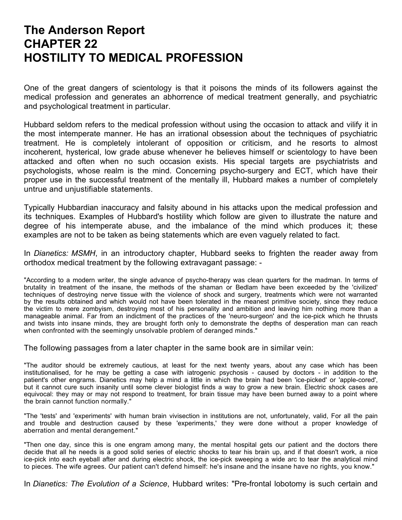# **The Anderson Report CHAPTER 22 HOSTILITY TO MEDICAL PROFESSION**

One of the great dangers of scientology is that it poisons the minds of its followers against the medical profession and generates an abhorrence of medical treatment generally, and psychiatric and psychological treatment in particular.

Hubbard seldom refers to the medical profession without using the occasion to attack and vilify it in the most intemperate manner. He has an irrational obsession about the techniques of psychiatric treatment. He is completely intolerant of opposition or criticism, and he resorts to almost incoherent, hysterical, low grade abuse whenever he believes himself or scientology to have been attacked and often when no such occasion exists. His special targets are psychiatrists and psychologists, whose realm is the mind. Concerning psycho-surgery and ECT, which have their proper use in the successful treatment of the mentally ill, Hubbard makes a number of completely untrue and unjustifiable statements.

Typically Hubbardian inaccuracy and falsity abound in his attacks upon the medical profession and its techniques. Examples of Hubbard's hostility which follow are given to illustrate the nature and degree of his intemperate abuse, and the imbalance of the mind which produces it; these examples are not to be taken as being statements which are even vaguely related to fact.

In *Dianetics: MSMH*, in an introductory chapter, Hubbard seeks to frighten the reader away from orthodox medical treatment by the following extravagant passage: -

"According to a modern writer, the single advance of psycho-therapy was clean quarters for the madman. In terms of brutality in treatment of the insane, the methods of the shaman or Bedlam have been exceeded by the 'civilized' techniques of destroying nerve tissue with the violence of shock and surgery, treatments which were not warranted by the results obtained and which would not have been tolerated in the meanest primitive society, since they reduce the victim to mere zombyism, destroying most of his personality and ambition and leaving him nothing more than a manageable animal. Far from an indictment of the practices of the 'neuro-surgeon' and the ice-pick which he thrusts and twists into insane minds, they are brought forth only to demonstrate the depths of desperation man can reach when confronted with the seemingly unsolvable problem of deranged minds."

The following passages from a later chapter in the same book are in similar vein:

"The auditor should be extremely cautious, at least for the next twenty years, about any case which has been institutionalised, for he may be getting a case with iatrogenic psychosis - caused by doctors - in addition to the patient's other engrams. Dianetics may help a mind a little in which the brain had been 'ice-picked' or 'apple-cored', but it cannot cure such insanity until some clever biologist finds a way to grow a new brain. Electric shock cases are equivocal: they may or may not respond to treatment, for brain tissue may have been burned away to a point where the brain cannot function normally."

"The 'tests' and 'experiments' with human brain vivisection in institutions are not, unfortunately, valid, For all the pain and trouble and destruction caused by these 'experiments,' they were done without a proper knowledge of aberration and mental derangement."

"Then one day, since this is one engram among many, the mental hospital gets our patient and the doctors there decide that all he needs is a good solid series of electric shocks to tear his brain up, and if that doesn't work, a nice ice-pick into each eyeball after and during electric shock, the ice-pick sweeping a wide arc to tear the analytical mind to pieces. The wife agrees. Our patient can't defend himself: he's insane and the insane have no rights, you know."

In *Dianetics: The Evolution of a Science*, Hubbard writes: "Pre-frontal lobotomy is such certain and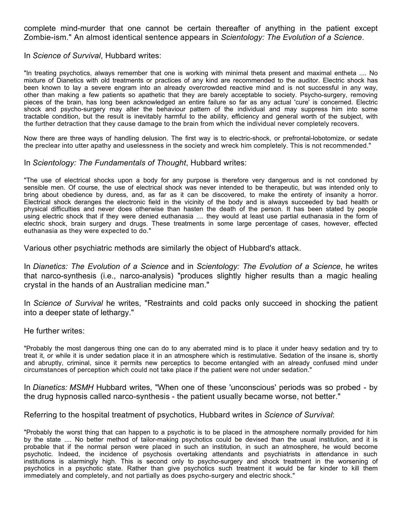complete mind-murder that one cannot be certain thereafter of anything in the patient except Zombie-ism." An almost identical sentence appears in *Scientology: The Evolution of a Science*.

In *Science of Survival*, Hubbard writes:

"In treating psychotics, always remember that one is working with minimal theta present and maximal entheta .... No mixture of Dianetics with old treatments or practices of any kind are recommended to the auditor. Electric shock has been known to lay a severe engram into an already overcrowded reactive mind and is not successful in any way, other than making a few patients so apathetic that they are barely acceptable to society. Psycho-surgery, removing pieces of the brain, has long been acknowledged an entire failure so far as any actual 'cure' is concerned. Electric shock and psycho-surgery may alter the behaviour pattern of the individual and may suppress him into some tractable condition, but the result is inevitably harmful to the ability, efficiency and general worth of the subject, with the further detraction that they cause damage to the brain from which the individual never completely recovers.

Now there are three ways of handling delusion. The first way is to electric-shock, or prefrontal-lobotomize, or sedate the preclear into utter apathy and uselessness in the society and wreck him completely. This is not recommended."

#### In *Scientology: The Fundamentals of Thought*, Hubbard writes:

"The use of electrical shocks upon a body for any purpose is therefore very dangerous and is not condoned by sensible men. Of course, the use of electrical shock was never intended to be therapeutic, but was intended only to bring about obedience by duress, and, as far as it can be discovered, to make the entirety of insanity a horror. Electrical shock deranges the electronic field in the vicinity of the body and is always succeeded by bad health or physical difficulties and never does otherwise than hasten the death of the person. It has been stated by people using electric shock that if they were denied euthanasia .... they would at least use partial euthanasia in the form of electric shock, brain surgery and drugs. These treatments in some large percentage of cases, however, effected euthanasia as they were expected to do."

Various other psychiatric methods are similarly the object of Hubbard's attack.

In *Dianetics: The Evolution of a Science* and in *Scientology: The Evolution of a Science*, he writes that narco-synthesis (i.e., narco-analysis) "produces slightly higher results than a magic healing crystal in the hands of an Australian medicine man."

In *Science of Survival* he writes, "Restraints and cold packs only succeed in shocking the patient into a deeper state of lethargy."

He further writes:

"Probably the most dangerous thing one can do to any aberrated mind is to place it under heavy sedation and try to treat it, or while it is under sedation place it in an atmosphere which is restimulative. Sedation of the insane is, shortly and abruptly, criminal, since it permits new perceptics to become entangled with an already confused mind under circumstances of perception which could not take place if the patient were not under sedation."

In *Dianetics: MSMH* Hubbard writes, "When one of these 'unconscious' periods was so probed - by the drug hypnosis called narco-synthesis - the patient usually became worse, not better."

Referring to the hospital treatment of psychotics, Hubbard writes in *Science of Survival*:

"Probably the worst thing that can happen to a psychotic is to be placed in the atmosphere normally provided for him by the state .... No better method of tailor-making psychotics could be devised than the usual institution, and it is probable that if the normal person were placed in such an institution, in such an atmosphere, he would become psychotic. Indeed, the incidence of psychosis overtaking attendants and psychiatrists in attendance in such institutions is alarmingly high. This is second only to psycho-surgery and shock treatment in the worsening of psychotics in a psychotic state. Rather than give psychotics such treatment it would be far kinder to kill them immediately and completely, and not partially as does psycho-surgery and electric shock."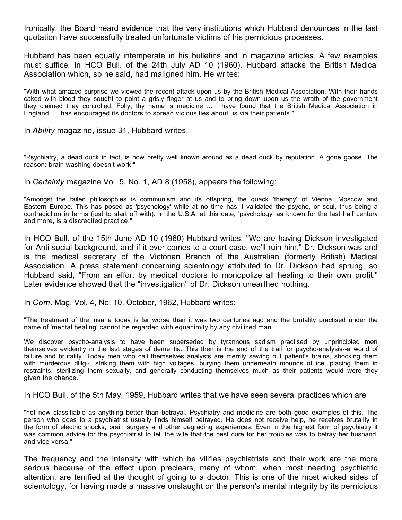Ironically, the Board heard evidence that the very institutions which Hubbard denounces in the last quotation have successfully treated unfortunate victims of his pernicious processes.

Hubbard has been equally intemperate in his bulletins and in magazine articles. A few examples must suffice. In HCO Bull. of the 24th July AD 10 (1960), Hubbard attacks the British Medical Association which, so he said, had maligned him. He writes:

"With what amazed surprise we viewed the recent attack upon us by the British Medical Association. With their hands caked with blood they sought to point a grisly finger at us and to bring down upon us the wrath of the government they claimed they controlled. Folly, thy name is medicine ... I have found that the British Medical Association in England .... has encouraged its doctors to spread vicious lies about us via their patients."

In *Ability* magazine, issue 31, Hubbard writes,

"Psychiatry, a dead duck in fact, is now pretty well known around as a dead duck by reputation. A gone goose. The reason: brain washing doesn't work."

In *Certainty* magazine Vol. 5, No. 1, AD 8 (1958), appears the following:

"Amongst the failed philosophies is communism and its offspring, the quack 'therapy' of Vienna, Moscow and Eastern Europe. This has posed as 'psychology' while at no time has it validated the psyche, or soul, thus being a contradiction in terms (just to start off with). In the U.S.A. at this date, 'psychology' as known for the last half century and more, is a discredited practice."

In HCO Bull. of the 15th June AD 10 (1960) Hubbard writes, "We are having Dickson investigated for Anti-social background, and if it ever comes to a court case, we'll ruin him." Dr. Dickson was and is the medical secretary of the Victorian Branch of the Australian (formerly British) Medical Association. A press statement concerning scientology attributed to Dr. Dickson had sprung, so Hubbard said, "From an effort by medical doctors to monopolize all healing to their own profit." Later evidence showed that the "investigation" of Dr. Dickson unearthed nothing.

In *Com*. Mag. Vol. 4, No. 10, October, 1962, Hubbard writes:

"The treatment of the insane today is far worse than it was two centuries ago and the brutality practised under the name of 'mental healing' cannot be regarded with equanimity by any civilized man.

We discover psycho-analysis to have been superseded by tyrannous sadism practised by unprincipled men themselves evidently in the last stages of dementia. This then is the end of the trail for psycho-analysis--a world of failure and brutality. Today men who call themselves analysts are merrily sawing out patient's brains, shocking them with murderous dlllg~, striking them with high voltages, burying them underneath mounds of ice, placing them in restraints, sterilizing them sexually, and generally conducting themselves much as their patients would were they given the chance."

In HCO Bull. of the 5th May, 1959, Hubbard writes that we have seen several practices which are

"not now classifiable as anything better than betrayal. Psychiatry and medicine are both good examples of this. The person who goes to a psychiatrist usually finds himself betrayed. He does not receive help, he receives brutality in the form of electric shocks, brain surgery and other degrading experiences. Even in the highest form of psychiatry it was common advice for the psychiatrist to tell the wife that the best cure for her troubles was to betray her husband, and vice versa."

The frequency and the intensity with which he vilifies psychiatrists and their work are the more serious because of the effect upon preclears, many of whom, when most needing psychiatric attention, are terrified at the thought of going to a doctor. This is one of the most wicked sides of scientology, for having made a massive onslaught on the person's mental integrity by its pernicious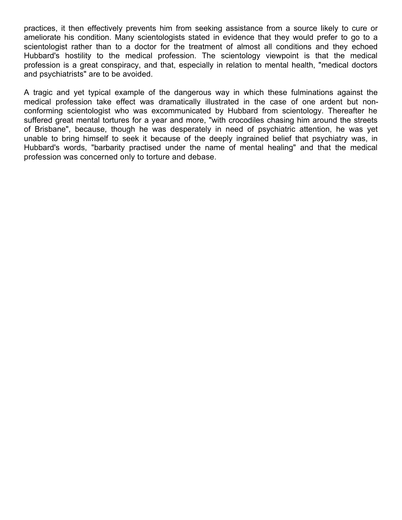practices, it then effectively prevents him from seeking assistance from a source likely to cure or ameliorate his condition. Many scientologists stated in evidence that they would prefer to go to a scientologist rather than to a doctor for the treatment of almost all conditions and they echoed Hubbard's hostility to the medical profession. The scientology viewpoint is that the medical profession is a great conspiracy, and that, especially in relation to mental health, "medical doctors and psychiatrists" are to be avoided.

A tragic and yet typical example of the dangerous way in which these fulminations against the medical profession take effect was dramatically illustrated in the case of one ardent but nonconforming scientologist who was excommunicated by Hubbard from scientology. Thereafter he suffered great mental tortures for a year and more, "with crocodiles chasing him around the streets of Brisbane", because, though he was desperately in need of psychiatric attention, he was yet unable to bring himself to seek it because of the deeply ingrained belief that psychiatry was, in Hubbard's words, "barbarity practised under the name of mental healing" and that the medical profession was concerned only to torture and debase.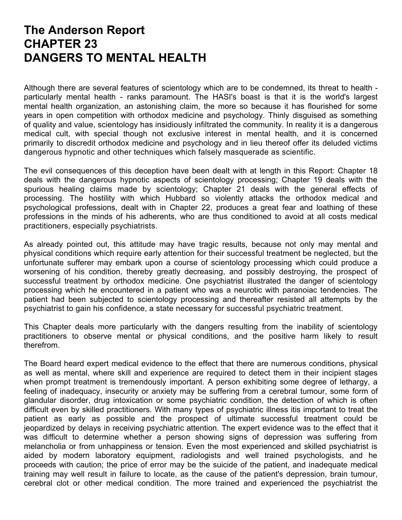# **The Anderson Report CHAPTER 23 DANGERS TO MENTAL HEALTH**

Although there are several features of scientology which are to be condemned, its threat to health particularly mental health - ranks paramount. The HASI's boast is that it is the world's largest mental health organization, an astonishing claim, the more so because it has flourished for some years in open competition with orthodox medicine and psychology. Thinly disguised as something of quality and value, scientology has insidiously infiltrated the community. In reality it is a dangerous medical cult, with special though not exclusive interest in mental health, and it is concerned primarily to discredit orthodox medicine and psychology and in lieu thereof offer its deluded victims dangerous hypnotic and other techniques which falsely masquerade as scientific.

The evil consequences of this deception have been dealt with at length in this Report: Chapter 18 deals with the dangerous hypnotic aspects of scientology processing; Chapter 19 deals with the spurious healing claims made by scientology; Chapter 21 deals with the general effects of processing. The hostility with which Hubbard so violently attacks the orthodox medical and psychological professions, dealt with in Chapter 22, produces a great fear and loathing of these professions in the minds of his adherents, who are thus conditioned to avoid at all costs medical practitioners, especially psychiatrists.

As already pointed out, this attitude may have tragic results, because not only may mental and physical conditions which require early attention for their successful treatment be neglected, but the unfortunate sufferer may embark upon a course of scientology processing which could produce a worsening of his condition, thereby greatly decreasing, and possibly destroying, the prospect of successful treatment by orthodox medicine. One psychiatrist illustrated the danger of scientology processing which he encountered in a patient who was a neurotic with paranoiac tendencies. The patient had been subjected to scientology processing and thereafter resisted all attempts by the psychiatrist to gain his confidence, a state necessary for successful psychiatric treatment.

This Chapter deals more particularly with the dangers resulting from the inability of scientology practitioners to observe mental or physical conditions, and the positive harm likely to result therefrom.

The Board heard expert medical evidence to the effect that there are numerous conditions, physical as well as mental, where skill and experience are required to detect them in their incipient stages when prompt treatment is tremendously important. A person exhibiting some degree of lethargy, a feeling of inadequacy, insecurity or anxiety may be suffering from a cerebral tumour, some form of glandular disorder, drug intoxication or some psychiatric condition, the detection of which is often difficult even by skilled practitioners. With many types of psychiatric illness itis important to treat the patient as early as possible and the prospect of ultimate successful treatment could be jeopardized by delays in receiving psychiatric attention. The expert evidence was to the effect that it was difficult to determine whether a person showing signs of depression was suffering from melancholia or from unhappiness or tension. Even the most experienced and skilled psychiatrist is aided by modern laboratory equipment, radiologists and well trained psychologists, and he proceeds with caution; the price of error may be the suicide of the patient, and inadequate medical training may well result in failure to locate, as the cause of the patient's depression, brain tumour, cerebral clot or other medical condition. The more trained and experienced the psychiatrist the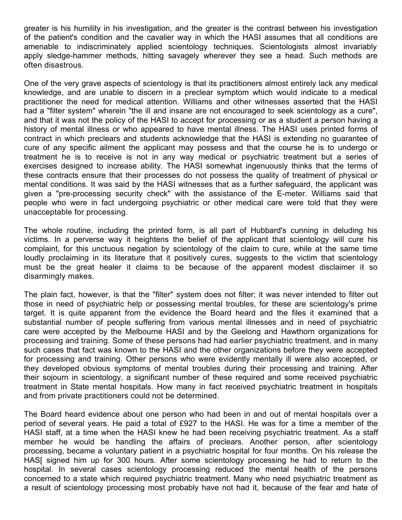greater is his humility in his investigation, and the greater is the contrast between his investigation of the patient's condition and the cavalier way in which the HASI assumes that all conditions are amenable to indiscriminately applied scientology techniques. Scientologists almost invariably apply sledge-hammer methods, hitting savagely wherever they see a head. Such methods are often disastrous.

One of the very grave aspects of scientology is that its practitioners almost entirely lack any medical knowledge, and are unable to discern in a preclear symptom which would indicate to a medical practitioner the need for medical attention. Williams and other witnesses asserted that the HASI had a "filter system" wherein "the ill and insane are not encouraged to seek scientology as a cure", and that it was not the policy of the HASI to accept for processing or as a student a person having a history of mental illness or who appeared to have mental illness. The HASI uses printed forms of contract in which preclears and students acknowledge that the HASI is extending no guarantee of cure of any specific ailment the applicant may possess and that the course he is to undergo or treatment he is to receive is not in any way medical or psychiatric treatment but a series of exercises designed to increase ability. The HASI somewhat ingenuously thinks that the terms of these contracts ensure that their processes do not possess the quality of treatment of physical or mental conditions. It was said by the HASI witnesses that as a further safeguard, the applicant was given a "pre-processing security check" with the assistance of the E-meter. Williams said that people who were in fact undergoing psychiatric or other medical care were told that they were unacceptable for processing.

The whole routine, including the printed form, is all part of Hubbard's cunning in deluding his victims. In a perverse way it heightens the belief of the applicant that scientology will cure his complaint, for this unctuous negation by scientology of the claim to cure, while at the same time loudly proclaiming in its literature that it positively cures, suggests to the victim that scientology must be the great healer it claims to be because of the apparent modest disclaimer it so disarmingly makes.

The plain fact, however, is that the "filter" system does not filter; it was never intended to filter out those in need of psychiatric help or possessing mental troubles, for these are scientology's prime target. It is quite apparent from the evidence the Board heard and the files it examined that a substantial number of people suffering from various mental illnesses and in need of psychiatric care were accepted by the Melbourne HASI and by the Geelong and Hawthorn organizations for processing and training. Some of these persons had had earlier psychiatric treatment, and in many such cases that fact was known to the HASI and the other organizations before they were accepted for processing and training. Other persons who were evidently mentally ill were also accepted, or they developed obvious symptoms of mental troubles during their processing and training. After their sojourn in scientology, a significant number of these required and some received psychiatric treatment in State mental hospitals. How many in fact received psychiatric treatment in hospitals and from private practitioners could not be determined.

The Board heard evidence about one person who had been in and out of mental hospitals over a period of several years. He paid a total of £927 to the HASI. He was for a time a member of the HASI staff, at a time when the HASI knew he had been receiving psychiatric treatment. As a staff member he would be handling the affairs of preclears. Another person, after scientology processing, became a voluntary patient in a psychiatric hospital for four months. On his release the HAS[ signed him up for 300 hours. After some scientology processing he had to return to the hospital. In several cases scientology processing reduced the mental health of the persons concerned to a state which required psychiatric treatment. Many who need psychiatric treatment as a result of scientology processing most probably have not had it, because of the fear and hate of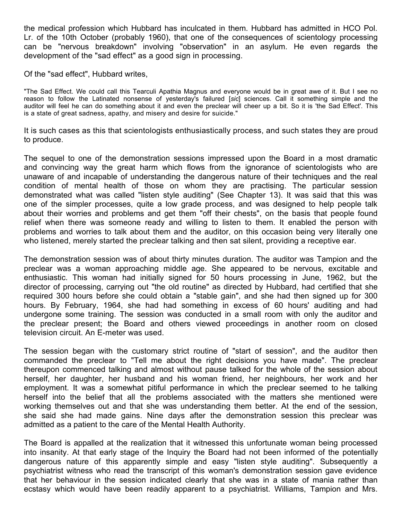the medical profession which Hubbard has inculcated in them. Hubbard has admitted in HCO Pol. Lr. of the 10th October (probably 1960), that one of the consequences of scientology processing can be "nervous breakdown" involving "observation" in an asylum. He even regards the development of the "sad effect" as a good sign in processing.

Of the "sad effect", Hubbard writes,

"The Sad Effect. We could call this Tearculi Apathia Magnus and everyone would be in great awe of it. But I see no reason to follow the Latinated nonsense of yesterday's failured [*sic*] sciences. Call it something simple and the auditor will feel he can do something about it and even the preclear will cheer up a bit. So it is 'the Sad Effect'. This is a state of great sadness, apathy, and misery and desire for suicide."

It is such cases as this that scientologists enthusiastically process, and such states they are proud to produce.

The sequel to one of the demonstration sessions impressed upon the Board in a most dramatic and convincing way the great harm which flows from the ignorance of scientologists who are unaware of and incapable of understanding the dangerous nature of their techniques and the real condition of mental health of those on whom they are practising. The particular session demonstrated what was called "listen style auditing" (See Chapter 13). It was said that this was one of the simpler processes, quite a low grade process, and was designed to help people talk about their worries and problems and get them "off their chests", on the basis that people found relief when there was someone ready and willing to listen to them. It enabled the person with problems and worries to talk about them and the auditor, on this occasion being very literally one who listened, merely started the preclear talking and then sat silent, providing a receptive ear.

The demonstration session was of about thirty minutes duration. The auditor was Tampion and the preclear was a woman approaching middle age. She appeared to be nervous, excitable and enthusiastic. This woman had initially signed for 50 hours processing in June, 1962, but the director of processing, carrying out "the old routine" as directed by Hubbard, had certified that she required 300 hours before she could obtain a "stable gain", and she had then signed up for 300 hours. By February, 1964, she had had something in excess of 60 hours' auditing and had undergone some training. The session was conducted in a small room with only the auditor and the preclear present; the Board and others viewed proceedings in another room on closed television circuit. An E-meter was used.

The session began with the customary strict routine of "start of session", and the auditor then commanded the preclear to "Tell me about the right decisions you have made". The preclear thereupon commenced talking and almost without pause talked for the whole of the session about herself, her daughter, her husband and his woman friend, her neighbours, her work and her employment. It was a somewhat pitiful performance in which the preclear seemed to he talking herself into the belief that all the problems associated with the matters she mentioned were working themselves out and that she was understanding them better. At the end of the session, she said she had made gains. Nine days after the demonstration session this preclear was admitted as a patient to the care of the Mental Health Authority.

The Board is appalled at the realization that it witnessed this unfortunate woman being processed into insanity. At that early stage of the Inquiry the Board had not been informed of the potentially dangerous nature of this apparently simple and easy "listen style auditing". Subsequently a psychiatrist witness who read the transcript of this woman's demonstration session gave evidence that her behaviour in the session indicated clearly that she was in a state of mania rather than ecstasy which would have been readily apparent to a psychiatrist. Williams, Tampion and Mrs.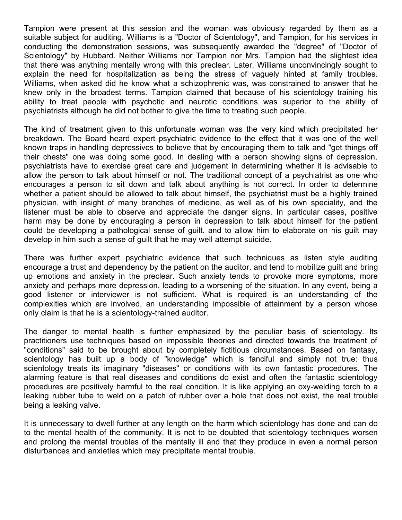Tampion were present at this session and the woman was obviously regarded by them as a suitable subject for auditing. Williams is a "Doctor of Scientology", and Tampion, for his services in conducting the demonstration sessions, was subsequently awarded the "degree" of "Doctor of Scientology" by Hubbard. Neither Williams nor Tampion nor Mrs. Tampion had the slightest idea that there was anything mentally wrong with this preclear. Later, Williams unconvincingly sought to explain the need for hospitalization as being the stress of vaguely hinted at family troubles. Williams, when asked did he know what a schizophrenic was, was constrained to answer that he knew only in the broadest terms. Tampion claimed that because of his scientology training his ability to treat people with psychotic and neurotic conditions was superior to the ability of psychiatrists although he did not bother to give the time to treating such people.

The kind of treatment given to this unfortunate woman was the very kind which precipitated her breakdown. The Board heard expert psychiatric evidence to the effect that it was one of the well known traps in handling depressives to believe that by encouraging them to talk and "get things off their chests" one was doing some good. In dealing with a person showing signs of depression, psychiatrists have to exercise great care and judgement in determining whether it is advisable to allow the person to talk about himself or not. The traditional concept of a psychiatrist as one who encourages a person to sit down and talk about anything is not correct. In order to determine whether a patient should be allowed to talk about himself, the psychiatrist must be a highly trained physician, with insight of many branches of medicine, as well as of his own speciality, and the listener must be able to observe and appreciate the danger signs. In particular cases, positive harm may be done by encouraging a person in depression to talk about himself for the patient could be developing a pathological sense of guilt. and to allow him to elaborate on his guilt may develop in him such a sense of guilt that he may well attempt suicide.

There was further expert psychiatric evidence that such techniques as listen style auditing encourage a trust and dependency by the patient on the auditor. and tend to mobilize guilt and bring up emotions and anxiety in the preclear. Such anxiety tends to provoke more symptoms, more anxiety and perhaps more depression, leading to a worsening of the situation. In any event, being a good listener or interviewer is not sufficient. What is required is an understanding of the complexities which are involved, an understanding impossible of attainment by a person whose only claim is that he is a scientology-trained auditor.

The danger to mental health is further emphasized by the peculiar basis of scientology. Its practitioners use techniques based on impossible theories and directed towards the treatment of "conditions" said to be brought about by completely fictitious circumstances. Based on fantasy, scientology has built up a body of "knowledge" which is fanciful and simply not true: thus scientology treats its imaginary "diseases" or conditions with its own fantastic procedures. The alarming feature is that real diseases and conditions do exist and often the fantastic scientology procedures are positively harmful to the real condition. It is like applying an oxy-welding torch to a leaking rubber tube to weld on a patch of rubber over a hole that does not exist, the real trouble being a leaking valve.

It is unnecessary to dwell further at any length on the harm which scientology has done and can do to the mental health of the community. It is not to be doubted that scientology techniques worsen and prolong the mental troubles of the mentally ill and that they produce in even a normal person disturbances and anxieties which may precipitate mental trouble.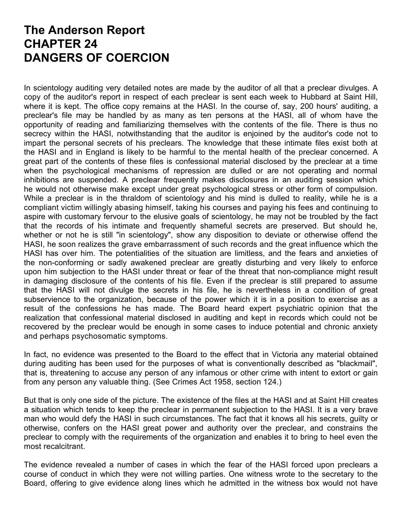## **The Anderson Report CHAPTER 24 DANGERS OF COERCION**

In scientology auditing very detailed notes are made by the auditor of all that a preclear divulges. A copy of the auditor's report in respect of each preclear is sent each week to Hubbard at Saint Hill, where it is kept. The office copy remains at the HASI. In the course of, say, 200 hours' auditing, a preclear's file may be handled by as many as ten persons at the HASI, all of whom have the opportunity of reading and familiarizing themselves with the contents of the file. There is thus no secrecy within the HASI, notwithstanding that the auditor is enjoined by the auditor's code not to impart the personal secrets of his preclears. The knowledge that these intimate files exist both at the HASI and in England is likely to be harmful to the mental health of the preclear concerned. A great part of the contents of these files is confessional material disclosed by the preclear at a time when the psychological mechanisms of repression are dulled or are not operating and normal inhibitions are suspended. A preclear frequently makes disclosures in an auditing session which he would not otherwise make except under great psychological stress or other form of compulsion. While a preclear is in the thraldom of scientology and his mind is dulled to reality, while he is a compliant victim willingly abasing himself, taking his courses and paying his fees and continuing to aspire with customary fervour to the elusive goals of scientology, he may not be troubled by the fact that the records of his intimate and frequently shameful secrets are preserved. But should he, whether or not he is still "in scientology", show any disposition to deviate or otherwise offend the HASI, he soon realizes the grave embarrassment of such records and the great influence which the HASI has over him. The potentialities of the situation are limitless, and the fears and anxieties of the non-conforming or sadly awakened preclear are greatly disturbing and very likely to enforce upon him subjection to the HASI under threat or fear of the threat that non-compliance might result in damaging disclosure of the contents of his file. Even if the preclear is still prepared to assume that the HASI will not divulge the secrets in his file, he is nevertheless in a condition of great subservience to the organization, because of the power which it is in a position to exercise as a result of the confessions he has made. The Board heard expert psychiatric opinion that the realization that confessional material disclosed in auditing and kept in records which could not be recovered by the preclear would be enough in some cases to induce potential and chronic anxiety and perhaps psychosomatic symptoms.

In fact, no evidence was presented to the Board to the effect that in Victoria any material obtained during auditing has been used for the purposes of what is conventionally described as "blackmail", that is, threatening to accuse any person of any infamous or other crime with intent to extort or gain from any person any valuable thing. (See Crimes Act 1958, section 124.)

But that is only one side of the picture. The existence of the files at the HASI and at Saint Hill creates a situation which tends to keep the preclear in permanent subjection to the HASI. It is a very brave man who would defy the HASI in such circumstances. The fact that it knows all his secrets, guilty or otherwise, confers on the HASI great power and authority over the preclear, and constrains the preclear to comply with the requirements of the organization and enables it to bring to heel even the most recalcitrant.

The evidence revealed a number of cases in which the fear of the HASI forced upon preclears a course of conduct in which they were not willing parties. One witness wrote to the secretary to the Board, offering to give evidence along lines which he admitted in the witness box would not have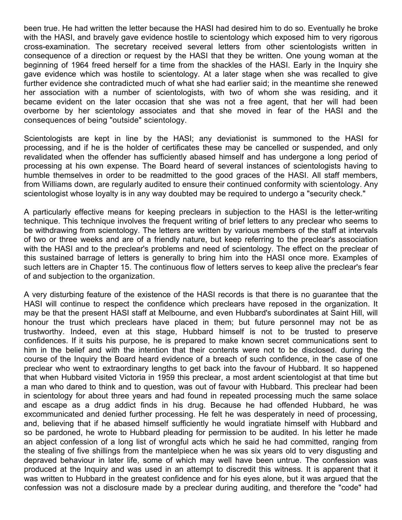been true. He had written the letter because the HASI had desired him to do so. Eventually he broke with the HASI, and bravely gave evidence hostile to scientology which exposed him to very rigorous cross-examination. The secretary received several letters from other scientologists written in consequence of a direction or request by the HASI that they be written. One young woman at the beginning of 1964 freed herself for a time from the shackles of the HASI. Early in the Inquiry she gave evidence which was hostile to scientology. At a later stage when she was recalled to give further evidence she contradicted much of what she had earlier said; in the meantime she renewed her association with a number of scientologists, with two of whom she was residing, and it became evident on the later occasion that she was not a free agent, that her will had been overborne by her scientology associates and that she moved in fear of the HASI and the consequences of being "outside" scientology.

Scientologists are kept in line by the HASI; any deviationist is summoned to the HASI for processing, and if he is the holder of certificates these may be cancelled or suspended, and only revalidated when the offender has sufficiently abased himself and has undergone a long period of processing at his own expense. The Board heard of several instances of scientologists having to humble themselves in order to be readmitted to the good graces of the HASI. All staff members, from Williams down, are regularly audited to ensure their continued conformity with scientology. Any scientologist whose loyalty is in any way doubted may be required to undergo a "security check."

A particularly effective means for keeping preclears in subjection to the HASI is the letter-writing technique. This technique involves the frequent writing of brief letters to any preclear who seems to be withdrawing from scientology. The letters are written by various members of the staff at intervals of two or three weeks and are of a friendly nature, but keep referring to the preclear's association with the HASI and to the preclear's problems and need of scientology. The effect on the preclear of this sustained barrage of letters is generally to bring him into the HASI once more. Examples of such letters are in Chapter 15. The continuous flow of letters serves to keep alive the preclear's fear of and subjection to the organization.

A very disturbing feature of the existence of the HASI records is that there is no guarantee that the HASI will continue to respect the confidence which preclears have reposed in the organization. It may be that the present HASI staff at Melbourne, and even Hubbard's subordinates at Saint Hill, will honour the trust which preclears have placed in them; but future personnel may not be as trustworthy. Indeed, even at this stage, Hubbard himself is not to be trusted to preserve confidences. If it suits his purpose, he is prepared to make known secret communications sent to him in the belief and with the intention that their contents were not to be disclosed. during the course of the Inquiry the Board heard evidence of a breach of such confidence, in the case of one preclear who went to extraordinary lengths to get back into the favour of Hubbard. It so happened that when Hubbard visited Victoria in 1959 this preclear, a most ardent scientologist at that time but a man who dared to think and to question, was out of favour with Hubbard. This preclear had been in scientology for about three years and had found in repeated processing much the same solace and escape as a drug addict finds in his drug. Because he had offended Hubbard, he was excommunicated and denied further processing. He felt he was desperately in need of processing, and, believing that if he abased himself sufficiently he would ingratiate himself with Hubbard and so be pardoned, he wrote to Hubbard pleading for permission to be audited. In his letter he made an abject confession of a long list of wrongful acts which he said he had committed, ranging from the stealing of five shillings from the mantelpiece when he was six years old to very disgusting and depraved behaviour in later life, some of which may well have been untrue. The confession was produced at the Inquiry and was used in an attempt to discredit this witness. It is apparent that it was written to Hubbard in the greatest confidence and for his eyes alone, but it was argued that the confession was not a disclosure made by a preclear during auditing, and therefore the "code" had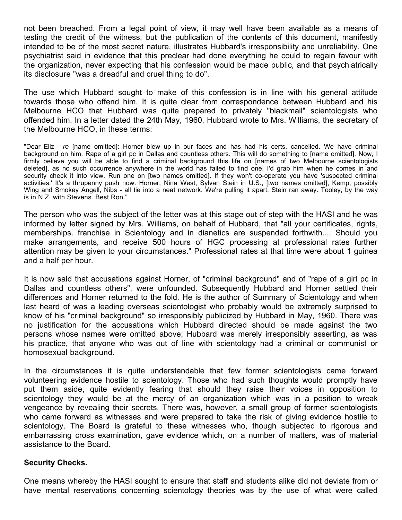not been breached. From a legal point of view, it may well have been available as a means of testing the credit of the witness, but the publication of the contents of this document, manifestly intended to be of the most secret nature, illustrates Hubbard's irresponsibility and unreliability. One psychiatrist said in evidence that this preclear had done everything he could to regain favour with the organization, never expecting that his confession would be made public, and that psychiatrically its disclosure "was a dreadful and cruel thing to do".

The use which Hubbard sought to make of this confession is in line with his general attitude towards those who offend him. It is quite clear from correspondence between Hubbard and his Melbourne HCO that Hubbard was quite prepared to privately "blackmail" scientologists who offended him. In a letter dated the 24th May, 1960, Hubbard wrote to Mrs. Williams, the secretary of the Melbourne HCO, in these terms:

"Dear Eliz - *re* [name omitted]: Horner blew up in our faces and has had his certs. cancelled. We have criminal background on him. Rape of a girl pc in Dallas and countless others. This will do something to [name omitted]. Now, I firmly believe you will be able to find a criminal background this life on [names of two Melbourne scientologists deleted], as no such occurrence anywhere in the world has failed to find one. I'd grab him when he comes in and security check it into view. Run one on [two names omitted]. If they won't co-operate you have 'suspected criminal activities.' It's a thrupenny push now. Horner, Nina West, Sylvan Stein in U.S., [two names omitted], Kemp, possibly Wing and Smokey Angell, Nibs - all tie into a neat network. We're pulling it apart. Stein ran away. Tooley, by the way is in N.Z. with Stevens. Best Ron."

The person who was the subject of the letter was at this stage out of step with the HASI and he was informed by letter signed by Mrs. Williams, on behalf of Hubbard, that "all your certificates, rights, memberships. franchise in Scientology and in dianetics are suspended forthwith.... Should you make arrangements, and receive 500 hours of HGC processing at professional rates further attention may be given to your circumstances." Professional rates at that time were about 1 guinea and a half per hour.

It is now said that accusations against Horner, of "criminal background" and of "rape of a girl pc in Dallas and countless others", were unfounded. Subsequently Hubbard and Horner settled their differences and Horner returned to the fold. He is the author of Summary of Scientology and when last heard of was a leading overseas scientologist who probably would be extremely surprised to know of his "criminal background" so irresponsibly publicized by Hubbard in May, 1960. There was no justification for the accusations which Hubbard directed should be made against the two persons whose names were omitted above; Hubbard was merely irresponsibly asserting, as was his practice, that anyone who was out of line with scientology had a criminal or communist or homosexual background.

In the circumstances it is quite understandable that few former scientologists came forward volunteering evidence hostile to scientology. Those who had such thoughts would promptly have put them aside, quite evidently fearing that should they raise their voices in opposition to scientology they would be at the mercy of an organization which was in a position to wreak vengeance by revealing their secrets. There was, however, a small group of former scientologists who came forward as witnesses and were prepared to take the risk of giving evidence hostile to scientology. The Board is grateful to these witnesses who, though subjected to rigorous and embarrassing cross examination, gave evidence which, on a number of matters, was of material assistance to the Board.

### **Security Checks.**

One means whereby the HASI sought to ensure that staff and students alike did not deviate from or have mental reservations concerning scientology theories was by the use of what were called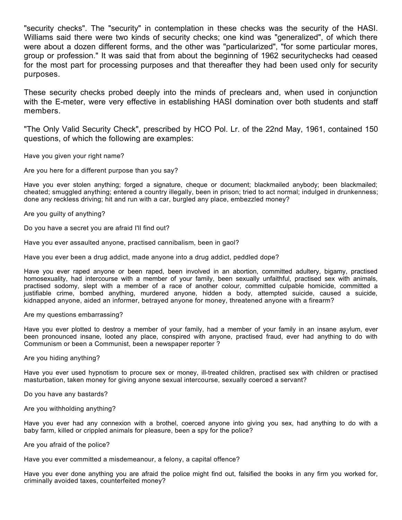"security checks". The "security" in contemplation in these checks was the security of the HASI. Williams said there were two kinds of security checks; one kind was "generalized", of which there were about a dozen different forms, and the other was "particularized", "for some particular mores, group or profession." It was said that from about the beginning of 1962 securitychecks had ceased for the most part for processing purposes and that thereafter they had been used only for security purposes.

These security checks probed deeply into the minds of preclears and, when used in conjunction with the E-meter, were very effective in establishing HASI domination over both students and staff members.

"The Only Valid Security Check", prescribed by HCO Pol. Lr. of the 22nd May, 1961, contained 150 questions, of which the following are examples:

Have you given your right name?

Are you here for a different purpose than you say?

Have you ever stolen anything; forged a signature, cheque or document; blackmailed anybody; been blackmailed; cheated; smuggled anything; entered a country illegally, been in prison; tried to act normal; indulged in drunkenness; done any reckless driving; hit and run with a car, burgled any place, embezzled money?

Are you guilty of anything?

Do you have a secret you are afraid I'll find out?

Have you ever assaulted anyone, practised cannibalism, been in gaol?

Have you ever been a drug addict, made anyone into a drug addict, peddled dope?

Have you ever raped anyone or been raped, been involved in an abortion, committed adultery, bigamy, practised homosexuality, had intercourse with a member of your family, been sexually unfaithful, practised sex with animals, practised sodomy, slept with a member of a race of another colour, committed culpable homicide, committed a justifiable crime, bombed anything, murdered anyone, hidden a body, attempted suicide, caused a suicide, kidnapped anyone, aided an informer, betrayed anyone for money, threatened anyone with a firearm?

#### Are my questions embarrassing?

Have you ever plotted to destroy a member of your family, had a member of your family in an insane asylum, ever been pronounced insane, looted any place, conspired with anyone, practised fraud, ever had anything to do with Communism or been a Communist, been a newspaper reporter ?

Are you hiding anything?

Have you ever used hypnotism to procure sex or money, ill-treated children, practised sex with children or practised masturbation, taken money for giving anyone sexual intercourse, sexually coerced a servant?

Do you have any bastards?

Are you withholding anything?

Have you ever had any connexion with a brothel, coerced anyone into giving you sex, had anything to do with a baby farm, killed or crippled animals for pleasure, been a spy for the police?

Are you afraid of the police?

Have you ever committed a misdemeanour, a felony, a capital offence?

Have you ever done anything you are afraid the police might find out, falsified the books in any firm you worked for, criminally avoided taxes, counterfeited money?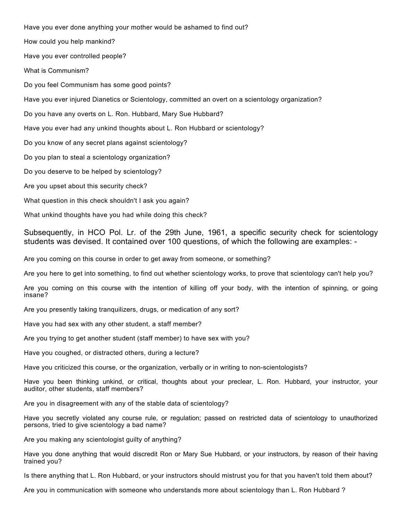Have you ever done anything your mother would be ashamed to find out?

How could you help mankind?

Have you ever controlled people?

What is Communism?

Do you feel Communism has some good points?

Have you ever injured Dianetics or Scientology, committed an overt on a scientology organization?

Do you have any overts on L. Ron. Hubbard, Mary Sue Hubbard?

Have you ever had any unkind thoughts about L. Ron Hubbard or scientology?

Do you know of any secret plans against scientology?

Do you plan to steal a scientology organization?

Do you deserve to be helped by scientology?

Are you upset about this security check?

What question in this check shouldn't I ask you again?

What unkind thoughts have you had while doing this check?

Subsequently, in HCO Pol. Lr. of the 29th June, 1961, a specific security check for scientology students was devised. It contained over 100 questions, of which the following are examples: -

Are you coming on this course in order to get away from someone, or something?

Are you here to get into something, to find out whether scientology works, to prove that scientology can't help you?

Are you coming on this course with the intention of killing off your body, with the intention of spinning, or going insane?

Are you presently taking tranquilizers, drugs, or medication of any sort?

Have you had sex with any other student, a staff member?

Are you trying to get another student (staff member) to have sex with you?

Have you coughed, or distracted others, during a lecture?

Have you criticized this course, or the organization, verbally or in writing to non-scientologists?

Have you been thinking unkind, or critical, thoughts about your preclear, L. Ron. Hubbard, your instructor, your auditor, other students, staff members?

Are you in disagreement with any of the stable data of scientology?

Have you secretly violated any course rule, or regulation; passed on restricted data of scientology to unauthorized persons, tried to give scientology a bad name?

Are you making any scientologist guilty of anything?

Have you done anything that would discredit Ron or Mary Sue Hubbard, or your instructors, by reason of their having trained you?

Is there anything that L. Ron Hubbard, or your instructors should mistrust you for that you haven't told them about?

Are you in communication with someone who understands more about scientology than L. Ron Hubbard ?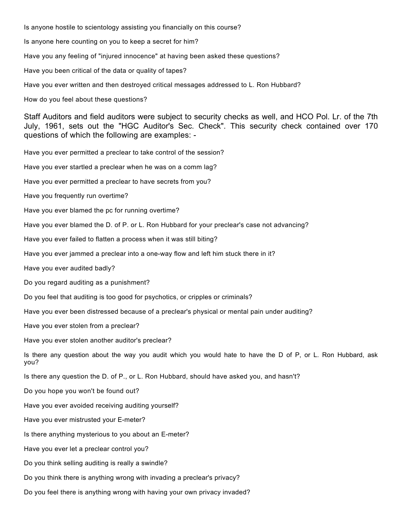Is anyone hostile to scientology assisting you financially on this course?

Is anyone here counting on you to keep a secret for him?

Have you any feeling of "injured innocence" at having been asked these questions?

Have you been critical of the data or quality of tapes?

Have you ever written and then destroyed critical messages addressed to L. Ron Hubbard?

How do you feel about these questions?

Staff Auditors and field auditors were subject to security checks as well, and HCO Pol. Lr. of the 7th July, 1961, sets out the "HGC Auditor's Sec. Check". This security check contained over 170 questions of which the following are examples: -

Have you ever permitted a preclear to take control of the session?

Have you ever startled a preclear when he was on a comm lag?

Have you ever permitted a preclear to have secrets from you?

Have you frequently run overtime?

Have you ever blamed the pc for running overtime?

Have you ever blamed the D. of P. or L. Ron Hubbard for your preclear's case not advancing?

Have you ever failed to flatten a process when it was still biting?

Have you ever jammed a preclear into a one-way flow and left him stuck there in it?

Have you ever audited badly?

Do you regard auditing as a punishment?

Do you feel that auditing is too good for psychotics, or cripples or criminals?

Have you ever been distressed because of a preclear's physical or mental pain under auditing?

Have you ever stolen from a preclear?

Have you ever stolen another auditor's preclear?

Is there any question about the way you audit which you would hate to have the D of P, or L. Ron Hubbard, ask you?

Is there any question the D. of P., or L. Ron Hubbard, should have asked you, and hasn't?

Do you hope you won't be found out?

Have you ever avoided receiving auditing yourself?

Have you ever mistrusted your E-meter?

Is there anything mysterious to you about an E-meter?

Have you ever let a preclear control you?

Do you think selling auditing is really a swindle?

Do you think there is anything wrong with invading a preclear's privacy?

Do you feel there is anything wrong with having your own privacy invaded?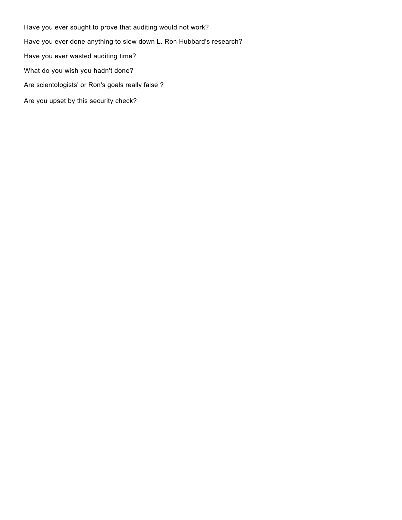Have you ever sought to prove that auditing would not work? Have you ever done anything to slow down L. Ron Hubbard's research? Have you ever wasted auditing time? What do you wish you hadn't done? Are scientologists' or Ron's goals really false ? Are you upset by this security check?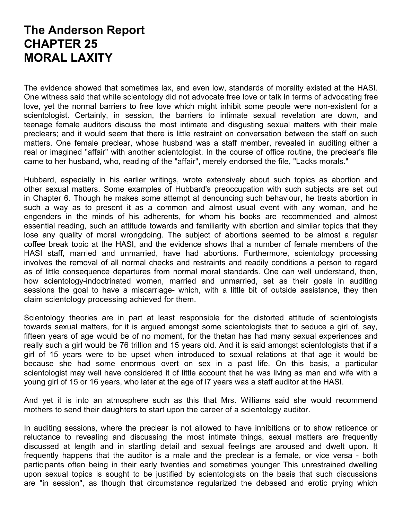# **The Anderson Report CHAPTER 25 MORAL LAXITY**

The evidence showed that sometimes lax, and even low, standards of morality existed at the HASI. One witness said that while scientology did not advocate free love or talk in terms of advocating free love, yet the normal barriers to free love which might inhibit some people were non-existent for a scientologist. Certainly, in session, the barriers to intimate sexual revelation are down, and teenage female auditors discuss the most intimate and disgusting sexual matters with their male preclears; and it would seem that there is little restraint on conversation between the staff on such matters. One female preclear, whose husband was a staff member, revealed in auditing either a real or imagined "affair" with another scientologist. In the course of office routine, the preclear's file came to her husband, who, reading of the "affair", merely endorsed the file, "Lacks morals."

Hubbard, especially in his earlier writings, wrote extensively about such topics as abortion and other sexual matters. Some examples of Hubbard's preoccupation with such subjects are set out in Chapter 6. Though he makes some attempt at denouncing such behaviour, he treats abortion in such a way as to present it as a common and almost usual event with any woman, and he engenders in the minds of his adherents, for whom his books are recommended and almost essential reading, such an attitude towards and familiarity with abortion and similar topics that they lose any quality of moral wrongdoing. The subject of abortions seemed to be almost a regular coffee break topic at the HASI, and the evidence shows that a number of female members of the HASI staff, married and unmarried, have had abortions. Furthermore, scientology processing involves the removal of all normal checks and restraints and readily conditions a person to regard as of little consequence departures from normal moral standards. One can well understand, then, how scientology-indoctrinated women, married and unmarried, set as their goals in auditing sessions the goal to have a miscarriage- which, with a little bit of outside assistance, they then claim scientology processing achieved for them.

Scientology theories are in part at least responsible for the distorted attitude of scientologists towards sexual matters, for it is argued amongst some scientologists that to seduce a girl of, say, fifteen years of age would be of no moment, for the thetan has had many sexual experiences and really such a girl would be 76 trillion and 15 years old. And it is said amongst scientologists that if a girl of 15 years were to be upset when introduced to sexual relations at that age it would be because she had some enormous overt on sex in a past life. On this basis, a particular scientologist may well have considered it of little account that he was living as man and wife with a young girl of 15 or 16 years, who later at the age of l7 years was a staff auditor at the HASI.

And yet it is into an atmosphere such as this that Mrs. Williams said she would recommend mothers to send their daughters to start upon the career of a scientology auditor.

In auditing sessions, where the preclear is not allowed to have inhibitions or to show reticence or reluctance to revealing and discussing the most intimate things, sexual matters are frequently discussed at length and in startling detail and sexual feelings are aroused and dwelt upon. It frequently happens that the auditor is a male and the preclear is a female, or vice versa - both participants often being in their early twenties and sometimes younger This unrestrained dwelling upon sexual topics is sought to be justified by scientologists on the basis that such discussions are "in session", as though that circumstance regularized the debased and erotic prying which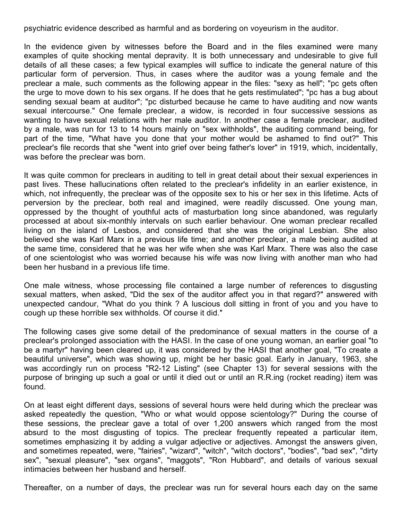psychiatric evidence described as harmful and as bordering on voyeurism in the auditor.

In the evidence given by witnesses before the Board and in the files examined were many examples of quite shocking mental depravity. It is both unnecessary and undesirable to give full details of all these cases; a few typical examples will suffice to indicate the general nature of this particular form of perversion. Thus, in cases where the auditor was a young female and the preclear a male, such comments as the following appear in the files: "sexy as hell"; "pc gets often the urge to move down to his sex organs. If he does that he gets restimulated"; "pc has a bug about sending sexual beam at auditor"; "pc disturbed because he came to have auditing and now wants sexual intercourse." One female preclear, a widow, is recorded in four successive sessions as wanting to have sexual relations with her male auditor. In another case a female preclear, audited by a male, was run for 13 to 14 hours mainly on "sex withholds", the auditing command being, for part of the time, "What have you done that your mother would be ashamed to find out?" This preclear's file records that she "went into grief over being father's lover" in 1919, which, incidentally, was before the preclear was born.

It was quite common for preclears in auditing to tell in great detail about their sexual experiences in past lives. These hallucinations often related to the preclear's infidelity in an earlier existence, in which, not infrequently, the preclear was of the opposite sex to his or her sex in this lifetime. Acts of perversion by the preclear, both real and imagined, were readily discussed. One young man, oppressed by the thought of youthful acts of masturbation long since abandoned, was regularly processed at about six-monthly intervals on such earlier behaviour. One woman preclear recalled living on the island of Lesbos, and considered that she was the original Lesbian. She also believed she was Karl Marx in a previous life time; and another preclear, a male being audited at the same time, considered that he was her wife when she was Karl Marx. There was also the case of one scientologist who was worried because his wife was now living with another man who had been her husband in a previous life time.

One male witness, whose processing file contained a large number of references to disgusting sexual matters, when asked, "Did the sex of the auditor affect you in that regard?" answered with unexpected candour, "What do you think ? A luscious doll sitting in front of you and you have to cough up these horrible sex withholds. Of course it did."

The following cases give some detail of the predominance of sexual matters in the course of a preclear's prolonged association with the HASI. In the case of one young woman, an earlier goal "to be a martyr" having been cleared up, it was considered by the HASI that another goal, "To create a beautiful universe", which was showing up, might be her basic goal. Early in January, 1963, she was accordingly run on process "R2-12 Listing" (see Chapter 13) for several sessions with the purpose of bringing up such a goal or until it died out or until an R.R.ing (rocket reading) item was found.

On at least eight different days, sessions of several hours were held during which the preclear was asked repeatedly the question, "Who or what would oppose scientology?" During the course of these sessions, the preclear gave a total of over 1,200 answers which ranged from the most absurd to the most disgusting of topics. The preclear frequently repeated a particular item, sometimes emphasizing it by adding a vulgar adjective or adjectives. Amongst the answers given, and sometimes repeated, were, "fairies", "wizard", "witch", "witch doctors", "bodies", "bad sex", "dirty sex", "sexual pleasure", "sex organs", "maggots", "Ron Hubbard", and details of various sexual intimacies between her husband and herself.

Thereafter, on a number of days, the preclear was run for several hours each day on the same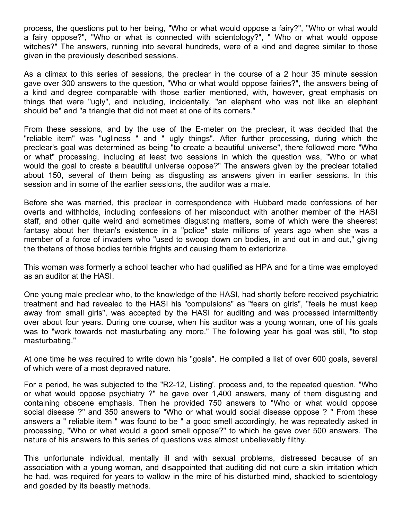process, the questions put to her being, "Who or what would oppose a fairy?", "Who or what would a fairy oppose?", "Who or what is connected with scientology?", " Who or what would oppose witches?" The answers, running into several hundreds, were of a kind and degree similar to those given in the previously described sessions.

As a climax to this series of sessions, the preclear in the course of a 2 hour 35 minute session gave over 300 answers to the question, "Who or what would oppose fairies?", the answers being of a kind and degree comparable with those earlier mentioned, with, however, great emphasis on things that were "ugly", and including, incidentally, "an elephant who was not like an elephant should be" and "a triangle that did not meet at one of its corners."

From these sessions, and by the use of the E-meter on the preclear, it was decided that the "reliable item" was "ugliness " and " ugly things". After further processing, during which the preclear's goal was determined as being "to create a beautiful universe", there followed more "Who or what" processing, including at least two sessions in which the question was, "Who or what would the goal to create a beautiful universe oppose?" The answers given by the preclear totalled about 150, several of them being as disgusting as answers given in earlier sessions. In this session and in some of the earlier sessions, the auditor was a male.

Before she was married, this preclear in correspondence with Hubbard made confessions of her overts and withholds, including confessions of her misconduct with another member of the HASI staff, and other quite weird and sometimes disgusting matters, some of which were the sheerest fantasy about her thetan's existence in a "police" state millions of years ago when she was a member of a force of invaders who "used to swoop down on bodies, in and out in and out," giving the thetans of those bodies terrible frights and causing them to exteriorize.

This woman was formerly a school teacher who had qualified as HPA and for a time was employed as an auditor at the HASI.

One young male preclear who, to the knowledge of the HASI, had shortly before received psychiatric treatment and had revealed to the HASI his "compulsions" as "fears on girls", "feels he must keep away from small girls", was accepted by the HASI for auditing and was processed intermittently over about four years. During one course, when his auditor was a young woman, one of his goals was to "work towards not masturbating any more." The following year his goal was still, "to stop masturbating."

At one time he was required to write down his "goals". He compiled a list of over 600 goals, several of which were of a most depraved nature.

For a period, he was subjected to the "R2-12, Listing', process and, to the repeated question, "Who or what would oppose psychiatry ?" he gave over 1,400 answers, many of them disgusting and containing obscene emphasis. Then he provided 750 answers to "Who or what would oppose social disease ?" and 350 answers to "Who or what would social disease oppose ? " From these answers a " reliable item " was found to be " a good smell accordingly, he was repeatedly asked in processing, "Who or what would a good smell oppose?" to which he gave over 500 answers. The nature of his answers to this series of questions was almost unbelievably filthy.

This unfortunate individual, mentally ill and with sexual problems, distressed because of an association with a young woman, and disappointed that auditing did not cure a skin irritation which he had, was required for years to wallow in the mire of his disturbed mind, shackled to scientology and goaded by its beastly methods.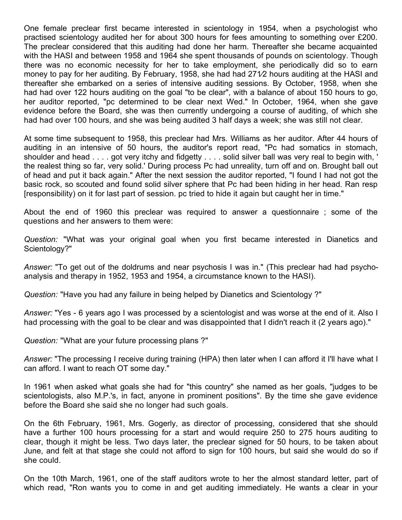One female preclear first became interested in scientology in 1954, when a psychologist who practised scientology audited her for about 300 hours for fees amounting to something over £200. The preclear considered that this auditing had done her harm. Thereafter she became acquainted with the HASI and between 1958 and 1964 she spent thousands of pounds on scientology. Though there was no economic necessity for her to take employment, she periodically did so to earn money to pay for her auditing. By February, 1958, she had had  $27\sqrt{2}$  hours auditing at the HASI and thereafter she embarked on a series of intensive auditing sessions. By October, 1958, when she had had over 122 hours auditing on the goal "to be clear", with a balance of about 150 hours to go, her auditor reported, "pc determined to be clear next Wed." In October, 1964, when she gave evidence before the Board, she was then currently undergoing a course of auditing, of which she had had over 100 hours, and she was being audited 3 half days a week; she was still not clear.

At some time subsequent to 1958, this preclear had Mrs. Williams as her auditor. After 44 hours of auditing in an intensive of 50 hours, the auditor's report read, "Pc had somatics in stomach, shoulder and head . . . . got very itchy and fidgetty . . . . solid silver ball was very real to begin with, ' the realest thing so far, very solid.' During process Pc had unreality, turn off and on. Brought ball out of head and put it back again." After the next session the auditor reported, "I found I had not got the basic rock, so scouted and found solid silver sphere that Pc had been hiding in her head. Ran resp [responsibility) on it for last part of session. pc tried to hide it again but caught her in time."

About the end of 1960 this preclear was required to answer a questionnaire ; some of the questions and her answers to them were:

*Question:* "What was your original goal when you first became interested in Dianetics and Scientology?"

*Answer:* "To get out of the doldrums and near psychosis I was in." (This preclear had had psychoanalysis and therapy in 1952, 1953 and 1954, a circumstance known to the HASI).

*Question:* "Have you had any failure in being helped by Dianetics and Scientology ?"

*Answer:* "Yes - 6 years ago I was processed by a scientologist and was worse at the end of it. Also I had processing with the goal to be clear and was disappointed that I didn't reach it (2 years ago)."

*Question:* "What are your future processing plans ?"

*Answer:* "The processing I receive during training (HPA) then later when I can afford it I'll have what I can afford. I want to reach OT some day."

In 1961 when asked what goals she had for "this country" she named as her goals, "judges to be scientologists, also M.P.'s, in fact, anyone in prominent positions". By the time she gave evidence before the Board she said she no longer had such goals.

On the 6th February, 1961, Mrs. Gogerly, as director of processing, considered that she should have a further 100 hours processing for a start and would require 250 to 275 hours auditing to clear, though it might be less. Two days later, the preclear signed for 50 hours, to be taken about June, and felt at that stage she could not afford to sign for 100 hours, but said she would do so if she could.

On the 10th March, 1961, one of the staff auditors wrote to her the almost standard letter, part of which read, "Ron wants you to come in and get auditing immediately. He wants a clear in your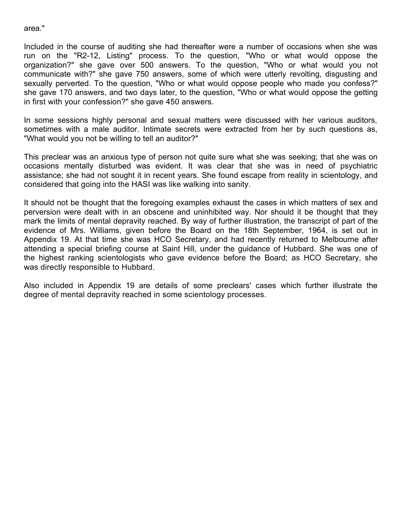area."

Included in the course of auditing she had thereafter were a number of occasions when she was run on the "R2-12, Listing" process. To the question, "Who or what would oppose the organization?" she gave over 500 answers. To the question, "Who or what would you not communicate with?" she gave 750 answers, some of which were utterly revolting, disgusting and sexually perverted. To the question, "Who or what would oppose people who made you confess?" she gave 170 answers, and two days later, to the question, "Who or what would oppose the getting in first with your confession?" she gave 450 answers.

In some sessions highly personal and sexual matters were discussed with her various auditors, sometimes with a male auditor. Intimate secrets were extracted from her by such questions as, "What would you not be willing to tell an auditor?"

This preclear was an anxious type of person not quite sure what she was seeking; that she was on occasions mentally disturbed was evident. It was clear that she was in need of psychiatric assistance; she had not sought it in recent years. She found escape from reality in scientology, and considered that going into the HASI was like walking into sanity.

It should not be thought that the foregoing examples exhaust the cases in which matters of sex and perversion were dealt with in an obscene and uninhibited way. Nor should it be thought that they mark the limits of mental depravity reached. By way of further illustration, the transcript of part of the evidence of Mrs. Williams, given before the Board on the 18th September, 1964, is set out in Appendix 19. At that time she was HCO Secretary, and had recently returned to Melbourne after attending a special briefing course at Saint Hill, under the guidance of Hubbard. She was one of the highest ranking scientologists who gave evidence before the Board; as HCO Secretary, she was directly responsible to Hubbard.

Also included in Appendix 19 are details of some preclears' cases which further illustrate the degree of mental depravity reached in some scientology processes.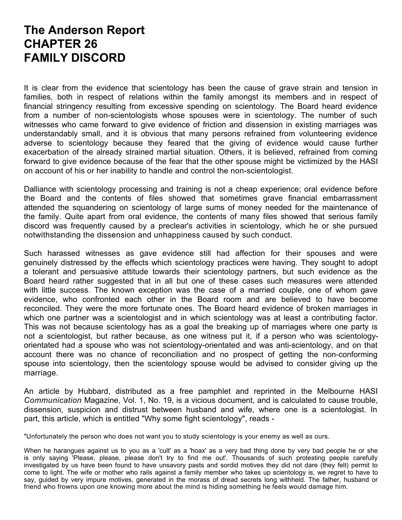# **The Anderson Report CHAPTER 26 FAMlLY DISCORD**

It is clear from the evidence that scientology has been the cause of grave strain and tension in families, both in respect of relations within the family amongst its members and in respect of financial stringency resulting from excessive spending on scientology. The Board heard evidence from a number of non-scientologists whose spouses were in scientology. The number of such witnesses who came forward to give evidence of friction and dissension in existing marriages was understandably small, and it is obvious that many persons refrained from volunteering evidence adverse to scientology because they feared that the giving of evidence would cause further exacerbation of the already strained martial situation. Others, it is believed, refrained from coming forward to give evidence because of the fear that the other spouse might be victimized by the HASI on account of his or her inability to handle and control the non-scientologist.

Dalliance with scientology processing and training is not a cheap experience; oral evidence before the Board and the contents of files showed that sometimes grave financial embarrassment attended the squandering on scientology of large sums of money needed for the maintenance of the family. Quite apart from oral evidence, the contents of many files showed that serious family discord was frequently caused by a preclear's activities in scientology, which he or she pursued notwithstanding the dissension and unhappiness caused by such conduct.

Such harassed witnesses as gave evidence still had affection for their spouses and were genuinely distressed by the effects which scientology practices were having. They sought to adopt a tolerant and persuasive attitude towards their scientology partners, but such evidence as the Board heard rather suggested that in all but one of these cases such measures were attended with little success. The known exception was the case of a married couple, one of whom gave evidence, who confronted each other in the Board room and are believed to have become reconciled. They were the more fortunate ones. The Board heard evidence of broken marriages in which one partner was a scientologist and in which scientology was at least a contributing factor. This was not because scientology has as a goal the breaking up of marriages where one party is not a scientologist, but rather because, as one witness put it, if a person who was scientologyorientated had a spouse who was not scientology-orientated and was anti-scientology, and on that account there was no chance of reconciliation and no prospect of getting the non-conforming spouse into scientology, then the scientology spouse would be advised to consider giving up the marriage.

An article by Hubbard, distributed as a free pamphlet and reprinted in the Melbourne HASI *Communication* Magazine, Vol. 1, No. 19, is a vicious document, and is calculated to cause trouble, dissension, suspicion and distrust between husband and wife, where one is a scientologist. In part, this article, which is entitled "Why some fight scientology", reads -

"Unfortunately the person who does not want you to study scientology is your enemy as well as ours.

When he harangues against us to you as a 'cult' as a 'hoax' as a very bad thing done by very bad people he or she is only saying 'Please, please, please don't try to find me out'. Thousands of such protesting people carefully investigated by us have been found to have unsavory pasts and sordid motives they did not dare (they felt) permit to come to light. The wife or mother who rails against a family member who takes up scientology is, we regret to have to say, guided by very impure motives, generated in the morass of dread secrets long withheld. The father, husband or friend who frowns upon one knowing more about the mind is hiding something he feels would damage him.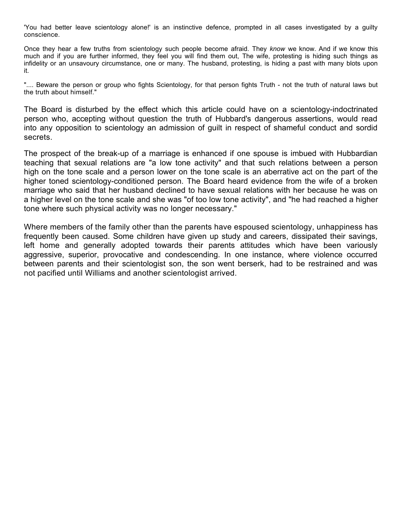'You had better leave scientology alone!' is an instinctive defence, prompted in all cases investigated by a guilty conscience.

Once they hear a few truths from scientology such people become afraid. They *know* we know. And if we know this much and if you are further informed, they feel you will find them out, The wife, protesting is hiding such things as infidelity or an unsavoury circumstance, one or many. The husband, protesting, is hiding a past with many blots upon it.

".... Beware the person or group who fights Scientology, for that person fights Truth - not the truth of natural laws but the truth about himself."

The Board is disturbed by the effect which this article could have on a scientology-indoctrinated person who, accepting without question the truth of Hubbard's dangerous assertions, would read into any opposition to scientology an admission of guilt in respect of shameful conduct and sordid secrets.

The prospect of the break-up of a marriage is enhanced if one spouse is imbued with Hubbardian teaching that sexual relations are "a low tone activity" and that such relations between a person high on the tone scale and a person lower on the tone scale is an aberrative act on the part of the higher toned scientology-conditioned person. The Board heard evidence from the wife of a broken marriage who said that her husband declined to have sexual relations with her because he was on a higher level on the tone scale and she was "of too low tone activity", and "he had reached a higher tone where such physical activity was no longer necessary."

Where members of the family other than the parents have espoused scientology, unhappiness has frequently been caused. Some children have given up study and careers, dissipated their savings, left home and generally adopted towards their parents attitudes which have been variously aggressive, superior, provocative and condescending. In one instance, where violence occurred between parents and their scientologist son, the son went berserk, had to be restrained and was not pacified until Williams and another scientologist arrived.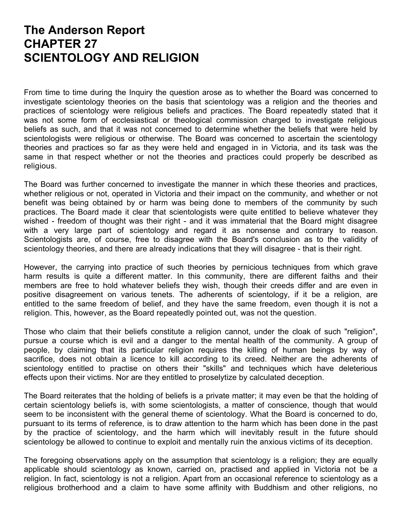## **The Anderson Report CHAPTER 27 SCIENTOLOGY AND RELIGION**

From time to time during the Inquiry the question arose as to whether the Board was concerned to investigate scientology theories on the basis that scientology was a religion and the theories and practices of scientology were religious beliefs and practices. The Board repeatedly stated that it was not some form of ecclesiastical or theological commission charged to investigate religious beliefs as such, and that it was not concerned to determine whether the beliefs that were held by scientologists were religious or otherwise. The Board was concerned to ascertain the scientology theories and practices so far as they were held and engaged in in Victoria, and its task was the same in that respect whether or not the theories and practices could properly be described as religious.

The Board was further concerned to investigate the manner in which these theories and practices, whether religious or not, operated in Victoria and their impact on the community, and whether or not benefit was being obtained by or harm was being done to members of the community by such practices. The Board made it clear that scientologists were quite entitled to believe whatever they wished - freedom of thought was their right - and it was immaterial that the Board might disagree with a very large part of scientology and regard it as nonsense and contrary to reason. Scientologists are, of course, free to disagree with the Board's conclusion as to the validity of scientology theories, and there are already indications that they will disagree - that is their right.

However, the carrying into practice of such theories by pernicious techniques from which grave harm results is quite a different matter. In this community, there are different faiths and their members are free to hold whatever beliefs they wish, though their creeds differ and are even in positive disagreement on various tenets. The adherents of scientology, if it be a religion, are entitled to the same freedom of belief, and they have the same freedom, even though it is not a religion. This, however, as the Board repeatedly pointed out, was not the question.

Those who claim that their beliefs constitute a religion cannot, under the cloak of such "religion", pursue a course which is evil and a danger to the mental health of the community. A group of people, by claiming that its particular religion requires the killing of human beings by way of sacrifice, does not obtain a licence to kill according to its creed. Neither are the adherents of scientology entitled to practise on others their "skills" and techniques which have deleterious effects upon their victims. Nor are they entitled to proselytize by calculated deception.

The Board reiterates that the holding of beliefs is a private matter; it may even be that the holding of certain scientology beliefs is, with some scientologists, a matter of conscience, though that would seem to be inconsistent with the general theme of scientology. What the Board is concerned to do, pursuant to its terms of reference, is to draw attention to the harm which has been done in the past by the practice of scientology, and the harm which will inevitably result in the future should scientology be allowed to continue to exploit and mentally ruin the anxious victims of its deception.

The foregoing observations apply on the assumption that scientology is a religion; they are equally applicable should scientology as known, carried on, practised and applied in Victoria not be a religion. In fact, scientology is not a religion. Apart from an occasional reference to scientology as a religious brotherhood and a claim to have some affinity with Buddhism and other religions, no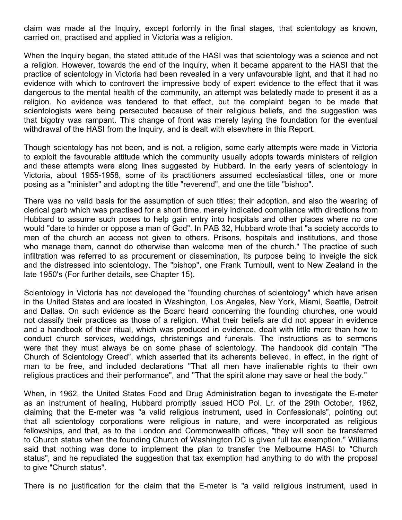claim was made at the Inquiry, except forlornly in the final stages, that scientology as known, carried on, practised and applied in Victoria was a religion.

When the Inquiry began, the stated attitude of the HASI was that scientology was a science and not a religion. However, towards the end of the Inquiry, when it became apparent to the HASI that the practice of scientology in Victoria had been revealed in a very unfavourable light, and that it had no evidence with which to controvert the impressive body of expert evidence to the effect that it was dangerous to the mental health of the community, an attempt was belatedly made to present it as a religion. No evidence was tendered to that effect, but the complaint began to be made that scientologists were being persecuted because of their religious beliefs, and the suggestion was that bigotry was rampant. This change of front was merely laying the foundation for the eventual withdrawal of the HASI from the Inquiry, and is dealt with elsewhere in this Report.

Though scientology has not been, and is not, a religion, some early attempts were made in Victoria to exploit the favourable attitude which the community usually adopts towards ministers of religion and these attempts were along lines suggested by Hubbard. In the early years of scientology in Victoria, about 1955-1958, some of its practitioners assumed ecclesiastical titles, one or more posing as a "minister" and adopting the title "reverend", and one the title "bishop".

There was no valid basis for the assumption of such titles; their adoption, and also the wearing of clerical garb which was practised for a short time, merely indicated compliance with directions from Hubbard to assume such poses to help gain entry into hospitals and other places where no one would "dare to hinder or oppose a man of God". In PAB 32, Hubbard wrote that "a society accords to men of the church an access not given to others. Prisons, hospitals and institutions, and those who manage them, cannot do otherwise than welcome men of the church." The practice of such infiltration was referred to as procurement or dissemination, its purpose being to inveigle the sick and the distressed into scientology. The "bishop", one Frank Turnbull, went to New Zealand in the late 1950's (For further details, see Chapter 15).

Scientology in Victoria has not developed the "founding churches of scientology" which have arisen in the United States and are located in Washington, Los Angeles, New York, Miami, Seattle, Detroit and Dallas. On such evidence as the Board heard concerning the founding churches, one would not classify their practices as those of a religion. What their beliefs are did not appear in evidence and a handbook of their ritual, which was produced in evidence, dealt with little more than how to conduct church services, weddings, christenings and funerals. The instructions as to sermons were that they must always be on some phase of scientology. The handbook did contain "The Church of Scientology Creed", which asserted that its adherents believed, in effect, in the right of man to be free, and included declarations "That all men have inalienable rights to their own religious practices and their performance", and "That the spirit alone may save or heal the body."

When, in 1962, the United States Food and Drug Administration began to investigate the E-meter as an instrument of healing, Hubbard promptly issued HCO Pol. Lr. of the 29th October, 1962, claiming that the E-meter was "a valid religious instrument, used in Confessionals", pointing out that all scientology corporations were religious in nature, and were incorporated as religious fellowships, and that, as to the London and Commonwealth offices, "they will soon be transferred to Church status when the founding Church of Washington DC is given full tax exemption." Williams said that nothing was done to implement the plan to transfer the Melbourne HASI to "Church status", and he repudiated the suggestion that tax exemption had anything to do with the proposal to give "Church status".

There is no justification for the claim that the E-meter is "a valid religious instrument, used in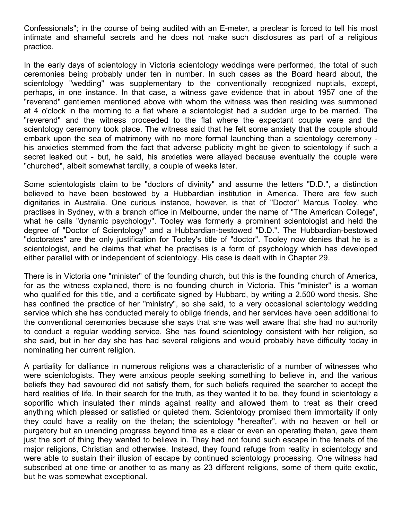Confessionals"; in the course of being audited with an E-meter, a preclear is forced to tell his most intimate and shameful secrets and he does not make such disclosures as part of a religious practice.

In the early days of scientology in Victoria scientology weddings were performed, the total of such ceremonies being probably under ten in number. In such cases as the Board heard about, the scientology "wedding" was supplementary to the conventionally recognized nuptials, except, perhaps, in one instance. In that case, a witness gave evidence that in about 1957 one of the "reverend" gentlemen mentioned above with whom the witness was then residing was summoned at 4 o'clock in the morning to a flat where a scientologist had a sudden urge to be married. The "reverend" and the witness proceeded to the flat where the expectant couple were and the scientology ceremony took place. The witness said that he felt some anxiety that the couple should embark upon the sea of matrimony with no more formal launching than a scientology ceremony his anxieties stemmed from the fact that adverse publicity might be given to scientology if such a secret leaked out - but, he said, his anxieties were allayed because eventually the couple were "churched", albeit somewhat tardily, a couple of weeks later.

Some scientologists claim to be "doctors of divinity" and assume the letters "D.D.", a distinction believed to have been bestowed by a Hubbardian institution in America. There are few such dignitaries in Australia. One curious instance, however, is that of "Doctor" Marcus Tooley, who practises in Sydney, with a branch office in Melbourne, under the name of "The American College", what he calls "dynamic psychology". Tooley was formerly a prominent scientologist and held the degree of "Doctor of Scientology" and a Hubbardian-bestowed "D.D.". The Hubbardian-bestowed "doctorates" are the only justification for Tooley's title of "doctor". Tooley now denies that he is a scientologist, and he claims that what he practises is a form of psychology which has developed either parallel with or independent of scientology. His case is dealt with in Chapter 29.

There is in Victoria one "minister" of the founding church, but this is the founding church of America, for as the witness explained, there is no founding church in Victoria. This "minister" is a woman who qualified for this title, and a certificate signed by Hubbard, by writing a 2,500 word thesis. She has confined the practice of her "ministry", so she said, to a very occasional scientology wedding service which she has conducted merely to oblige friends, and her services have been additional to the conventional ceremonies because she says that she was well aware that she had no authority to conduct a regular wedding service. She has found scientology consistent with her religion, so she said, but in her day she has had several religions and would probably have difficulty today in nominating her current religion.

A partiality for dalliance in numerous religions was a characteristic of a number of witnesses who were scientologists. They were anxious people seeking something to believe in, and the various beliefs they had savoured did not satisfy them, for such beliefs required the searcher to accept the hard realities of life. In their search for the truth, as they wanted it to be, they found in scientology a soporific which insulated their minds against reality and allowed them to treat as their creed anything which pleased or satisfied or quieted them. Scientology promised them immortality if only they could have a reality on the thetan; the scientology "hereafter", with no heaven or hell or purgatory but an unending progress beyond time as a clear or even an operating thetan, gave them just the sort of thing they wanted to believe in. They had not found such escape in the tenets of the major religions, Christian and otherwise. Instead, they found refuge from reality in scientology and were able to sustain their illusion of escape by continued scientology processing. One witness had subscribed at one time or another to as many as 23 different religions, some of them quite exotic, but he was somewhat exceptional.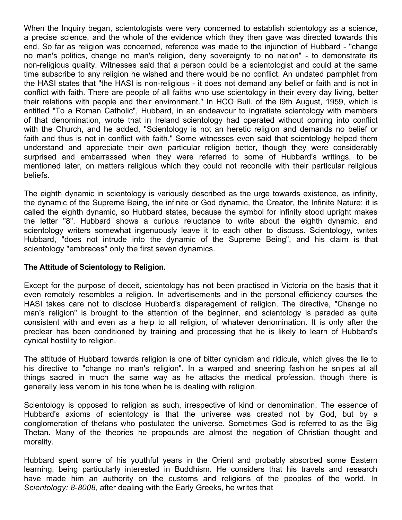When the Inquiry began, scientologists were very concerned to establish scientology as a science, a precise science, and the whole of the evidence which they then gave was directed towards this end. So far as religion was concerned, reference was made to the injunction of Hubbard - "change no man's politics, change no man's religion, deny sovereignty to no nation" - to demonstrate its non-religious quality. Witnesses said that a person could be a scientologist and could at the same time subscribe to any religion he wished and there would be no conflict. An undated pamphlet from the HASI states that "the HASI is non-religious - it does not demand any belief or faith and is not in conflict with faith. There are people of all faiths who use scientology in their every day living, better their relations with people and their environment." In HCO Bull. of the l9th August, 1959, which is entitled "To a Roman Catholic", Hubbard, in an endeavour to ingratiate scientology with members of that denomination, wrote that in Ireland scientology had operated without coming into conflict with the Church, and he added, "Scientology is not an heretic religion and demands no belief or faith and thus is not in conflict with faith." Some witnesses even said that scientology helped them understand and appreciate their own particular religion better, though they were considerably surprised and embarrassed when they were referred to some of Hubbard's writings, to be mentioned later, on matters religious which they could not reconcile with their particular religious beliefs.

The eighth dynamic in scientology is variously described as the urge towards existence, as infinity, the dynamic of the Supreme Being, the infinite or God dynamic, the Creator, the Infinite Nature; it is called the eighth dynamic, so Hubbard states, because the symbol for infinity stood upright makes the letter "8". Hubbard shows a curious reluctance to write about the eighth dynamic, and scientology writers somewhat ingenuously leave it to each other to discuss. Scientology, writes Hubbard, "does not intrude into the dynamic of the Supreme Being", and his claim is that scientology "embraces" only the first seven dynamics.

### **The Attitude of Scientology to Religion.**

Except for the purpose of deceit, scientology has not been practised in Victoria on the basis that it even remotely resembles a religion. In advertisements and in the personal efficiency courses the HASI takes care not to disclose Hubbard's disparagement of religion. The directive, "Change no man's religion" is brought to the attention of the beginner, and scientology is paraded as quite consistent with and even as a help to all religion, of whatever denomination. It is only after the preclear has been conditioned by training and processing that he is likely to learn of Hubbard's cynical hostility to religion.

The attitude of Hubbard towards religion is one of bitter cynicism and ridicule, which gives the lie to his directive to "change no man's religion". In a warped and sneering fashion he snipes at all things sacred in much the same way as he attacks the medical profession, though there is generally less venom in his tone when he is dealing with religion.

Scientology is opposed to religion as such, irrespective of kind or denomination. The essence of Hubbard's axioms of scientology is that the universe was created not by God, but by a conglomeration of thetans who postulated the universe. Sometimes God is referred to as the Big Thetan. Many of the theories he propounds are almost the negation of Christian thought and morality.

Hubbard spent some of his youthful years in the Orient and probably absorbed some Eastern learning, being particularly interested in Buddhism. He considers that his travels and research have made him an authority on the customs and religions of the peoples of the world. In *Scientology: 8-8008*, after dealing with the Early Greeks, he writes that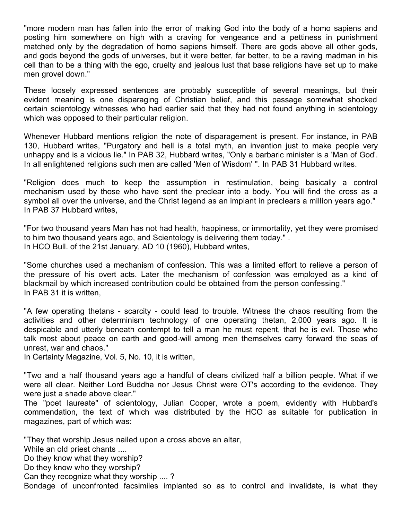"more modern man has fallen into the error of making God into the body of a homo sapiens and posting him somewhere on high with a craving for vengeance and a pettiness in punishment matched only by the degradation of homo sapiens himself. There are gods above all other gods, and gods beyond the gods of universes, but it were better, far better, to be a raving madman in his cell than to be a thing with the ego, cruelty and jealous lust that base religions have set up to make men grovel down."

These loosely expressed sentences are probably susceptible of several meanings, but their evident meaning is one disparaging of Christian belief, and this passage somewhat shocked certain scientology witnesses who had earlier said that they had not found anything in scientology which was opposed to their particular religion.

Whenever Hubbard mentions religion the note of disparagement is present. For instance, in PAB 130, Hubbard writes, "Purgatory and hell is a total myth, an invention just to make people very unhappy and is a vicious lie." In PAB 32, Hubbard writes, "Only a barbaric minister is a 'Man of God'. In all enlightened religions such men are called 'Men of Wisdom' ". In PAB 31 Hubbard writes.

"Religion does much to keep the assumption in restimulation, being basically a control mechanism used by those who have sent the preclear into a body. You will find the cross as a symbol all over the universe, and the Christ legend as an implant in preclears a million years ago." In PAB 37 Hubbard writes,

"For two thousand years Man has not had health, happiness, or immortality, yet they were promised to him two thousand years ago, and Scientology is delivering them today." . In HCO Bull. of the 21st January, AD 10 (1960), Hubbard writes,

"Some churches used a mechanism of confession. This was a limited effort to relieve a person of the pressure of his overt acts. Later the mechanism of confession was employed as a kind of blackmail by which increased contribution could be obtained from the person confessing." In PAB 31 it is written,

"A few operating thetans - scarcity - could lead to trouble. Witness the chaos resulting from the activities and other determinism technology of one operating thetan, 2,000 years ago. It is despicable and utterly beneath contempt to tell a man he must repent, that he is evil. Those who talk most about peace on earth and good-will among men themselves carry forward the seas of unrest, war and chaos."

In Certainty Magazine, Vol. 5, No. 10, it is written,

"Two and a half thousand years ago a handful of clears civilized half a billion people. What if we were all clear. Neither Lord Buddha nor Jesus Christ were OT's according to the evidence. They were just a shade above clear."

The "poet laureate" of scientology, Julian Cooper, wrote a poem, evidently with Hubbard's commendation, the text of which was distributed by the HCO as suitable for publication in magazines, part of which was:

"They that worship Jesus nailed upon a cross above an altar,

While an old priest chants ....

Do they know what they worship?

Do they know who they worship?

Can they recognize what they worship .... ?

Bondage of unconfronted facsimiles implanted so as to control and invalidate, is what they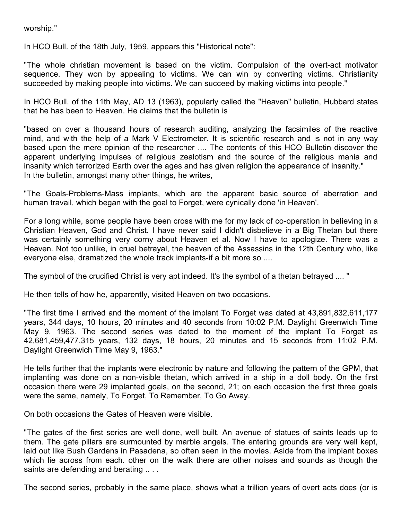worship."

In HCO Bull. of the 18th July, 1959, appears this "Historical note":

"The whole christian movement is based on the victim. Compulsion of the overt-act motivator sequence. They won by appealing to victims. We can win by converting victims. Christianity succeeded by making people into victims. We can succeed by making victims into people."

In HCO Bull. of the 11th May, AD 13 (1963), popularly called the "Heaven" bulletin, Hubbard states that he has been to Heaven. He claims that the bulletin is

"based on over a thousand hours of research auditing, analyzing the facsimiles of the reactive mind, and with the help of a Mark V Electrometer. It is scientific research and is not in any way based upon the mere opinion of the researcher .... The contents of this HCO Bulletin discover the apparent underlying impulses of religious zealotism and the source of the religious mania and insanity which terrorized Earth over the ages and has given religion the appearance of insanity." In the bulletin, amongst many other things, he writes,

"The Goals-Problems-Mass implants, which are the apparent basic source of aberration and human travail, which began with the goal to Forget, were cynically done 'in Heaven'.

For a long while, some people have been cross with me for my lack of co-operation in believing in a Christian Heaven, God and Christ. I have never said I didn't disbelieve in a Big Thetan but there was certainly something very corny about Heaven et al. Now I have to apologize. There was a Heaven. Not too unlike, in cruel betrayal, the heaven of the Assassins in the 12th Century who, like everyone else, dramatized the whole track implants-if a bit more so ....

The symbol of the crucified Christ is very apt indeed. It's the symbol of a thetan betrayed .... "

He then tells of how he, apparently, visited Heaven on two occasions.

"The first time I arrived and the moment of the implant To Forget was dated at 43,891,832,611,177 years, 344 days, 10 hours, 20 minutes and 40 seconds from 10:02 P.M. Daylight Greenwich Time May 9, 1963. The second series was dated to the moment of the implant To Forget as 42,681,459,477,315 years, 132 days, 18 hours, 20 minutes and 15 seconds from 11:02 P.M. Daylight Greenwich Time May 9, 1963."

He tells further that the implants were electronic by nature and following the pattern of the GPM, that implanting was done on a non-visible thetan, which arrived in a ship in a doll body. On the first occasion there were 29 implanted goals, on the second, 21; on each occasion the first three goals were the same, namely, To Forget, To Remember, To Go Away.

On both occasions the Gates of Heaven were visible.

"The gates of the first series are well done, well built. An avenue of statues of saints leads up to them. The gate pillars are surmounted by marble angels. The entering grounds are very well kept, laid out like Bush Gardens in Pasadena, so often seen in the movies. Aside from the implant boxes which lie across from each. other on the walk there are other noises and sounds as though the saints are defending and berating ....

The second series, probably in the same place, shows what a trillion years of overt acts does (or is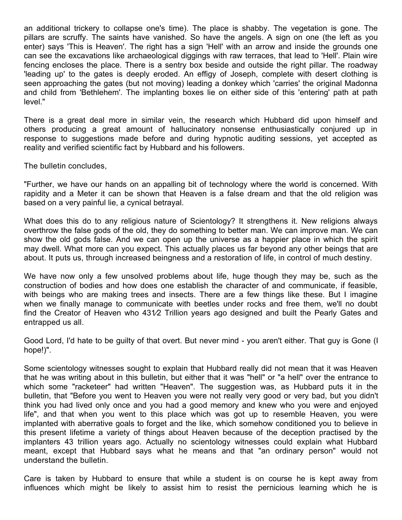an additional trickery to collapse one's time). The place is shabby. The vegetation is gone. The pillars are scruffy. The saints have vanished. So have the angels. A sign on one (the left as you enter) says 'This is Heaven'. The right has a sign 'Hell' with an arrow and inside the grounds one can see the excavations like archaeological diggings with raw terraces, that lead to 'Hell'. Plain wire fencing encloses the place. There is a sentry box beside and outside the right pillar. The roadway 'leading up' to the gates is deeply eroded. An effigy of Joseph, complete with desert clothing is seen approaching the gates (but not moving) leading a donkey which 'carries' the original Madonna and child from 'Bethlehem'. The implanting boxes lie on either side of this 'entering' path at path level."

There is a great deal more in similar vein, the research which Hubbard did upon himself and others producing a great amount of hallucinatory nonsense enthusiastically conjured up in response to suggestions made before and during hypnotic auditing sessions, yet accepted as reality and verified scientific fact by Hubbard and his followers.

The bulletin concludes,

"Further, we have our hands on an appalling bit of technology where the world is concerned. With rapidity and a Meter it can be shown that Heaven is a false dream and that the old religion was based on a very painful lie, a cynical betrayal.

What does this do to any religious nature of Scientology? It strengthens it. New religions always overthrow the false gods of the old, they do something to better man. We can improve man. We can show the old gods false. And we can open up the universe as a happier place in which the spirit may dwell. What more can you expect. This actually places us far beyond any other beings that are about. It puts us, through increased beingness and a restoration of life, in control of much destiny.

We have now only a few unsolved problems about life, huge though they may be, such as the construction of bodies and how does one establish the character of and communicate, if feasible, with beings who are making trees and insects. There are a few things like these. But I imagine when we finally manage to communicate with beetles under rocks and free them, we'll no doubt find the Creator of Heaven who 431/2 Trillion years ago designed and built the Pearly Gates and entrapped us all.

Good Lord, I'd hate to be guilty of that overt. But never mind - you aren't either. That guy is Gone (I hope!)".

Some scientology witnesses sought to explain that Hubbard really did not mean that it was Heaven that he was writing about in this bulletin, but either that it was "hell" or "a hell" over the entrance to which some "racketeer" had written "Heaven". The suggestion was, as Hubbard puts it in the bulletin, that "Before you went to Heaven you were not really very good or very bad, but you didn't think you had lived only once and you had a good memory and knew who you were and enjoyed life", and that when you went to this place which was got up to resemble Heaven, you were implanted with aberrative goals to forget and the like, which somehow conditioned you to believe in this present lifetime a variety of things about Heaven because of the deception practised by the implanters 43 trillion years ago. Actually no scientology witnesses could explain what Hubbard meant, except that Hubbard says what he means and that "an ordinary person" would not understand the bulletin.

Care is taken by Hubbard to ensure that while a student is on course he is kept away from influences which might be likely to assist him to resist the pernicious learning which he is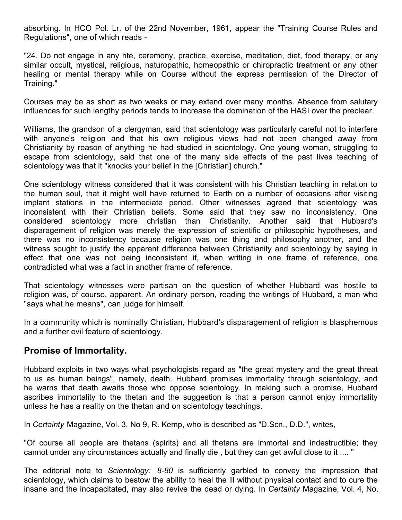absorbing. In HCO Pol. Lr. of the 22nd November, 1961, appear the "Training Course Rules and Regulations", one of which reads -

"24. Do not engage in any rite, ceremony, practice, exercise, meditation, diet, food therapy, or any similar occult, mystical, religious, naturopathic, homeopathic or chiropractic treatment or any other healing or mental therapy while on Course without the express permission of the Director of Training."

Courses may be as short as two weeks or may extend over many months. Absence from salutary influences for such lengthy periods tends to increase the domination of the HASI over the preclear.

Williams, the grandson of a clergyman, said that scientology was particularly careful not to interfere with anyone's religion and that his own religious views had not been changed away from Christianity by reason of anything he had studied in scientology. One young woman, struggling to escape from scientology, said that one of the many side effects of the past lives teaching of scientology was that it "knocks your belief in the [Christian] church."

One scientology witness considered that it was consistent with his Christian teaching in relation to the human soul, that it might well have returned to Earth on a number of occasions after visiting implant stations in the intermediate period. Other witnesses agreed that scientology was inconsistent with their Christian beliefs. Some said that they saw no inconsistency. One considered scientology more christian than Christianity. Another said that Hubbard's disparagement of religion was merely the expression of scientific or philosophic hypotheses, and there was no inconsistency because religion was one thing and philosophy another, and the witness sought to justify the apparent difference between Christianity and scientology by saying in effect that one was not being inconsistent if, when writing in one frame of reference, one contradicted what was a fact in another frame of reference.

That scientology witnesses were partisan on the question of whether Hubbard was hostile to religion was, of course, apparent. An ordinary person, reading the writings of Hubbard, a man who "says what he means", can judge for himself.

In a community which is nominally Christian, Hubbard's disparagement of religion is blasphemous and a further evil feature of scientology.

### **Promise of Immortality.**

Hubbard exploits in two ways what psychologists regard as "the great mystery and the great threat to us as human beings", namely, death. Hubbard promises immortality through scientology, and he warns that death awaits those who oppose scientology. In making such a promise, Hubbard ascribes immortality to the thetan and the suggestion is that a person cannot enjoy immortality unless he has a reality on the thetan and on scientology teachings.

In *Certainty* Magazine, Vol. 3, No 9, R. Kemp, who is described as "D.Scn., D.D.", writes,

"Of course all people are thetans (spirits) and all thetans are immortal and indestructible; they cannot under any circumstances actually and finally die , but they can get awful close to it .... "

The editorial note to *Scientology: 8-80* is sufficiently garbled to convey the impression that scientology, which claims to bestow the ability to heal the ill without physical contact and to cure the insane and the incapacitated, may also revive the dead or dying. In *Certainty* Magazine, Vol. 4, No.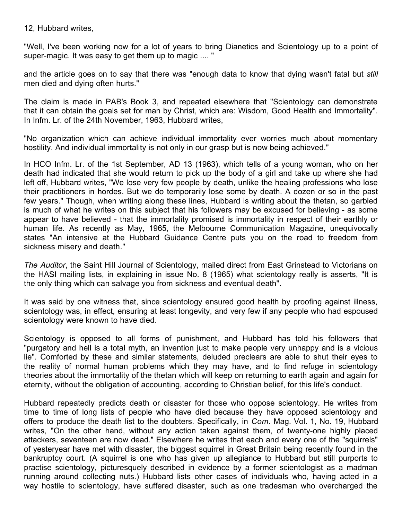12, Hubbard writes,

"Well, I've been working now for a lot of years to bring Dianetics and Scientology up to a point of super-magic. It was easy to get them up to magic .... "

and the article goes on to say that there was "enough data to know that dying wasn't fatal but *still* men died and dying often hurts."

The claim is made in PAB's Book 3, and repeated elsewhere that "Scientology can demonstrate that it can obtain the goals set for man by Christ, which are: Wisdom, Good Health and Immortality". In Infm. Lr. of the 24th November, 1963, Hubbard writes,

"No organization which can achieve individual immortality ever worries much about momentary hostility. And individual immortality is not only in our grasp but is now being achieved."

In HCO Infm. Lr. of the 1st September, AD 13 (1963), which tells of a young woman, who on her death had indicated that she would return to pick up the body of a girl and take up where she had left off, Hubbard writes, "We lose very few people by death, unlike the healing professions who lose their practitioners in hordes. But we do temporarily lose some by death. A dozen or so in the past few years." Though, when writing along these lines, Hubbard is writing about the thetan, so garbled is much of what he writes on this subject that his followers may be excused for believing - as some appear to have believed - that the immortality promised is immortality in respect of their earthly or human life. As recently as May, 1965, the Melbourne Communication Magazine, unequivocally states "An intensive at the Hubbard Guidance Centre puts you on the road to freedom from sickness misery and death."

*The Auditor*, the Saint Hill Journal of Scientology, mailed direct from East Grinstead to Victorians on the HASI mailing lists, in explaining in issue No. 8 (1965) what scientology really is asserts, "It is the only thing which can salvage you from sickness and eventual death".

It was said by one witness that, since scientology ensured good health by proofing against illness, scientology was, in effect, ensuring at least longevity, and very few if any people who had espoused scientology were known to have died.

Scientology is opposed to all forms of punishment, and Hubbard has told his followers that "purgatory and hell is a total myth, an invention just to make people very unhappy and is a vicious lie". Comforted by these and similar statements, deluded preclears are able to shut their eyes to the reality of normal human problems which they may have, and to find refuge in scientology theories about the immortality of the thetan which will keep on returning to earth again and again for eternity, without the obligation of accounting, according to Christian belief, for this life's conduct.

Hubbard repeatedly predicts death or disaster for those who oppose scientology. He writes from time to time of long lists of people who have died because they have opposed scientology and offers to produce the death list to the doubters. Specifically, in *Com.* Mag. Vol. 1, No. 19, Hubbard writes, "On the other hand, without any action taken against them, of twenty-one highly placed attackers, seventeen are now dead." Elsewhere he writes that each and every one of the "squirrels" of yesteryear have met with disaster, the biggest squirrel in Great Britain being recently found in the bankruptcy court. (A squirrel is one who has given up allegiance to Hubbard but still purports to practise scientology, picturesquely described in evidence by a former scientologist as a madman running around collecting nuts.) Hubbard lists other cases of individuals who, having acted in a way hostile to scientology, have suffered disaster, such as one tradesman who overcharged the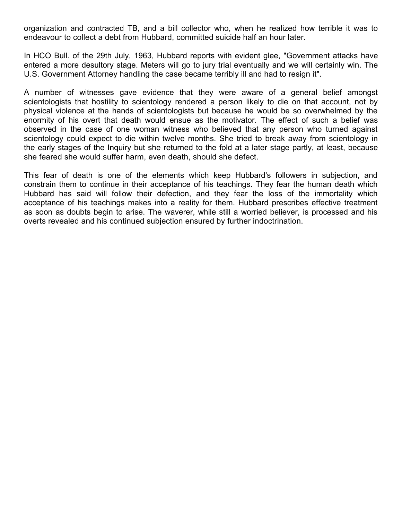organization and contracted TB, and a bill collector who, when he realized how terrible it was to endeavour to collect a debt from Hubbard, committed suicide half an hour later.

In HCO Bull. of the 29th July, 1963, Hubbard reports with evident glee, "Government attacks have entered a more desultory stage. Meters will go to jury trial eventually and we will certainly win. The U.S. Government Attorney handling the case became terribly ill and had to resign it".

A number of witnesses gave evidence that they were aware of a general belief amongst scientologists that hostility to scientology rendered a person likely to die on that account, not by physical violence at the hands of scientologists but because he would be so overwhelmed by the enormity of his overt that death would ensue as the motivator. The effect of such a belief was observed in the case of one woman witness who believed that any person who turned against scientology could expect to die within twelve months. She tried to break away from scientology in the early stages of the Inquiry but she returned to the fold at a later stage partly, at least, because she feared she would suffer harm, even death, should she defect.

This fear of death is one of the elements which keep Hubbard's followers in subjection, and constrain them to continue in their acceptance of his teachings. They fear the human death which Hubbard has said will follow their defection, and they fear the loss of the immortality which acceptance of his teachings makes into a reality for them. Hubbard prescribes effective treatment as soon as doubts begin to arise. The waverer, while still a worried believer, is processed and his overts revealed and his continued subjection ensured by further indoctrination.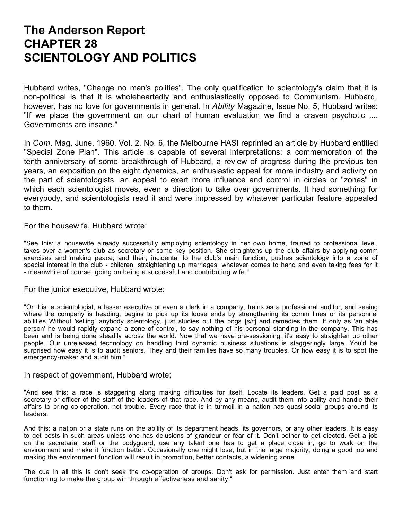## **The Anderson Report CHAPTER 28 SCIENTOLOGY AND POLITICS**

Hubbard writes, "Change no man's polities". The only qualification to scientology's claim that it is non-political is that it is wholeheartedly and enthusiastically opposed to Communism. Hubbard, however, has no love for governments in general. In *Ability* Magazine, Issue No. 5, Hubbard writes: "If we place the government on our chart of human evaluation we find a craven psychotic .... Governments are insane."

In *Com*. Mag. June, 1960, Vol. 2, No. 6, the Melbourne HASI reprinted an article by Hubbard entitled "Special Zone Plan". This article is capable of several interpretations: a commemoration of the tenth anniversary of some breakthrough of Hubbard, a review of progress during the previous ten years, an exposition on the eight dynamics, an enthusiastic appeal for more industry and activity on the part of scientologists, an appeal to exert more influence and control in circles or "zones" in which each scientologist moves, even a direction to take over governments. It had something for everybody, and scientologists read it and were impressed by whatever particular feature appealed to them.

For the housewife, Hubbard wrote:

"See this: a housewife already successfully employing scientology in her own home, trained to professional level, takes over a women's club as secretary or some key position. She straightens up the club affairs by applying comm exercises and making peace, and then, incidental to the club's main function, pushes scientology into a zone of special interest in the club - children, straightening up marriages, whatever comes to hand and even taking fees for it - meanwhile of course, going on being a successful and contributing wife."

### For the junior executive, Hubbard wrote:

"Or this: a scientologist, a lesser executive or even a clerk in a company, trains as a professional auditor, and seeing where the company is heading, begins to pick up its loose ends by strengthening its comm lines or its personnel abilities Without 'selling' anybody scientology, just studies out the bogs [*sic*] and remedies them. If only as 'an able person' he would rapidly expand a zone of control, to say nothing of his personal standing in the company. This has been and is being done steadily across the world. Now that we have pre-sessioning, it's easy to straighten up other people. Our unreleased technology on handling third dynamic business situations is staggeringly large. You'd be surprised how easy it is to audit seniors. They and their families have so many troubles. Or how easy it is to spot the emergency-maker and audit him."

### In respect of government, Hubbard wrote;

"And see this: a race is staggering along making difficulties for itself. Locate its leaders. Get a paid post as a secretary or officer of the staff of the leaders of that race. And by any means, audit them into ability and handle their affairs to bring co-operation, not trouble. Every race that is in turmoil in a nation has quasi-social groups around its leaders.

And this: a nation or a state runs on the ability of its department heads, its governors, or any other leaders. It is easy to get posts in such areas unless one has delusions of grandeur or fear of it. Don't bother to get elected. Get a job on the secretarial staff or the bodyguard, use any talent one has to get a place close in, go to work on the environment and make it function better. Occasionally one might lose, but in the large majority, doing a good job and making the environment function will result in promotion, better contacts, a widening zone.

The cue in all this is don't seek the co-operation of groups. Don't ask for permission. Just enter them and start functioning to make the group win through effectiveness and sanity."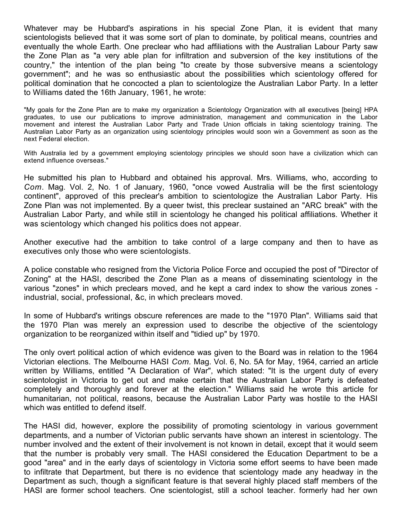Whatever may be Hubbard's aspirations in his special Zone Plan, it is evident that many scientologists believed that it was some sort of plan to dominate, by political means, countries and eventually the whole Earth. One preclear who had affiliations with the Australian Labour Party saw the Zone Plan as "a very able plan for infiltration and subversion of the key institutions of the country," the intention of the plan being "to create by those subversive means a scientology government"; and he was so enthusiastic about the possibilities which scientology offered for political domination that he concocted a plan to scientologize the Australian Labor Party. In a letter to Williams dated the 16th January, 1961, he wrote:

"My goals for the Zone Plan are to make my organization a Scientology Organization with all executives [being] HPA graduates, to use our publications to improve administration, management and communication in the Labor movement and interest the Australian Labor Party and Trade Union officials in taking scientology training. The Australian Labor Party as an organization using scientology principles would soon win a Government as soon as the next Federal election.

With Australia led by a government employing scientology principles we should soon have a civilization which can extend influence overseas."

He submitted his plan to Hubbard and obtained his approval. Mrs. Williams, who, according to *Com*. Mag. Vol. 2, No. 1 of January, 1960, "once vowed Australia will be the first scientology continent", approved of this preclear's ambition to scientologize the Australian Labor Party. His Zone Plan was not implemented. By a queer twist, this preclear sustained an "ARC break" with the Australian Labor Party, and while still in scientology he changed his political affiliations. Whether it was scientology which changed his politics does not appear.

Another executive had the ambition to take control of a large company and then to have as executives only those who were scientologists.

A police constable who resigned from the Victoria Police Force and occupied the post of "Director of Zoning" at the HASI, described the Zone Plan as a means of disseminating scientology in the various "zones" in which preclears moved, and he kept a card index to show the various zones industrial, social, professional, &c, in which preclears moved.

In some of Hubbard's writings obscure references are made to the "1970 Plan". Williams said that the 1970 Plan was merely an expression used to describe the objective of the scientology organization to be reorganized within itself and "tidied up" by 1970.

The only overt political action of which evidence was given to the Board was in relation to the 1964 Victorian elections. The Melbourne HASI *Com.* Mag. Vol. 6, No. 5A for May, 1964, carried an article written by Williams, entitled "A Declaration of War", which stated: "It is the urgent duty of every scientologist in Victoria to get out and make certain that the Australian Labor Party is defeated completely and thoroughly and forever at the election." Williams said he wrote this article for humanitarian, not political, reasons, because the Australian Labor Party was hostile to the HASI which was entitled to defend itself.

The HASI did, however, explore the possibility of promoting scientology in various government departments, and a number of Victorian public servants have shown an interest in scientology. The number involved and the extent of their involvement is not known in detail, except that it would seem that the number is probably very small. The HASI considered the Education Department to be a good "area" and in the early days of scientology in Victoria some effort seems to have been made to infiltrate that Department, but there is no evidence that scientology made any headway in the Department as such, though a significant feature is that several highly placed staff members of the HASI are former school teachers. One scientologist, still a school teacher. formerly had her own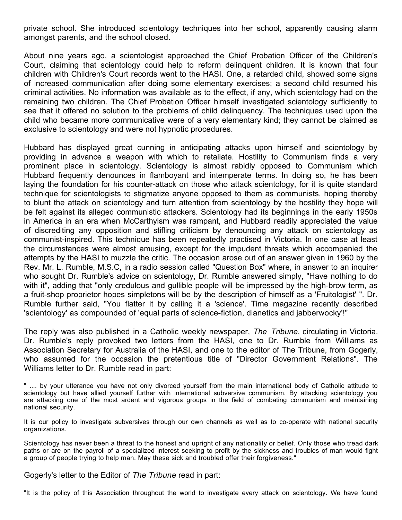private school. She introduced scientology techniques into her school, apparently causing alarm amongst parents, and the school closed.

About nine years ago, a scientologist approached the Chief Probation Officer of the Children's Court, claiming that scientology could help to reform delinquent children. It is known that four children with Children's Court records went to the HASI. One, a retarded child, showed some signs of increased communication after doing some elementary exercises; a second child resumed his criminal activities. No information was available as to the effect, if any, which scientology had on the remaining two children. The Chief Probation Officer himself investigated scientology sufficiently to see that it offered no solution to the problems of child delinquency. The techniques used upon the child who became more communicative were of a very elementary kind; they cannot be claimed as exclusive to scientology and were not hypnotic procedures.

Hubbard has displayed great cunning in anticipating attacks upon himself and scientology by providing in advance a weapon with which to retaliate. Hostility to Communism finds a very prominent place in scientology. Scientology is almost rabidly opposed to Communism which Hubbard frequently denounces in flamboyant and intemperate terms. In doing so, he has been laying the foundation for his counter-attack on those who attack scientology, for it is quite standard technique for scientologists to stigmatize anyone opposed to them as communists, hoping thereby to blunt the attack on scientology and turn attention from scientology by the hostility they hope will be felt against its alleged communistic attackers. Scientology had its beginnings in the early 1950s in America in an era when McCarthyism was rampant, and Hubbard readily appreciated the value of discrediting any opposition and stifling criticism by denouncing any attack on scientology as communist-inspired. This technique has been repeatedly practised in Victoria. In one case at least the circumstances were almost amusing, except for the impudent threats which accompanied the attempts by the HASI to muzzle the critic. The occasion arose out of an answer given in 1960 by the Rev. Mr. L. Rumble, M.S.C, in a radio session called "Question Box" where, in answer to an inquirer who sought Dr. Rumble's advice on scientology, Dr. Rumble answered simply, "Have nothing to do with it", adding that "only credulous and gullible people will be impressed by the high-brow term, as a fruit-shop proprietor hopes simpletons will be by the description of himself as a 'Fruitologist' ". Dr. Rumble further said, "You flatter it by calling it a 'science'. Time magazine recently described 'scientology' as compounded of 'equal parts of science-fiction, dianetics and jabberwocky'!"

The reply was also published in a Catholic weekly newspaper, *The Tribune*, circulating in Victoria. Dr. Rumble's reply provoked two letters from the HASI, one to Dr. Rumble from Williams as Association Secretary for Australia of the HASI, and one to the editor of The Tribune, from Gogerly, who assumed for the occasion the pretentious title of "Director Government Relations". The Williams letter to Dr. Rumble read in part:

" .... by your utterance you have not only divorced yourself from the main international body of Catholic attitude to scientology but have allied yourself further with international subversive communism. By attacking scientology you are attacking one of the most ardent and vigorous groups in the field of combating communism and maintaining national security.

It is our policy to investigate subversives through our own channels as well as to co-operate with national security organizations.

Scientology has never been a threat to the honest and upright of any nationality or belief. Only those who tread dark paths or are on the payroll of a specialized interest seeking to profit by the sickness and troubles of man would fight a group of people trying to help man. May these sick and troubled offer their forgiveness."

Gogerly's letter to the Editor of *The Tribune* read in part:

"It is the policy of this Association throughout the world to investigate every attack on scientology. We have found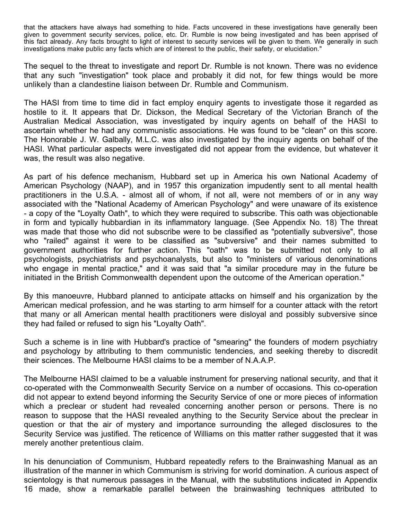that the attackers have always had something to hide. Facts uncovered in these investigations have generally been given to government security services, police, etc. Dr. Rumble is now being investigated and has been apprised of this fact already. Any facts brought to light of interest to security services will be given to them. We generally in such investigations make public any facts which are of interest to the public, their safety, or elucidation."

The sequel to the threat to investigate and report Dr. Rumble is not known. There was no evidence that any such "investigation" took place and probably it did not, for few things would be more unlikely than a clandestine liaison between Dr. Rumble and Communism.

The HASI from time to time did in fact employ enquiry agents to investigate those it regarded as hostile to it. It appears that Dr. Dickson, the Medical Secretary of the Victorian Branch of the Australian Medical Association, was investigated by inquiry agents on behalf of the HASI to ascertain whether he had any communistic associations. He was found to be "clean" on this score. The Honorable J. W. Galbally, M.L.C. was also investigated by the inquiry agents on behalf of the HASI. What particular aspects were investigated did not appear from the evidence, but whatever it was, the result was also negative.

As part of his defence mechanism, Hubbard set up in America his own National Academy of American Psychology (NAAP), and in 1957 this organization impudently sent to all mental health practitioners in the U.S.A. - almost all of whom, if not all, were not members of or in any way associated with the "National Academy of American Psychology" and were unaware of its existence - a copy of the "Loyalty Oath", to which they were required to subscribe. This oath was objectionable in form and typically hubbardian in its inflammatory language. (See Appendix No. 18) The threat was made that those who did not subscribe were to be classified as "potentially subversive", those who "railed" against it were to be classified as "subversive" and their names submitted to government authorities for further action. This "oath" was to be submitted not only to all psychologists, psychiatrists and psychoanalysts, but also to "ministers of various denominations who engage in mental practice," and it was said that "a similar procedure may in the future be initiated in the British Commonwealth dependent upon the outcome of the American operation."

By this manoeuvre, Hubbard planned to anticipate attacks on himself and his organization by the American medical profession, and he was starting to arm himself for a counter attack with the retort that many or all American mental health practitioners were disloyal and possibly subversive since they had failed or refused to sign his "Loyalty Oath".

Such a scheme is in line with Hubbard's practice of "smearing" the founders of modern psychiatry and psychology by attributing to them communistic tendencies, and seeking thereby to discredit their sciences. The Melbourne HASI claims to be a member of N.A.A.P.

The Melbourne HASI claimed to be a valuable instrument for preserving national security, and that it co-operated with the Commonwealth Security Service on a number of occasions. This co-operation did not appear to extend beyond informing the Security Service of one or more pieces of information which a preclear or student had revealed concerning another person or persons. There is no reason to suppose that the HASI revealed anything to the Security Service about the preclear in question or that the air of mystery and importance surrounding the alleged disclosures to the Security Service was justified. The reticence of Williams on this matter rather suggested that it was merely another pretentious claim.

In his denunciation of Communism, Hubbard repeatedly refers to the Brainwashing Manual as an illustration of the manner in which Communism is striving for world domination. A curious aspect of scientology is that numerous passages in the Manual, with the substitutions indicated in Appendix 16 made, show a remarkable parallel between the brainwashing techniques attributed to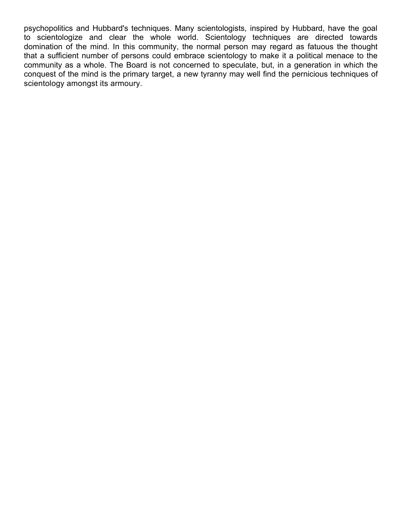psychopolitics and Hubbard's techniques. Many scientologists, inspired by Hubbard, have the goal to scientologize and clear the whole world. Scientology techniques are directed towards domination of the mind. In this community, the normal person may regard as fatuous the thought that a sufficient number of persons could embrace scientology to make it a political menace to the community as a whole. The Board is not concerned to speculate, but, in a generation in which the conquest of the mind is the primary target, a new tyranny may well find the pernicious techniques of scientology amongst its armoury.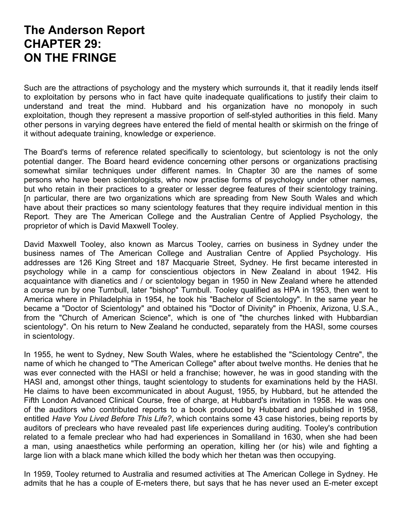# **The Anderson Report CHAPTER 29: ON THE FRINGE**

Such are the attractions of psychology and the mystery which surrounds it, that it readily lends itself to exploitation by persons who in fact have quite inadequate qualifications to justify their claim to understand and treat the mind. Hubbard and his organization have no monopoly in such exploitation, though they represent a massive proportion of self-styled authorities in this field. Many other persons in varying degrees have entered the field of mental health or skirmish on the fringe of it without adequate training, knowledge or experience.

The Board's terms of reference related specifically to scientology, but scientology is not the only potential danger. The Board heard evidence concerning other persons or organizations practising somewhat similar techniques under different names. In Chapter 30 are the names of some persons who have been scientologists, who now practise forms of psychology under other names, but who retain in their practices to a greater or lesser degree features of their scientology training. [n particular, there are two organizations which are spreading from New South Wales and which have about their practices so many scientology features that they require individual mention in this Report. They are The American College and the Australian Centre of Applied Psychology, the proprietor of which is David Maxwell Tooley.

David Maxwell Tooley, also known as Marcus Tooley, carries on business in Sydney under the business names of The American College and Australian Centre of Applied Psychology. His addresses are 126 King Street and 187 Macquarie Street, Sydney. He first became interested in psychology while in a camp for conscientious objectors in New Zealand in about 1942. His acquaintance with dianetics and / or scientology began in 1950 in New Zealand where he attended a course run by one Turnbull, later "bishop" Turnbull. Tooley qualified as HPA in 1953, then went to America where in Philadelphia in 1954, he took his "Bachelor of Scientology". In the same year he became a "Doctor of Scientology" and obtained his "Doctor of Divinity" in Phoenix, Arizona, U.S.A., from the "Church of American Science", which is one of "the churches linked with Hubbardian scientology". On his return to New Zealand he conducted, separately from the HASI, some courses in scientology.

In 1955, he went to Sydney, New South Wales, where he established the "Scientology Centre", the name of which he changed to "The American College" after about twelve months. He denies that he was ever connected with the HASI or held a franchise; however, he was in good standing with the HASI and, amongst other things, taught scientology to students for examinations held by the HASI. He claims to have been excommunicated in about August, 1955, by Hubbard, but he attended the Fifth London Advanced Clinical Course, free of charge, at Hubbard's invitation in 1958. He was one of the auditors who contributed reports to a book produced by Hubbard and published in 1958, entitled *Have You Lived Before This Life?*, which contains some 43 case histories, being reports by auditors of preclears who have revealed past life experiences during auditing. Tooley's contribution related to a female preclear who had had experiences in Somaliland in 1630, when she had been a man, using anaesthetics while performing an operation, killing her (or his) wile and fighting a large lion with a black mane which killed the body which her thetan was then occupying.

In 1959, Tooley returned to Australia and resumed activities at The American College in Sydney. He admits that he has a couple of E-meters there, but says that he has never used an E-meter except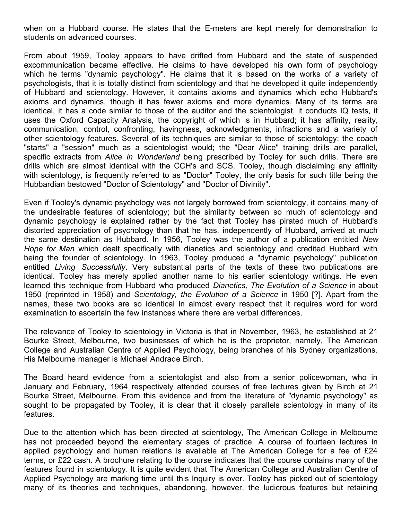when on a Hubbard course. He states that the E-meters are kept merely for demonstration to students on advanced courses.

From about 1959, Tooley appears to have drifted from Hubbard and the state of suspended excommunication became effective. He claims to have developed his own form of psychology which he terms "dynamic psychology". He claims that it is based on the works of a variety of psychologists, that it is totally distinct from scientology and that he developed it quite independently of Hubbard and scientology. However, it contains axioms and dynamics which echo Hubbard's axioms and dynamics, though it has fewer axioms and more dynamics. Many of its terms are identical, it has a code similar to those of the auditor and the scientologist, it conducts IQ tests, it uses the Oxford Capacity Analysis, the copyright of which is in Hubbard; it has affinity, reality, communication, control, confronting, havingness, acknowledgments, infractions and a variety of other scientology features. Several of its techniques are similar to those of scientology; the coach "starts" a "session" much as a scientologist would; the "Dear Alice" training drills are parallel, specific extracts from *Alice in Wonderland* being prescribed by Tooley for such drills. There are drills which are almost identical with the CCH's and SCS. Tooley, though disclaiming any affinity with scientology, is frequently referred to as "Doctor" Tooley, the only basis for such title being the Hubbardian bestowed "Doctor of Scientology" and "Doctor of Divinity".

Even if Tooley's dynamic psychology was not largely borrowed from scientology, it contains many of the undesirable features of scientology; but the similarity between so much of scientology and dynamic psychology is explained rather by the fact that Tooley has pirated much of Hubbard's distorted appreciation of psychology than that he has, independently of Hubbard, arrived at much the same destination as Hubbard. In 1956, Tooley was the author of a publication entitled *New Hope for Man* which dealt specifically with dianetics and scientology and credited Hubbard with being the founder of scientology. In 1963, Tooley produced a "dynamic psychology" publication entitled *Living Successfully*. Very substantial parts of the texts of these two publications are identical. Tooley has merely applied another name to his earlier scientology writings. He even learned this technique from Hubbard who produced *Dianetics, The Evolution of a Science* in about 1950 (reprinted in 1958) and *Scientology, the Evolution of a Science* in 1950 [?]. Apart from the names, these two books are so identical in almost every respect that it requires word for word examination to ascertain the few instances where there are verbal differences.

The relevance of Tooley to scientology in Victoria is that in November, 1963, he established at 21 Bourke Street, Melbourne, two businesses of which he is the proprietor, namely, The American College and Australian Centre of Applied Psychology, being branches of his Sydney organizations. His Melbourne manager is Michael Andrade Birch.

The Board heard evidence from a scientologist and also from a senior policewoman, who in January and February, 1964 respectively attended courses of free lectures given by Birch at 21 Bourke Street, Melbourne. From this evidence and from the literature of "dynamic psychology" as sought to be propagated by Tooley, it is clear that it closely parallels scientology in many of its features.

Due to the attention which has been directed at scientology, The American College in Melbourne has not proceeded beyond the elementary stages of practice. A course of fourteen lectures in applied psychology and human relations is available at The American College for a fee of £24 terms, or £22 cash. A brochure relating to the course indicates that the course contains many of the features found in scientology. It is quite evident that The American College and Australian Centre of Applied Psychology are marking time until this Inquiry is over. Tooley has picked out of scientology many of its theories and techniques, abandoning, however, the ludicrous features but retaining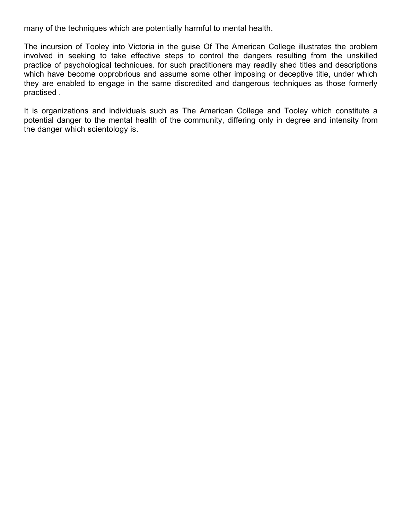many of the techniques which are potentially harmful to mental health.

The incursion of Tooley into Victoria in the guise Of The American College illustrates the problem involved in seeking to take effective steps to control the dangers resulting from the unskilled practice of psychological techniques. for such practitioners may readily shed titles and descriptions which have become opprobrious and assume some other imposing or deceptive title, under which they are enabled to engage in the same discredited and dangerous techniques as those formerly practised .

It is organizations and individuals such as The American College and Tooley which constitute a potential danger to the mental health of the community, differing only in degree and intensity from the danger which scientology is.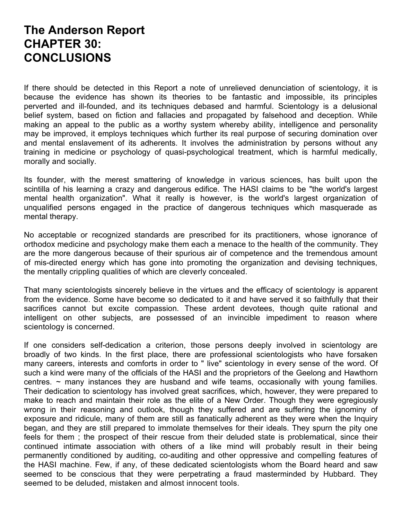# **The Anderson Report CHAPTER 30: CONCLUSIONS**

If there should be detected in this Report a note of unrelieved denunciation of scientology, it is because the evidence has shown its theories to be fantastic and impossible, its principles perverted and ill-founded, and its techniques debased and harmful. Scientology is a delusional belief system, based on fiction and fallacies and propagated by falsehood and deception. While making an appeal to the public as a worthy system whereby ability, intelligence and personality may be improved, it employs techniques which further its real purpose of securing domination over and mental enslavement of its adherents. It involves the administration by persons without any training in medicine or psychology of quasi-psychological treatment, which is harmful medically, morally and socially.

Its founder, with the merest smattering of knowledge in various sciences, has built upon the scintilla of his learning a crazy and dangerous edifice. The HASI claims to be "the world's largest mental health organization". What it really is however, is the world's largest organization of unqualified persons engaged in the practice of dangerous techniques which masquerade as mental therapy.

No acceptable or recognized standards are prescribed for its practitioners, whose ignorance of orthodox medicine and psychology make them each a menace to the health of the community. They are the more dangerous because of their spurious air of competence and the tremendous amount of mis-directed energy which has gone into promoting the organization and devising techniques, the mentally crippling qualities of which are cleverly concealed.

That many scientologists sincerely believe in the virtues and the efficacy of scientology is apparent from the evidence. Some have become so dedicated to it and have served it so faithfully that their sacrifices cannot but excite compassion. These ardent devotees, though quite rational and intelligent on other subjects, are possessed of an invincible impediment to reason where scientology is concerned.

If one considers self-dedication a criterion, those persons deeply involved in scientology are broadly of two kinds. In the first place, there are professional scientologists who have forsaken many careers, interests and comforts in order to " live" scientology in every sense of the word. Of such a kind were many of the officials of the HASI and the proprietors of the Geelong and Hawthorn centres.  $\sim$  many instances they are husband and wife teams, occasionally with young families. Their dedication to scientology has involved great sacrifices, which, however, they were prepared to make to reach and maintain their role as the elite of a New Order. Though they were egregiously wrong in their reasoning and outlook, though they suffered and are suffering the ignominy of exposure and ridicule, many of them are still as fanatically adherent as they were when the Inquiry began, and they are still prepared to immolate themselves for their ideals. They spurn the pity one feels for them ; the prospect of their rescue from their deluded state is problematical, since their continued intimate association with others of a like mind will probably result in their being permanently conditioned by auditing, co-auditing and other oppressive and compelling features of the HASI machine. Few, if any, of these dedicated scientologists whom the Board heard and saw seemed to be conscious that they were perpetrating a fraud masterminded by Hubbard. They seemed to be deluded, mistaken and almost innocent tools.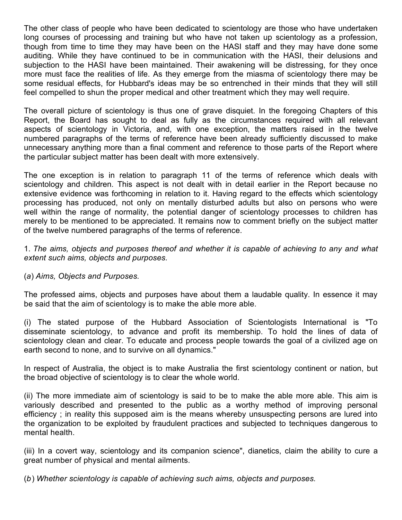The other class of people who have been dedicated to scientology are those who have undertaken long courses of processing and training but who have not taken up scientology as a profession, though from time to time they may have been on the HASI staff and they may have done some auditing. While they have continued to be in communication with the HASI, their delusions and subjection to the HASI have been maintained. Their awakening will be distressing, for they once more must face the realities of life. As they emerge from the miasma of scientology there may be some residual effects, for Hubbard's ideas may be so entrenched in their minds that they will still feel compelled to shun the proper medical and other treatment which they may well require.

The overall picture of scientology is thus one of grave disquiet. In the foregoing Chapters of this Report, the Board has sought to deal as fully as the circumstances required with all relevant aspects of scientology in Victoria, and, with one exception, the matters raised in the twelve numbered paragraphs of the terms of reference have been already sufficiently discussed to make unnecessary anything more than a final comment and reference to those parts of the Report where the particular subject matter has been dealt with more extensively.

The one exception is in relation to paragraph 11 of the terms of reference which deals with scientology and children. This aspect is not dealt with in detail earlier in the Report because no extensive evidence was forthcoming in relation to it. Having regard to the effects which scientology processing has produced, not only on mentally disturbed adults but also on persons who were well within the range of normality, the potential danger of scientology processes to children has merely to be mentioned to be appreciated. It remains now to comment briefly on the subject matter of the twelve numbered paragraphs of the terms of reference.

1. *The aims, objects and purposes thereof and whether it is capable of achieving to any and what extent such aims, objects and purposes.*

(*a*) *Aims, Objects and Purposes.*

The professed aims, objects and purposes have about them a laudable quality. In essence it may be said that the aim of scientology is to make the able more able.

(i) The stated purpose of the Hubbard Association of Scientologists International is "To disseminate scientology, to advance and profit its membership. To hold the lines of data of scientology clean and clear. To educate and process people towards the goal of a civilized age on earth second to none, and to survive on all dynamics."

In respect of Australia, the object is to make Australia the first scientology continent or nation, but the broad objective of scientology is to clear the whole world.

(ii) The more immediate aim of scientology is said to be to make the able more able. This aim is variously described and presented to the public as a worthy method of improving personal efficiency ; in reality this supposed aim is the means whereby unsuspecting persons are lured into the organization to be exploited by fraudulent practices and subjected to techniques dangerous to mental health.

(iii) In a covert way, scientology and its companion science", dianetics, claim the ability to cure a great number of physical and mental ailments.

(*b*) *Whether scientology is capable of achieving such aims, objects and purposes.*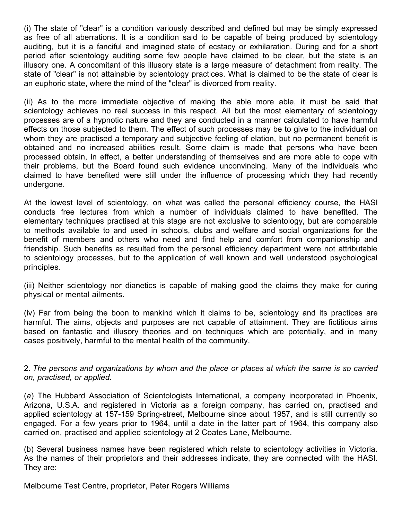(i) The state of "clear" is a condition variously described and defined but may be simply expressed as free of all aberrations. It is a condition said to be capable of being produced by scientology auditing, but it is a fanciful and imagined state of ecstacy or exhilaration. During and for a short period after scientology auditing some few people have claimed to be clear, but the state is an illusory one. A concomitant of this illusory state is a large measure of detachment from reality. The state of "clear" is not attainable by scientology practices. What is claimed to be the state of clear is an euphoric state, where the mind of the "clear" is divorced from reality.

(ii) As to the more immediate objective of making the able more able, it must be said that scientology achieves no real success in this respect. All but the most elementary of scientology processes are of a hypnotic nature and they are conducted in a manner calculated to have harmful effects on those subjected to them. The effect of such processes may be to give to the individual on whom they are practised a temporary and subjective feeling of elation, but no permanent benefit is obtained and no increased abilities result. Some claim is made that persons who have been processed obtain, in effect, a better understanding of themselves and are more able to cope with their problems, but the Board found such evidence unconvincing. Many of the individuals who claimed to have benefited were still under the influence of processing which they had recently undergone.

At the lowest level of scientology, on what was called the personal efficiency course, the HASI conducts free lectures from which a number of individuals claimed to have benefited. The elementary techniques practised at this stage are not exclusive to scientology, but are comparable to methods available to and used in schools, clubs and welfare and social organizations for the benefit of members and others who need and find help and comfort from companionship and friendship. Such benefits as resulted from the personal efficiency department were not attributable to scientology processes, but to the application of well known and well understood psychological principles.

(iii) Neither scientology nor dianetics is capable of making good the claims they make for curing physical or mental ailments.

(iv) Far from being the boon to mankind which it claims to be, scientology and its practices are harmful. The aims, objects and purposes are not capable of attainment. They are fictitious aims based on fantastic and illusory theories and on techniques which are potentially, and in many cases positively, harmful to the mental health of the community.

2. *The persons and organizations by whom and the place or places at which the same is so carried on, practised, or applied.*

(*a*) The Hubbard Association of Scientologists International, a company incorporated in Phoenix, Arizona, U.S.A. and registered in Victoria as a foreign company, has carried on, practised and applied scientology at 157-159 Spring-street, Melbourne since about 1957, and is still currently so engaged. For a few years prior to 1964, until a date in the latter part of 1964, this company also carried on, practised and applied scientology at 2 Coates Lane, Melbourne.

(b) Several business names have been registered which relate to scientology activities in Victoria. As the names of their proprietors and their addresses indicate, they are connected with the HASI. They are:

Melbourne Test Centre, proprietor, Peter Rogers Williams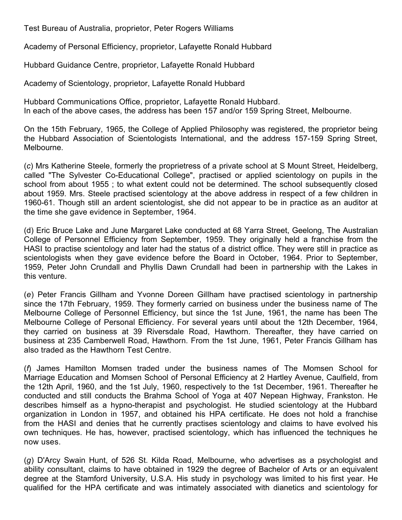Test Bureau of Australia, proprietor, Peter Rogers Williams

Academy of Personal Efficiency, proprietor, Lafayette Ronald Hubbard

Hubbard Guidance Centre, proprietor, Lafayette Ronald Hubbard

Academy of Scientology, proprietor, Lafayette Ronald Hubbard

Hubbard Communications Office, proprietor, Lafayette Ronald Hubbard. In each of the above cases, the address has been 157 and/or 159 Spring Street, Melbourne.

On the 15th February, 1965, the College of Applied Philosophy was registered, the proprietor being the Hubbard Association of Scientologists International, and the address 157-159 Spring Street, Melbourne.

(*c*) Mrs Katherine Steele, formerly the proprietress of a private school at S Mount Street, Heidelberg, called "The Sylvester Co-Educational College", practised or applied scientology on pupils in the school from about 1955 ; to what extent could not be determined. The school subsequently closed about 1959. Mrs. Steele practised scientology at the above address in respect of a few children in 1960-61. Though still an ardent scientologist, she did not appear to be in practice as an auditor at the time she gave evidence in September, 1964.

(d) Eric Bruce Lake and June Margaret Lake conducted at 68 Yarra Street, Geelong, The Australian College of Personnel Efficiency from September, 1959. They originally held a franchise from the HASI to practise scientology and later had the status of a district office. They were still in practice as scientologists when they gave evidence before the Board in October, 1964. Prior to September, 1959, Peter John Crundall and Phyllis Dawn Crundall had been in partnership with the Lakes in this venture.

(*e*) Peter Francis Gillham and Yvonne Doreen GilIham have practised scientology in partnership since the 17th February, 1959. They formerly carried on business under the business name of The Melbourne College of Personnel Efficiency, but since the 1st June, 1961, the name has been The Melbourne College of Personal Efficiency. For several years until about the 12th December, 1964, they carried on business at 39 Riversdale Road, Hawthorn. Thereafter, they have carried on business at 235 Camberwell Road, Hawthorn. From the 1st June, 1961, Peter Francis Gillham has also traded as the Hawthorn Test Centre.

(*f*) James Hamilton Momsen traded under the business names of The Momsen School for Marriage Education and Momsen School of Personal Efficiency at 2 Hartley Avenue, Caulfield, from the 12th April, 1960, and the 1st July, 1960, respectively to the 1st December, 1961. Thereafter he conducted and still conducts the Brahma School of Yoga at 407 Nepean Highway, Frankston. He describes himself as a hypno-therapist and psychologist. He studied scientology at the Hubbard organization in London in 1957, and obtained his HPA certificate. He does not hold a franchise from the HASI and denies that he currently practises scientology and claims to have evolved his own techniques. He has, however, practised scientology, which has influenced the techniques he now uses.

(*g*) D'Arcy Swain Hunt, of 526 St. Kilda Road, Melbourne, who advertises as a psychologist and ability consultant, claims to have obtained in 1929 the degree of Bachelor of Arts or an equivalent degree at the Stamford University, U.S.A. His study in psychology was limited to his first year. He qualified for the HPA certificate and was intimately associated with dianetics and scientology for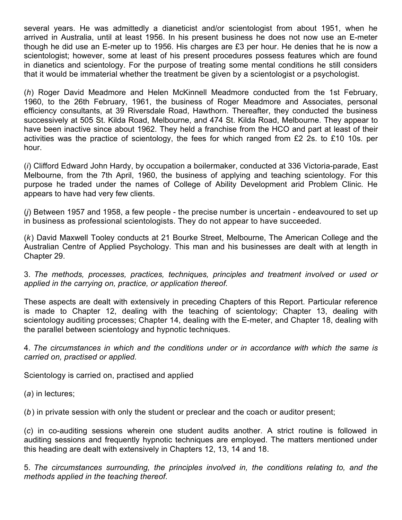several years. He was admittedly a dianeticist and/or scientologist from about 1951, when he arrived in Australia, until at least 1956. In his present business he does not now use an E-meter though he did use an E-meter up to 1956. His charges are £3 per hour. He denies that he is now a scientologist; however, some at least of his present procedures possess features which are found in dianetics and scientology. For the purpose of treating some mental conditions he still considers that it would be immaterial whether the treatment be given by a scientologist or a psychologist.

(*h*) Roger David Meadmore and Helen McKinnell Meadmore conducted from the 1st February, 1960, to the 26th February, 1961, the business of Roger Meadmore and Associates, personal efficiency consultants, at 39 Riversdale Road, Hawthorn. Thereafter, they conducted the business successively at 505 St. Kilda Road, Melbourne, and 474 St. Kilda Road, Melbourne. They appear to have been inactive since about 1962. They held a franchise from the HCO and part at least of their activities was the practice of scientology, the fees for which ranged from £2 2s. to £10 10s. per hour.

(*i*) Clifford Edward John Hardy, by occupation a boilermaker, conducted at 336 Victoria-parade, East Melbourne, from the 7th April, 1960, the business of applying and teaching scientology. For this purpose he traded under the names of College of Ability Development arid Problem Clinic. He appears to have had very few clients.

(*j*) Between 1957 and 1958, a few people - the precise number is uncertain - endeavoured to set up in business as professional scientologists. They do not appear to have succeeded.

(*k*) David Maxwell Tooley conducts at 21 Bourke Street, Melbourne, The American College and the Australian Centre of Applied Psychology. This man and his businesses are dealt with at length in Chapter 29.

3. *The methods, processes, practices, techniques, principles and treatment involved or used or applied in the carrying on, practice, or application thereof.* 

These aspects are dealt with extensively in preceding Chapters of this Report. Particular reference is made to Chapter 12, dealing with the teaching of scientology; Chapter 13, dealing with scientology auditing processes; Chapter 14, dealing with the E-meter, and Chapter 18, dealing with the parallel between scientology and hypnotic techniques.

4. *The circumstances in which and the conditions under or in accordance with which the same is carried on, practised or applied.*

Scientology is carried on, practised and applied

(*a*) in lectures;

(*b*) in private session with only the student or preclear and the coach or auditor present;

(*c*) in co-auditing sessions wherein one student audits another. A strict routine is followed in auditing sessions and frequently hypnotic techniques are employed. The matters mentioned under this heading are dealt with extensively in Chapters 12, 13, 14 and 18.

5. *The circumstances surrounding, the principles involved in, the conditions relating to, and the methods applied in the teaching thereof.*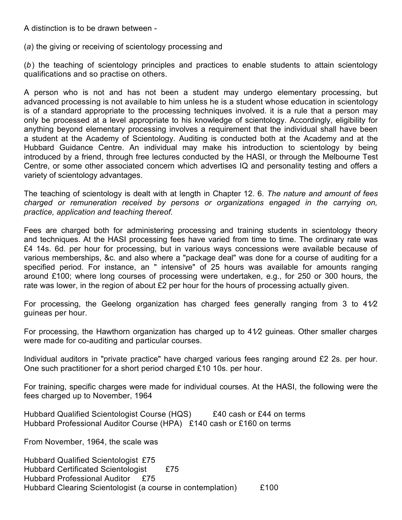A distinction is to be drawn between -

(*a*) the giving or receiving of scientology processing and

(*b*) the teaching of scientology principles and practices to enable students to attain scientology qualifications and so practise on others.

A person who is not and has not been a student may undergo elementary processing, but advanced processing is not available to him unless he is a student whose education in scientology is of a standard appropriate to the processing techniques involved. it is a rule that a person may only be processed at a level appropriate to his knowledge of scientology. Accordingly, eligibility for anything beyond elementary processing involves a requirement that the individual shall have been a student at the Academy of Scientology. Auditing is conducted both at the Academy and at the Hubbard Guidance Centre. An individual may make his introduction to scientology by being introduced by a friend, through free lectures conducted by the HASI, or through the Melbourne Test Centre, or some other associated concern which advertises IQ and personality testing and offers a variety of scientology advantages.

The teaching of scientology is dealt with at length in Chapter 12. 6. *The nature and amount of fees charged or remuneration received by persons or organizations engaged in the carrying on, practice, application and teaching thereof.*

Fees are charged both for administering processing and training students in scientology theory and techniques. At the HASI processing fees have varied from time to time. The ordinary rate was £4 14s. 6d. per hour for processing, but in various ways concessions were available because of various memberships, &c. and also where a "package deal" was done for a course of auditing for a specified period. For instance, an " intensive" of 25 hours was available for amounts ranging around £100; where long courses of processing were undertaken, e.g., for 250 or 300 hours, the rate was lower, in the region of about £2 per hour for the hours of processing actually given.

For processing, the Geelong organization has charged fees generally ranging from 3 to 41⁄2 guineas per hour.

For processing, the Hawthorn organization has charged up to 41⁄2 guineas. Other smaller charges were made for co-auditing and particular courses.

Individual auditors in "private practice" have charged various fees ranging around £2 2s. per hour. One such practitioner for a short period charged £10 10s. per hour.

For training, specific charges were made for individual courses. At the HASI, the following were the fees charged up to November, 1964

Hubbard Qualified Scientologist Course (HQS) £40 cash or £44 on terms Hubbard Professional Auditor Course (HPA) £140 cash or £160 on terms

From November, 1964, the scale was

Hubbard Qualified Scientologist £75 Hubbard Certificated Scientologist £75 Hubbard Professional Auditor £75 Hubbard Clearing Scientologist (a course in contemplation) £100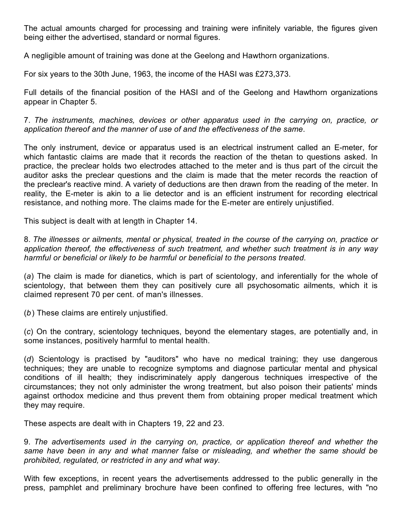The actual amounts charged for processing and training were infinitely variable, the figures given being either the advertised, standard or normal figures.

A negligible amount of training was done at the Geelong and Hawthorn organizations.

For six years to the 30th June, 1963, the income of the HASI was £273,373.

Full details of the financial position of the HASI and of the Geelong and Hawthorn organizations appear in Chapter 5.

7. *The instruments, machines, devices or other apparatus used in the carrying on, practice, or application thereof and the manner of use of and the effectiveness of the same*.

The only instrument, device or apparatus used is an electrical instrument called an E-meter, for which fantastic claims are made that it records the reaction of the thetan to questions asked. In practice, the preclear holds two electrodes attached to the meter and is thus part of the circuit the auditor asks the preclear questions and the claim is made that the meter records the reaction of the preclear's reactive mind. A variety of deductions are then drawn from the reading of the meter. In reality, the E-meter is akin to a lie detector and is an efficient instrument for recording electrical resistance, and nothing more. The claims made for the E-meter are entirely unjustified.

This subject is dealt with at length in Chapter 14.

8. *The illnesses or ailments, mental or physical, treated in the course of the carrying on, practice or application thereof, the effectiveness of such treatment, and whether such treatment is in any way harmful or beneficial or likely to be harmful or beneficial to the persons treated.*

(*a*) The claim is made for dianetics, which is part of scientology, and inferentially for the whole of scientology, that between them they can positively cure all psychosomatic ailments, which it is claimed represent 70 per cent. of man's illnesses.

(*b*) These claims are entirely unjustified.

(*c*) On the contrary, scientology techniques, beyond the elementary stages, are potentially and, in some instances, positively harmful to mental health.

(*d*) Scientology is practised by "auditors" who have no medical training; they use dangerous techniques; they are unable to recognize symptoms and diagnose particular mental and physical conditions of ill health; they indiscriminately apply dangerous techniques irrespective of the circumstances; they not only administer the wrong treatment, but also poison their patients' minds against orthodox medicine and thus prevent them from obtaining proper medical treatment which they may require.

These aspects are dealt with in Chapters 19, 22 and 23.

9. *The advertisements used in the carrying on, practice, or application thereof and whether the same have been in any and what manner false or misleading, and whether the same should be prohibited, regulated, or restricted in any and what way.*

With few exceptions, in recent years the advertisements addressed to the public generally in the press, pamphlet and preliminary brochure have been confined to offering free lectures, with "no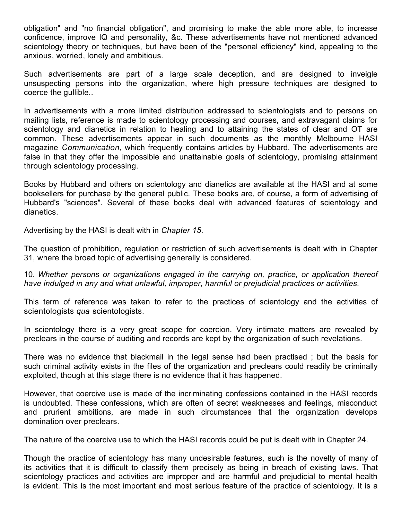obligation" and "no financial obligation", and promising to make the able more able, to increase confidence, improve IQ and personality, &c. These advertisements have not mentioned advanced scientology theory or techniques, but have been of the "personal efficiency" kind, appealing to the anxious, worried, lonely and ambitious.

Such advertisements are part of a large scale deception, and are designed to inveigle unsuspecting persons into the organization, where high pressure techniques are designed to coerce the gullible..

In advertisements with a more limited distribution addressed to scientologists and to persons on mailing lists, reference is made to scientology processing and courses, and extravagant claims for scientology and dianetics in relation to healing and to attaining the states of clear and OT are common. These advertisements appear in such documents as the monthly Melbourne HASI magazine *Communication*, which frequently contains articles by Hubbard. The advertisements are false in that they offer the impossible and unattainable goals of scientology, promising attainment through scientology processing.

Books by Hubbard and others on scientology and dianetics are available at the HASI and at some booksellers for purchase by the general public. These books are, of course, a form of advertising of Hubbard's "sciences". Several of these books deal with advanced features of scientology and dianetics.

Advertising by the HASI is dealt with in *Chapter 15*.

The question of prohibition, regulation or restriction of such advertisements is dealt with in Chapter 31, where the broad topic of advertising generally is considered.

10. *Whether persons or organizations engaged in the carrying on, practice, or application thereof have indulged in any and what unlawful, improper, harmful or prejudicial practices or activities.*

This term of reference was taken to refer to the practices of scientology and the activities of scientologists *qua* scientologists.

In scientology there is a very great scope for coercion. Very intimate matters are revealed by preclears in the course of auditing and records are kept by the organization of such revelations.

There was no evidence that blackmail in the legal sense had been practised ; but the basis for such criminal activity exists in the files of the organization and preclears could readily be criminally exploited, though at this stage there is no evidence that it has happened.

However, that coercive use is made of the incriminating confessions contained in the HASI records is undoubted. These confessions, which are often of secret weaknesses and feelings, misconduct and prurient ambitions, are made in such circumstances that the organization develops domination over preclears.

The nature of the coercive use to which the HASI records could be put is dealt with in Chapter 24.

Though the practice of scientology has many undesirable features, such is the novelty of many of its activities that it is difficult to classify them precisely as being in breach of existing laws. That scientology practices and activities are improper and are harmful and prejudicial to mental health is evident. This is the most important and most serious feature of the practice of scientology. It is a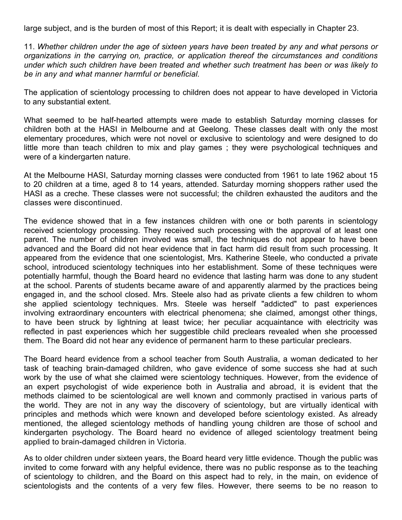large subject, and is the burden of most of this Report; it is dealt with especially in Chapter 23.

11. *Whether children under the age of sixteen years have been treated by any and what persons or organizations in the carrying on, practice, or application thereof the circumstances and conditions under which such children have been treated and whether such treatment has been or was likely to be in any and what manner harmful or beneficial.*

The application of scientology processing to children does not appear to have developed in Victoria to any substantial extent.

What seemed to be half-hearted attempts were made to establish Saturday morning classes for children both at the HASI in Melbourne and at Geelong. These classes dealt with only the most elementary procedures, which were not novel or exclusive to scientology and were designed to do little more than teach children to mix and play games ; they were psychological techniques and were of a kindergarten nature.

At the Melbourne HASI, Saturday morning classes were conducted from 1961 to late 1962 about 15 to 20 children at a time, aged 8 to 14 years, attended. Saturday morning shoppers rather used the HASI as a creche. These classes were not successful; the children exhausted the auditors and the classes were discontinued.

The evidence showed that in a few instances children with one or both parents in scientology received scientology processing. They received such processing with the approval of at least one parent. The number of children involved was small, the techniques do not appear to have been advanced and the Board did not hear evidence that in fact harm did result from such processing. It appeared from the evidence that one scientologist, Mrs. Katherine Steele, who conducted a private school, introduced scientology techniques into her establishment. Some of these techniques were potentially harmful, though the Board heard no evidence that lasting harm was done to any student at the school. Parents of students became aware of and apparently alarmed by the practices being engaged in, and the school closed. Mrs. Steele also had as private clients a few children to whom she applied scientology techniques. Mrs. Steele was herself "addicted" to past experiences involving extraordinary encounters with electrical phenomena; she claimed, amongst other things, to have been struck by lightning at least twice; her peculiar acquaintance with electricity was reflected in past experiences which her suggestible child preclears revealed when she processed them. The Board did not hear any evidence of permanent harm to these particular preclears.

The Board heard evidence from a school teacher from South Australia, a woman dedicated to her task of teaching brain-damaged children, who gave evidence of some success she had at such work by the use of what she claimed were scientology techniques. However, from the evidence of an expert psychologist of wide experience both in Australia and abroad, it is evident that the methods claimed to be scientological are well known and commonly practised in various parts of the world. They are not in any way the discovery of scientology, but are virtually identical with principles and methods which were known and developed before scientology existed. As already mentioned, the alleged scientology methods of handling young children are those of school and kindergarten psychology. The Board heard no evidence of alleged scientology treatment being applied to brain-damaged children in Victoria.

As to older children under sixteen years, the Board heard very little evidence. Though the public was invited to come forward with any helpful evidence, there was no public response as to the teaching of scientology to children, and the Board on this aspect had to rely, in the main, on evidence of scientologists and the contents of a very few files. However, there seems to be no reason to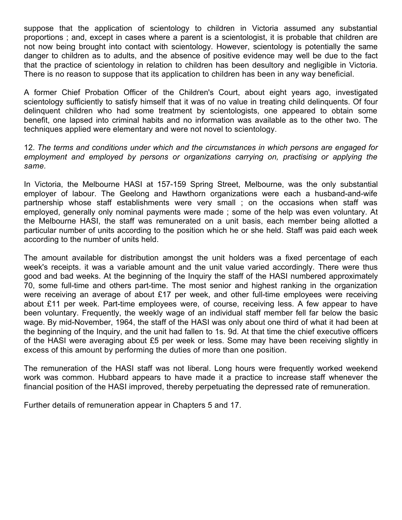suppose that the application of scientology to children in Victoria assumed any substantial proportions ; and, except in cases where a parent is a scientologist, it is probable that children are not now being brought into contact with scientology. However, scientology is potentially the same danger to children as to adults, and the absence of positive evidence may well be due to the fact that the practice of scientology in relation to children has been desultory and negligible in Victoria. There is no reason to suppose that its application to children has been in any way beneficial.

A former Chief Probation Officer of the Children's Court, about eight years ago, investigated scientology sufficiently to satisfy himself that it was of no value in treating child delinquents. Of four delinquent children who had some treatment by scientologists, one appeared to obtain some benefit, one lapsed into criminal habits and no information was available as to the other two. The techniques applied were elementary and were not novel to scientology.

12. *The terms and conditions under which and the circumstances in which persons are engaged for employment and employed by persons or organizations carrying on, practising or applying the same.*

In Victoria, the Melbourne HASI at 157-159 Spring Street, Melbourne, was the only substantial employer of labour. The Geelong and Hawthorn organizations were each a husband-and-wife partnership whose staff establishments were very small ; on the occasions when staff was employed, generally only nominal payments were made ; some of the help was even voluntary. At the Melbourne HASI, the staff was remunerated on a unit basis, each member being allotted a particular number of units according to the position which he or she held. Staff was paid each week according to the number of units held.

The amount available for distribution amongst the unit holders was a fixed percentage of each week's receipts. it was a variable amount and the unit value varied accordingly. There were thus good and bad weeks. At the beginning of the Inquiry the staff of the HASI numbered approximately 70, some full-time and others part-time. The most senior and highest ranking in the organization were receiving an average of about £17 per week, and other full-time employees were receiving about £11 per week. Part-time employees were, of course, receiving less. A few appear to have been voluntary. Frequently, the weekly wage of an individual staff member fell far below the basic wage. By mid-November, 1964, the staff of the HASI was only about one third of what it had been at the beginning of the Inquiry, and the unit had fallen to 1s. 9d. At that time the chief executive officers of the HASI were averaging about £5 per week or less. Some may have been receiving slightly in excess of this amount by performing the duties of more than one position.

The remuneration of the HASI staff was not liberal. Long hours were frequently worked weekend work was common. Hubbard appears to have made it a practice to increase staff whenever the financial position of the HASI improved, thereby perpetuating the depressed rate of remuneration.

Further details of remuneration appear in Chapters 5 and 17.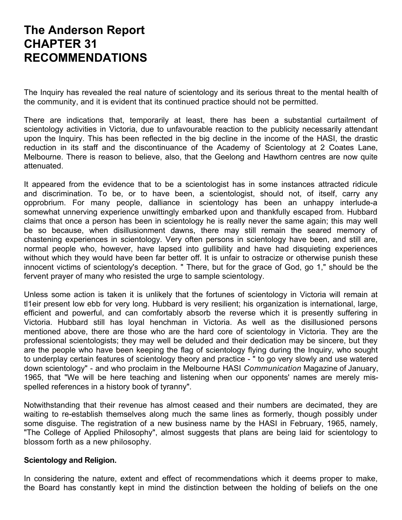# **The Anderson Report CHAPTER 31 RECOMMENDATIONS**

The Inquiry has revealed the real nature of scientology and its serious threat to the mental health of the community, and it is evident that its continued practice should not be permitted.

There are indications that, temporarily at least, there has been a substantial curtailment of scientology activities in Victoria, due to unfavourable reaction to the publicity necessarily attendant upon the Inquiry. This has been reflected in the big decline in the income of the HASI, the drastic reduction in its staff and the discontinuance of the Academy of Scientology at 2 Coates Lane, Melbourne. There is reason to believe, also, that the Geelong and Hawthorn centres are now quite attenuated.

It appeared from the evidence that to be a scientologist has in some instances attracted ridicule and discrimination. To be, or to have been, a scientologist, should not, of itself, carry any opprobrium. For many people, dalliance in scientology has been an unhappy interlude-a somewhat unnerving experience unwittingly embarked upon and thankfully escaped from. Hubbard claims that once a person has been in scientology he is really never the same again; this may well be so because, when disillusionment dawns, there may still remain the seared memory of chastening experiences in scientology. Very often persons in scientology have been, and still are, normal people who, however, have lapsed into gullibility and have had disquieting experiences without which they would have been far better off. It is unfair to ostracize or otherwise punish these innocent victims of scientology's deception. " There, but for the grace of God, go 1," should be the fervent prayer of many who resisted the urge to sample scientology.

Unless some action is taken it is unlikely that the fortunes of scientology in Victoria will remain at tl1eir present low ebb for very long. Hubbard is very resilient; his organization is international, large, efficient and powerful, and can comfortably absorb the reverse which it is presently suffering in Victoria. Hubbard still has loyal henchman in Victoria. As well as the disillusioned persons mentioned above, there are those who are the hard core of scientology in Victoria. They are the professional scientologists; they may well be deluded and their dedication may be sincere, but they are the people who have been keeping the flag of scientology flying during the Inquiry, who sought to underplay certain features of scientology theory and practice - " to go very slowly and use watered down scientology" - and who proclaim in the Melbourne HASI *Communication* Magazine of January, 1965, that "We will be here teaching and listening when our opponents' names are merely misspelled references in a history book of tyranny".

Notwithstanding that their revenue has almost ceased and their numbers are decimated, they are waiting to re-establish themselves along much the same lines as formerly, though possibly under some disguise. The registration of a new business name by the HASI in February, 1965, namely, "The College of Applied Philosophy", almost suggests that plans are being laid for scientology to blossom forth as a new philosophy.

## **Scientology and Religion.**

In considering the nature, extent and effect of recommendations which it deems proper to make, the Board has constantly kept in mind the distinction between the holding of beliefs on the one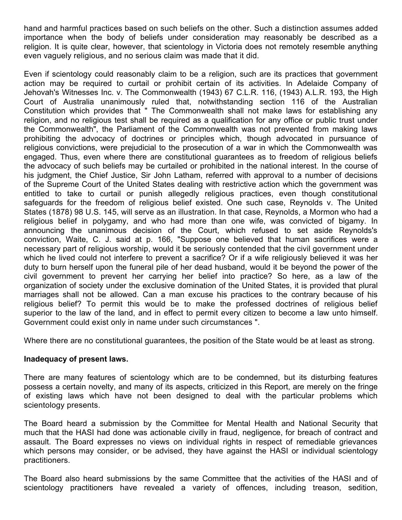hand and harmful practices based on such beliefs on the other. Such a distinction assumes added importance when the body of beliefs under consideration may reasonably be described as a religion. It is quite clear, however, that scientology in Victoria does not remotely resemble anything even vaguely religious, and no serious claim was made that it did.

Even if scientology could reasonably claim to be a religion, such are its practices that government action may be required to curtail or prohibit certain of its activities. In Adelaide Company of Jehovah's Witnesses Inc. v. The Commonwealth (1943) 67 C.L.R. 116, (1943) A.L.R. 193, the High Court of Australia unanimously ruled that, notwithstanding section 116 of the Australian Constitution which provides that " The Commonwealth shall not make laws for establishing any religion, and no religious test shall be required as a qualification for any office or public trust under the Commonwealth", the Parliament of the Commonwealth was not prevented from making laws prohibiting the advocacy of doctrines or principles which, though advocated in pursuance of religious convictions, were prejudicial to the prosecution of a war in which the Commonwealth was engaged. Thus, even where there are constitutional guarantees as to freedom of religious beliefs the advocacy of such beliefs may be curtailed or prohibited in the national interest. In the course of his judgment, the Chief Justice, Sir John Latham, referred with approval to a number of decisions of the Supreme Court of the United States dealing with restrictive action which the government was entitled to take to curtail or punish allegedly religious practices, even though constitutional safeguards for the freedom of religious belief existed. One such case, Reynolds v. The United States (1878) 98 U.S. 145, will serve as an illustration. In that case, Reynolds, a Mormon who had a religious belief in polygamy, and who had more than one wife, was convicted of bigamy. In announcing the unanimous decision of the Court, which refused to set aside Reynolds's conviction, Waite, C. J. said at p. 166, "Suppose one believed that human sacrifices were a necessary part of religious worship, would it be seriously contended that the civil government under which he lived could not interfere to prevent a sacrifice? Or if a wife religiously believed it was her duty to burn herself upon the funeral pile of her dead husband, would it be beyond the power of the civil government to prevent her carrying her belief into practice? So here, as a law of the organization of society under the exclusive domination of the United States, it is provided that plural marriages shall not be allowed. Can a man excuse his practices to the contrary because of his religious belief? To permit this would be to make the professed doctrines of religious belief superior to the law of the land, and in effect to permit every citizen to become a law unto himself. Government could exist only in name under such circumstances ".

Where there are no constitutional guarantees, the position of the State would be at least as strong.

## **Inadequacy of present laws.**

There are many features of scientology which are to be condemned, but its disturbing features possess a certain novelty, and many of its aspects, criticized in this Report, are merely on the fringe of existing laws which have not been designed to deal with the particular problems which scientology presents.

The Board heard a submission by the Committee for Mental Health and National Security that much that the HASI had done was actionable civilly in fraud, negligence, for breach of contract and assault. The Board expresses no views on individual rights in respect of remediable grievances which persons may consider, or be advised, they have against the HASI or individual scientology practitioners.

The Board also heard submissions by the same Committee that the activities of the HASI and of scientology practitioners have revealed a variety of offences, including treason, sedition,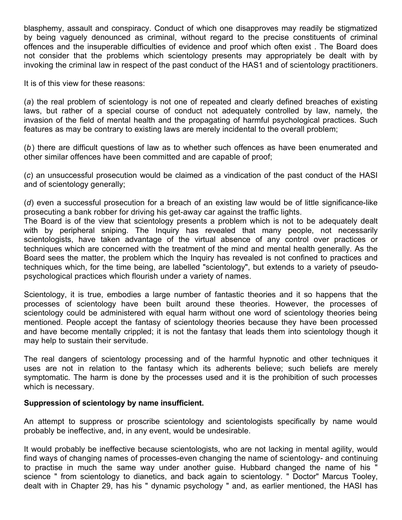blasphemy, assault and conspiracy. Conduct of which one disapproves may readily be stigmatized by being vaguely denounced as criminal, without regard to the precise constituents of criminal offences and the insuperable difficulties of evidence and proof which often exist . The Board does not consider that the problems which scientology presents may appropriately be dealt with by invoking the criminal law in respect of the past conduct of the HAS1 and of scientology practitioners.

It is of this view for these reasons:

(*a*) the real problem of scientology is not one of repeated and clearly defined breaches of existing laws, but rather of a special course of conduct not adequately controlled by law, namely, the invasion of the field of mental health and the propagating of harmful psychological practices. Such features as may be contrary to existing laws are merely incidental to the overall problem;

(*b*) there are difficult questions of law as to whether such offences as have been enumerated and other similar offences have been committed and are capable of proof;

(*c*) an unsuccessful prosecution would be claimed as a vindication of the past conduct of the HASI and of scientology generally;

(*d*) even a successful prosecution for a breach of an existing law would be of little significance-like prosecuting a bank robber for driving his get-away car against the traffic lights.

The Board is of the view that scientology presents a problem which is not to be adequately dealt with by peripheral sniping. The Inquiry has revealed that many people, not necessarily scientologists, have taken advantage of the virtual absence of any control over practices or techniques which are concerned with the treatment of the mind and mental health generally. As the Board sees the matter, the problem which the Inquiry has revealed is not confined to practices and techniques which, for the time being, are labelled "scientology", but extends to a variety of pseudopsychological practices which flourish under a variety of names.

Scientology, it is true, embodies a large number of fantastic theories and it so happens that the processes of scientology have been built around these theories. However, the processes of scientology could be administered with equal harm without one word of scientology theories being mentioned. People accept the fantasy of scientology theories because they have been processed and have become mentally crippled; it is not the fantasy that leads them into scientology though it may help to sustain their servitude.

The real dangers of scientology processing and of the harmful hypnotic and other techniques it uses are not in relation to the fantasy which its adherents believe; such beliefs are merely symptomatic. The harm is done by the processes used and it is the prohibition of such processes which is necessary.

## **Suppression of scientology by name insufficient.**

An attempt to suppress or proscribe scientology and scientologists specifically by name would probably be ineffective, and, in any event, would be undesirable.

It would probably be ineffective because scientologists, who are not lacking in mental agility, would find ways of changing names of processes-even changing the name of scientology- and continuing to practise in much the same way under another guise. Hubbard changed the name of his " science " from scientology to dianetics, and back again to scientology. " Doctor" Marcus Tooley, dealt with in Chapter 29, has his " dynamic psychology " and, as earlier mentioned, the HASI has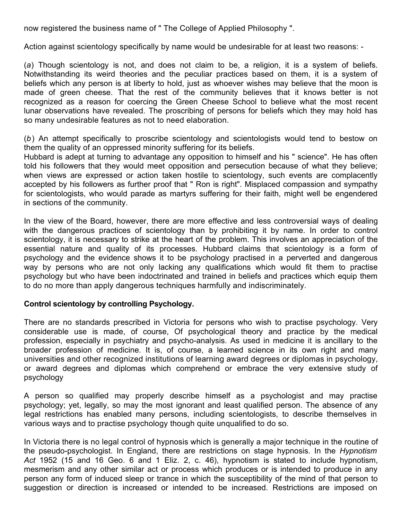now registered the business name of " The College of Applied Philosophy ".

Action against scientology specifically by name would be undesirable for at least two reasons: -

(*a*) Though scientology is not, and does not claim to be, a religion, it is a system of beliefs. Notwithstanding its weird theories and the peculiar practices based on them, it is a system of beliefs which any person is at liberty to hold, just as whoever wishes may believe that the moon is made of green cheese. That the rest of the community believes that it knows better is not recognized as a reason for coercing the Green Cheese School to believe what the most recent lunar observations have revealed. The proscribing of persons for beliefs which they may hold has so many undesirable features as not to need elaboration.

(*b*) An attempt specifically to proscribe scientology and scientologists would tend to bestow on them the quality of an oppressed minority suffering for its beliefs.

Hubbard is adept at turning to advantage any opposition to himself and his " science". He has often told his followers that they would meet opposition and persecution because of what they believe; when views are expressed or action taken hostile to scientology, such events are complacently accepted by his followers as further proof that " Ron is right". Misplaced compassion and sympathy for scientologists, who would parade as martyrs suffering for their faith, might well be engendered in sections of the community.

In the view of the Board, however, there are more effective and less controversial ways of dealing with the dangerous practices of scientology than by prohibiting it by name. In order to control scientology, it is necessary to strike at the heart of the problem. This involves an appreciation of the essential nature and quality of its processes. Hubbard claims that scientology is a form of psychology and the evidence shows it to be psychology practised in a perverted and dangerous way by persons who are not only lacking any qualifications which would fit them to practise psychology but who have been indoctrinated and trained in beliefs and practices which equip them to do no more than apply dangerous techniques harmfully and indiscriminately.

## **Control scientology by controlling Psychology.**

There are no standards prescribed in Victoria for persons who wish to practise psychology. Very considerable use is made, of course, Of psychological theory and practice by the medical profession, especially in psychiatry and psycho-analysis. As used in medicine it is ancillary to the broader profession of medicine. It is, of course, a learned science in its own right and many universities and other recognized institutions of learning award degrees or diplomas in psychology, or award degrees and diplomas which comprehend or embrace the very extensive study of psychology

A person so qualified may properly describe himself as a psychologist and may practise psychology; yet, legally, so may the most ignorant and least qualified person. The absence of any legal restrictions has enabled many persons, including scientologists, to describe themselves in various ways and to practise psychology though quite unqualified to do so.

In Victoria there is no legal control of hypnosis which is generally a major technique in the routine of the pseudo-psychologist. In England, there are restrictions on stage hypnosis. In the *Hypnotism Act* 1952 (15 and 16 Geo. 6 and 1 Eliz. 2, c. 46), hypnotism is stated to include hypnotism, mesmerism and any other similar act or process which produces or is intended to produce in any person any form of induced sleep or trance in which the susceptibility of the mind of that person to suggestion or direction is increased or intended to be increased. Restrictions are imposed on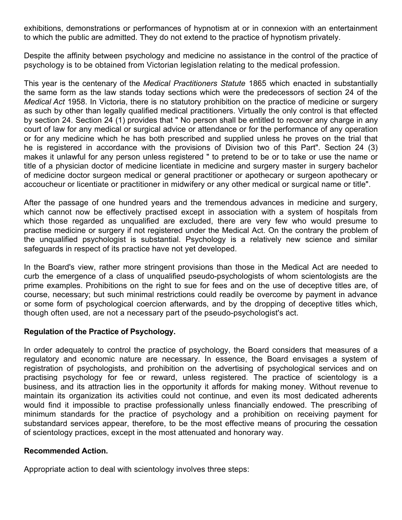exhibitions, demonstrations or performances of hypnotism at or in connexion with an entertainment to which the public are admitted. They do not extend to the practice of hypnotism privately.

Despite the affinity between psychology and medicine no assistance in the control of the practice of psychology is to be obtained from Victorian legislation relating to the medical profession.

This year is the centenary of the *Medical Practitioners Statute* 1865 which enacted in substantially the same form as the law stands today sections which were the predecessors of section 24 of the *Medical Act* 1958. In Victoria, there is no statutory prohibition on the practice of medicine or surgery as such by other than legally qualified medical practitioners. Virtually the only control is that effected by section 24. Section 24 (1) provides that " No person shall be entitled to recover any charge in any court of law for any medical or surgical advice or attendance or for the performance of any operation or for any medicine which he has both prescribed and supplied unless he proves on the trial that he is registered in accordance with the provisions of Division two of this Part". Section 24 (3) makes it unlawful for any person unless registered " to pretend to be or to take or use the name or title of a physician doctor of medicine licentiate in medicine and surgery master in surgery bachelor of medicine doctor surgeon medical or general practitioner or apothecary or surgeon apothecary or accoucheur or licentiate or practitioner in midwifery or any other medical or surgical name or title".

After the passage of one hundred years and the tremendous advances in medicine and surgery, which cannot now be effectively practised except in association with a system of hospitals from which those regarded as unqualified are excluded, there are very few who would presume to practise medicine or surgery if not registered under the Medical Act. On the contrary the problem of the unqualified psychologist is substantial. Psychology is a relatively new science and similar safeguards in respect of its practice have not yet developed.

In the Board's view, rather more stringent provisions than those in the Medical Act are needed to curb the emergence of a class of unqualified pseudo-psychologists of whom scientologists are the prime examples. Prohibitions on the right to sue for fees and on the use of deceptive titles are, of course, necessary; but such minimal restrictions could readily be overcome by payment in advance or some form of psychological coercion afterwards, and by the dropping of deceptive titles which, though often used, are not a necessary part of the pseudo-psychologist's act.

## **Regulation of the Practice of Psychology.**

In order adequately to control the practice of psychology, the Board considers that measures of a regulatory and economic nature are necessary. In essence, the Board envisages a system of registration of psychologists, and prohibition on the advertising of psychological services and on practising psychology for fee or reward, unless registered. The practice of scientology is a business, and its attraction lies in the opportunity it affords for making money. Without revenue to maintain its organization its activities could not continue, and even its most dedicated adherents would find it impossible to practise professionally unless financially endowed. The prescribing of minimum standards for the practice of psychology and a prohibition on receiving payment for substandard services appear, therefore, to be the most effective means of procuring the cessation of scientology practices, except in the most attenuated and honorary way.

## **Recommended Action.**

Appropriate action to deal with scientology involves three steps: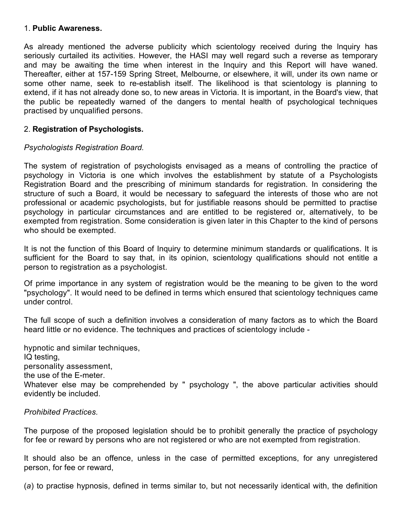## 1. **Public Awareness.**

As already mentioned the adverse publicity which scientology received during the lnquiry has seriously curtailed its activities. However, the HASI may well regard such a reverse as temporary and may be awaiting the time when interest in the Inquiry and this Report will have waned. Thereafter, either at 157-159 Spring Street, Melbourne, or elsewhere, it will, under its own name or some other name, seek to re-establish itself. The likelihood is that scientology is planning to extend, if it has not already done so, to new areas in Victoria. It is important, in the Board's view, that the public be repeatedly warned of the dangers to mental health of psychological techniques practised by unqualified persons.

## 2. **Registration of Psychologists.**

## *Psychologists Registration Board.*

The system of registration of psychologists envisaged as a means of controlling the practice of psychology in Victoria is one which involves the establishment by statute of a Psychologists Registration Board and the prescribing of minimum standards for registration. In considering the structure of such a Board, it would be necessary to safeguard the interests of those who are not professional or academic psychologists, but for justifiable reasons should be permitted to practise psychology in particular circumstances and are entitled to be registered or, alternatively, to be exempted from registration. Some consideration is given later in this Chapter to the kind of persons who should be exempted.

It is not the function of this Board of Inquiry to determine minimum standards or qualifications. It is sufficient for the Board to say that, in its opinion, scientology qualifications should not entitle a person to registration as a psychologist.

Of prime importance in any system of registration would be the meaning to be given to the word "psychology". It would need to be defined in terms which ensured that scientology techniques came under control.

The full scope of such a definition involves a consideration of many factors as to which the Board heard little or no evidence. The techniques and practices of scientology include -

hypnotic and similar techniques, IQ testing, personality assessment, the use of the E-meter. Whatever else may be comprehended by " psychology ", the above particular activities should evidently be included.

## *Prohibited Practices.*

The purpose of the proposed legislation should be to prohibit generally the practice of psychology for fee or reward by persons who are not registered or who are not exempted from registration.

It should also be an offence, unless in the case of permitted exceptions, for any unregistered person, for fee or reward,

(*a*) to practise hypnosis, defined in terms similar to, but not necessarily identical with, the definition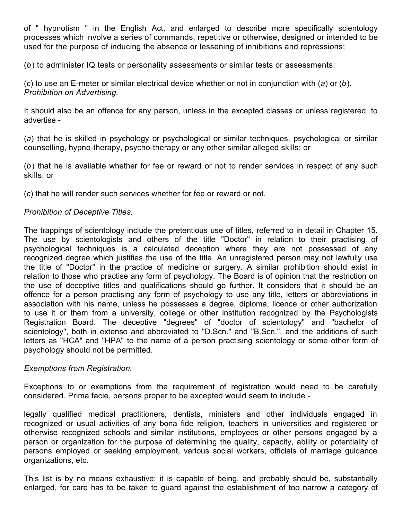of " hypnotism " in the English Act, and enlarged to describe more specifically scientology processes which involve a series of commands, repetitive or otherwise, designed or intended to be used for the purpose of inducing the absence or lessening of inhibitions and repressions;

(*b*) to administer IQ tests or personality assessments or similar tests or assessments;

(*c*) to use an E-meter or similar electrical device whether or not in conjunction with (*a*) or (*b*). *Prohibition on Advertising.*

It should also be an offence for any person, unless in the excepted classes or unless registered, to advertise -

(*a*) that he is skilled in psychology or psychological or similar techniques, psychological or similar counselling, hypno-therapy, psycho-therapy or any other similar alleged skills; or

(*b*) that he is available whether for fee or reward or not to render services in respect of any such skills, or

(*c*) that he will render such services whether for fee or reward or not.

## *Prohibition of Deceptive Titles.*

The trappings of scientology include the pretentious use of titles, referred to in detail in Chapter 15. The use by scientologists and others of the title "Doctor" in relation to their practising of psychological techniques is a calculated deception where they are not possessed of any recognized degree which justifies the use of the title. An unregistered person may not lawfully use the title of "Doctor" in the practice of medicine or surgery. A similar prohibition should exist in relation to those who practise any form of psychology. The Board is of opinion that the restriction on the use of deceptive titles and qualifications should go further. It considers that it should be an offence for a person practising any form of psychology to use any title, letters or abbreviations in association with his name, unless he possesses a degree, diploma, licence or other authorization to use it or them from a university, college or other institution recognized by the Psychologists Registration Board. The deceptive "degrees" of "doctor of scientology" and "bachelor of scientology", both in extenso and abbreviated to "D.Scn." and "B.Scn.", and the additions of such letters as "HCA" and "HPA" to the name of a person practising scientology or some other form of psychology should not be permitted.

#### *Exemptions from Registration.*

Exceptions to or exemptions from the requirement of registration would need to be carefully considered. Prima facie, persons proper to be excepted would seem to include -

legally qualified medical practitioners, dentists, ministers and other individuals engaged in recognized or usual activities of any bona fide religion, teachers in universities and registered or otherwise recognized schools and similar institutions, employees or other persons engaged by a person or organization for the purpose of determining the quality, capacity, ability or potentiality of persons employed or seeking employment, various social workers, officials of marriage guidance organizations, etc.

This list is by no means exhaustive; it is capable of being, and probably should be, substantially enlarged, for care has to be taken to guard against the establishment of too narrow a category of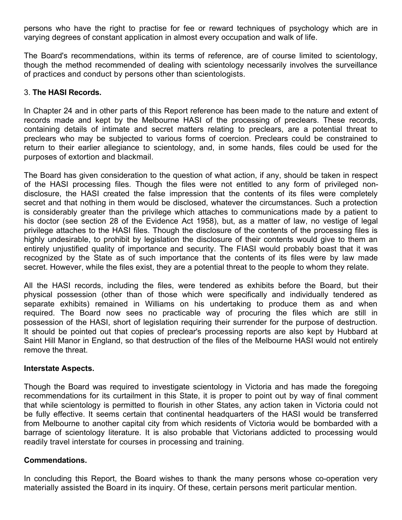persons who have the right to practise for fee or reward techniques of psychology which are in varying degrees of constant application in almost every occupation and walk of life.

The Board's recommendations, within its terms of reference, are of course limited to scientology, though the method recommended of dealing with scientology necessarily involves the surveillance of practices and conduct by persons other than scientologists.

## 3. **The HASI Records.**

In Chapter 24 and in other parts of this Report reference has been made to the nature and extent of records made and kept by the Melbourne HASI of the processing of preclears. These records, containing details of intimate and secret matters relating to preclears, are a potential threat to preclears who may be subjected to various forms of coercion. Preclears could be constrained to return to their earlier allegiance to scientology, and, in some hands, files could be used for the purposes of extortion and blackmail.

The Board has given consideration to the question of what action, if any, should be taken in respect of the HASI processing files. Though the files were not entitled to any form of privileged nondisclosure, the HASI created the false impression that the contents of its files were completely secret and that nothing in them would be disclosed, whatever the circumstances. Such a protection is considerably greater than the privilege which attaches to communications made by a patient to his doctor (see section 28 of the Evidence Act 1958), but, as a matter of law, no vestige of legal privilege attaches to the HASI files. Though the disclosure of the contents of the processing files is highly undesirable, to prohibit by legislation the disclosure of their contents would give to them an entirely unjustified quality of importance and security. The FIASI would probably boast that it was recognized by the State as of such importance that the contents of its files were by law made secret. However, while the files exist, they are a potential threat to the people to whom they relate.

All the HASI records, including the files, were tendered as exhibits before the Board, but their physical possession (other than of those which were specifically and individually tendered as separate exhibits) remained in Williams on his undertaking to produce them as and when required. The Board now sees no practicable way of procuring the files which are still in possession of the HASI, short of legislation requiring their surrender for the purpose of destruction. It should be pointed out that copies of preclear's processing reports are also kept by Hubbard at Saint Hill Manor in England, so that destruction of the files of the Melbourne HASI would not entirely remove the threat.

## **Interstate Aspects.**

Though the Board was required to investigate scientology in Victoria and has made the foregoing recommendations for its curtailment in this State, it is proper to point out by way of final comment that while scientology is permitted to flourish in other States, any action taken in Victoria could not be fully effective. It seems certain that continental headquarters of the HASI would be transferred from Melbourne to another capital city from which residents of Victoria would be bombarded with a barrage of scientology literature. It is also probable that Victorians addicted to processing would readily travel interstate for courses in processing and training.

## **Commendations.**

In concluding this Report, the Board wishes to thank the many persons whose co-operation very materially assisted the Board in its inquiry. Of these, certain persons merit particular mention.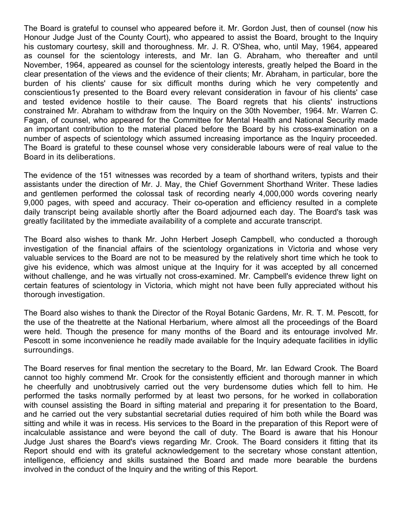The Board is grateful to counsel who appeared before it. Mr. Gordon Just, then of counsel (now his Honour Judge Just of the County Court), who appeared to assist the Board, brought to the Inquiry his customary courtesy, skill and thoroughness. Mr. J. R. O'Shea, who, until May, 1964, appeared as counsel for the scientology interests, and Mr. Ian G. Abraham, who thereafter and until November, 1964, appeared as counsel for the scientology interests, greatly helped the Board in the clear presentation of the views and the evidence of their clients; Mr. Abraham, in particular, bore the burden of his clients' cause for six difficult months during which he very competently and conscientious1y presented to the Board every relevant consideration in favour of his clients' case and tested evidence hostile to their cause. The Board regrets that his clients' instructions constrained Mr. Abraham to withdraw from the Inquiry on the 30th November, 1964. Mr. Warren C. Fagan, of counsel, who appeared for the Committee for Mental Health and National Security made an important contribution to the material placed before the Board by his cross-examination on a number of aspects of scientology which assumed increasing importance as the Inquiry proceeded. The Board is grateful to these counsel whose very considerable labours were of real value to the Board in its deliberations.

The evidence of the 151 witnesses was recorded by a team of shorthand writers, typists and their assistants under the direction of Mr. J. May, the Chief Government Shorthand Writer. These ladies and gentlemen performed the colossal task of recording nearly 4,000,000 words covering nearly 9,000 pages, with speed and accuracy. Their co-operation and efficiency resulted in a complete daily transcript being available shortly after the Board adjourned each day. The Board's task was greatly facilitated by the immediate availability of a complete and accurate transcript.

The Board also wishes to thank Mr. John Herbert Joseph Campbell, who conducted a thorough investigation of the financial affairs of the scientology organizations in Victoria and whose very valuable services to the Board are not to be measured by the relatively short time which he took to give his evidence, which was almost unique at the Inquiry for it was accepted by all concerned without challenge, and he was virtually not cross-examined. Mr. Campbell's evidence threw light on certain features of scientology in Victoria, which might not have been fully appreciated without his thorough investigation.

The Board also wishes to thank the Director of the Royal Botanic Gardens, Mr. R. T. M. Pescott, for the use of the theatrette at the National Herbarium, where almost all the proceedings of the Board were held. Though the presence for many months of the Board and its entourage involved Mr. Pescott in some inconvenience he readily made available for the Inquiry adequate facilities in idyllic surroundings.

The Board reserves for final mention the secretary to the Board, Mr. Ian Edward Crook. The Board cannot too highly commend Mr. Crook for the consistently efficient and thorough manner in which he cheerfully and unobtrusively carried out the very burdensome duties which fell to him. He performed the tasks normally performed by at least two persons, for he worked in collaboration with counsel assisting the Board in sifting material and preparing it for presentation to the Board, and he carried out the very substantial secretarial duties required of him both while the Board was sitting and while it was in recess. His services to the Board in the preparation of this Report were of incalculable assistance and were beyond the call of duty. The Board is aware that his Honour Judge Just shares the Board's views regarding Mr. Crook. The Board considers it fitting that its Report should end with its grateful acknowledgement to the secretary whose constant attention, intelligence, efficiency and skills sustained the Board and made more bearable the burdens involved in the conduct of the Inquiry and the writing of this Report.